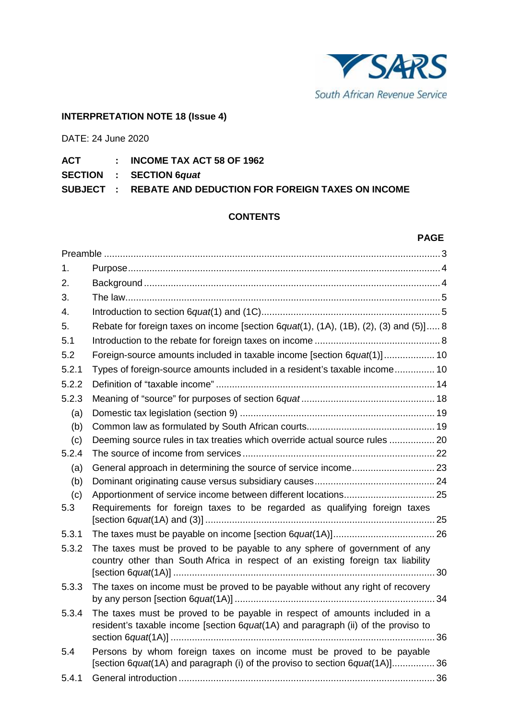

## **INTERPRETATION NOTE 18 (Issue 4)**

DATE: 24 June 2020

- **ACT : INCOME TAX ACT 58 OF 1962**
- **SECTION : SECTION 6***quat*

**SUBJECT : REBATE AND DEDUCTION FOR FOREIGN TAXES ON INCOME**

## **CONTENTS**

#### **PAGE**

| 1.    |                                                                                                                                                                 |
|-------|-----------------------------------------------------------------------------------------------------------------------------------------------------------------|
| 2.    |                                                                                                                                                                 |
| 3.    |                                                                                                                                                                 |
| 4.    |                                                                                                                                                                 |
| 5.    | Rebate for foreign taxes on income [section 6quat(1), (1A), (1B), (2), (3) and (5)] 8                                                                           |
| 5.1   |                                                                                                                                                                 |
| 5.2   | Foreign-source amounts included in taxable income [section 6quat(1)] 10                                                                                         |
| 5.2.1 | Types of foreign-source amounts included in a resident's taxable income 10                                                                                      |
| 5.2.2 |                                                                                                                                                                 |
| 5.2.3 |                                                                                                                                                                 |
| (a)   |                                                                                                                                                                 |
| (b)   |                                                                                                                                                                 |
| (c)   | Deeming source rules in tax treaties which override actual source rules  20                                                                                     |
| 5.2.4 |                                                                                                                                                                 |
| (a)   | General approach in determining the source of service income 23                                                                                                 |
| (b)   |                                                                                                                                                                 |
| (c)   |                                                                                                                                                                 |
| 5.3   | Requirements for foreign taxes to be regarded as qualifying foreign taxes                                                                                       |
| 5.3.1 |                                                                                                                                                                 |
| 5.3.2 | The taxes must be proved to be payable to any sphere of government of any<br>country other than South Africa in respect of an existing foreign tax liability    |
|       |                                                                                                                                                                 |
| 5.3.3 | The taxes on income must be proved to be payable without any right of recovery                                                                                  |
| 5.3.4 | The taxes must be proved to be payable in respect of amounts included in a<br>resident's taxable income [section 6quat(1A) and paragraph (ii) of the proviso to |
| 5.4   | Persons by whom foreign taxes on income must be proved to be payable<br>[section 6quat(1A) and paragraph (i) of the proviso to section 6quat(1A)]36             |
| 5.4.1 |                                                                                                                                                                 |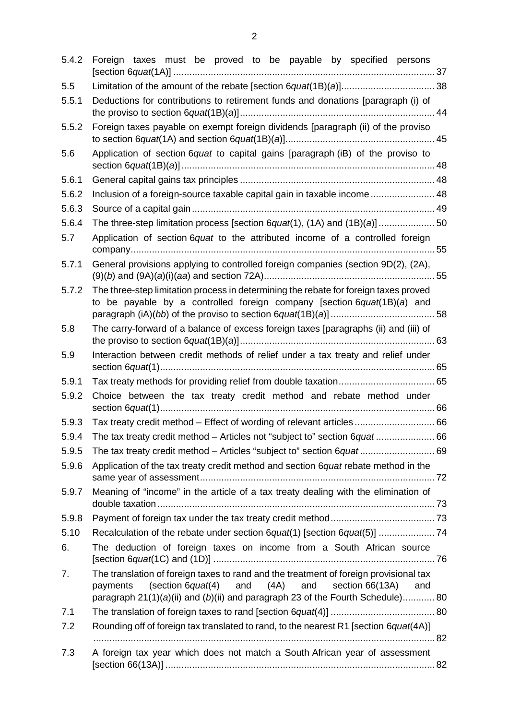| 5.4.2 | Foreign taxes must be proved to be payable by specified persons                                                                                                                                                                                        |  |
|-------|--------------------------------------------------------------------------------------------------------------------------------------------------------------------------------------------------------------------------------------------------------|--|
| 5.5   |                                                                                                                                                                                                                                                        |  |
| 5.5.1 | Deductions for contributions to retirement funds and donations [paragraph (i) of                                                                                                                                                                       |  |
| 5.5.2 | Foreign taxes payable on exempt foreign dividends [paragraph (ii) of the proviso                                                                                                                                                                       |  |
| 5.6   | Application of section 6quat to capital gains [paragraph (iB) of the proviso to                                                                                                                                                                        |  |
| 5.6.1 |                                                                                                                                                                                                                                                        |  |
| 5.6.2 | Inclusion of a foreign-source taxable capital gain in taxable income 48                                                                                                                                                                                |  |
| 5.6.3 |                                                                                                                                                                                                                                                        |  |
| 5.6.4 | The three-step limitation process [section 6quat(1), (1A) and (1B)(a)]50                                                                                                                                                                               |  |
| 5.7   | Application of section 6quat to the attributed income of a controlled foreign                                                                                                                                                                          |  |
| 5.7.1 | General provisions applying to controlled foreign companies (section 9D(2), (2A),                                                                                                                                                                      |  |
| 5.7.2 | The three-step limitation process in determining the rebate for foreign taxes proved<br>to be payable by a controlled foreign company [section 6quat(1B)(a) and                                                                                        |  |
| 5.8   | The carry-forward of a balance of excess foreign taxes [paragraphs (ii) and (iii) of                                                                                                                                                                   |  |
| 5.9   | Interaction between credit methods of relief under a tax treaty and relief under                                                                                                                                                                       |  |
| 5.9.1 |                                                                                                                                                                                                                                                        |  |
| 5.9.2 | Choice between the tax treaty credit method and rebate method under                                                                                                                                                                                    |  |
| 5.9.3 | Tax treaty credit method - Effect of wording of relevant articles 66                                                                                                                                                                                   |  |
| 5.9.4 | The tax treaty credit method - Articles not "subject to" section 6quat 66                                                                                                                                                                              |  |
| 5.9.5 | The tax treaty credit method - Articles "subject to" section 6quat 69                                                                                                                                                                                  |  |
| 5.9.6 | Application of the tax treaty credit method and section 6quat rebate method in the                                                                                                                                                                     |  |
| 5.9.7 | Meaning of "income" in the article of a tax treaty dealing with the elimination of                                                                                                                                                                     |  |
| 5.9.8 |                                                                                                                                                                                                                                                        |  |
| 5.10  |                                                                                                                                                                                                                                                        |  |
| 6.    | The deduction of foreign taxes on income from a South African source                                                                                                                                                                                   |  |
| 7.    | The translation of foreign taxes to rand and the treatment of foreign provisional tax<br>section 66(13A)<br>(section 6quat(4)<br>and (4A) and<br>payments<br>and<br>paragraph $21(1)(a)(ii)$ and $(b)(ii)$ and paragraph 23 of the Fourth Schedule) 80 |  |
| 7.1   |                                                                                                                                                                                                                                                        |  |
| 7.2   | Rounding off of foreign tax translated to rand, to the nearest R1 [section 6quat(4A)]                                                                                                                                                                  |  |
| 7.3   | A foreign tax year which does not match a South African year of assessment                                                                                                                                                                             |  |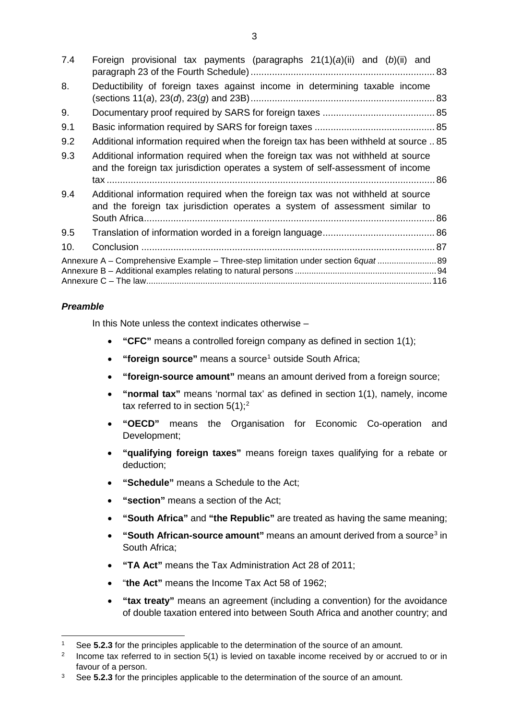| 7.4                                                                                | Foreign provisional tax payments (paragraphs $21(1)(a)(ii)$ and $(b)(ii)$ and                                                                                      |  |  |  |
|------------------------------------------------------------------------------------|--------------------------------------------------------------------------------------------------------------------------------------------------------------------|--|--|--|
| 8.                                                                                 | Deductibility of foreign taxes against income in determining taxable income                                                                                        |  |  |  |
| 9.                                                                                 |                                                                                                                                                                    |  |  |  |
| 9.1                                                                                |                                                                                                                                                                    |  |  |  |
| 9.2                                                                                | Additional information required when the foreign tax has been withheld at source  85                                                                               |  |  |  |
| 9.3                                                                                | Additional information required when the foreign tax was not withheld at source<br>and the foreign tax jurisdiction operates a system of self-assessment of income |  |  |  |
|                                                                                    |                                                                                                                                                                    |  |  |  |
| 9.4                                                                                | Additional information required when the foreign tax was not withheld at source<br>and the foreign tax jurisdiction operates a system of assessment similar to     |  |  |  |
|                                                                                    |                                                                                                                                                                    |  |  |  |
| 9.5                                                                                |                                                                                                                                                                    |  |  |  |
| 10.                                                                                |                                                                                                                                                                    |  |  |  |
| Annexure A – Comprehensive Example – Three-step limitation under section 6quat  89 |                                                                                                                                                                    |  |  |  |
|                                                                                    |                                                                                                                                                                    |  |  |  |

## <span id="page-2-0"></span>*Preamble*

In this Note unless the context indicates otherwise –

- **"CFC"** means a controlled foreign company as defined in section 1(1);
- "foreign source" means a source<sup>[1](#page-2-1)</sup> outside South Africa;
- **"foreign-source amount"** means an amount derived from a foreign source;
- **"normal tax"** means 'normal tax' as defined in section 1(1), namely, income tax referred to in section  $5(1);^2$  $5(1);^2$
- **"OECD"** means the Organisation for Economic Co-operation and Development;
- **"qualifying foreign taxes"** means foreign taxes qualifying for a rebate or deduction;
- **"Schedule"** means a Schedule to the Act;
- **"section"** means a section of the Act;
- **"South Africa"** and **"the Republic"** are treated as having the same meaning;
- **"South African-source amount"** means an amount derived from a source[3](#page-2-3) in South Africa;
- **"TA Act"** means the Tax Administration Act 28 of 2011;
- "**the Act"** means the Income Tax Act 58 of 1962;
- **"tax treaty"** means an agreement (including a convention) for the avoidance of double taxation entered into between South Africa and another country; and

3

<span id="page-2-1"></span> <sup>1</sup> See **5.2.3** for the principles applicable to the determination of the source of an amount.

<span id="page-2-2"></span><sup>&</sup>lt;sup>2</sup> Income tax referred to in section  $5(1)$  is levied on taxable income received by or accrued to or in favour of a person.

<span id="page-2-3"></span><sup>3</sup> See **5.2.3** for the principles applicable to the determination of the source of an amount.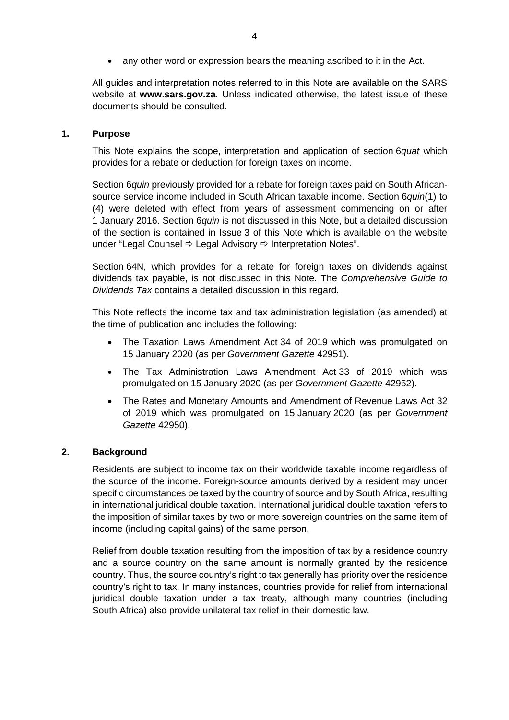• any other word or expression bears the meaning ascribed to it in the Act.

All guides and interpretation notes referred to in this Note are available on the SARS website at **[www.sars.gov.za](http://www.sars.gov.za/)**. Unless indicated otherwise, the latest issue of these documents should be consulted.

#### <span id="page-3-0"></span>**1. Purpose**

This Note explains the scope, interpretation and application of section 6*quat* which provides for a rebate or deduction for foreign taxes on income.

Section 6*quin* previously provided for a rebate for foreign taxes paid on South Africansource service income included in South African taxable income. Section 6*quin*(1) to (4) were deleted with effect from years of assessment commencing on or after 1 January 2016. Section 6*quin* is not discussed in this Note, but a detailed discussion of the section is contained in Issue 3 of this Note which is available on the website under "Legal Counsel  $\Leftrightarrow$  Legal Advisory  $\Leftrightarrow$  Interpretation Notes".

Section 64N, which provides for a rebate for foreign taxes on dividends against dividends tax payable, is not discussed in this Note. The *Comprehensive Guide to Dividends Tax* contains a detailed discussion in this regard.

This Note reflects the income tax and tax administration legislation (as amended) at the time of publication and includes the following:

- The Taxation Laws Amendment Act 34 of 2019 which was promulgated on 15 January 2020 (as per *Government Gazette* 42951).
- The Tax Administration Laws Amendment Act 33 of 2019 which was promulgated on 15 January 2020 (as per *Government Gazette* 42952).
- The Rates and Monetary Amounts and Amendment of Revenue Laws Act 32 of 2019 which was promulgated on 15 January 2020 (as per *Government Gazette* 42950).

### <span id="page-3-1"></span>**2. Background**

Residents are subject to income tax on their worldwide taxable income regardless of the source of the income. Foreign-source amounts derived by a resident may under specific circumstances be taxed by the country of source and by South Africa, resulting in international juridical double taxation. International juridical double taxation refers to the imposition of similar taxes by two or more sovereign countries on the same item of income (including capital gains) of the same person.

Relief from double taxation resulting from the imposition of tax by a residence country and a source country on the same amount is normally granted by the residence country. Thus, the source country's right to tax generally has priority over the residence country's right to tax. In many instances, countries provide for relief from international juridical double taxation under a tax treaty, although many countries (including South Africa) also provide unilateral tax relief in their domestic law.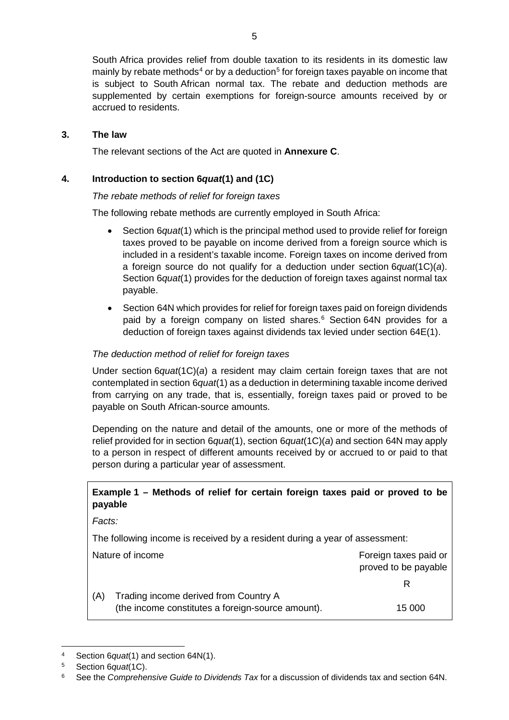South Africa provides relief from double taxation to its residents in its domestic law mainly by rebate methods<sup>[4](#page-4-2)</sup> or by a deduction<sup>[5](#page-4-3)</sup> for foreign taxes payable on income that is subject to South African normal tax. The rebate and deduction methods are supplemented by certain exemptions for foreign-source amounts received by or accrued to residents.

## <span id="page-4-0"></span>**3. The law**

The relevant sections of the Act are quoted in **[Annexure](#page-110-0) C**.

## <span id="page-4-1"></span>**4. Introduction to section 6***quat***(1) and (1C)**

### *The rebate methods of relief for foreign taxes*

The following rebate methods are currently employed in South Africa:

- Section 6*quat*(1) which is the principal method used to provide relief for foreign taxes proved to be payable on income derived from a foreign source which is included in a resident's taxable income. Foreign taxes on income derived from a foreign source do not qualify for a deduction under section 6*quat*(1C)(*a*). Section 6*quat*(1) provides for the deduction of foreign taxes against normal tax payable.
- Section 64N which provides for relief for foreign taxes paid on foreign dividends paid by a foreign company on listed shares.<sup>[6](#page-4-4)</sup> Section 64N provides for a deduction of foreign taxes against dividends tax levied under section 64E(1).

## *The deduction method of relief for foreign taxes*

Under section 6*quat*(1C)(*a*) a resident may claim certain foreign taxes that are not contemplated in section 6*quat*(1) as a deduction in determining taxable income derived from carrying on any trade, that is, essentially, foreign taxes paid or proved to be payable on South African-source amounts.

Depending on the nature and detail of the amounts, one or more of the methods of relief provided for in section 6*quat*(1), section 6*quat*(1C)(*a*) and section 64N may apply to a person in respect of different amounts received by or accrued to or paid to that person during a particular year of assessment.

| Example 1 – Methods of relief for certain foreign taxes paid or proved to be |  |  |  |  |  |  |
|------------------------------------------------------------------------------|--|--|--|--|--|--|
| payable                                                                      |  |  |  |  |  |  |

*Facts:*

The following income is received by a resident during a year of assessment:

Nature of income **Foreign taxes** paid or proved to be payable

R

(A) Trading income derived from Country A (the income constitutes a foreign-source amount). 15 000

<span id="page-4-2"></span> <sup>4</sup> Section <sup>6</sup>*quat*(1) and section 64N(1).

<span id="page-4-3"></span><sup>5</sup> Section 6*quat*(1C).

<span id="page-4-4"></span><sup>6</sup> See the *Comprehensive Guide to Dividends Tax* for a discussion of dividends tax and section 64N.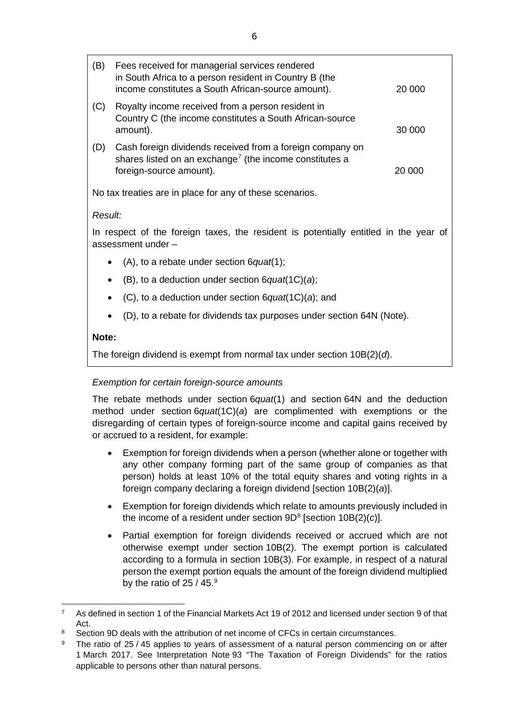| (B)                                                                                                        | Fees received for managerial services rendered<br>in South Africa to a person resident in Country B (the<br>income constitutes a South African-source amount). | 20 000 |  |  |  |
|------------------------------------------------------------------------------------------------------------|----------------------------------------------------------------------------------------------------------------------------------------------------------------|--------|--|--|--|
| (C)<br>amount).                                                                                            | Royalty income received from a person resident in<br>Country C (the income constitutes a South African-source                                                  | 30 000 |  |  |  |
| (D)<br>foreign-source amount).                                                                             | Cash foreign dividends received from a foreign company on<br>shares listed on an exchange <sup>7</sup> (the income constitutes a                               | 20 000 |  |  |  |
|                                                                                                            | No tax treaties are in place for any of these scenarios.                                                                                                       |        |  |  |  |
| Result:                                                                                                    |                                                                                                                                                                |        |  |  |  |
| In respect of the foreign taxes, the resident is potentially entitled in the year of<br>assessment under - |                                                                                                                                                                |        |  |  |  |
| $(A)$ , to a rebate under section 6 <i>quat</i> (1);                                                       |                                                                                                                                                                |        |  |  |  |
| (B), to a deduction under section $6$ quat(1C)(a);                                                         |                                                                                                                                                                |        |  |  |  |
| (C), to a deduction under section $6$ quat $(1C)(a)$ ; and                                                 |                                                                                                                                                                |        |  |  |  |
| (D), to a rebate for dividends tax purposes under section 64N (Note).                                      |                                                                                                                                                                |        |  |  |  |
| Note:                                                                                                      |                                                                                                                                                                |        |  |  |  |
| The foreign dividend is exempt from normal tax under section $10B(2)(d)$ .                                 |                                                                                                                                                                |        |  |  |  |

## *Exemption for certain foreign-source amounts*

The rebate methods under section 6*quat*(1) and section 64N and the deduction method under section 6*quat*(1C)(*a*) are complimented with exemptions or the disregarding of certain types of foreign-source income and capital gains received by or accrued to a resident, for example:

- Exemption for foreign dividends when a person (whether alone or together with any other company forming part of the same group of companies as that person) holds at least 10% of the total equity shares and voting rights in a foreign company declaring a foreign dividend [section 10B(2)(*a*)].
- Exemption for foreign dividends which relate to amounts previously included in the income of a resident under section  $9D^8$  $9D^8$  [section  $10B(2)(c)$ ].
- Partial exemption for foreign dividends received or accrued which are not otherwise exempt under section 10B(2). The exempt portion is calculated according to a formula in section 10B(3). For example, in respect of a natural person the exempt portion equals the amount of the foreign dividend multiplied by the ratio of 25 / 45. $9$

<span id="page-5-0"></span> <sup>7</sup> As defined in section 1 of the Financial Markets Act 19 of 2012 and licensed under section 9 of that Act.

<span id="page-5-1"></span><sup>&</sup>lt;sup>8</sup> Section 9D deals with the attribution of net income of CFCs in certain circumstances.

<span id="page-5-2"></span>The ratio of 25 / 45 applies to years of assessment of a natural person commencing on or after 1 March 2017. See Interpretation Note 93 "The Taxation of Foreign Dividends" for the ratios applicable to persons other than natural persons.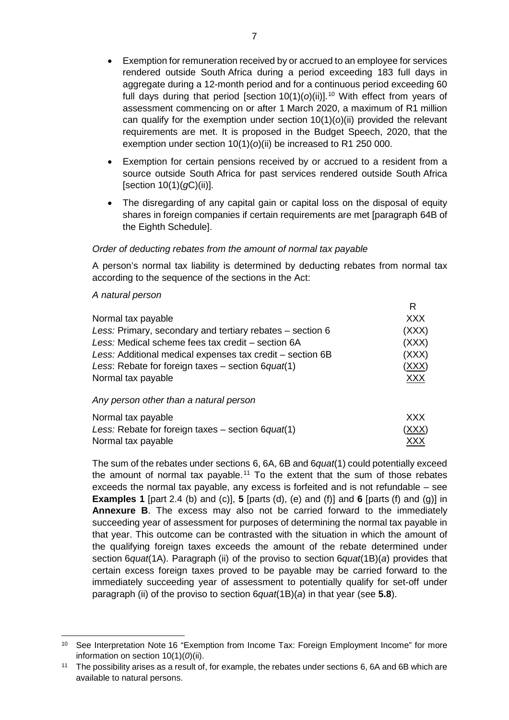- Exemption for remuneration received by or accrued to an employee for services rendered outside South Africa during a period exceeding 183 full days in aggregate during a 12-month period and for a continuous period exceeding 60 full days during that period [section  $10(1)(o)(ii)$  $10(1)(o)(ii)$ ].<sup>10</sup> With effect from years of assessment commencing on or after 1 March 2020, a maximum of R1 million can qualify for the exemption under section 10(1)(*o*)(ii) provided the relevant requirements are met. It is proposed in the Budget Speech, 2020, that the exemption under section 10(1)(*o*)(ii) be increased to R1 250 000.
- Exemption for certain pensions received by or accrued to a resident from a source outside South Africa for past services rendered outside South Africa [section 10(1)(*g*C)(ii)].
- The disregarding of any capital gain or capital loss on the disposal of equity shares in foreign companies if certain requirements are met [paragraph 64B of the Eighth Schedule].

#### *Order of deducting rebates from the amount of normal tax payable*

A person's normal tax liability is determined by deducting rebates from normal tax according to the sequence of the sections in the Act:

#### *A natural person*

|                                                           | R            |
|-----------------------------------------------------------|--------------|
| Normal tax payable                                        | XXX.         |
| Less: Primary, secondary and tertiary rebates – section 6 | (XXX)        |
| Less: Medical scheme fees tax credit – section 6A         | (XXX)        |
| Less: Additional medical expenses tax credit – section 6B | (XXX)        |
| Less: Rebate for foreign taxes – section $6$ quat(1)      | <u>(XXX)</u> |
| Normal tax payable                                        | <b>XXX</b>   |
| Any person other than a natural person                    |              |
| Normal tax payable                                        | <b>XXX</b>   |
| Less: Rebate for foreign taxes – section $6$ quat(1)      | (XXX)        |
| Normal tax payable                                        | XXX          |

The sum of the rebates under sections 6, 6A, 6B and 6*quat*(1) could potentially exceed the amount of normal tax payable.<sup>[11](#page-6-1)</sup> To the extent that the sum of those rebates exceeds the normal tax payable, any excess is forfeited and is not refundable – see **Examples 1** [part 2.4 (b) and (c)], **5** [parts (d), (e) and (f)] and **6** [parts (f) and (g)] in **[Annexure B](#page-93-0)**. The excess may also not be carried forward to the immediately succeeding year of assessment for purposes of determining the normal tax payable in that year. This outcome can be contrasted with the situation in which the amount of the qualifying foreign taxes exceeds the amount of the rebate determined under section 6*quat*(1A). Paragraph (ii) of the proviso to section 6*quat*(1B)(*a*) provides that certain excess foreign taxes proved to be payable may be carried forward to the immediately succeeding year of assessment to potentially qualify for set-off under paragraph (ii) of the proviso to section 6*quat*(1B)(*a*) in that year (see **[5.8](#page-62-0)**).

<span id="page-6-0"></span><sup>&</sup>lt;sup>10</sup> See Interpretation Note 16 "Exemption from Income Tax: Foreign Employment Income" for more information on section 10(1)(*0*)(ii).

<span id="page-6-1"></span><sup>11</sup> The possibility arises as a result of, for example, the rebates under sections 6, 6A and 6B which are available to natural persons.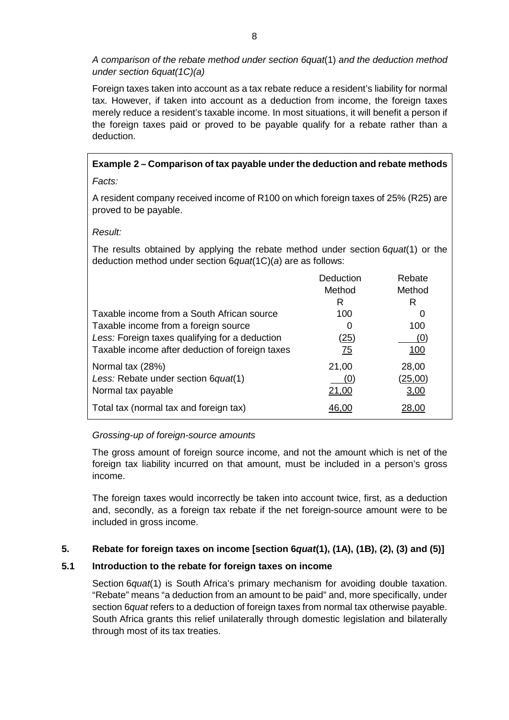## *A comparison of the rebate method under section 6quat*(1) *and the deduction method under section 6quat(1C)(a)*

Foreign taxes taken into account as a tax rebate reduce a resident's liability for normal tax. However, if taken into account as a deduction from income, the foreign taxes merely reduce a resident's taxable income. In most situations, it will benefit a person if the foreign taxes paid or proved to be payable qualify for a rebate rather than a deduction.

# **Example 2 – Comparison of tax payable under the deduction and rebate methods**

*Facts:*

A resident company received income of R100 on which foreign taxes of 25% (R25) are proved to be payable.

*Result:*

The results obtained by applying the rebate method under section 6*quat*(1) or the deduction method under section 6*quat*(1C)(*a*) are as follows:

|                                                 | Deduction<br>Method | Rebate<br>Method |
|-------------------------------------------------|---------------------|------------------|
|                                                 | R                   | R                |
| Taxable income from a South African source      | 100                 |                  |
| Taxable income from a foreign source            | 0                   | 100              |
| Less: Foreign taxes qualifying for a deduction  | <u>(25)</u>         | (0)              |
| Taxable income after deduction of foreign taxes | 75                  | <u>100</u>       |
| Normal tax (28%)                                | 21,00               | 28,00            |
| Less: Rebate under section 6quat(1)             | (0)                 | <u>(25,00)</u>   |
| Normal tax payable                              | 21,00               | 3,00             |
| Total tax (normal tax and foreign tax)          |                     | 28,00            |

## *Grossing-up of foreign-source amounts*

The gross amount of foreign source income, and not the amount which is net of the foreign tax liability incurred on that amount, must be included in a person's gross income.

The foreign taxes would incorrectly be taken into account twice, first, as a deduction and, secondly, as a foreign tax rebate if the net foreign-source amount were to be included in gross income.

## <span id="page-7-0"></span>**5. Rebate for foreign taxes on income [section 6***quat***(1), (1A), (1B), (2), (3) and (5)]**

## <span id="page-7-1"></span>**5.1 Introduction to the rebate for foreign taxes on income**

Section 6*quat*(1) is South Africa's primary mechanism for avoiding double taxation. "Rebate" means "a deduction from an amount to be paid" and, more specifically, under section 6*quat* refers to a deduction of foreign taxes from normal tax otherwise payable. South Africa grants this relief unilaterally through domestic legislation and bilaterally through most of its tax treaties.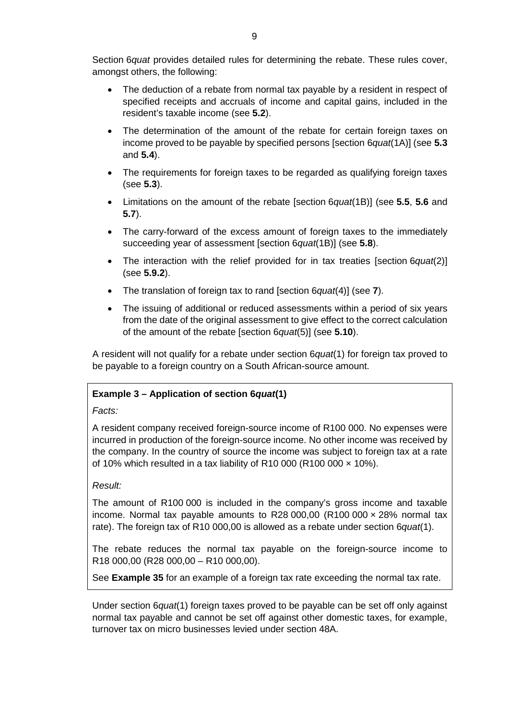Section 6*quat* provides detailed rules for determining the rebate. These rules cover, amongst others, the following:

- The deduction of a rebate from normal tax payable by a resident in respect of specified receipts and accruals of income and capital gains, included in the resident's taxable income (see **[5.2](#page-9-0)**).
- The determination of the amount of the rebate for certain foreign taxes on income proved to be payable by specified persons [section 6*quat*(1A)] (see **[5.3](#page-24-1)** and **[5.4](#page-35-0)**).
- The requirements for foreign taxes to be regarded as qualifying foreign taxes (see **[5.3](#page-24-1)**).
- Limitations on the amount of the rebate [section 6*quat*(1B)] (see **[5.5](#page-37-0)**, **[5.6](#page-47-0)** and **[5.7](#page-54-0)**).
- The carry-forward of the excess amount of foreign taxes to the immediately succeeding year of assessment [section 6*quat*(1B)] (see **[5.8](#page-62-0)**).
- The interaction with the relief provided for in tax treaties [section 6*quat*(2)] (see **[5.9.2](#page-65-0)**).
- The translation of foreign tax to rand [section 6*quat*(4)] (see **[7](#page-79-0)**).
- The issuing of additional or reduced assessments within a period of six years from the date of the original assessment to give effect to the correct calculation of the amount of the rebate [section 6*quat*(5)] (see **[5.10](#page-73-0)**).

A resident will not qualify for a rebate under section 6*quat*(1) for foreign tax proved to be payable to a foreign country on a South African-source amount.

### **Example 3 – Application of section 6***quat***(1)**

### *Facts:*

A resident company received foreign-source income of R100 000. No expenses were incurred in production of the foreign-source income. No other income was received by the company. In the country of source the income was subject to foreign tax at a rate of 10% which resulted in a tax liability of R10 000 (R100 000  $\times$  10%).

### *Result:*

The amount of R100 000 is included in the company's gross income and taxable income. Normal tax payable amounts to R28 000,00 (R100 000  $\times$  28% normal tax rate). The foreign tax of R10 000,00 is allowed as a rebate under section 6*quat*(1).

The rebate reduces the normal tax payable on the foreign-source income to R18 000,00 (R28 000,00 – R10 000,00).

See **Example 35** for an example of a foreign tax rate exceeding the normal tax rate.

Under section 6*quat*(1) foreign taxes proved to be payable can be set off only against normal tax payable and cannot be set off against other domestic taxes, for example, turnover tax on micro businesses levied under section 48A.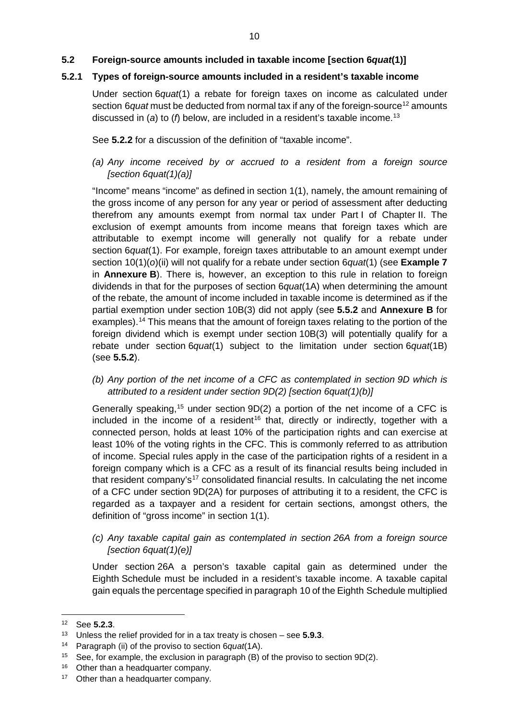## <span id="page-9-0"></span>**5.2 Foreign-source amounts included in taxable income [section 6***quat***(1)]**

## <span id="page-9-1"></span>**5.2.1 Types of foreign-source amounts included in a resident's taxable income**

Under section 6*quat*(1) a rebate for foreign taxes on income as calculated under section 6*quat* must be deducted from normal tax if any of the foreign-source<sup>[12](#page-9-2)</sup> amounts discussed in (*a*) to (*f*) below, are included in a resident's taxable income. [13](#page-9-3)

See **[5.2.2](#page-13-0)** for a discussion of the definition of "taxable income".

*(a) Any income received by or accrued to a resident from a foreign source [section 6quat(1)(a)]*

"Income" means "income" as defined in section 1(1), namely, the amount remaining of the gross income of any person for any year or period of assessment after deducting therefrom any amounts exempt from normal tax under Part I of Chapter II. The exclusion of exempt amounts from income means that foreign taxes which are attributable to exempt income will generally not qualify for a rebate under section 6*quat*(1). For example, foreign taxes attributable to an amount exempt under section 10(1)(*o*)(ii) will not qualify for a rebate under section 6*quat*(1) (see **Example 7** in **Annexure B**). There is, however, an exception to this rule in relation to foreign dividends in that for the purposes of section 6*quat*(1A) when determining the amount of the rebate, the amount of income included in taxable income is determined as if the partial exemption under section 10B(3) did not apply (see **[5.5.2](#page-44-0)** and **[Annexure B](#page-93-0)** for examples).<sup>[14](#page-9-4)</sup> This means that the amount of foreign taxes relating to the portion of the foreign dividend which is exempt under section 10B(3) will potentially qualify for a rebate under section 6*quat*(1) subject to the limitation under section 6*quat*(1B) (see **[5.5.2](#page-44-0)**).

*(b) Any portion of the net income of a CFC as contemplated in section 9D which is attributed to a resident under section 9D(2) [section 6quat(1)(b)]*

Generally speaking,<sup>[15](#page-9-5)</sup> under section  $9D(2)$  a portion of the net income of a CFC is included in the income of a resident<sup>[16](#page-9-6)</sup> that, directly or indirectly, together with a connected person, holds at least 10% of the participation rights and can exercise at least 10% of the voting rights in the CFC. This is commonly referred to as attribution of income. Special rules apply in the case of the participation rights of a resident in a foreign company which is a CFC as a result of its financial results being included in that resident company's<sup>[17](#page-9-7)</sup> consolidated financial results. In calculating the net income of a CFC under section 9D(2A) for purposes of attributing it to a resident, the CFC is regarded as a taxpayer and a resident for certain sections, amongst others, the definition of "gross income" in section 1(1).

*(c) Any taxable capital gain as contemplated in section 26A from a foreign source [section 6quat(1)(e)]*

Under section 26A a person's taxable capital gain as determined under the Eighth Schedule must be included in a resident's taxable income. A taxable capital gain equals the percentage specified in paragraph 10 of the Eighth Schedule multiplied

<span id="page-9-2"></span> <sup>12</sup> See **5.2.3**.

<span id="page-9-3"></span><sup>13</sup> Unless the relief provided for in a tax treaty is chosen – see **5.9.3**.

<span id="page-9-4"></span><sup>14</sup> Paragraph (ii) of the proviso to section 6*quat*(1A).

<span id="page-9-5"></span><sup>&</sup>lt;sup>15</sup> See, for example, the exclusion in paragraph  $(B)$  of the proviso to section  $9D(2)$ .

<span id="page-9-6"></span><sup>&</sup>lt;sup>16</sup> Other than a headquarter company.

<span id="page-9-7"></span><sup>&</sup>lt;sup>17</sup> Other than a headquarter company.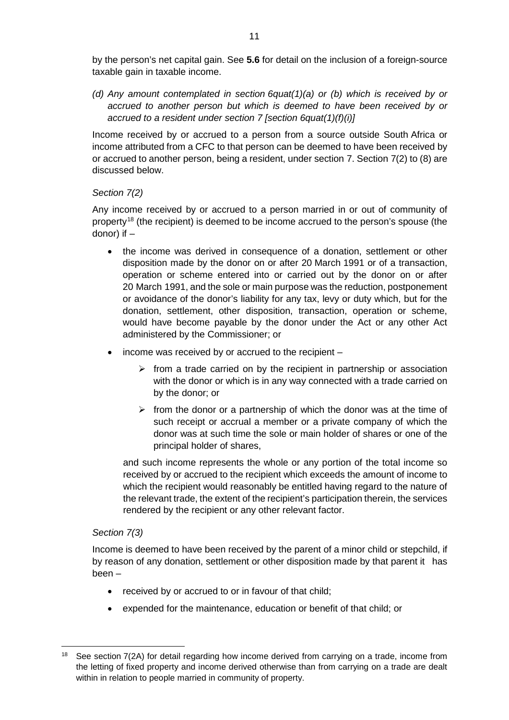by the person's net capital gain. See **[5.6](#page-47-0)** for detail on the inclusion of a foreign-source taxable gain in taxable income.

*(d) Any amount contemplated in section 6quat(1)(a) or (b) which is received by or accrued to another person but which is deemed to have been received by or accrued to a resident under section 7 [section 6quat(1)(f)(i)]*

Income received by or accrued to a person from a source outside South Africa or income attributed from a CFC to that person can be deemed to have been received by or accrued to another person, being a resident, under section 7. Section 7(2) to (8) are discussed below.

### *Section 7(2)*

Any income received by or accrued to a person married in or out of community of property<sup>[18](#page-10-0)</sup> (the recipient) is deemed to be income accrued to the person's spouse (the donor) if –

- the income was derived in consequence of a donation, settlement or other disposition made by the donor on or after 20 March 1991 or of a transaction, operation or scheme entered into or carried out by the donor on or after 20 March 1991, and the sole or main purpose was the reduction, postponement or avoidance of the donor's liability for any tax, levy or duty which, but for the donation, settlement, other disposition, transaction, operation or scheme, would have become payable by the donor under the Act or any other Act administered by the Commissioner; or
- income was received by or accrued to the recipient
	- $\triangleright$  from a trade carried on by the recipient in partnership or association with the donor or which is in any way connected with a trade carried on by the donor; or
	- $\triangleright$  from the donor or a partnership of which the donor was at the time of such receipt or accrual a member or a private company of which the donor was at such time the sole or main holder of shares or one of the principal holder of shares,

and such income represents the whole or any portion of the total income so received by or accrued to the recipient which exceeds the amount of income to which the recipient would reasonably be entitled having regard to the nature of the relevant trade, the extent of the recipient's participation therein, the services rendered by the recipient or any other relevant factor.

### *Section 7(3)*

Income is deemed to have been received by the parent of a minor child or stepchild, if by reason of any donation, settlement or other disposition made by that parent it has been –

- received by or accrued to or in favour of that child;
- expended for the maintenance, education or benefit of that child; or

<span id="page-10-0"></span><sup>&</sup>lt;sup>18</sup> See section 7(2A) for detail regarding how income derived from carrying on a trade, income from the letting of fixed property and income derived otherwise than from carrying on a trade are dealt within in relation to people married in community of property.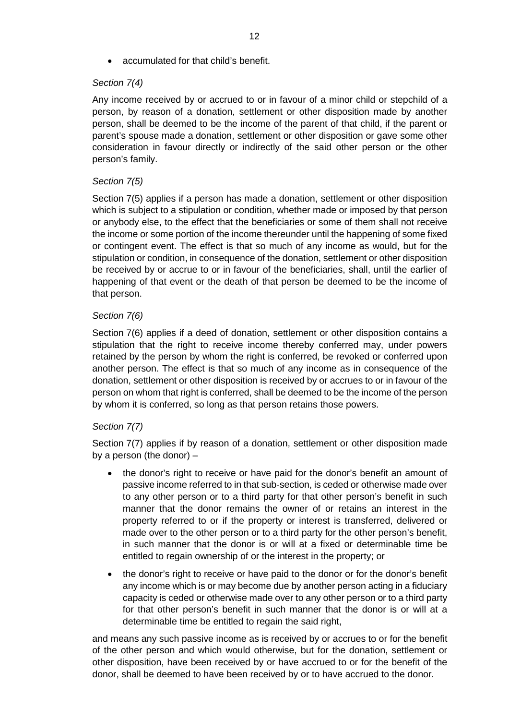• accumulated for that child's benefit.

## *Section 7(4)*

Any income received by or accrued to or in favour of a minor child or stepchild of a person, by reason of a donation, settlement or other disposition made by another person, shall be deemed to be the income of the parent of that child, if the parent or parent's spouse made a donation, settlement or other disposition or gave some other consideration in favour directly or indirectly of the said other person or the other person's family.

## *Section 7(5)*

Section 7(5) applies if a person has made a donation, settlement or other disposition which is subject to a stipulation or condition, whether made or imposed by that person or anybody else, to the effect that the beneficiaries or some of them shall not receive the income or some portion of the income thereunder until the happening of some fixed or contingent event. The effect is that so much of any income as would, but for the stipulation or condition, in consequence of the donation, settlement or other disposition be received by or accrue to or in favour of the beneficiaries, shall, until the earlier of happening of that event or the death of that person be deemed to be the income of that person.

## *Section 7(6)*

Section 7(6) applies if a deed of donation, settlement or other disposition contains a stipulation that the right to receive income thereby conferred may, under powers retained by the person by whom the right is conferred, be revoked or conferred upon another person. The effect is that so much of any income as in consequence of the donation, settlement or other disposition is received by or accrues to or in favour of the person on whom that right is conferred, shall be deemed to be the income of the person by whom it is conferred, so long as that person retains those powers.

### *Section 7(7)*

Section 7(7) applies if by reason of a donation, settlement or other disposition made by a person (the donor) –

- the donor's right to receive or have paid for the donor's benefit an amount of passive income referred to in that sub-section, is ceded or otherwise made over to any other person or to a third party for that other person's benefit in such manner that the donor remains the owner of or retains an interest in the property referred to or if the property or interest is transferred, delivered or made over to the other person or to a third party for the other person's benefit, in such manner that the donor is or will at a fixed or determinable time be entitled to regain ownership of or the interest in the property; or
- the donor's right to receive or have paid to the donor or for the donor's benefit any income which is or may become due by another person acting in a fiduciary capacity is ceded or otherwise made over to any other person or to a third party for that other person's benefit in such manner that the donor is or will at a determinable time be entitled to regain the said right,

and means any such passive income as is received by or accrues to or for the benefit of the other person and which would otherwise, but for the donation, settlement or other disposition, have been received by or have accrued to or for the benefit of the donor, shall be deemed to have been received by or to have accrued to the donor.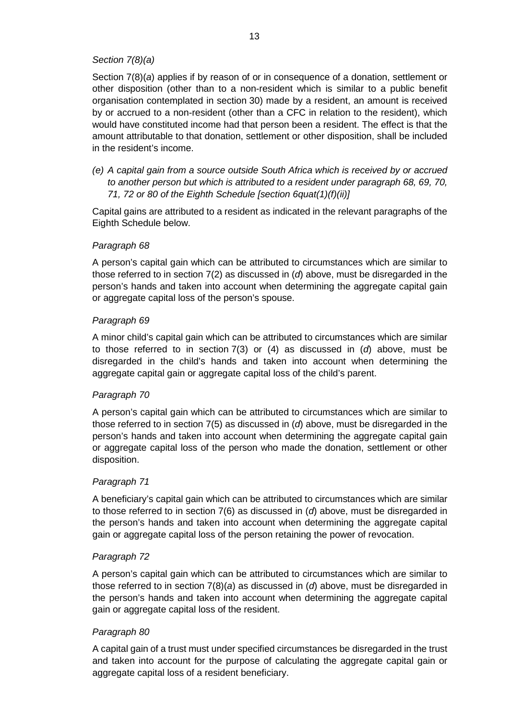### *Section 7(8)(a)*

Section 7(8)(*a*) applies if by reason of or in consequence of a donation, settlement or other disposition (other than to a non-resident which is similar to a public benefit organisation contemplated in section 30) made by a resident, an amount is received by or accrued to a non-resident (other than a CFC in relation to the resident), which would have constituted income had that person been a resident. The effect is that the amount attributable to that donation, settlement or other disposition, shall be included in the resident's income.

*(e) A capital gain from a source outside South Africa which is received by or accrued to another person but which is attributed to a resident under paragraph 68, 69, 70, 71, 72 or 80 of the Eighth Schedule [section 6quat(1)(f)(ii)]*

Capital gains are attributed to a resident as indicated in the relevant paragraphs of the Eighth Schedule below.

### *Paragraph 68*

A person's capital gain which can be attributed to circumstances which are similar to those referred to in section 7(2) as discussed in (*d*) above, must be disregarded in the person's hands and taken into account when determining the aggregate capital gain or aggregate capital loss of the person's spouse.

#### *Paragraph 69*

A minor child's capital gain which can be attributed to circumstances which are similar to those referred to in section 7(3) or (4) as discussed in (*d*) above, must be disregarded in the child's hands and taken into account when determining the aggregate capital gain or aggregate capital loss of the child's parent.

#### *Paragraph 70*

A person's capital gain which can be attributed to circumstances which are similar to those referred to in section 7(5) as discussed in (*d*) above, must be disregarded in the person's hands and taken into account when determining the aggregate capital gain or aggregate capital loss of the person who made the donation, settlement or other disposition.

### *Paragraph 71*

A beneficiary's capital gain which can be attributed to circumstances which are similar to those referred to in section 7(6) as discussed in (*d*) above, must be disregarded in the person's hands and taken into account when determining the aggregate capital gain or aggregate capital loss of the person retaining the power of revocation.

### *Paragraph 72*

A person's capital gain which can be attributed to circumstances which are similar to those referred to in section 7(8)(*a*) as discussed in (*d*) above, must be disregarded in the person's hands and taken into account when determining the aggregate capital gain or aggregate capital loss of the resident.

### *Paragraph 80*

A capital gain of a trust must under specified circumstances be disregarded in the trust and taken into account for the purpose of calculating the aggregate capital gain or aggregate capital loss of a resident beneficiary.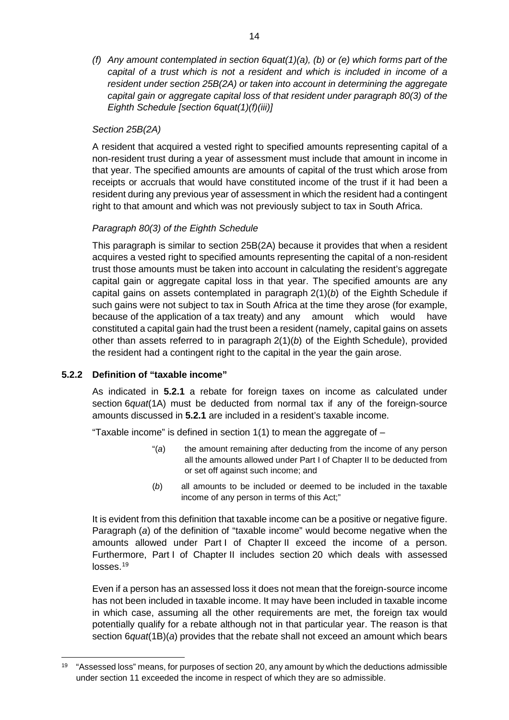*(f) Any amount contemplated in section 6quat(1)(a), (b) or (e) which forms part of the capital of a trust which is not a resident and which is included in income of a resident under section 25B(2A) or taken into account in determining the aggregate capital gain or aggregate capital loss of that resident under paragraph 80(3) of the Eighth Schedule [section 6quat(1)(f)(iii)]*

## *Section 25B(2A)*

A resident that acquired a vested right to specified amounts representing capital of a non-resident trust during a year of assessment must include that amount in income in that year. The specified amounts are amounts of capital of the trust which arose from receipts or accruals that would have constituted income of the trust if it had been a resident during any previous year of assessment in which the resident had a contingent right to that amount and which was not previously subject to tax in South Africa.

## *Paragraph 80(3) of the Eighth Schedule*

This paragraph is similar to section 25B(2A) because it provides that when a resident acquires a vested right to specified amounts representing the capital of a non-resident trust those amounts must be taken into account in calculating the resident's aggregate capital gain or aggregate capital loss in that year. The specified amounts are any capital gains on assets contemplated in paragraph 2(1)(*b*) of the Eighth Schedule if such gains were not subject to tax in South Africa at the time they arose (for example, because of the application of a tax treaty) and any amount which would have constituted a capital gain had the trust been a resident (namely, capital gains on assets other than assets referred to in paragraph 2(1)(*b*) of the Eighth Schedule), provided the resident had a contingent right to the capital in the year the gain arose.

### <span id="page-13-0"></span>**5.2.2 Definition of "taxable income"**

As indicated in **[5.2.1](#page-9-1)** a rebate for foreign taxes on income as calculated under section 6*quat*(1A) must be deducted from normal tax if any of the foreign-source amounts discussed in **[5.2.1](#page-9-1)** are included in a resident's taxable income.

"Taxable income" is defined in section  $1(1)$  to mean the aggregate of  $-$ 

- "(*a*) the amount remaining after deducting from the income of any person all the amounts allowed under Part I of Chapter II to be deducted from or set off against such income; and
- (*b*) all amounts to be included or deemed to be included in the taxable income of any person in terms of this Act;"

It is evident from this definition that taxable income can be a positive or negative figure. Paragraph (*a*) of the definition of "taxable income" would become negative when the amounts allowed under Part I of Chapter II exceed the income of a person. Furthermore, Part I of Chapter II includes section 20 which deals with assessed losses.<sup>[19](#page-13-1)</sup>

Even if a person has an assessed loss it does not mean that the foreign-source income has not been included in taxable income. It may have been included in taxable income in which case, assuming all the other requirements are met, the foreign tax would potentially qualify for a rebate although not in that particular year. The reason is that section 6*quat*(1B)(*a*) provides that the rebate shall not exceed an amount which bears

<span id="page-13-1"></span> $19$  "Assessed loss" means, for purposes of section 20, any amount by which the deductions admissible under section 11 exceeded the income in respect of which they are so admissible.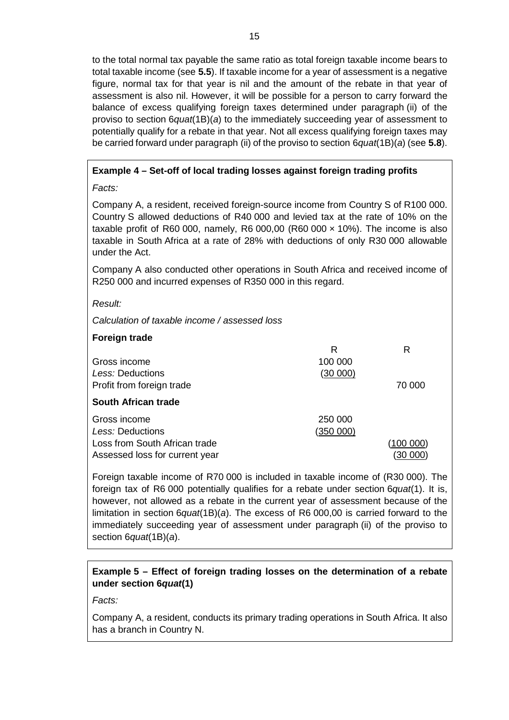to the total normal tax payable the same ratio as total foreign taxable income bears to total taxable income (see **[5.5](#page-37-0)**). If taxable income for a year of assessment is a negative figure, normal tax for that year is nil and the amount of the rebate in that year of assessment is also nil. However, it will be possible for a person to carry forward the balance of excess qualifying foreign taxes determined under paragraph (ii) of the proviso to section 6*quat*(1B)(*a*) to the immediately succeeding year of assessment to potentially qualify for a rebate in that year. Not all excess qualifying foreign taxes may be carried forward under paragraph (ii) of the proviso to section 6*quat*(1B)(*a*) (see **[5.8](#page-62-0)**).

## **Example 4 – Set-off of local trading losses against foreign trading profits**

*Facts:*

Company A, a resident, received foreign-source income from Country S of R100 000. Country S allowed deductions of R40 000 and levied tax at the rate of 10% on the taxable profit of R60 000, namely, R6 000,00 (R60 000  $\times$  10%). The income is also taxable in South Africa at a rate of 28% with deductions of only R30 000 allowable under the Act.

Company A also conducted other operations in South Africa and received income of R250 000 and incurred expenses of R350 000 in this regard.

*Result:*

*Calculation of taxable income / assessed loss*

#### **Foreign trade**

|                                | R         | R         |
|--------------------------------|-----------|-----------|
| Gross income                   | 100 000   |           |
| Less: Deductions               | (30 000)  |           |
| Profit from foreign trade      |           | 70 000    |
| South African trade            |           |           |
| Gross income                   | 250 000   |           |
| Less: Deductions               | (350 000) |           |
| Loss from South African trade  |           | (100 000) |
| Assessed loss for current year |           | 30 000)   |

Foreign taxable income of R70 000 is included in taxable income of (R30 000). The foreign tax of R6 000 potentially qualifies for a rebate under section 6*quat*(1). It is, however, not allowed as a rebate in the current year of assessment because of the limitation in section 6*quat*(1B)(*a*). The excess of R6 000,00 is carried forward to the immediately succeeding year of assessment under paragraph (ii) of the proviso to section 6*quat*(1B)(*a*).

## **Example 5 – Effect of foreign trading losses on the determination of a rebate under section 6***quat***(1)**

*Facts:*

Company A, a resident, conducts its primary trading operations in South Africa. It also has a branch in Country N.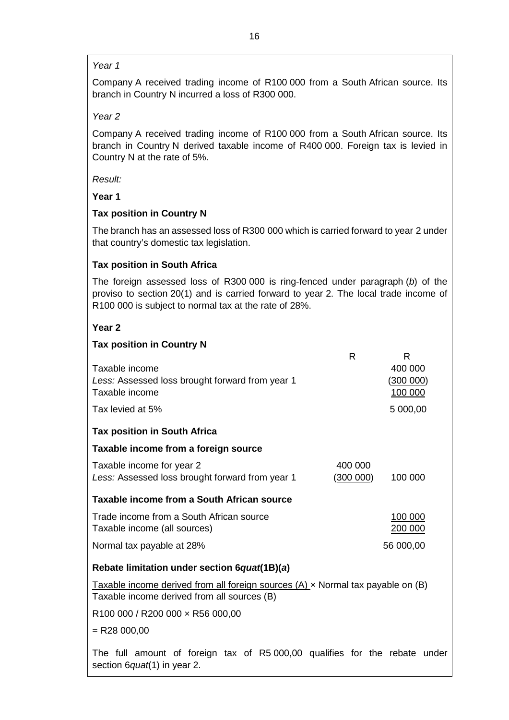#### *Year 1*

Company A received trading income of R100 000 from a South African source. Its branch in Country N incurred a loss of R300 000.

#### *Year 2*

Company A received trading income of R100 000 from a South African source. Its branch in Country N derived taxable income of R400 000. Foreign tax is levied in Country N at the rate of 5%.

*Result:*

**Year 1**

## **Tax position in Country N**

The branch has an assessed loss of R300 000 which is carried forward to year 2 under that country's domestic tax legislation.

## **Tax position in South Africa**

The foreign assessed loss of R300 000 is ring-fenced under paragraph (*b*) of the proviso to section 20(1) and is carried forward to year 2. The local trade income of R100 000 is subject to normal tax at the rate of 28%.

## **Year 2**

# **Tax position in Country N**

|                                                                                                           | R         | R                |  |  |  |  |
|-----------------------------------------------------------------------------------------------------------|-----------|------------------|--|--|--|--|
| Taxable income                                                                                            |           | 400 000          |  |  |  |  |
| Less: Assessed loss brought forward from year 1                                                           |           | <u>(300 000)</u> |  |  |  |  |
| Taxable income                                                                                            |           | <u>100 000</u>   |  |  |  |  |
| Tax levied at 5%                                                                                          |           | 5000,00          |  |  |  |  |
| <b>Tax position in South Africa</b>                                                                       |           |                  |  |  |  |  |
| Taxable income from a foreign source                                                                      |           |                  |  |  |  |  |
| Taxable income for year 2                                                                                 | 400 000   |                  |  |  |  |  |
| Less: Assessed loss brought forward from year 1                                                           | (300 000) | 100 000          |  |  |  |  |
| Taxable income from a South African source                                                                |           |                  |  |  |  |  |
| Trade income from a South African source                                                                  |           | 100 000          |  |  |  |  |
| Taxable income (all sources)                                                                              |           | 200 000          |  |  |  |  |
| Normal tax payable at 28%                                                                                 |           | 56 000,00        |  |  |  |  |
| Rebate limitation under section 6quat(1B)(a)                                                              |           |                  |  |  |  |  |
| Taxable income derived from all foreign sources (A) x Normal tax payable on (B)                           |           |                  |  |  |  |  |
| Taxable income derived from all sources (B)                                                               |           |                  |  |  |  |  |
| R100 000 / R200 000 x R56 000,00                                                                          |           |                  |  |  |  |  |
| $=$ R28 000,00                                                                                            |           |                  |  |  |  |  |
| The full amount of foreign tax of R5 000,00 qualifies for the rebate under<br>section 6quat(1) in year 2. |           |                  |  |  |  |  |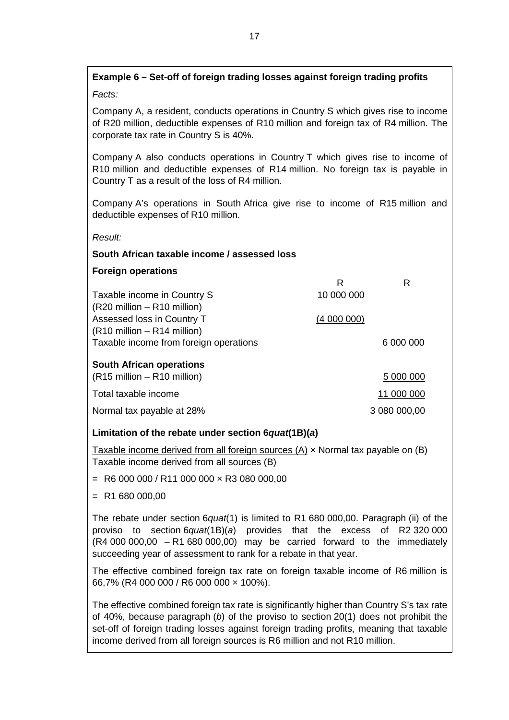## **Example 6 – Set-off of foreign trading losses against foreign trading profits** *Facts:*

Company A, a resident, conducts operations in Country S which gives rise to income of R20 million, deductible expenses of R10 million and foreign tax of R4 million. The corporate tax rate in Country S is 40%.

Company A also conducts operations in Country T which gives rise to income of R10 million and deductible expenses of R14 million. No foreign tax is payable in Country T as a result of the loss of R4 million.

Company A's operations in South Africa give rise to income of R15 million and deductible expenses of R10 million.

*Result:*

## **South African taxable income / assessed loss**

| <b>Foreign operations</b>              |            |           |
|----------------------------------------|------------|-----------|
|                                        | R          |           |
| Taxable income in Country S            | 10 000 000 |           |
| $(R20$ million $-$ R10 million)        |            |           |
| Assessed loss in Country T             | (400000)   |           |
| $(R10$ million $- R14$ million)        |            |           |
| Taxable income from foreign operations |            | 6.000.000 |

### **South African operations**

| $(R15$ million $-$ R10 million) | 5 000 000    |
|---------------------------------|--------------|
| Total taxable income            | 11 000 000   |
| Normal tax payable at 28%       | 3 080 000,00 |

## **Limitation of the rebate under section 6***quat***(1B)(***a***)**

Taxable income derived from all foreign sources  $(A) \times$  Normal tax payable on  $(B)$ Taxable income derived from all sources (B)

- $=$  R6 000 000 / R11 000 000  $\times$  R3 080 000,00
- $=$  R1 680 000,00

The rebate under section 6*quat*(1) is limited to R1 680 000,00. Paragraph (ii) of the proviso to section 6*quat*(1B)(*a*) provides that the excess of R2 320 000  $(R4 000 000,00 - R1 680 000,00)$  may be carried forward to the immediately succeeding year of assessment to rank for a rebate in that year.

The effective combined foreign tax rate on foreign taxable income of R6 million is 66,7% (R4 000 000 / R6 000 000 × 100%).

The effective combined foreign tax rate is significantly higher than Country S's tax rate of 40%, because paragraph (*b*) of the proviso to section 20(1) does not prohibit the set-off of foreign trading losses against foreign trading profits, meaning that taxable income derived from all foreign sources is R6 million and not R10 million.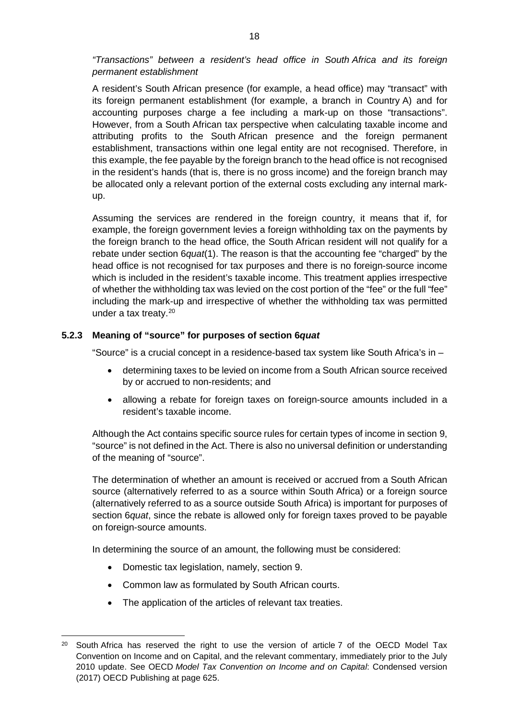*"Transactions" between a resident's head office in South Africa and its foreign permanent establishment*

A resident's South African presence (for example, a head office) may "transact" with its foreign permanent establishment (for example, a branch in Country A) and for accounting purposes charge a fee including a mark-up on those "transactions". However, from a South African tax perspective when calculating taxable income and attributing profits to the South African presence and the foreign permanent establishment, transactions within one legal entity are not recognised. Therefore, in this example, the fee payable by the foreign branch to the head office is not recognised in the resident's hands (that is, there is no gross income) and the foreign branch may be allocated only a relevant portion of the external costs excluding any internal markup.

Assuming the services are rendered in the foreign country, it means that if, for example, the foreign government levies a foreign withholding tax on the payments by the foreign branch to the head office, the South African resident will not qualify for a rebate under section 6*quat*(1). The reason is that the accounting fee "charged" by the head office is not recognised for tax purposes and there is no foreign-source income which is included in the resident's taxable income. This treatment applies irrespective of whether the withholding tax was levied on the cost portion of the "fee" or the full "fee" including the mark-up and irrespective of whether the withholding tax was permitted under a tax treaty. $20$ 

#### <span id="page-17-0"></span>**5.2.3 Meaning of "source" for purposes of section 6***quat*

"Source" is a crucial concept in a residence-based tax system like South Africa's in –

- determining taxes to be levied on income from a South African source received by or accrued to non-residents; and
- allowing a rebate for foreign taxes on foreign-source amounts included in a resident's taxable income.

Although the Act contains specific source rules for certain types of income in section 9, "source" is not defined in the Act. There is also no universal definition or understanding of the meaning of "source".

The determination of whether an amount is received or accrued from a South African source (alternatively referred to as a source within South Africa) or a foreign source (alternatively referred to as a source outside South Africa) is important for purposes of section 6*quat*, since the rebate is allowed only for foreign taxes proved to be payable on foreign-source amounts.

In determining the source of an amount, the following must be considered:

- Domestic tax legislation, namely, section 9.
- Common law as formulated by South African courts.
- The application of the articles of relevant tax treaties.

<span id="page-17-1"></span><sup>&</sup>lt;sup>20</sup> South Africa has reserved the right to use the version of article 7 of the OECD Model Tax Convention on Income and on Capital, and the relevant commentary, immediately prior to the July 2010 update. See OECD *Model Tax Convention on Income and on Capital*: Condensed version (2017) OECD Publishing at page 625.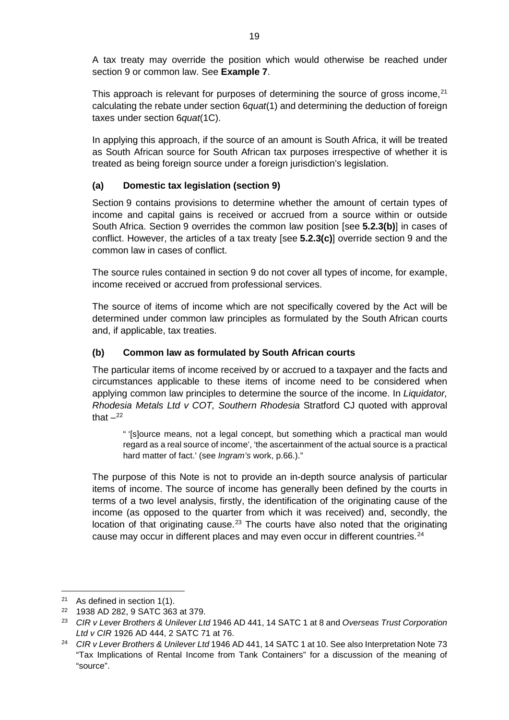A tax treaty may override the position which would otherwise be reached under section 9 or common law. See **Example 7**.

This approach is relevant for purposes of determining the source of gross income,  $21$ calculating the rebate under section 6*quat*(1) and determining the deduction of foreign taxes under section 6*quat*(1C).

In applying this approach, if the source of an amount is South Africa, it will be treated as South African source for South African tax purposes irrespective of whether it is treated as being foreign source under a foreign jurisdiction's legislation.

## <span id="page-18-0"></span>**(a) Domestic tax legislation (section 9)**

Section 9 contains provisions to determine whether the amount of certain types of income and capital gains is received or accrued from a source within or outside South Africa. Section 9 overrides the common law position [see **[5.2.3\(b\)](#page-18-1)**] in cases of conflict. However, the articles of a tax treaty [see **[5.2.3\(c\)](#page-19-0)**] override section 9 and the common law in cases of conflict.

The source rules contained in section 9 do not cover all types of income, for example, income received or accrued from professional services.

The source of items of income which are not specifically covered by the Act will be determined under common law principles as formulated by the South African courts and, if applicable, tax treaties.

## <span id="page-18-1"></span>**(b) Common law as formulated by South African courts**

The particular items of income received by or accrued to a taxpayer and the facts and circumstances applicable to these items of income need to be considered when applying common law principles to determine the source of the income. In *Liquidator, Rhodesia Metals Ltd v COT, Southern Rhodesia* Stratford CJ quoted with approval that  $-22$  $-22$ 

" '[s]ource means, not a legal concept, but something which a practical man would regard as a real source of income', 'the ascertainment of the actual source is a practical hard matter of fact.' (see *Ingram's* work, p.66.)."

The purpose of this Note is not to provide an in-depth source analysis of particular items of income. The source of income has generally been defined by the courts in terms of a two level analysis, firstly, the identification of the originating cause of the income (as opposed to the quarter from which it was received) and, secondly, the location of that originating cause.<sup>[23](#page-18-4)</sup> The courts have also noted that the originating cause may occur in different places and may even occur in different countries.<sup>[24](#page-18-5)</sup>

<span id="page-18-2"></span> $21$  As defined in section 1(1).

<span id="page-18-3"></span><sup>22</sup> 1938 AD 282, 9 SATC 363 at 379.

<span id="page-18-4"></span><sup>23</sup> *CIR v Lever Brothers & Unilever Ltd* 1946 AD 441, 14 SATC 1 at 8 and *Overseas Trust Corporation Ltd v CIR* 1926 AD 444, 2 SATC 71 at 76.

<span id="page-18-5"></span><sup>24</sup> *CIR v Lever Brothers & Unilever Ltd* 1946 AD 441, 14 SATC 1 at 10. See also Interpretation Note 73 "Tax Implications of Rental Income from Tank Containers" for a discussion of the meaning of "source".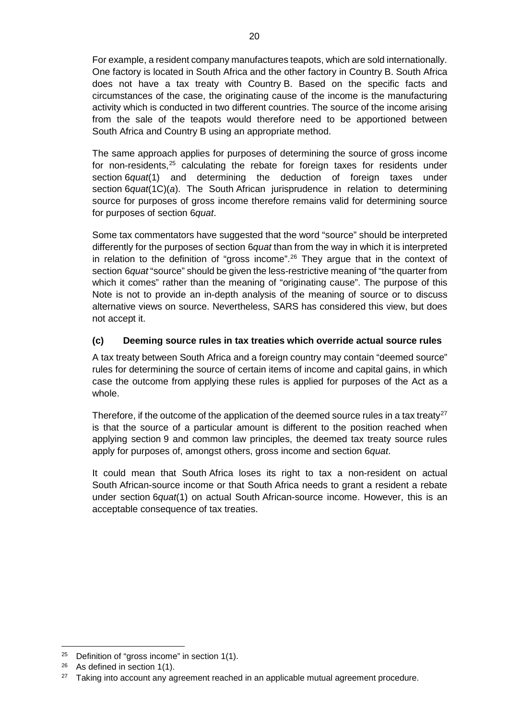For example, a resident company manufactures teapots, which are sold internationally. One factory is located in South Africa and the other factory in Country B. South Africa does not have a tax treaty with Country B. Based on the specific facts and circumstances of the case, the originating cause of the income is the manufacturing activity which is conducted in two different countries. The source of the income arising from the sale of the teapots would therefore need to be apportioned between South Africa and Country B using an appropriate method.

The same approach applies for purposes of determining the source of gross income for non-residents,<sup>[25](#page-19-1)</sup> calculating the rebate for foreign taxes for residents under section 6*quat*(1) and determining the deduction of foreign taxes under section 6*quat*(1C)(*a*). The South African jurisprudence in relation to determining source for purposes of gross income therefore remains valid for determining source for purposes of section 6*quat*.

Some tax commentators have suggested that the word "source" should be interpreted differently for the purposes of section 6*quat* than from the way in which it is interpreted in relation to the definition of "gross income".<sup>[26](#page-19-2)</sup> They argue that in the context of section 6*quat* "source" should be given the less-restrictive meaning of "the quarter from which it comes" rather than the meaning of "originating cause". The purpose of this Note is not to provide an in-depth analysis of the meaning of source or to discuss alternative views on source. Nevertheless, SARS has considered this view, but does not accept it.

## <span id="page-19-0"></span>**(c) Deeming source rules in tax treaties which override actual source rules**

A tax treaty between South Africa and a foreign country may contain "deemed source" rules for determining the source of certain items of income and capital gains, in which case the outcome from applying these rules is applied for purposes of the Act as a whole.

Therefore, if the outcome of the application of the deemed source rules in a tax treaty<sup>[27](#page-19-3)</sup> is that the source of a particular amount is different to the position reached when applying section 9 and common law principles, the deemed tax treaty source rules apply for purposes of, amongst others, gross income and section 6*quat*.

It could mean that South Africa loses its right to tax a non-resident on actual South African-source income or that South Africa needs to grant a resident a rebate under section 6*quat*(1) on actual South African-source income. However, this is an acceptable consequence of tax treaties.

<span id="page-19-1"></span> $25$  Definition of "gross income" in section 1(1).

<span id="page-19-2"></span> $26$  As defined in section 1(1).

<span id="page-19-3"></span><sup>&</sup>lt;sup>27</sup> Taking into account any agreement reached in an applicable mutual agreement procedure.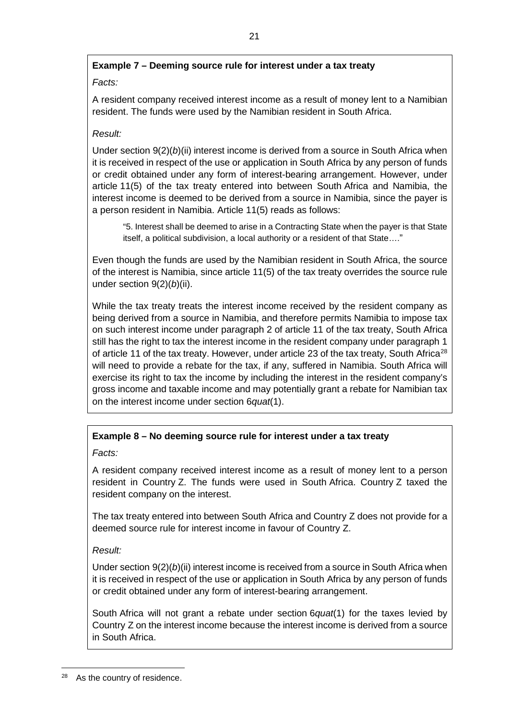## **Example 7 – Deeming source rule for interest under a tax treaty**

## *Facts:*

A resident company received interest income as a result of money lent to a Namibian resident. The funds were used by the Namibian resident in South Africa.

## *Result:*

Under section 9(2)(*b*)(ii) interest income is derived from a source in South Africa when it is received in respect of the use or application in South Africa by any person of funds or credit obtained under any form of interest-bearing arrangement. However, under article 11(5) of the tax treaty entered into between South Africa and Namibia, the interest income is deemed to be derived from a source in Namibia, since the payer is a person resident in Namibia. Article 11(5) reads as follows:

"5. Interest shall be deemed to arise in a Contracting State when the payer is that State itself, a political subdivision, a local authority or a resident of that State…."

Even though the funds are used by the Namibian resident in South Africa, the source of the interest is Namibia, since article 11(5) of the tax treaty overrides the source rule under section 9(2)(*b*)(ii).

While the tax treaty treats the interest income received by the resident company as being derived from a source in Namibia, and therefore permits Namibia to impose tax on such interest income under paragraph 2 of article 11 of the tax treaty, South Africa still has the right to tax the interest income in the resident company under paragraph 1 of article 11 of the tax treaty. However, under article 23 of the tax treaty, South Africa<sup>[28](#page-20-0)</sup> will need to provide a rebate for the tax, if any, suffered in Namibia. South Africa will exercise its right to tax the income by including the interest in the resident company's gross income and taxable income and may potentially grant a rebate for Namibian tax on the interest income under section 6*quat*(1).

## **Example 8 – No deeming source rule for interest under a tax treaty**

*Facts:*

A resident company received interest income as a result of money lent to a person resident in Country Z. The funds were used in South Africa. Country Z taxed the resident company on the interest.

The tax treaty entered into between South Africa and Country Z does not provide for a deemed source rule for interest income in favour of Country Z.

## *Result:*

Under section 9(2)(*b*)(ii) interest income is received from a source in South Africa when it is received in respect of the use or application in South Africa by any person of funds or credit obtained under any form of interest-bearing arrangement.

South Africa will not grant a rebate under section 6*quat*(1) for the taxes levied by Country Z on the interest income because the interest income is derived from a source in South Africa.

<span id="page-20-0"></span> <sup>28</sup> As the country of residence.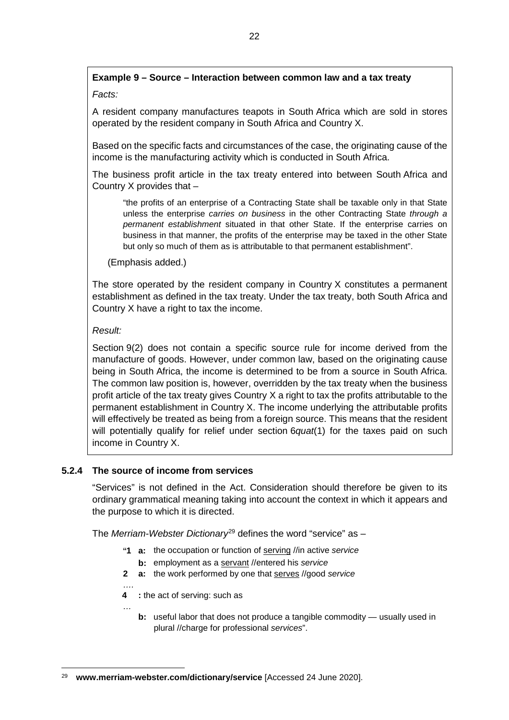## **Example 9 – Source – Interaction between common law and a tax treaty** *Facts:*

A resident company manufactures teapots in South Africa which are sold in stores operated by the resident company in South Africa and Country X.

Based on the specific facts and circumstances of the case, the originating cause of the income is the manufacturing activity which is conducted in South Africa.

The business profit article in the tax treaty entered into between South Africa and Country X provides that –

"the profits of an enterprise of a Contracting State shall be taxable only in that State unless the enterprise *carries on business* in the other Contracting State *through a permanent establishment* situated in that other State. If the enterprise carries on business in that manner, the profits of the enterprise may be taxed in the other State but only so much of them as is attributable to that permanent establishment".

(Emphasis added.)

The store operated by the resident company in Country X constitutes a permanent establishment as defined in the tax treaty. Under the tax treaty, both South Africa and Country X have a right to tax the income.

### *Result:*

Section 9(2) does not contain a specific source rule for income derived from the manufacture of goods. However, under common law, based on the originating cause being in South Africa, the income is determined to be from a source in South Africa. The common law position is, however, overridden by the tax treaty when the business profit article of the tax treaty gives Country X a right to tax the profits attributable to the permanent establishment in Country X. The income underlying the attributable profits will effectively be treated as being from a foreign source. This means that the resident will potentially qualify for relief under section 6*quat*(1) for the taxes paid on such income in Country X.

### <span id="page-21-0"></span>**5.2.4 The source of income from services**

"Services" is not defined in the Act. Consideration should therefore be given to its ordinary grammatical meaning taking into account the context in which it appears and the purpose to which it is directed.

The *Merriam-Webster Dictionary*[29](#page-21-1) defines the word "service" as –

- "**1 a:** the occupation or function of [serving](http://www.merriam-webster.com/dictionary/serving) //in active *service*
	- **b:** employment as a [servant](http://www.merriam-webster.com/dictionary/servant) //entered his *service*
- **2 a:** the work performed by one that serves //good *service*

*….* **4 :** the act of serving: such as

*…*

**b:** useful labor that does not produce a tangible commodity — usually used in plural //charge for professional *services*".

<span id="page-21-1"></span> <sup>29</sup> **[www.merriam-webster.com/dictionary/service](http://www.merriam-webster.com/dictionary/service)** [Accessed 24 June 2020].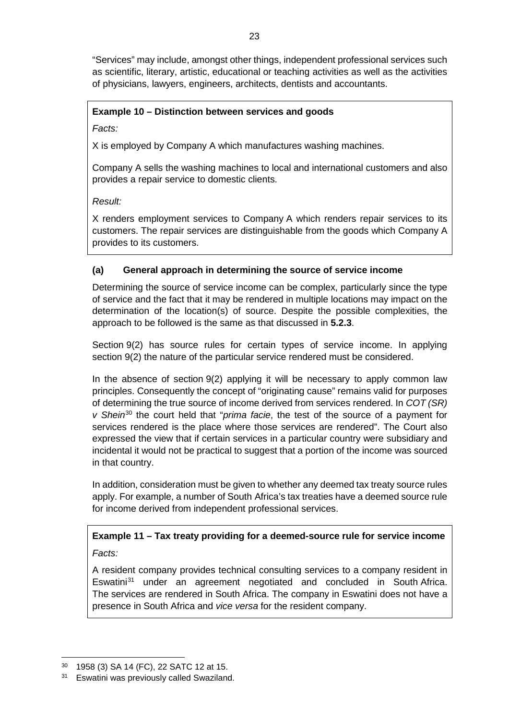"Services" may include, amongst other things, independent professional services such as scientific, literary, artistic, educational or teaching activities as well as the activities of physicians, lawyers, engineers, architects, dentists and accountants.

## **Example 10 – Distinction between services and goods**

*Facts:*

X is employed by Company A which manufactures washing machines.

Company A sells the washing machines to local and international customers and also provides a repair service to domestic clients.

*Result:*

X renders employment services to Company A which renders repair services to its customers. The repair services are distinguishable from the goods which Company A provides to its customers.

## <span id="page-22-0"></span>**(a) General approach in determining the source of service income**

Determining the source of service income can be complex, particularly since the type of service and the fact that it may be rendered in multiple locations may impact on the determination of the location(s) of source. Despite the possible complexities, the approach to be followed is the same as that discussed in **[5.2.3](#page-17-0)**.

Section 9(2) has source rules for certain types of service income. In applying section 9(2) the nature of the particular service rendered must be considered.

In the absence of section 9(2) applying it will be necessary to apply common law principles. Consequently the concept of "originating cause" remains valid for purposes of determining the true source of income derived from services rendered. In *COT (SR) v Shein*[30](#page-22-1) the court held that "*prima facie*, the test of the source of a payment for services rendered is the place where those services are rendered". The Court also expressed the view that if certain services in a particular country were subsidiary and incidental it would not be practical to suggest that a portion of the income was sourced in that country.

In addition, consideration must be given to whether any deemed tax treaty source rules apply. For example, a number of South Africa's tax treaties have a deemed source rule for income derived from independent professional services.

## **Example 11 – Tax treaty providing for a deemed-source rule for service income**

*Facts:*

A resident company provides technical consulting services to a company resident in Eswatini<sup>[31](#page-22-2)</sup> under an agreement negotiated and concluded in South Africa. The services are rendered in South Africa. The company in Eswatini does not have a presence in South Africa and *vice versa* for the resident company.

<span id="page-22-1"></span> <sup>30</sup> 1958 (3) SA 14 (FC), 22 SATC 12 at 15.

<span id="page-22-2"></span><sup>31</sup> Eswatini was previously called Swaziland.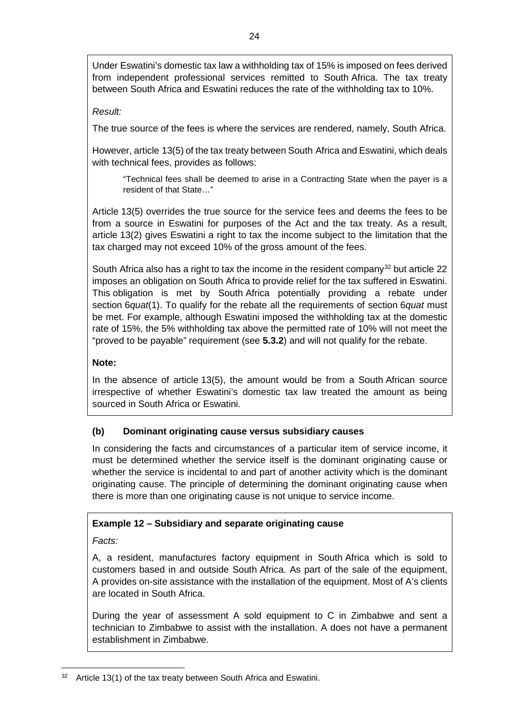Under Eswatini's domestic tax law a withholding tax of 15% is imposed on fees derived from independent professional services remitted to South Africa. The tax treaty between South Africa and Eswatini reduces the rate of the withholding tax to 10%.

*Result:*

The true source of the fees is where the services are rendered, namely, South Africa.

However, article 13(5) of the tax treaty between South Africa and Eswatini, which deals with technical fees, provides as follows:

"Technical fees shall be deemed to arise in a Contracting State when the payer is a resident of that State…"

Article 13(5) overrides the true source for the service fees and deems the fees to be from a source in Eswatini for purposes of the Act and the tax treaty. As a result, article 13(2) gives Eswatini a right to tax the income subject to the limitation that the tax charged may not exceed 10% of the gross amount of the fees.

South Africa also has a right to tax the income in the resident company<sup>[32](#page-23-1)</sup> but article 22 imposes an obligation on South Africa to provide relief for the tax suffered in Eswatini. This obligation is met by South Africa potentially providing a rebate under section 6*quat*(1). To qualify for the rebate all the requirements of section 6*quat* must be met. For example, although Eswatini imposed the withholding tax at the domestic rate of 15%, the 5% withholding tax above the permitted rate of 10% will not meet the "proved to be payable" requirement (see **[5.3.2](#page-29-0)**) and will not qualify for the rebate.

## **Note:**

In the absence of article 13(5), the amount would be from a South African source irrespective of whether Eswatini's domestic tax law treated the amount as being sourced in South Africa or Eswatini.

## <span id="page-23-0"></span>**(b) Dominant originating cause versus subsidiary causes**

In considering the facts and circumstances of a particular item of service income, it must be determined whether the service itself is the dominant originating cause or whether the service is incidental to and part of another activity which is the dominant originating cause. The principle of determining the dominant originating cause when there is more than one originating cause is not unique to service income.

## **Example 12 – Subsidiary and separate originating cause**

*Facts:*

A, a resident, manufactures factory equipment in South Africa which is sold to customers based in and outside South Africa. As part of the sale of the equipment, A provides on-site assistance with the installation of the equipment. Most of A's clients are located in South Africa.

During the year of assessment A sold equipment to C in Zimbabwe and sent a technician to Zimbabwe to assist with the installation. A does not have a permanent establishment in Zimbabwe.

<span id="page-23-1"></span><sup>&</sup>lt;sup>32</sup> Article 13(1) of the tax treaty between South Africa and Eswatini.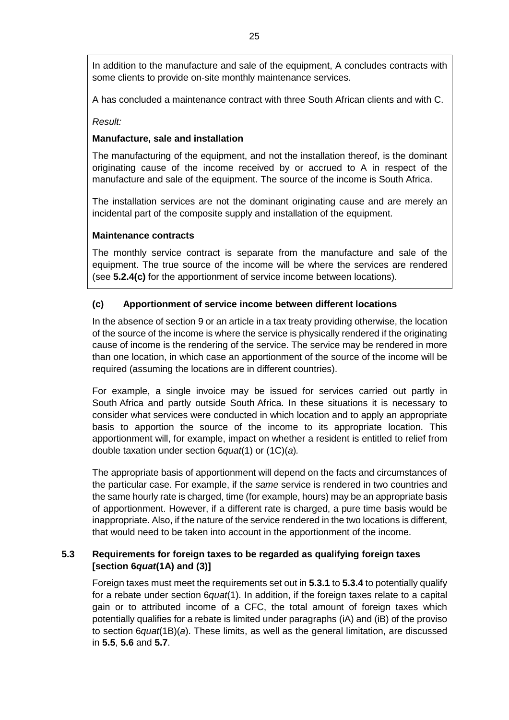In addition to the manufacture and sale of the equipment, A concludes contracts with some clients to provide on-site monthly maintenance services.

A has concluded a maintenance contract with three South African clients and with C.

*Result:*

## **Manufacture, sale and installation**

The manufacturing of the equipment, and not the installation thereof, is the dominant originating cause of the income received by or accrued to A in respect of the manufacture and sale of the equipment. The source of the income is South Africa.

The installation services are not the dominant originating cause and are merely an incidental part of the composite supply and installation of the equipment.

## **Maintenance contracts**

The monthly service contract is separate from the manufacture and sale of the equipment. The true source of the income will be where the services are rendered (see **[5.2.4\(c\)](#page-24-0)** for the apportionment of service income between locations).

## <span id="page-24-0"></span>**(c) Apportionment of service income between different locations**

In the absence of section 9 or an article in a tax treaty providing otherwise, the location of the source of the income is where the service is physically rendered if the originating cause of income is the rendering of the service. The service may be rendered in more than one location, in which case an apportionment of the source of the income will be required (assuming the locations are in different countries).

For example, a single invoice may be issued for services carried out partly in South Africa and partly outside South Africa. In these situations it is necessary to consider what services were conducted in which location and to apply an appropriate basis to apportion the source of the income to its appropriate location. This apportionment will, for example, impact on whether a resident is entitled to relief from double taxation under section 6*quat*(1) or (1C)(*a*)*.*

The appropriate basis of apportionment will depend on the facts and circumstances of the particular case. For example, if the *same* service is rendered in two countries and the same hourly rate is charged, time (for example, hours) may be an appropriate basis of apportionment. However, if a different rate is charged, a pure time basis would be inappropriate. Also, if the nature of the service rendered in the two locations is different, that would need to be taken into account in the apportionment of the income.

## <span id="page-24-1"></span>**5.3 Requirements for foreign taxes to be regarded as qualifying foreign taxes [section 6***quat***(1A) and (3)]**

Foreign taxes must meet the requirements set out in **[5.3.1](#page-25-0)** to **[5.3.4](#page-35-0)** to potentially qualify for a rebate under section 6*quat*(1). In addition, if the foreign taxes relate to a capital gain or to attributed income of a CFC, the total amount of foreign taxes which potentially qualifies for a rebate is limited under paragraphs (iA) and (iB) of the proviso to section 6*quat*(1B)(*a*). These limits, as well as the general limitation, are discussed in **[5.5](#page-54-0)**, **[5.6](#page-47-0)** and **[5.7](#page-54-0)**.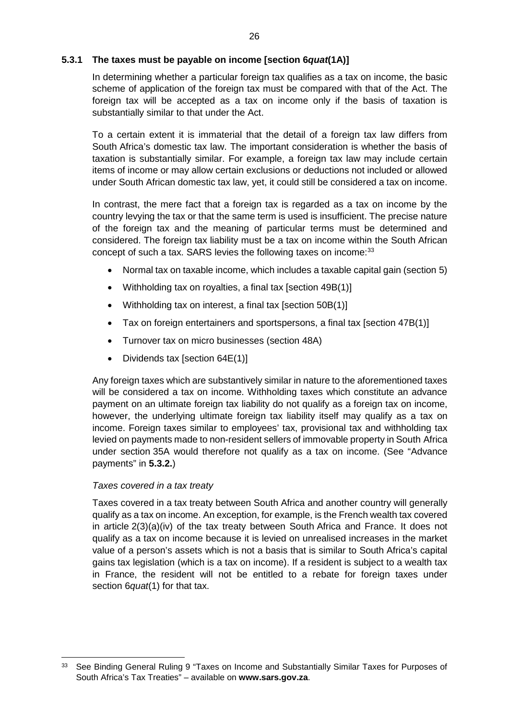## <span id="page-25-0"></span>**5.3.1 The taxes must be payable on income [section 6***quat***(1A)]**

In determining whether a particular foreign tax qualifies as a tax on income, the basic scheme of application of the foreign tax must be compared with that of the Act. The foreign tax will be accepted as a tax on income only if the basis of taxation is substantially similar to that under the Act.

To a certain extent it is immaterial that the detail of a foreign tax law differs from South Africa's domestic tax law. The important consideration is whether the basis of taxation is substantially similar. For example, a foreign tax law may include certain items of income or may allow certain exclusions or deductions not included or allowed under South African domestic tax law, yet, it could still be considered a tax on income.

In contrast, the mere fact that a foreign tax is regarded as a tax on income by the country levying the tax or that the same term is used is insufficient. The precise nature of the foreign tax and the meaning of particular terms must be determined and considered. The foreign tax liability must be a tax on income within the South African concept of such a tax. SARS levies the following taxes on income: [33](#page-25-1)

- Normal tax on taxable income, which includes a taxable capital gain (section 5)
- Withholding tax on royalties, a final tax [section 49B(1)]
- Withholding tax on interest, a final tax [section 50B(1)]
- Tax on foreign entertainers and sportspersons, a final tax [section 47B(1)]
- Turnover tax on micro businesses (section 48A)
- Dividends tax [section 64E(1)]

Any foreign taxes which are substantively similar in nature to the aforementioned taxes will be considered a tax on income. Withholding taxes which constitute an advance payment on an ultimate foreign tax liability do not qualify as a foreign tax on income, however, the underlying ultimate foreign tax liability itself may qualify as a tax on income. Foreign taxes similar to employees' tax, provisional tax and withholding tax levied on payments made to non-resident sellers of immovable property in South Africa under section 35A would therefore not qualify as a tax on income. (See "Advance payments" in **[5.3.2.](#page-29-0)**)

### *Taxes covered in a tax treaty*

Taxes covered in a tax treaty between South Africa and another country will generally qualify as a tax on income. An exception, for example, is the French wealth tax covered in article 2(3)(a)(iv) of the tax treaty between South Africa and France. It does not qualify as a tax on income because it is levied on unrealised increases in the market value of a person's assets which is not a basis that is similar to South Africa's capital gains tax legislation (which is a tax on income). If a resident is subject to a wealth tax in France, the resident will not be entitled to a rebate for foreign taxes under section 6*quat*(1) for that tax.

<span id="page-25-1"></span><sup>33</sup> See Binding General Ruling 9 "Taxes on Income and Substantially Similar Taxes for Purposes of South Africa's Tax Treaties" – available on **[www.sars.gov.za](http://www.sars.gov.za/)**.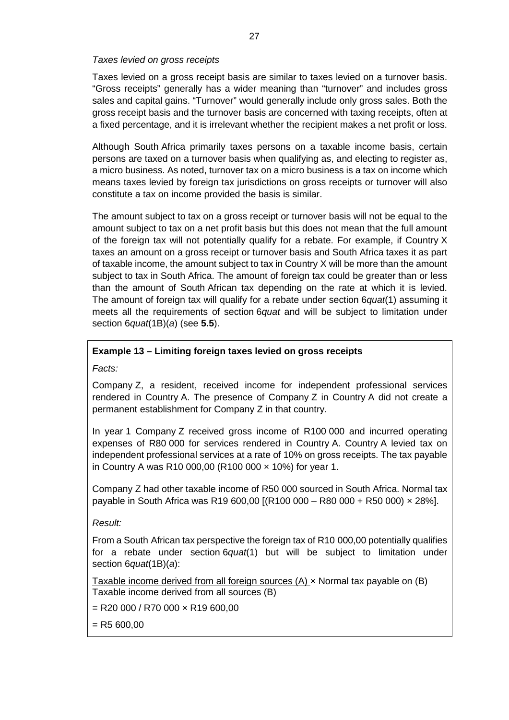### *Taxes levied on gross receipts*

Taxes levied on a gross receipt basis are similar to taxes levied on a turnover basis. "Gross receipts" generally has a wider meaning than "turnover" and includes gross sales and capital gains. "Turnover" would generally include only gross sales. Both the gross receipt basis and the turnover basis are concerned with taxing receipts, often at a fixed percentage, and it is irrelevant whether the recipient makes a net profit or loss.

Although South Africa primarily taxes persons on a taxable income basis, certain persons are taxed on a turnover basis when qualifying as, and electing to register as, a micro business. As noted, turnover tax on a micro business is a tax on income which means taxes levied by foreign tax jurisdictions on gross receipts or turnover will also constitute a tax on income provided the basis is similar.

The amount subject to tax on a gross receipt or turnover basis will not be equal to the amount subject to tax on a net profit basis but this does not mean that the full amount of the foreign tax will not potentially qualify for a rebate. For example, if Country X taxes an amount on a gross receipt or turnover basis and South Africa taxes it as part of taxable income, the amount subject to tax in Country X will be more than the amount subject to tax in South Africa. The amount of foreign tax could be greater than or less than the amount of South African tax depending on the rate at which it is levied. The amount of foreign tax will qualify for a rebate under section 6*quat*(1) assuming it meets all the requirements of section 6*quat* and will be subject to limitation under section 6*quat*(1B)(*a*) (see **[5.5](#page-37-0)**).

### **Example 13 – Limiting foreign taxes levied on gross receipts**

*Facts:*

Company Z, a resident, received income for independent professional services rendered in Country A. The presence of Company Z in Country A did not create a permanent establishment for Company Z in that country.

In year 1 Company Z received gross income of R100 000 and incurred operating expenses of R80 000 for services rendered in Country A. Country A levied tax on independent professional services at a rate of 10% on gross receipts. The tax payable in Country A was R10 000,00 (R100 000  $\times$  10%) for year 1.

Company Z had other taxable income of R50 000 sourced in South Africa. Normal tax payable in South Africa was R19 600,00 [(R100 000 – R80 000 + R50 000) × 28%].

*Result:*

From a South African tax perspective the foreign tax of R10 000,00 potentially qualifies for a rebate under section 6*quat*(1) but will be subject to limitation under section 6*quat*(1B)(*a*):

Taxable income derived from all foreign sources  $(A) \times$  Normal tax payable on  $(B)$ Taxable income derived from all sources (B)

 $=$  R20 000 / R70 000  $\times$  R19 600,00

 $=$  R5 600,00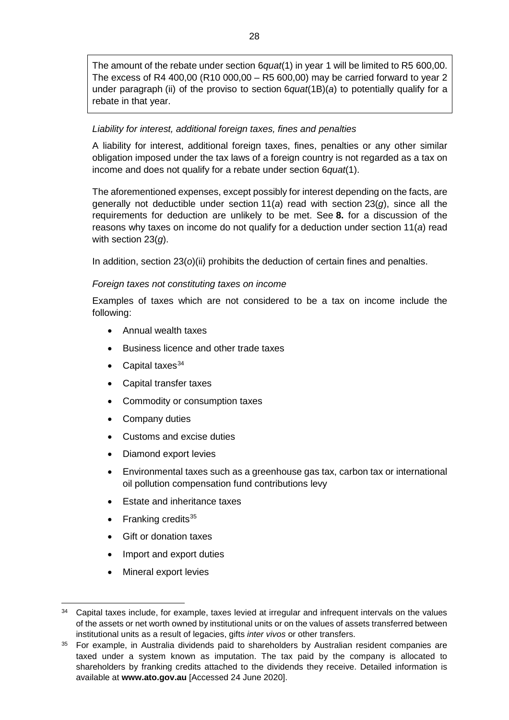The amount of the rebate under section 6*quat*(1) in year 1 will be limited to R5 600,00. The excess of R4 400,00 (R10 000,00 – R5 600,00) may be carried forward to year 2 under paragraph (ii) of the proviso to section 6*quat*(1B)(*a*) to potentially qualify for a rebate in that year.

## *Liability for interest, additional foreign taxes, fines and penalties*

A liability for interest, additional foreign taxes, fines, penalties or any other similar obligation imposed under the tax laws of a foreign country is not regarded as a tax on income and does not qualify for a rebate under section 6*quat*(1).

The aforementioned expenses, except possibly for interest depending on the facts, are generally not deductible under section 11(*a*) read with section 23(*g*), since all the requirements for deduction are unlikely to be met. See **[8.](#page-82-1)** for a discussion of the reasons why taxes on income do not qualify for a deduction under section 11(*a*) read with section 23(*g*).

In addition, section 23(*o*)(ii) prohibits the deduction of certain fines and penalties.

## *Foreign taxes not constituting taxes on income*

Examples of taxes which are not considered to be a tax on income include the following:

- Annual wealth taxes
- Business licence and other trade taxes
- Capital taxes $34$
- Capital transfer taxes
- Commodity or consumption taxes
- Company duties
- Customs and excise duties
- Diamond export levies
- Environmental taxes such as a greenhouse gas tax, carbon tax or international oil pollution compensation fund contributions levy
- Estate and inheritance taxes
- Franking credits $35$
- Gift or donation taxes
- Import and export duties
- Mineral export levies

<span id="page-27-0"></span><sup>&</sup>lt;sup>34</sup> Capital taxes include, for example, taxes levied at irregular and infrequent intervals on the values of the assets or net worth owned by institutional units or on the values of assets transferred between institutional units as a result of legacies, gifts *inter vivos* or other transfers.

<span id="page-27-1"></span><sup>&</sup>lt;sup>35</sup> For example, in Australia dividends paid to shareholders by Australian resident companies are taxed under a system known as imputation. The tax paid by the company is allocated to shareholders by franking credits attached to the dividends they receive. Detailed information is available at **[www.ato.gov.au](http://www.ato.gov.au/Business/Imputation/In-detail/Refunding-franking-credits/Refunding-franking-credits---individuals/)** [Accessed 24 June 2020].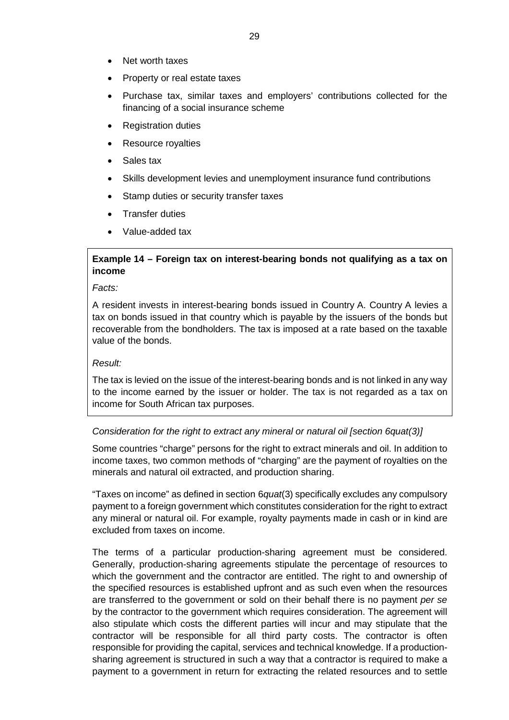- Net worth taxes
- Property or real estate taxes
- Purchase tax, similar taxes and employers' contributions collected for the financing of a social insurance scheme
- Registration duties
- Resource royalties
- Sales tax
- Skills development levies and unemployment insurance fund contributions
- Stamp duties or security transfer taxes
- Transfer duties
- Value-added tax

## **Example 14 – Foreign tax on interest-bearing bonds not qualifying as a tax on income**

*Facts:*

A resident invests in interest-bearing bonds issued in Country A. Country A levies a tax on bonds issued in that country which is payable by the issuers of the bonds but recoverable from the bondholders. The tax is imposed at a rate based on the taxable value of the bonds.

#### *Result:*

The tax is levied on the issue of the interest-bearing bonds and is not linked in any way to the income earned by the issuer or holder. The tax is not regarded as a tax on income for South African tax purposes.

#### *Consideration for the right to extract any mineral or natural oil [section 6quat(3)]*

Some countries "charge" persons for the right to extract minerals and oil. In addition to income taxes, two common methods of "charging" are the payment of royalties on the minerals and natural oil extracted, and production sharing.

"Taxes on income" as defined in section 6*quat*(3) specifically excludes any compulsory payment to a foreign government which constitutes consideration for the right to extract any mineral or natural oil. For example, royalty payments made in cash or in kind are excluded from taxes on income.

The terms of a particular production-sharing agreement must be considered. Generally, production-sharing agreements stipulate the percentage of resources to which the government and the contractor are entitled. The right to and ownership of the specified resources is established upfront and as such even when the resources are transferred to the government or sold on their behalf there is no payment *per se* by the contractor to the government which requires consideration. The agreement will also stipulate which costs the different parties will incur and may stipulate that the contractor will be responsible for all third party costs. The contractor is often responsible for providing the capital, services and technical knowledge. If a productionsharing agreement is structured in such a way that a contractor is required to make a payment to a government in return for extracting the related resources and to settle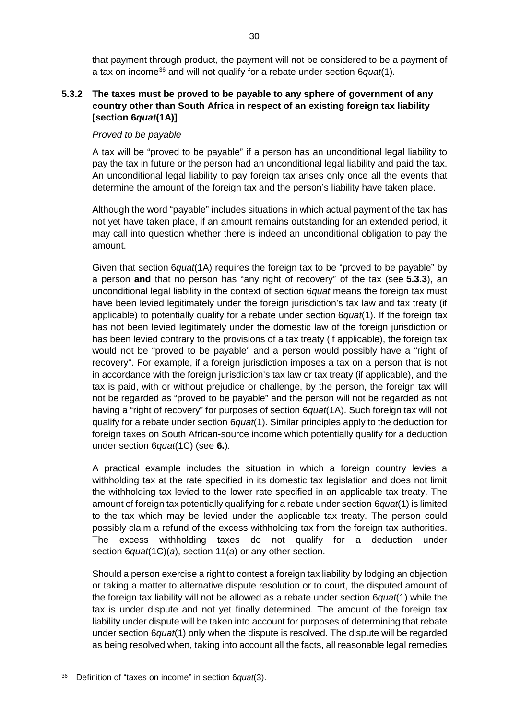that payment through product, the payment will not be considered to be a payment of a tax on income[36](#page-29-1) and will not qualify for a rebate under section 6*quat*(1)*.*

## <span id="page-29-0"></span>**5.3.2 The taxes must be proved to be payable to any sphere of government of any country other than South Africa in respect of an existing foreign tax liability [section 6***quat***(1A)]**

#### *Proved to be payable*

A tax will be "proved to be payable" if a person has an unconditional legal liability to pay the tax in future or the person had an unconditional legal liability and paid the tax. An unconditional legal liability to pay foreign tax arises only once all the events that determine the amount of the foreign tax and the person's liability have taken place.

Although the word "payable" includes situations in which actual payment of the tax has not yet have taken place, if an amount remains outstanding for an extended period, it may call into question whether there is indeed an unconditional obligation to pay the amount.

Given that section 6*quat*(1A) requires the foreign tax to be "proved to be payable" by a person **and** that no person has "any right of recovery" of the tax (see **[5.3.3](#page-33-0)**), an unconditional legal liability in the context of section 6*quat* means the foreign tax must have been levied legitimately under the foreign jurisdiction's tax law and tax treaty (if applicable) to potentially qualify for a rebate under section 6*quat*(1). If the foreign tax has not been levied legitimately under the domestic law of the foreign jurisdiction or has been levied contrary to the provisions of a tax treaty (if applicable), the foreign tax would not be "proved to be payable" and a person would possibly have a "right of recovery". For example, if a foreign jurisdiction imposes a tax on a person that is not in accordance with the foreign jurisdiction's tax law or tax treaty (if applicable), and the tax is paid, with or without prejudice or challenge, by the person, the foreign tax will not be regarded as "proved to be payable" and the person will not be regarded as not having a "right of recovery" for purposes of section 6*quat*(1A). Such foreign tax will not qualify for a rebate under section 6*quat*(1). Similar principles apply to the deduction for foreign taxes on South African-source income which potentially qualify for a deduction under section 6*quat*(1C) (see **[6.](#page-75-0)**).

A practical example includes the situation in which a foreign country levies a withholding tax at the rate specified in its domestic tax legislation and does not limit the withholding tax levied to the lower rate specified in an applicable tax treaty. The amount of foreign tax potentially qualifying for a rebate under section 6*quat*(1) is limited to the tax which may be levied under the applicable tax treaty. The person could possibly claim a refund of the excess withholding tax from the foreign tax authorities. The excess withholding taxes do not qualify for a deduction under section 6*quat*(1C)(*a*), section 11(*a*) or any other section.

Should a person exercise a right to contest a foreign tax liability by lodging an objection or taking a matter to alternative dispute resolution or to court, the disputed amount of the foreign tax liability will not be allowed as a rebate under section 6*quat*(1) while the tax is under dispute and not yet finally determined. The amount of the foreign tax liability under dispute will be taken into account for purposes of determining that rebate under section 6*quat*(1) only when the dispute is resolved. The dispute will be regarded as being resolved when, taking into account all the facts, all reasonable legal remedies

<span id="page-29-1"></span> <sup>36</sup> Definition of "taxes on income" in section <sup>6</sup>*quat*(3).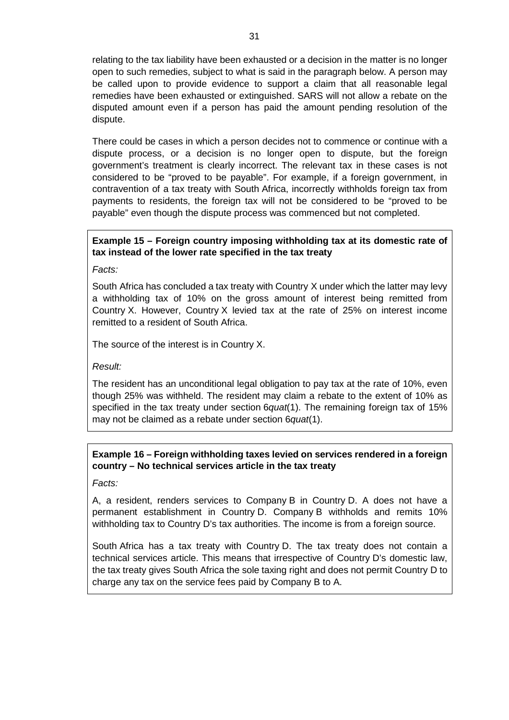relating to the tax liability have been exhausted or a decision in the matter is no longer open to such remedies, subject to what is said in the paragraph below. A person may be called upon to provide evidence to support a claim that all reasonable legal remedies have been exhausted or extinguished. SARS will not allow a rebate on the disputed amount even if a person has paid the amount pending resolution of the dispute.

There could be cases in which a person decides not to commence or continue with a dispute process, or a decision is no longer open to dispute, but the foreign government's treatment is clearly incorrect. The relevant tax in these cases is not considered to be "proved to be payable". For example, if a foreign government, in contravention of a tax treaty with South Africa, incorrectly withholds foreign tax from payments to residents, the foreign tax will not be considered to be "proved to be payable" even though the dispute process was commenced but not completed.

## **Example 15 – Foreign country imposing withholding tax at its domestic rate of tax instead of the lower rate specified in the tax treaty**

*Facts:*

South Africa has concluded a tax treaty with Country X under which the latter may levy a withholding tax of 10% on the gross amount of interest being remitted from Country X. However, Country X levied tax at the rate of 25% on interest income remitted to a resident of South Africa.

The source of the interest is in Country X.

*Result:*

The resident has an unconditional legal obligation to pay tax at the rate of 10%, even though 25% was withheld. The resident may claim a rebate to the extent of 10% as specified in the tax treaty under section 6*quat*(1). The remaining foreign tax of 15% may not be claimed as a rebate under section 6*quat*(1).

## **Example 16 – Foreign withholding taxes levied on services rendered in a foreign country – No technical services article in the tax treaty**

*Facts:*

A, a resident, renders services to Company B in Country D. A does not have a permanent establishment in Country D. Company B withholds and remits 10% withholding tax to Country D's tax authorities. The income is from a foreign source.

South Africa has a tax treaty with Country D. The tax treaty does not contain a technical services article. This means that irrespective of Country D's domestic law, the tax treaty gives South Africa the sole taxing right and does not permit Country D to charge any tax on the service fees paid by Company B to A.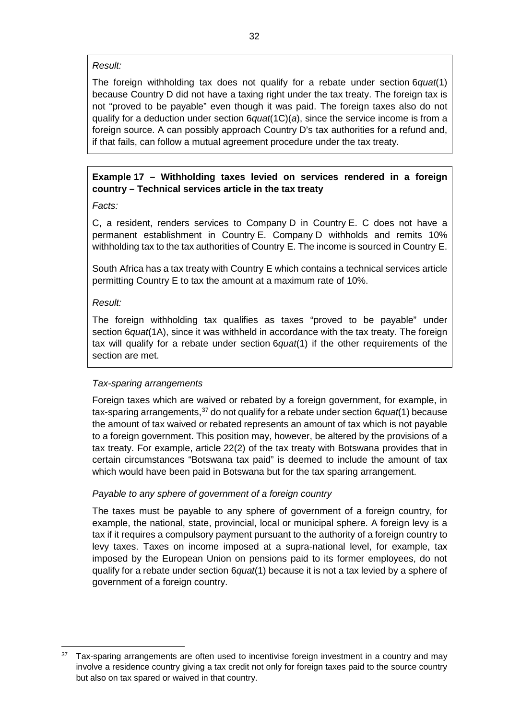#### *Result:*

The foreign withholding tax does not qualify for a rebate under section 6*quat*(1) because Country D did not have a taxing right under the tax treaty. The foreign tax is not "proved to be payable" even though it was paid. The foreign taxes also do not qualify for a deduction under section 6*quat*(1C)(*a*), since the service income is from a foreign source. A can possibly approach Country D's tax authorities for a refund and, if that fails, can follow a mutual agreement procedure under the tax treaty.

## **Example 17 – Withholding taxes levied on services rendered in a foreign country – Technical services article in the tax treaty**

### *Facts:*

C, a resident, renders services to Company D in Country E. C does not have a permanent establishment in Country E. Company D withholds and remits 10% withholding tax to the tax authorities of Country E. The income is sourced in Country E.

South Africa has a tax treaty with Country E which contains a technical services article permitting Country E to tax the amount at a maximum rate of 10%.

### *Result:*

The foreign withholding tax qualifies as taxes "proved to be payable" under section 6*quat*(1A), since it was withheld in accordance with the tax treaty. The foreign tax will qualify for a rebate under section 6*quat*(1) if the other requirements of the section are met.

### *Tax-sparing arrangements*

Foreign taxes which are waived or rebated by a foreign government, for example, in tax-sparing arrangements, [37](#page-31-0) do not qualify for a rebate under section 6*quat*(1) because the amount of tax waived or rebated represents an amount of tax which is not payable to a foreign government. This position may, however, be altered by the provisions of a tax treaty. For example, article 22(2) of the tax treaty with Botswana provides that in certain circumstances "Botswana tax paid" is deemed to include the amount of tax which would have been paid in Botswana but for the tax sparing arrangement.

### *Payable to any sphere of government of a foreign country*

The taxes must be payable to any sphere of government of a foreign country, for example, the national, state, provincial, local or municipal sphere. A foreign levy is a tax if it requires a compulsory payment pursuant to the authority of a foreign country to levy taxes. Taxes on income imposed at a supra-national level, for example, tax imposed by the European Union on pensions paid to its former employees, do not qualify for a rebate under section 6*quat*(1) because it is not a tax levied by a sphere of government of a foreign country.

<span id="page-31-0"></span><sup>&</sup>lt;sup>37</sup> Tax-sparing arrangements are often used to incentivise foreign investment in a country and may involve a residence country giving a tax credit not only for foreign taxes paid to the source country but also on tax spared or waived in that country.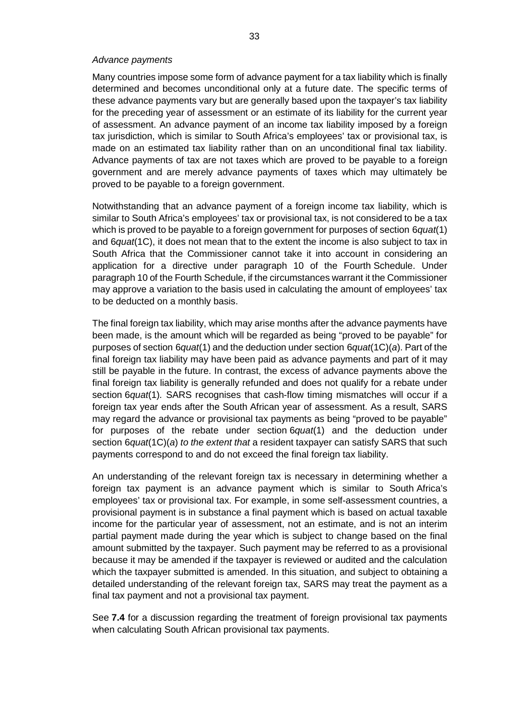#### *Advance payments*

Many countries impose some form of advance payment for a tax liability which is finally determined and becomes unconditional only at a future date. The specific terms of these advance payments vary but are generally based upon the taxpayer's tax liability for the preceding year of assessment or an estimate of its liability for the current year of assessment. An advance payment of an income tax liability imposed by a foreign tax jurisdiction, which is similar to South Africa's employees' tax or provisional tax, is made on an estimated tax liability rather than on an unconditional final tax liability. Advance payments of tax are not taxes which are proved to be payable to a foreign government and are merely advance payments of taxes which may ultimately be proved to be payable to a foreign government.

Notwithstanding that an advance payment of a foreign income tax liability, which is similar to South Africa's employees' tax or provisional tax, is not considered to be a tax which is proved to be payable to a foreign government for purposes of section 6*quat*(1) and 6*quat*(1C), it does not mean that to the extent the income is also subject to tax in South Africa that the Commissioner cannot take it into account in considering an application for a directive under paragraph 10 of the Fourth Schedule. Under paragraph 10 of the Fourth Schedule, if the circumstances warrant it the Commissioner may approve a variation to the basis used in calculating the amount of employees' tax to be deducted on a monthly basis.

The final foreign tax liability, which may arise months after the advance payments have been made, is the amount which will be regarded as being "proved to be payable" for purposes of section 6*quat*(1) and the deduction under section 6*quat*(1C)(*a*). Part of the final foreign tax liability may have been paid as advance payments and part of it may still be payable in the future. In contrast, the excess of advance payments above the final foreign tax liability is generally refunded and does not qualify for a rebate under section 6*quat*(1). SARS recognises that cash-flow timing mismatches will occur if a foreign tax year ends after the South African year of assessment. As a result, SARS may regard the advance or provisional tax payments as being "proved to be payable" for purposes of the rebate under section 6*quat*(1) and the deduction under section 6*quat*(1C)(*a*) *to the extent that* a resident taxpayer can satisfy SARS that such payments correspond to and do not exceed the final foreign tax liability.

An understanding of the relevant foreign tax is necessary in determining whether a foreign tax payment is an advance payment which is similar to South Africa's employees' tax or provisional tax. For example, in some self-assessment countries, a provisional payment is in substance a final payment which is based on actual taxable income for the particular year of assessment, not an estimate, and is not an interim partial payment made during the year which is subject to change based on the final amount submitted by the taxpayer. Such payment may be referred to as a provisional because it may be amended if the taxpayer is reviewed or audited and the calculation which the taxpayer submitted is amended. In this situation, and subject to obtaining a detailed understanding of the relevant foreign tax, SARS may treat the payment as a final tax payment and not a provisional tax payment.

See **[7.4](#page-82-1)** for a discussion regarding the treatment of foreign provisional tax payments when calculating South African provisional tax payments.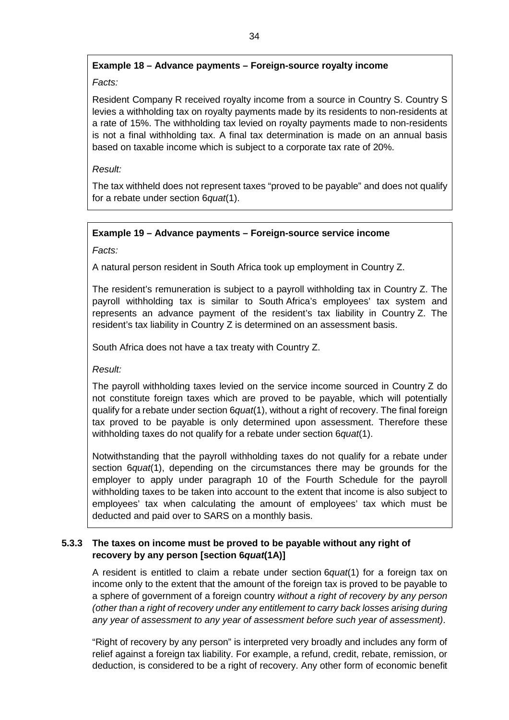## **Example 18 – Advance payments – Foreign-source royalty income**

## *Facts:*

Resident Company R received royalty income from a source in Country S. Country S levies a withholding tax on royalty payments made by its residents to non-residents at a rate of 15%. The withholding tax levied on royalty payments made to non-residents is not a final withholding tax. A final tax determination is made on an annual basis based on taxable income which is subject to a corporate tax rate of 20%.

## *Result:*

The tax withheld does not represent taxes "proved to be payable" and does not qualify for a rebate under section 6*quat*(1).

## **Example 19 – Advance payments – Foreign-source service income**

*Facts:*

A natural person resident in South Africa took up employment in Country Z.

The resident's remuneration is subject to a payroll withholding tax in Country Z. The payroll withholding tax is similar to South Africa's employees' tax system and represents an advance payment of the resident's tax liability in Country Z. The resident's tax liability in Country Z is determined on an assessment basis.

South Africa does not have a tax treaty with Country Z.

*Result:*

The payroll withholding taxes levied on the service income sourced in Country Z do not constitute foreign taxes which are proved to be payable, which will potentially qualify for a rebate under section 6*quat*(1), without a right of recovery. The final foreign tax proved to be payable is only determined upon assessment. Therefore these withholding taxes do not qualify for a rebate under section 6*quat*(1).

Notwithstanding that the payroll withholding taxes do not qualify for a rebate under section 6*quat*(1), depending on the circumstances there may be grounds for the employer to apply under paragraph 10 of the Fourth Schedule for the payroll withholding taxes to be taken into account to the extent that income is also subject to employees' tax when calculating the amount of employees' tax which must be deducted and paid over to SARS on a monthly basis.

## <span id="page-33-0"></span>**5.3.3 The taxes on income must be proved to be payable without any right of recovery by any person [section 6***quat***(1A)]**

A resident is entitled to claim a rebate under section 6*quat*(1) for a foreign tax on income only to the extent that the amount of the foreign tax is proved to be payable to a sphere of government of a foreign country *without a right of recovery by any person (other than a right of recovery under any entitlement to carry back losses arising during any year of assessment to any year of assessment before such year of assessment)*.

"Right of recovery by any person" is interpreted very broadly and includes any form of relief against a foreign tax liability. For example, a refund, credit, rebate, remission, or deduction, is considered to be a right of recovery. Any other form of economic benefit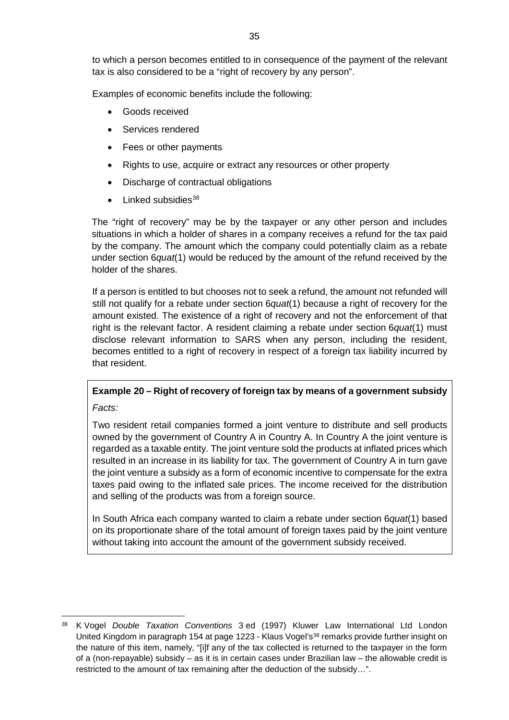Examples of economic benefits include the following:

- Goods received
- Services rendered
- Fees or other payments
- Rights to use, acquire or extract any resources or other property
- Discharge of contractual obligations
- Linked subsidies<sup>38</sup>

The "right of recovery" may be by the taxpayer or any other person and includes situations in which a holder of shares in a company receives a refund for the tax paid by the company. The amount which the company could potentially claim as a rebate under section 6*quat*(1) would be reduced by the amount of the refund received by the holder of the shares.

If a person is entitled to but chooses not to seek a refund, the amount not refunded will still not qualify for a rebate under section 6*quat*(1) because a right of recovery for the amount existed. The existence of a right of recovery and not the enforcement of that right is the relevant factor. A resident claiming a rebate under section 6*quat*(1) must disclose relevant information to SARS when any person, including the resident, becomes entitled to a right of recovery in respect of a foreign tax liability incurred by that resident.

# **Example 20 – Right of recovery of foreign tax by means of a government subsidy**

*Facts:*

Two resident retail companies formed a joint venture to distribute and sell products owned by the government of Country A in Country A. In Country A the joint venture is regarded as a taxable entity. The joint venture sold the products at inflated prices which resulted in an increase in its liability for tax. The government of Country A in turn gave the joint venture a subsidy as a form of economic incentive to compensate for the extra taxes paid owing to the inflated sale prices. The income received for the distribution and selling of the products was from a foreign source.

In South Africa each company wanted to claim a rebate under section 6*quat*(1) based on its proportionate share of the total amount of foreign taxes paid by the joint venture without taking into account the amount of the government subsidy received.

<span id="page-34-0"></span> <sup>38</sup> <sup>K</sup> Vogel *Double Taxation Conventions* <sup>3</sup> ed (1997) Kluwer Law International Ltd London United Kingdom in paragraph 154 at page 1223 - Klaus Vogel's<sup>38</sup> remarks provide further insight on the nature of this item, namely, "[i]f any of the tax collected is returned to the taxpayer in the form of a (non-repayable) subsidy – as it is in certain cases under Brazilian law – the allowable credit is restricted to the amount of tax remaining after the deduction of the subsidy…".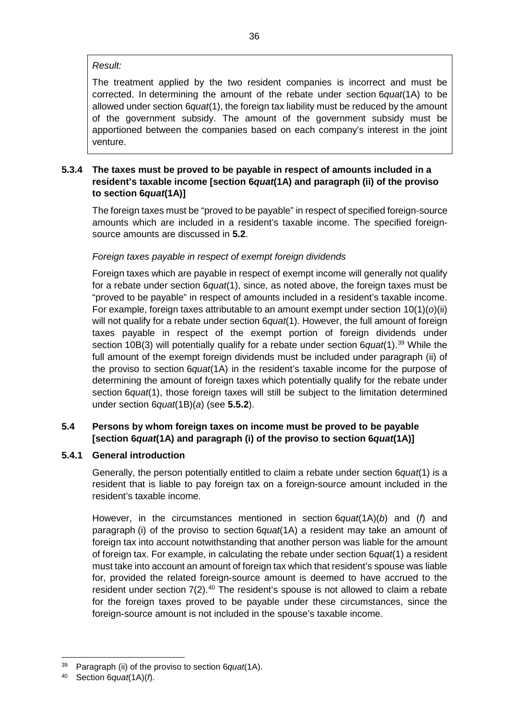## *Result:*

The treatment applied by the two resident companies is incorrect and must be corrected. In determining the amount of the rebate under section 6*quat*(1A) to be allowed under section 6*quat*(1), the foreign tax liability must be reduced by the amount of the government subsidy. The amount of the government subsidy must be apportioned between the companies based on each company's interest in the joint venture.

## <span id="page-35-0"></span>**5.3.4 The taxes must be proved to be payable in respect of amounts included in a resident's taxable income [section 6***quat***(1A) and paragraph (ii) of the proviso to section 6***quat***(1A)]**

The foreign taxes must be "proved to be payable" in respect of specified foreign-source amounts which are included in a resident's taxable income. The specified foreignsource amounts are discussed in **[5.2](#page-9-0)**.

## *Foreign taxes payable in respect of exempt foreign dividends*

Foreign taxes which are payable in respect of exempt income will generally not qualify for a rebate under section 6*quat*(1), since, as noted above, the foreign taxes must be "proved to be payable" in respect of amounts included in a resident's taxable income. For example, foreign taxes attributable to an amount exempt under section 10(1)(*o*)(ii) will not qualify for a rebate under section 6*quat*(1). However, the full amount of foreign taxes payable in respect of the exempt portion of foreign dividends under section 10B(3) will potentially qualify for a rebate under section 6*quat*(1)[.39](#page-35-3) While the full amount of the exempt foreign dividends must be included under paragraph (ii) of the proviso to section 6*quat*(1A) in the resident's taxable income for the purpose of determining the amount of foreign taxes which potentially qualify for the rebate under section 6*quat*(1), those foreign taxes will still be subject to the limitation determined under section 6*quat*(1B)(*a*) (see **[5.5.2](#page-44-0)**).

## <span id="page-35-1"></span>**5.4 Persons by whom foreign taxes on income must be proved to be payable [section 6***quat***(1A) and paragraph (i) of the proviso to section 6***quat***(1A)]**

## <span id="page-35-2"></span>**5.4.1 General introduction**

Generally, the person potentially entitled to claim a rebate under section 6*quat*(1) is a resident that is liable to pay foreign tax on a foreign-source amount included in the resident's taxable income.

However, in the circumstances mentioned in section 6*quat*(1A)(*b*) and (*f*) and paragraph (i) of the proviso to section 6*quat*(1A) a resident may take an amount of foreign tax into account notwithstanding that another person was liable for the amount of foreign tax. For example, in calculating the rebate under section 6*quat*(1) a resident must take into account an amount of foreign tax which that resident's spouse was liable for, provided the related foreign-source amount is deemed to have accrued to the resident under section  $7(2)$ .<sup>[40](#page-35-4)</sup> The resident's spouse is not allowed to claim a rebate for the foreign taxes proved to be payable under these circumstances, since the foreign-source amount is not included in the spouse's taxable income.

<span id="page-35-3"></span> <sup>39</sup> Paragraph (ii) of the proviso to section <sup>6</sup>*quat*(1A).

<span id="page-35-4"></span><sup>40</sup> Section 6*quat*(1A)(*f*).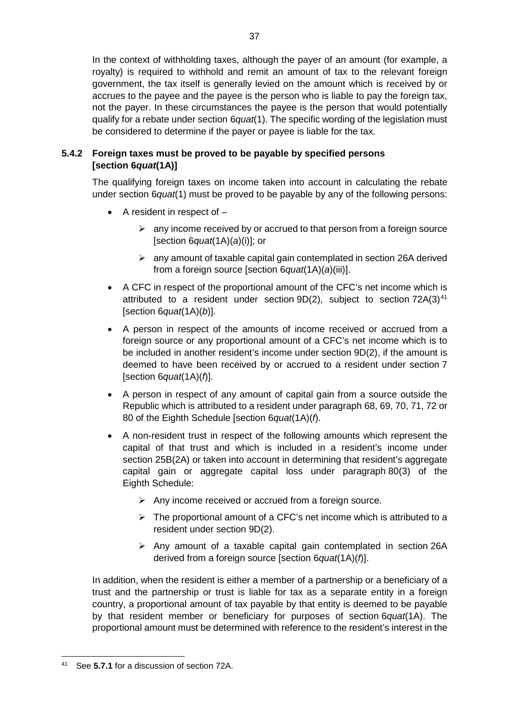In the context of withholding taxes, although the payer of an amount (for example, a royalty) is required to withhold and remit an amount of tax to the relevant foreign government, the tax itself is generally levied on the amount which is received by or accrues to the payee and the payee is the person who is liable to pay the foreign tax, not the payer. In these circumstances the payee is the person that would potentially qualify for a rebate under section 6*quat*(1). The specific wording of the legislation must be considered to determine if the payer or payee is liable for the tax.

# **5.4.2 Foreign taxes must be proved to be payable by specified persons [section 6***quat***(1A)]**

The qualifying foreign taxes on income taken into account in calculating the rebate under section 6*quat*(1) must be proved to be payable by any of the following persons:

- $\bullet$  A resident in respect of  $-$ 
	- $\triangleright$  any income received by or accrued to that person from a foreign source [section 6*quat*(1A)(*a*)(i)]; or
	- $\triangleright$  any amount of taxable capital gain contemplated in section 26A derived from a foreign source [section 6*quat*(1A)(*a*)(iii)].
- A CFC in respect of the proportional amount of the CFC's net income which is attributed to a resident under section  $9D(2)$ , subject to section  $72A(3)^{41}$  $72A(3)^{41}$  $72A(3)^{41}$ [section 6*quat*(1A)(*b*)].
- A person in respect of the amounts of income received or accrued from a foreign source or any proportional amount of a CFC's net income which is to be included in another resident's income under section 9D(2), if the amount is deemed to have been received by or accrued to a resident under section 7 [section 6*quat*(1A)(*f*)].
- A person in respect of any amount of capital gain from a source outside the Republic which is attributed to a resident under paragraph 68, 69, 70, 71, 72 or 80 of the Eighth Schedule [section 6*quat*(1A)(*f*).
- A non-resident trust in respect of the following amounts which represent the capital of that trust and which is included in a resident's income under section 25B(2A) or taken into account in determining that resident's aggregate capital gain or aggregate capital loss under paragraph 80(3) of the Eighth Schedule:
	- $\triangleright$  Any income received or accrued from a foreign source.
	- $\triangleright$  The proportional amount of a CFC's net income which is attributed to a resident under section 9D(2).
	- $\triangleright$  Any amount of a taxable capital gain contemplated in section 26A derived from a foreign source [section 6*quat*(1A)(*f*)].

In addition, when the resident is either a member of a partnership or a beneficiary of a trust and the partnership or trust is liable for tax as a separate entity in a foreign country, a proportional amount of tax payable by that entity is deemed to be payable by that resident member or beneficiary for purposes of section 6*quat*(1A). The proportional amount must be determined with reference to the resident's interest in the

<span id="page-36-0"></span> <sup>41</sup> See **5.7.1** for a discussion of section 72A.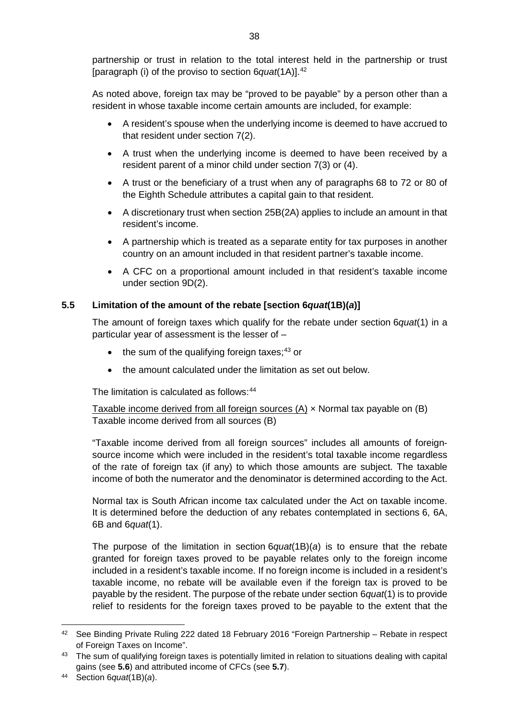partnership or trust in relation to the total interest held in the partnership or trust [paragraph (i) of the proviso to section 6*quat*(1A)]. [42](#page-37-0)

As noted above, foreign tax may be "proved to be payable" by a person other than a resident in whose taxable income certain amounts are included, for example:

- A resident's spouse when the underlying income is deemed to have accrued to that resident under section 7(2).
- A trust when the underlying income is deemed to have been received by a resident parent of a minor child under section 7(3) or (4).
- A trust or the beneficiary of a trust when any of paragraphs 68 to 72 or 80 of the Eighth Schedule attributes a capital gain to that resident.
- A discretionary trust when section 25B(2A) applies to include an amount in that resident's income.
- A partnership which is treated as a separate entity for tax purposes in another country on an amount included in that resident partner's taxable income.
- A CFC on a proportional amount included in that resident's taxable income under section 9D(2).

### <span id="page-37-3"></span>**5.5 Limitation of the amount of the rebate [section 6***quat***(1B)(***a***)]**

The amount of foreign taxes which qualify for the rebate under section 6*quat*(1) in a particular year of assessment is the lesser of –

- the sum of the qualifying foreign taxes;<sup>[43](#page-37-1)</sup> or
- the amount calculated under the limitation as set out below.

The limitation is calculated as follows: [44](#page-37-2)

Taxable income derived from all foreign sources  $(A) \times$  Normal tax payable on  $(B)$ Taxable income derived from all sources (B)

"Taxable income derived from all foreign sources" includes all amounts of foreignsource income which were included in the resident's total taxable income regardless of the rate of foreign tax (if any) to which those amounts are subject. The taxable income of both the numerator and the denominator is determined according to the Act.

Normal tax is South African income tax calculated under the Act on taxable income. It is determined before the deduction of any rebates contemplated in sections 6, 6A, 6B and 6*quat*(1).

The purpose of the limitation in section 6*quat*(1B)(*a*) is to ensure that the rebate granted for foreign taxes proved to be payable relates only to the foreign income included in a resident's taxable income. If no foreign income is included in a resident's taxable income, no rebate will be available even if the foreign tax is proved to be payable by the resident. The purpose of the rebate under section 6*quat*(1) is to provide relief to residents for the foreign taxes proved to be payable to the extent that the

<span id="page-37-0"></span> <sup>42</sup> See Binding Private Ruling 222 dated 18 February 2016 "Foreign Partnership – Rebate in respect of Foreign Taxes on Income".

<span id="page-37-1"></span><sup>43</sup> The sum of qualifying foreign taxes is potentially limited in relation to situations dealing with capital gains (see **5.6**) and attributed income of CFCs (see **5.7**).

<span id="page-37-2"></span><sup>44</sup> Section 6*quat*(1B)(*a*).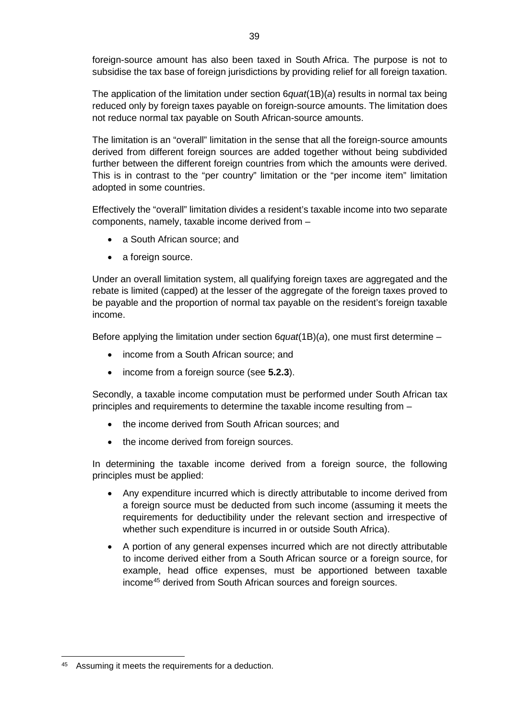foreign-source amount has also been taxed in South Africa. The purpose is not to subsidise the tax base of foreign jurisdictions by providing relief for all foreign taxation.

The application of the limitation under section 6*quat*(1B)(*a*) results in normal tax being reduced only by foreign taxes payable on foreign-source amounts. The limitation does not reduce normal tax payable on South African-source amounts.

The limitation is an "overall" limitation in the sense that all the foreign-source amounts derived from different foreign sources are added together without being subdivided further between the different foreign countries from which the amounts were derived. This is in contrast to the "per country" limitation or the "per income item" limitation adopted in some countries.

Effectively the "overall" limitation divides a resident's taxable income into two separate components, namely, taxable income derived from –

- a South African source: and
- a foreign source.

Under an overall limitation system, all qualifying foreign taxes are aggregated and the rebate is limited (capped) at the lesser of the aggregate of the foreign taxes proved to be payable and the proportion of normal tax payable on the resident's foreign taxable income.

Before applying the limitation under section 6*quat*(1B)(*a*), one must first determine –

- income from a South African source; and
- income from a foreign source (see **[5.2.3](#page-17-0)**).

Secondly, a taxable income computation must be performed under South African tax principles and requirements to determine the taxable income resulting from –

- the income derived from South African sources; and
- the income derived from foreign sources.

In determining the taxable income derived from a foreign source, the following principles must be applied:

- Any expenditure incurred which is directly attributable to income derived from a foreign source must be deducted from such income (assuming it meets the requirements for deductibility under the relevant section and irrespective of whether such expenditure is incurred in or outside South Africa).
- A portion of any general expenses incurred which are not directly attributable to income derived either from a South African source or a foreign source, for example, head office expenses, must be apportioned between taxable income[45](#page-38-0) derived from South African sources and foreign sources.

<span id="page-38-0"></span><sup>45</sup> Assuming it meets the requirements for a deduction.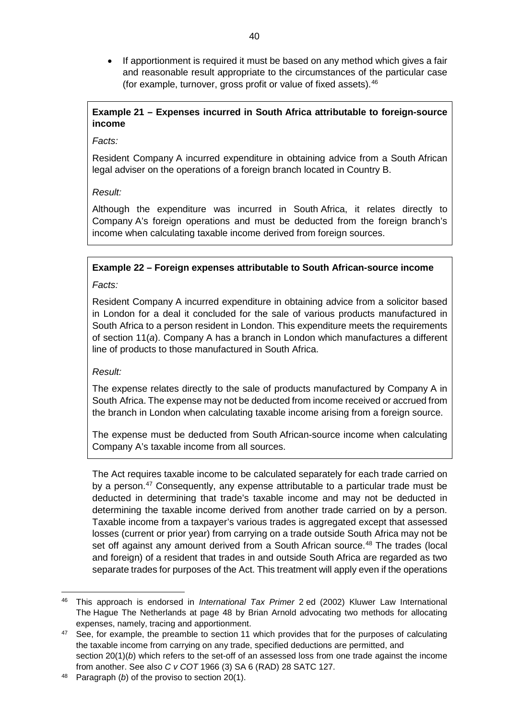• If apportionment is required it must be based on any method which gives a fair and reasonable result appropriate to the circumstances of the particular case (for example, turnover, gross profit or value of fixed assets).[46](#page-39-0)

# **Example 21 – Expenses incurred in South Africa attributable to foreign-source income**

*Facts:*

Resident Company A incurred expenditure in obtaining advice from a South African legal adviser on the operations of a foreign branch located in Country B.

*Result:*

Although the expenditure was incurred in South Africa, it relates directly to Company A's foreign operations and must be deducted from the foreign branch's income when calculating taxable income derived from foreign sources.

# **Example 22 – Foreign expenses attributable to South African-source income**

*Facts:*

Resident Company A incurred expenditure in obtaining advice from a solicitor based in London for a deal it concluded for the sale of various products manufactured in South Africa to a person resident in London. This expenditure meets the requirements of section 11(*a*). Company A has a branch in London which manufactures a different line of products to those manufactured in South Africa.

# *Result:*

The expense relates directly to the sale of products manufactured by Company A in South Africa. The expense may not be deducted from income received or accrued from the branch in London when calculating taxable income arising from a foreign source.

The expense must be deducted from South African-source income when calculating Company A's taxable income from all sources.

The Act requires taxable income to be calculated separately for each trade carried on by a person.<sup>[47](#page-39-1)</sup> Consequently, any expense attributable to a particular trade must be deducted in determining that trade's taxable income and may not be deducted in determining the taxable income derived from another trade carried on by a person. Taxable income from a taxpayer's various trades is aggregated except that assessed losses (current or prior year) from carrying on a trade outside South Africa may not be set off against any amount derived from a South African source.<sup>[48](#page-39-2)</sup> The trades (local and foreign) of a resident that trades in and outside South Africa are regarded as two separate trades for purposes of the Act. This treatment will apply even if the operations

<span id="page-39-0"></span> <sup>46</sup> This approach is endorsed in *International Tax Primer* <sup>2</sup> ed (2002) Kluwer Law International The Hague The Netherlands at page 48 by Brian Arnold advocating two methods for allocating expenses, namely, tracing and apportionment.

<span id="page-39-1"></span><sup>&</sup>lt;sup>47</sup> See, for example, the preamble to section 11 which provides that for the purposes of calculating the taxable income from carrying on any trade, specified deductions are permitted, and section 20(1)(*b*) which refers to the set-off of an assessed loss from one trade against the income from another. See also *C v COT* 1966 (3) SA 6 (RAD) 28 SATC 127.

<span id="page-39-2"></span><sup>48</sup> Paragraph (*b*) of the proviso to section 20(1).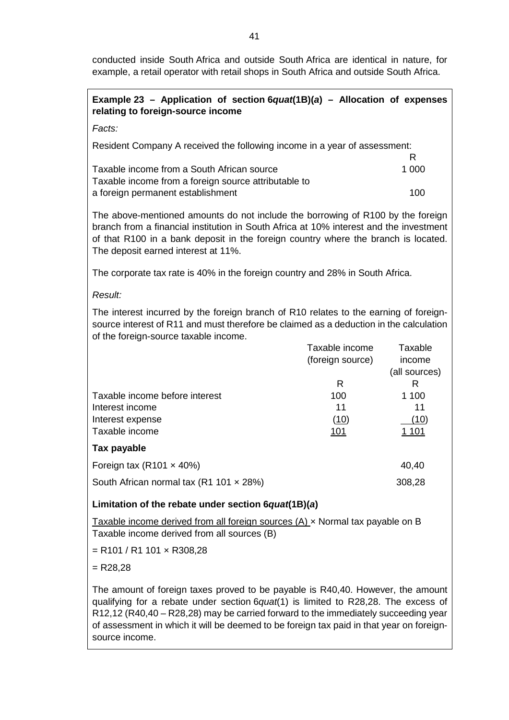conducted inside South Africa and outside South Africa are identical in nature, for example, a retail operator with retail shops in South Africa and outside South Africa.

# **Example 23 – Application of section 6***quat***(1B)(***a***) – Allocation of expenses relating to foreign-source income**

R

*Facts:*

Resident Company A received the following income in a year of assessment:

| Taxable income from a South African source           | 1.000 |
|------------------------------------------------------|-------|
| Taxable income from a foreign source attributable to |       |
| a foreign permanent establishment                    | 100   |

The above-mentioned amounts do not include the borrowing of R100 by the foreign branch from a financial institution in South Africa at 10% interest and the investment of that R100 in a bank deposit in the foreign country where the branch is located. The deposit earned interest at 11%.

The corporate tax rate is 40% in the foreign country and 28% in South Africa.

### *Result:*

The interest incurred by the foreign branch of R10 relates to the earning of foreignsource interest of R11 and must therefore be claimed as a deduction in the calculation of the foreign-source taxable income.

|                                                | Taxable income   | Taxable       |
|------------------------------------------------|------------------|---------------|
|                                                | (foreign source) | income        |
|                                                |                  | (all sources) |
|                                                | R                | R             |
| Taxable income before interest                 | 100              | 1 100         |
| Interest income                                | 11               | 11            |
| Interest expense                               | (10)             | <u>(10)</u>   |
| Taxable income                                 | <u>101</u>       | <u> 1 101</u> |
| Tax payable                                    |                  |               |
| Foreign tax (R101 $\times$ 40%)                |                  | 40,40         |
| South African normal tax (R1 101 $\times$ 28%) |                  | 308,28        |

# **Limitation of the rebate under section 6***quat***(1B)(***a***)**

Taxable income derived from all foreign sources  $(A) \times$  Normal tax payable on B Taxable income derived from all sources (B)

 $= R101 / R1 101 \times R308,28$ 

 $= R28.28$ 

The amount of foreign taxes proved to be payable is R40,40. However, the amount qualifying for a rebate under section 6*quat*(1) is limited to R28,28. The excess of R12,12 (R40,40 – R28,28) may be carried forward to the immediately succeeding year of assessment in which it will be deemed to be foreign tax paid in that year on foreignsource income.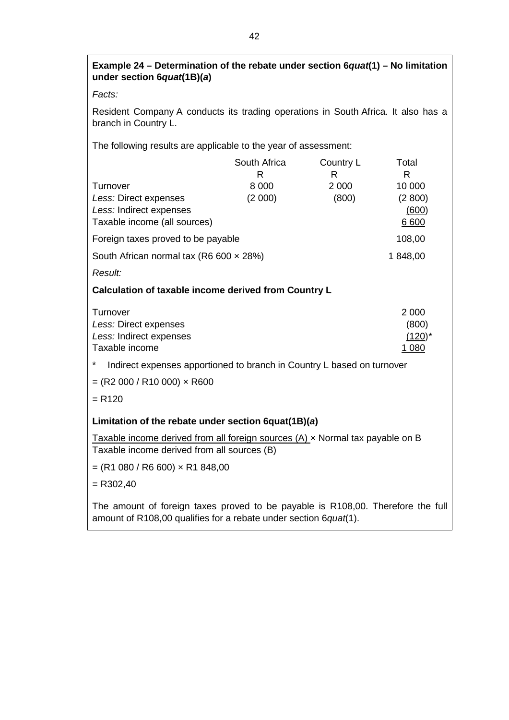| Example 24 – Determination of the rebate under section $6$ <i>quat</i> (1) – No limitation<br>under section 6quat(1B)(a)                            |                              |                |                                          |
|-----------------------------------------------------------------------------------------------------------------------------------------------------|------------------------------|----------------|------------------------------------------|
| Facts:                                                                                                                                              |                              |                |                                          |
| Resident Company A conducts its trading operations in South Africa. It also has a<br>branch in Country L.                                           |                              |                |                                          |
| The following results are applicable to the year of assessment:                                                                                     |                              |                |                                          |
|                                                                                                                                                     | South Africa<br>$\mathsf{R}$ | Country L<br>R | Total<br>$\mathsf{R}$                    |
| Turnover<br>Less: Direct expenses<br>Less: Indirect expenses<br>Taxable income (all sources)                                                        | 8 0 0 0<br>(2000)            | 2 000<br>(800) | 10 000<br>(2800)<br>(600)<br>6 600       |
| Foreign taxes proved to be payable                                                                                                                  |                              |                | 108,00                                   |
| South African normal tax (R6 600 x 28%)                                                                                                             |                              |                | 1848,00                                  |
| Result:                                                                                                                                             |                              |                |                                          |
| Calculation of taxable income derived from Country L                                                                                                |                              |                |                                          |
| Turnover<br>Less: Direct expenses<br>Less: Indirect expenses<br>Taxable income                                                                      |                              |                | 2 0 0 0<br>(800)<br>$(120)^*$<br>1 0 8 0 |
| $\star$<br>Indirect expenses apportioned to branch in Country L based on turnover                                                                   |                              |                |                                          |
| $= (R2 000 / R10 000) \times R600$                                                                                                                  |                              |                |                                          |
| $= R120$                                                                                                                                            |                              |                |                                          |
| Limitation of the rebate under section 6quat(1B)(a)                                                                                                 |                              |                |                                          |
| Taxable income derived from all foreign sources (A) x Normal tax payable on B<br>Taxable income derived from all sources (B)                        |                              |                |                                          |
| $=$ (R1 080 / R6 600) $\times$ R1 848,00                                                                                                            |                              |                |                                          |
| $=$ R302,40                                                                                                                                         |                              |                |                                          |
| The amount of foreign taxes proved to be payable is R108,00. Therefore the full<br>amount of R108,00 qualifies for a rebate under section 6quat(1). |                              |                |                                          |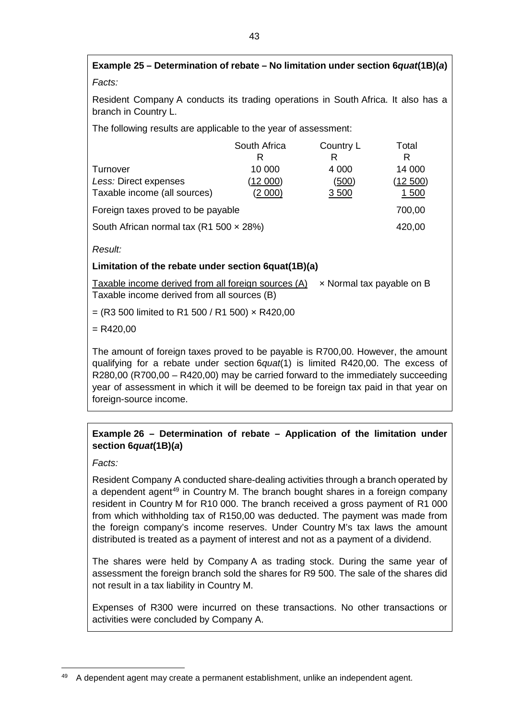# **Example 25 – Determination of rebate – No limitation under section 6***quat***(1B)(***a***)** *Facts:*

Resident Company A conducts its trading operations in South Africa. It also has a branch in Country L.

The following results are applicable to the year of assessment:

|                                                       | South Africa       | Country L<br>R | Total<br>R       |
|-------------------------------------------------------|--------------------|----------------|------------------|
| Turnover                                              | 10 000             | 4 0 0 0        | 14 000           |
| Less: Direct expenses<br>Taxable income (all sources) | (12 000)<br>(2000) | (500)<br>3500  | (12500)<br>1 500 |
| Foreign taxes proved to be payable                    |                    |                | 700,00           |
| South African normal tax (R1 500 $\times$ 28%)        |                    |                | 420,00           |

*Result:*

# **Limitation of the rebate under section 6quat(1B)(a)**

Taxable income derived from all foreign sources  $(A) \times$  Normal tax payable on B Taxable income derived from all sources (B)

 $= (R3 500$  limited to R1 500 / R1 500)  $\times$  R420,00

 $= R420,00$ 

The amount of foreign taxes proved to be payable is R700,00. However, the amount qualifying for a rebate under section 6*quat*(1) is limited R420,00. The excess of R280,00 (R700,00 – R420,00) may be carried forward to the immediately succeeding year of assessment in which it will be deemed to be foreign tax paid in that year on foreign-source income.

# **Example 26 – Determination of rebate – Application of the limitation under section 6***quat***(1B)(***a***)**

*Facts:* 

Resident Company A conducted share-dealing activities through a branch operated by a dependent agent<sup>[49](#page-42-0)</sup> in Country M. The branch bought shares in a foreign company resident in Country M for R10 000. The branch received a gross payment of R1 000 from which withholding tax of R150,00 was deducted. The payment was made from the foreign company's income reserves. Under Country M's tax laws the amount distributed is treated as a payment of interest and not as a payment of a dividend.

The shares were held by Company A as trading stock. During the same year of assessment the foreign branch sold the shares for R9 500. The sale of the shares did not result in a tax liability in Country M.

Expenses of R300 were incurred on these transactions. No other transactions or activities were concluded by Company A.

<span id="page-42-0"></span><sup>49</sup> A dependent agent may create a permanent establishment, unlike an independent agent.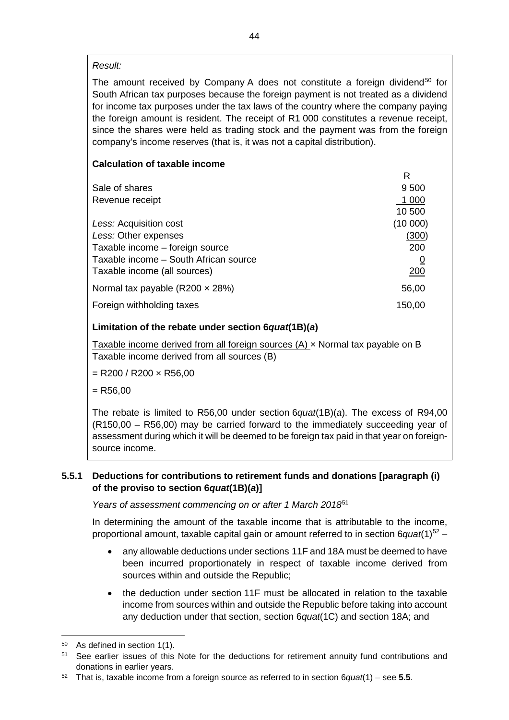### *Result:*

The amount received by Company A does not constitute a foreign dividend<sup>[50](#page-43-0)</sup> for South African tax purposes because the foreign payment is not treated as a dividend for income tax purposes under the tax laws of the country where the company paying the foreign amount is resident. The receipt of R1 000 constitutes a revenue receipt, since the shares were held as trading stock and the payment was from the foreign company's income reserves (that is, it was not a capital distribution).

# **Calculation of taxable income**

|                                        | R        |
|----------------------------------------|----------|
| Sale of shares                         | 9 500    |
| Revenue receipt                        | 1 000    |
|                                        | 10 500   |
| Less: Acquisition cost                 | (10 000) |
| Less: Other expenses                   | (300)    |
| Taxable income - foreign source        | 200      |
| Taxable income - South African source  | <u>0</u> |
| Taxable income (all sources)           | 200      |
| Normal tax payable (R200 $\times$ 28%) | 56,00    |
| Foreign withholding taxes              | 150,00   |

# **Limitation of the rebate under section 6***quat***(1B)(***a***)**

Taxable income derived from all foreign sources  $(A) \times$  Normal tax payable on B Taxable income derived from all sources (B)

 $=$  R200 / R200  $\times$  R56,00

 $=$  R56.00

The rebate is limited to R56,00 under section 6*quat*(1B)(*a*). The excess of R94,00 (R150,00 – R56,00) may be carried forward to the immediately succeeding year of assessment during which it will be deemed to be foreign tax paid in that year on foreignsource income.

# **5.5.1 Deductions for contributions to retirement funds and donations [paragraph (i) of the proviso to section 6***quat***(1B)(***a***)]**

*Years of assessment commencing on or after 1 March 2018*[51](#page-43-1)

In determining the amount of the taxable income that is attributable to the income, proportional amount, taxable capital gain or amount referred to in section 6*quat*(1)<sup>[52](#page-43-2)</sup> –

- any allowable deductions under sections 11F and 18A must be deemed to have been incurred proportionately in respect of taxable income derived from sources within and outside the Republic;
- the deduction under section 11F must be allocated in relation to the taxable income from sources within and outside the Republic before taking into account any deduction under that section, section 6*quat*(1C) and section 18A; and

<span id="page-43-0"></span> <sup>50</sup> As defined in section 1(1).

<span id="page-43-1"></span><sup>&</sup>lt;sup>51</sup> See earlier issues of this Note for the deductions for retirement annuity fund contributions and donations in earlier years.

<span id="page-43-2"></span><sup>52</sup> That is, taxable income from a foreign source as referred to in section 6*quat*(1) – see **5.5**.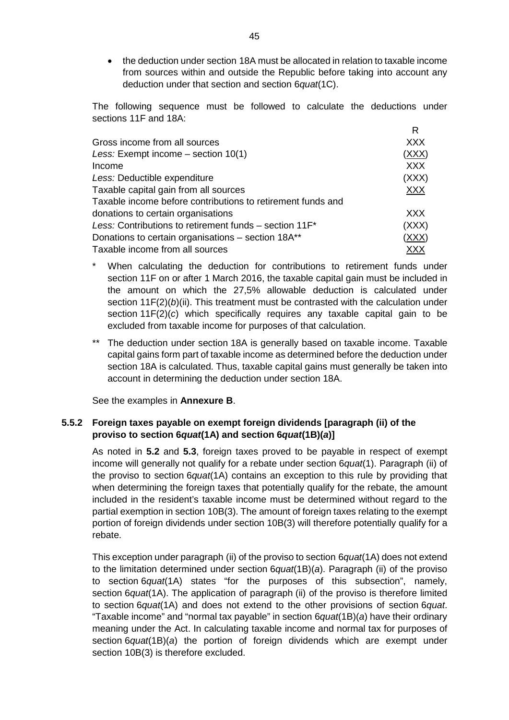• the deduction under section 18A must be allocated in relation to taxable income from sources within and outside the Republic before taking into account any deduction under that section and section 6*quat*(1C).

The following sequence must be followed to calculate the deductions under sections 11F and 18A:

 $\mathbf{r}$ 

| Gross income from all sources                               | XXX        |
|-------------------------------------------------------------|------------|
| Less: Exempt income $-$ section 10(1)                       | (XXX)      |
| Income                                                      | <b>XXX</b> |
| Less: Deductible expenditure                                | (XXX)      |
| Taxable capital gain from all sources                       | <b>XXX</b> |
| Taxable income before contributions to retirement funds and |            |
| donations to certain organisations                          | <b>XXX</b> |
| Less: Contributions to retirement funds – section $11F^*$   | (XXX)      |
| Donations to certain organisations – section 18A**          | (XXX)      |
| Taxable income from all sources                             | XXX        |

- When calculating the deduction for contributions to retirement funds under section 11F on or after 1 March 2016, the taxable capital gain must be included in the amount on which the 27,5% allowable deduction is calculated under section 11F(2)(*b*)(ii). This treatment must be contrasted with the calculation under section 11F(2)(*c*) which specifically requires any taxable capital gain to be excluded from taxable income for purposes of that calculation.
- The deduction under section 18A is generally based on taxable income. Taxable capital gains form part of taxable income as determined before the deduction under section 18A is calculated. Thus, taxable capital gains must generally be taken into account in determining the deduction under section 18A.

See the examples in **[Annexure](#page-87-0) B**.

### **5.5.2 Foreign taxes payable on exempt foreign dividends [paragraph (ii) of the proviso to section 6***quat***(1A) and section 6***quat***(1B)(***a***)]**

As noted in **[5.2](#page-9-0)** and **[5.3](#page-24-0)**, foreign taxes proved to be payable in respect of exempt income will generally not qualify for a rebate under section 6*quat*(1). Paragraph (ii) of the proviso to section 6*quat*(1A) contains an exception to this rule by providing that when determining the foreign taxes that potentially qualify for the rebate, the amount included in the resident's taxable income must be determined without regard to the partial exemption in section 10B(3). The amount of foreign taxes relating to the exempt portion of foreign dividends under section 10B(3) will therefore potentially qualify for a rebate.

This exception under paragraph (ii) of the proviso to section 6*quat*(1A) does not extend to the limitation determined under section 6*quat*(1B)(*a*). Paragraph (ii) of the proviso to section 6*quat*(1A) states "for the purposes of this subsection", namely, section 6*quat*(1A). The application of paragraph (ii) of the proviso is therefore limited to section 6*quat*(1A) and does not extend to the other provisions of section 6*quat*. "Taxable income" and "normal tax payable" in section 6*quat*(1B)(*a*) have their ordinary meaning under the Act. In calculating taxable income and normal tax for purposes of section 6*quat*(1B)(*a*) the portion of foreign dividends which are exempt under section 10B(3) is therefore excluded.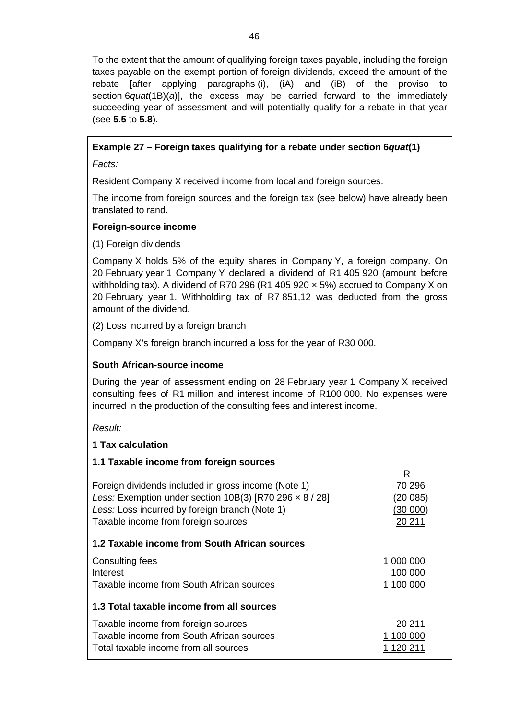To the extent that the amount of qualifying foreign taxes payable, including the foreign taxes payable on the exempt portion of foreign dividends, exceed the amount of the rebate [after applying paragraphs (i), (iA) and (iB) of the proviso to section 6*quat*(1B)(*a*)], the excess may be carried forward to the immediately succeeding year of assessment and will potentially qualify for a rebate in that year (see **[5.5](#page-37-3)** to **[5.8](#page-62-0)**).

# **Example 27 – Foreign taxes qualifying for a rebate under section 6***quat***(1)**

*Facts:*

Resident Company X received income from local and foreign sources.

The income from foreign sources and the foreign tax (see below) have already been translated to rand.

### **Foreign-source income**

(1) Foreign dividends

Company X holds 5% of the equity shares in Company Y, a foreign company. On 20 February year 1 Company Y declared a dividend of R1 405 920 (amount before withholding tax). A dividend of R70 296 (R1 405 920  $\times$  5%) accrued to Company X on 20 February year 1. Withholding tax of R7 851,12 was deducted from the gross amount of the dividend.

(2) Loss incurred by a foreign branch

Company X's foreign branch incurred a loss for the year of R30 000.

### **South African-source income**

During the year of assessment ending on 28 February year 1 Company X received consulting fees of R1 million and interest income of R100 000. No expenses were incurred in the production of the consulting fees and interest income.

*Result:*

# **1 Tax calculation**

# **1.1 Taxable income from foreign sources**

|                                                                | R         |
|----------------------------------------------------------------|-----------|
| Foreign dividends included in gross income (Note 1)            | 70 296    |
| Less: Exemption under section 10B(3) [R70 296 $\times$ 8 / 28] | (20 085)  |
| Less: Loss incurred by foreign branch (Note 1)                 | (30 000)  |
| Taxable income from foreign sources                            | 20 211    |
| 1.2 Taxable income from South African sources                  |           |
| Consulting fees                                                | 1 000 000 |
| Interest                                                       | 100 000   |
| Taxable income from South African sources                      | 1 100 000 |
| 1.3 Total taxable income from all sources                      |           |
| Taxable income from foreign sources                            | 20 211    |
| Taxable income from South African sources                      | 1 100 000 |
| Total taxable income from all sources                          | 120 211   |
|                                                                |           |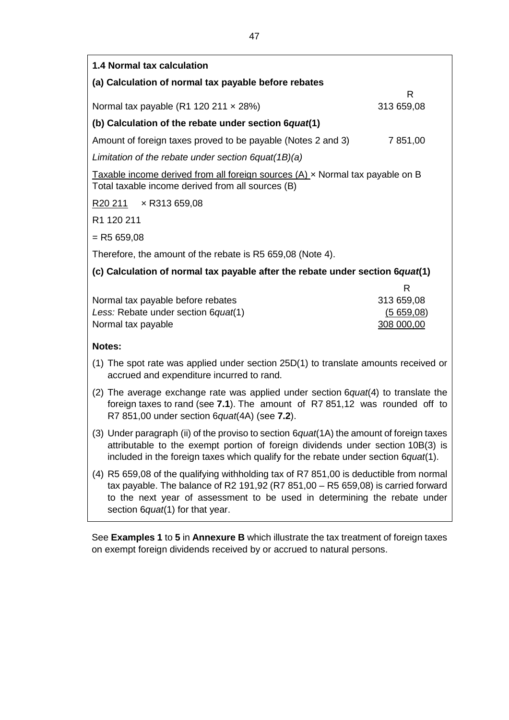| <b>1.4 Normal tax calculation</b>                                                                                                                                                                                           |                                            |  |
|-----------------------------------------------------------------------------------------------------------------------------------------------------------------------------------------------------------------------------|--------------------------------------------|--|
| (a) Calculation of normal tax payable before rebates                                                                                                                                                                        |                                            |  |
|                                                                                                                                                                                                                             | R                                          |  |
| Normal tax payable (R1 120 211 $\times$ 28%)                                                                                                                                                                                | 313 659,08                                 |  |
| (b) Calculation of the rebate under section 6quat(1)                                                                                                                                                                        |                                            |  |
| Amount of foreign taxes proved to be payable (Notes 2 and 3)                                                                                                                                                                | 7 851,00                                   |  |
| Limitation of the rebate under section 6quat(1B)(a)                                                                                                                                                                         |                                            |  |
| Taxable income derived from all foreign sources (A) $\times$ Normal tax payable on B<br>Total taxable income derived from all sources (B)                                                                                   |                                            |  |
| $\times$ R313 659,08<br>R <sub>20</sub> 211                                                                                                                                                                                 |                                            |  |
| R1 120 211                                                                                                                                                                                                                  |                                            |  |
| $=$ R5 659,08                                                                                                                                                                                                               |                                            |  |
| Therefore, the amount of the rebate is R5 659,08 (Note 4).                                                                                                                                                                  |                                            |  |
| (c) Calculation of normal tax payable after the rebate under section 6quat(1)                                                                                                                                               |                                            |  |
| Normal tax payable before rebates<br>Less: Rebate under section 6quat(1)<br>Normal tax payable                                                                                                                              | R<br>313 659,08<br>(5659,08)<br>308 000,00 |  |
| Notes:                                                                                                                                                                                                                      |                                            |  |
| (1) The spot rate was applied under section 25D(1) to translate amounts received or<br>accrued and expenditure incurred to rand.                                                                                            |                                            |  |
| (2) The average exchange rate was applied under section $6$ <i>quat</i> (4) to translate the<br>foreign taxes to rand (see 7.1). The amount of R7 851,12 was rounded off to<br>R7 851,00 under section 6quat(4A) (see 7.2). |                                            |  |

- (3) Under paragraph (ii) of the proviso to section 6*quat*(1A) the amount of foreign taxes attributable to the exempt portion of foreign dividends under section 10B(3) is included in the foreign taxes which qualify for the rebate under section 6*quat*(1).
- (4) R5 659,08 of the qualifying withholding tax of R7 851,00 is deductible from normal tax payable. The balance of R2 191,92 (R7 851,00 – R5 659,08) is carried forward to the next year of assessment to be used in determining the rebate under section 6*quat*(1) for that year.

See **Examples 1** to **5** in **[Annexure B](#page-93-0)** which illustrate the tax treatment of foreign taxes on exempt foreign dividends received by or accrued to natural persons.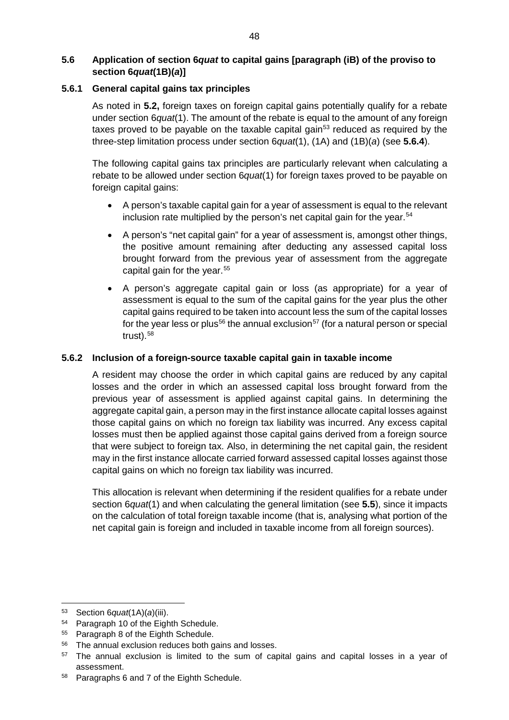### <span id="page-47-6"></span>**5.6 Application of section 6***quat* **to capital gains [paragraph (iB) of the proviso to section 6***quat***(1B)(***a***)]**

### **5.6.1 General capital gains tax principles**

As noted in **[5.2,](#page-9-0)** foreign taxes on foreign capital gains potentially qualify for a rebate under section 6*quat*(1). The amount of the rebate is equal to the amount of any foreign taxes proved to be payable on the taxable capital gain<sup>[53](#page-47-0)</sup> reduced as required by the three-step limitation process under section 6*quat*(1), (1A) and (1B)(*a*) (see **[5.6.4](#page-49-0)**).

The following capital gains tax principles are particularly relevant when calculating a rebate to be allowed under section 6*quat*(1) for foreign taxes proved to be payable on foreign capital gains:

- A person's taxable capital gain for a year of assessment is equal to the relevant inclusion rate multiplied by the person's net capital gain for the year.<sup>[54](#page-47-1)</sup>
- A person's "net capital gain" for a year of assessment is, amongst other things, the positive amount remaining after deducting any assessed capital loss brought forward from the previous year of assessment from the aggregate capital gain for the year.<sup>[55](#page-47-2)</sup>
- A person's aggregate capital gain or loss (as appropriate) for a year of assessment is equal to the sum of the capital gains for the year plus the other capital gains required to be taken into account less the sum of the capital losses for the year less or plus<sup>[56](#page-47-3)</sup> the annual exclusion<sup>[57](#page-47-4)</sup> (for a natural person or special trust).[58](#page-47-5)

### **5.6.2 Inclusion of a foreign-source taxable capital gain in taxable income**

A resident may choose the order in which capital gains are reduced by any capital losses and the order in which an assessed capital loss brought forward from the previous year of assessment is applied against capital gains. In determining the aggregate capital gain, a person may in the first instance allocate capital losses against those capital gains on which no foreign tax liability was incurred. Any excess capital losses must then be applied against those capital gains derived from a foreign source that were subject to foreign tax. Also, in determining the net capital gain, the resident may in the first instance allocate carried forward assessed capital losses against those capital gains on which no foreign tax liability was incurred.

This allocation is relevant when determining if the resident qualifies for a rebate under section 6*quat*(1) and when calculating the general limitation (see **[5.5](#page-37-3)**), since it impacts on the calculation of total foreign taxable income (that is, analysing what portion of the net capital gain is foreign and included in taxable income from all foreign sources).

<span id="page-47-0"></span> <sup>53</sup> Section <sup>6</sup>*quat*(1A)(*a*)(iii).

<span id="page-47-1"></span><sup>54</sup> Paragraph 10 of the Eighth Schedule.

<span id="page-47-2"></span><sup>55</sup> Paragraph 8 of the Eighth Schedule.

<span id="page-47-3"></span><sup>56</sup> The annual exclusion reduces both gains and losses.

<span id="page-47-4"></span><sup>&</sup>lt;sup>57</sup> The annual exclusion is limited to the sum of capital gains and capital losses in a year of assessment.

<span id="page-47-5"></span><sup>58</sup> Paragraphs 6 and 7 of the Eighth Schedule.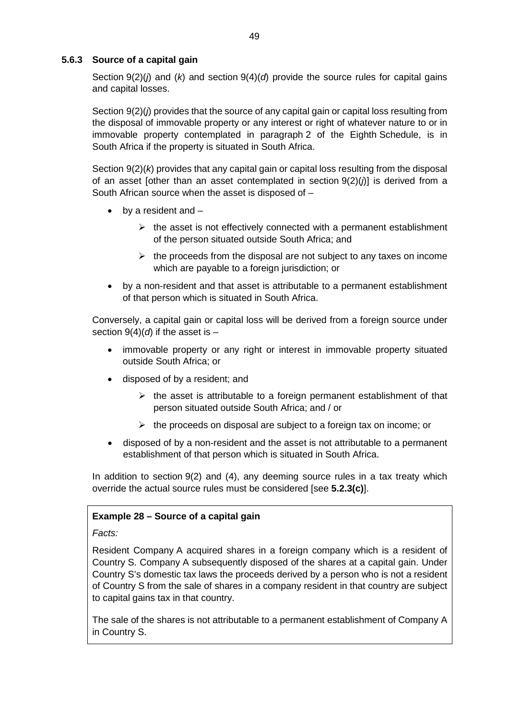### **5.6.3 Source of a capital gain**

Section  $9(2)(i)$  and  $(k)$  and section  $9(4)(d)$  provide the source rules for capital gains and capital losses.

Section 9(2)(*j*) provides that the source of any capital gain or capital loss resulting from the disposal of immovable property or any interest or right of whatever nature to or in immovable property contemplated in paragraph 2 of the Eighth Schedule, is in South Africa if the property is situated in South Africa.

Section 9(2)(*k*) provides that any capital gain or capital loss resulting from the disposal of an asset [other than an asset contemplated in section 9(2)(*j*)] is derived from a South African source when the asset is disposed of –

- $\bullet$  by a resident and  $-$ 
	- $\triangleright$  the asset is not effectively connected with a permanent establishment of the person situated outside South Africa; and
	- $\triangleright$  the proceeds from the disposal are not subject to any taxes on income which are payable to a foreign jurisdiction; or
- by a non-resident and that asset is attributable to a permanent establishment of that person which is situated in South Africa.

Conversely, a capital gain or capital loss will be derived from a foreign source under section  $9(4)(d)$  if the asset is -

- immovable property or any right or interest in immovable property situated outside South Africa; or
- disposed of by a resident; and
	- $\triangleright$  the asset is attributable to a foreign permanent establishment of that person situated outside South Africa; and / or
	- $\triangleright$  the proceeds on disposal are subject to a foreign tax on income; or
- disposed of by a non-resident and the asset is not attributable to a permanent establishment of that person which is situated in South Africa.

In addition to section 9(2) and (4), any deeming source rules in a tax treaty which override the actual source rules must be considered [see **[5.2.3\(c\)](#page-19-0)**].

### **Example 28 – Source of a capital gain**

### *Facts:*

Resident Company A acquired shares in a foreign company which is a resident of Country S. Company A subsequently disposed of the shares at a capital gain. Under Country S's domestic tax laws the proceeds derived by a person who is not a resident of Country S from the sale of shares in a company resident in that country are subject to capital gains tax in that country.

The sale of the shares is not attributable to a permanent establishment of Company A in Country S.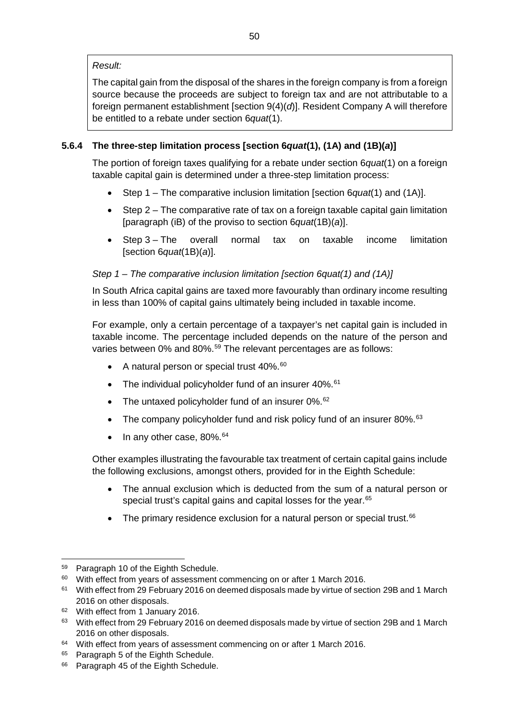### *Result:*

The capital gain from the disposal of the shares in the foreign company is from a foreign source because the proceeds are subject to foreign tax and are not attributable to a foreign permanent establishment [section 9(4)(*d*)]. Resident Company A will therefore be entitled to a rebate under section 6*quat*(1).

### <span id="page-49-0"></span>**5.6.4 The three-step limitation process [section 6***quat***(1), (1A) and (1B)(***a***)]**

The portion of foreign taxes qualifying for a rebate under section 6*quat*(1) on a foreign taxable capital gain is determined under a three-step limitation process:

- Step 1 The comparative inclusion limitation [section 6*quat*(1) and (1A)].
- Step 2 The comparative rate of tax on a foreign taxable capital gain limitation [paragraph (iB) of the proviso to section 6*quat*(1B)(*a*)].
- Step 3 The overall normal tax on taxable income limitation [section 6*quat*(1B)(*a*)].

### *Step 1 – The comparative inclusion limitation [section 6quat(1) and (1A)]*

In South Africa capital gains are taxed more favourably than ordinary income resulting in less than 100% of capital gains ultimately being included in taxable income.

For example, only a certain percentage of a taxpayer's net capital gain is included in taxable income. The percentage included depends on the nature of the person and varies between 0% and 80%.<sup>[59](#page-49-1)</sup> The relevant percentages are as follows:

- A natural person or special trust 40%.<sup>[60](#page-49-2)</sup>
- The individual policyholder fund of an insurer 40%.<sup>[61](#page-49-3)</sup>
- The untaxed policyholder fund of an insurer 0%.<sup>[62](#page-49-4)</sup>
- The company policyholder fund and risk policy fund of an insurer 80%.<sup>[63](#page-49-5)</sup>
- In any other case,  $80\%$ .  $64$

Other examples illustrating the favourable tax treatment of certain capital gains include the following exclusions, amongst others, provided for in the Eighth Schedule:

- The annual exclusion which is deducted from the sum of a natural person or special trust's capital gains and capital losses for the year. [65](#page-49-7)
- The primary residence exclusion for a natural person or special trust.<sup>[66](#page-49-8)</sup>

<span id="page-49-1"></span> <sup>59</sup> Paragraph 10 of the Eighth Schedule.

<span id="page-49-2"></span><sup>&</sup>lt;sup>60</sup> With effect from years of assessment commencing on or after 1 March 2016.

<span id="page-49-3"></span><sup>61</sup> With effect from 29 February 2016 on deemed disposals made by virtue of section 29B and 1 March 2016 on other disposals.

<span id="page-49-4"></span><sup>&</sup>lt;sup>62</sup> With effect from 1 January 2016.

<span id="page-49-5"></span><sup>63</sup> With effect from 29 February 2016 on deemed disposals made by virtue of section 29B and 1 March 2016 on other disposals.

<span id="page-49-6"></span><sup>&</sup>lt;sup>64</sup> With effect from years of assessment commencing on or after 1 March 2016.

<span id="page-49-7"></span><sup>&</sup>lt;sup>65</sup> Paragraph 5 of the Eighth Schedule.

<span id="page-49-8"></span><sup>66</sup> Paragraph 45 of the Eighth Schedule.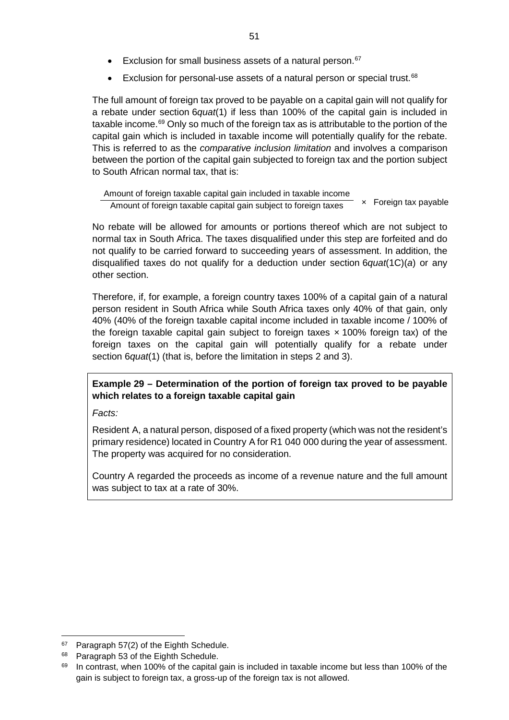Exclusion for personal-use assets of a natural person or special trust.<sup>[68](#page-50-1)</sup>

The full amount of foreign tax proved to be payable on a capital gain will not qualify for a rebate under section 6*quat*(1) if less than 100% of the capital gain is included in taxable income. [69](#page-50-2) Only so much of the foreign tax as is attributable to the portion of the capital gain which is included in taxable income will potentially qualify for the rebate. This is referred to as the *comparative inclusion limitation* and involves a comparison between the portion of the capital gain subjected to foreign tax and the portion subject to South African normal tax, that is:

#### Amount of foreign taxable capital gain included in taxable income Amount of foreign taxable capital gain subject to foreign taxes x Foreign tax payable

No rebate will be allowed for amounts or portions thereof which are not subject to normal tax in South Africa. The taxes disqualified under this step are forfeited and do not qualify to be carried forward to succeeding years of assessment. In addition, the disqualified taxes do not qualify for a deduction under section 6*quat*(1C)(*a*) or any other section.

Therefore, if, for example, a foreign country taxes 100% of a capital gain of a natural person resident in South Africa while South Africa taxes only 40% of that gain, only 40% (40% of the foreign taxable capital income included in taxable income / 100% of the foreign taxable capital gain subject to foreign taxes  $\times$  100% foreign tax) of the foreign taxes on the capital gain will potentially qualify for a rebate under section 6*quat*(1) (that is, before the limitation in steps 2 and 3).

# **Example 29 – Determination of the portion of foreign tax proved to be payable which relates to a foreign taxable capital gain**

*Facts:*

Resident A, a natural person, disposed of a fixed property (which was not the resident's primary residence) located in Country A for R1 040 000 during the year of assessment. The property was acquired for no consideration.

Country A regarded the proceeds as income of a revenue nature and the full amount was subject to tax at a rate of 30%.

<span id="page-50-0"></span> $67$  Paragraph 57(2) of the Eighth Schedule.

<span id="page-50-1"></span><sup>68</sup> Paragraph 53 of the Eighth Schedule.

<span id="page-50-2"></span> $69$  In contrast, when 100% of the capital gain is included in taxable income but less than 100% of the gain is subject to foreign tax, a gross-up of the foreign tax is not allowed.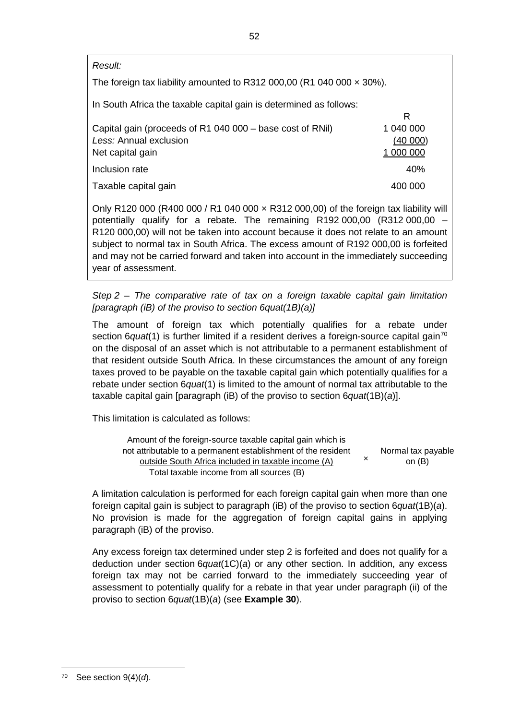*Result:*

The foreign tax liability amounted to R312 000,00 (R1 040 000  $\times$  30%).

In South Africa the taxable capital gain is determined as follows:

| Capital gain (proceeds of R1 040 000 – base cost of RNil)<br>Less: Annual exclusion<br>Net capital gain | 1 040 000<br>(40000)<br>1 000 000 |
|---------------------------------------------------------------------------------------------------------|-----------------------------------|
| Inclusion rate                                                                                          | 40%                               |
| Taxable capital gain                                                                                    | 400 000                           |

R

Only R120 000 (R400 000 / R1 040 000  $\times$  R312 000,00) of the foreign tax liability will potentially qualify for a rebate. The remaining R192 000,00 (R312 000,00 – R120 000,00) will not be taken into account because it does not relate to an amount subject to normal tax in South Africa. The excess amount of R192 000,00 is forfeited and may not be carried forward and taken into account in the immediately succeeding year of assessment.

*Step 2 – The comparative rate of tax on a foreign taxable capital gain limitation [paragraph (iB) of the proviso to section 6quat(1B)(a)]*

The amount of foreign tax which potentially qualifies for a rebate under section 6*quat*(1) is further limited if a resident derives a foreign-source capital gain<sup>[70](#page-51-0)</sup> on the disposal of an asset which is not attributable to a permanent establishment of that resident outside South Africa. In these circumstances the amount of any foreign taxes proved to be payable on the taxable capital gain which potentially qualifies for a rebate under section 6*quat*(1) is limited to the amount of normal tax attributable to the taxable capital gain [paragraph (iB) of the proviso to section 6*quat*(1B)(*a*)].

This limitation is calculated as follows:

| Amount of the foreign-source taxable capital gain which is    |                           |                    |
|---------------------------------------------------------------|---------------------------|--------------------|
| not attributable to a permanent establishment of the resident |                           | Normal tax payable |
| outside South Africa included in taxable income (A)           | $\boldsymbol{\mathsf{x}}$ | on $(B)$           |
| Total taxable income from all sources (B)                     |                           |                    |

A limitation calculation is performed for each foreign capital gain when more than one foreign capital gain is subject to paragraph (iB) of the proviso to section 6*quat*(1B)(*a*). No provision is made for the aggregation of foreign capital gains in applying paragraph (iB) of the proviso.

Any excess foreign tax determined under step 2 is forfeited and does not qualify for a deduction under section 6*quat*(1C)(*a*) or any other section. In addition, any excess foreign tax may not be carried forward to the immediately succeeding year of assessment to potentially qualify for a rebate in that year under paragraph (ii) of the proviso to section 6*quat*(1B)(*a*) (see **Example 30**).

<span id="page-51-0"></span> <sup>70</sup> See section 9(4)(*d*).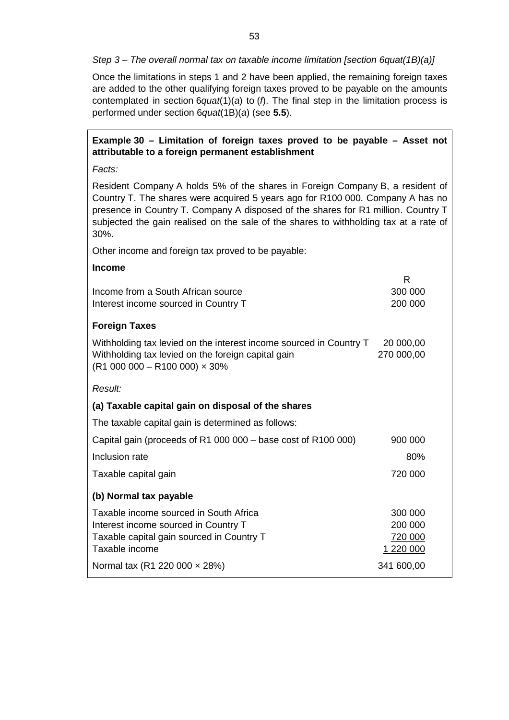#### *Step 3 – The overall normal tax on taxable income limitation [section 6quat(1B)(a)]*

Once the limitations in steps 1 and 2 have been applied, the remaining foreign taxes are added to the other qualifying foreign taxes proved to be payable on the amounts contemplated in section 6*quat*(1)(*a*) to (*f*). The final step in the limitation process is performed under section 6*quat*(1B)(*a*) (see **[5.5](#page-37-3)**).

| Example 30 - Limitation of foreign taxes proved to be payable - Asset not<br>attributable to a foreign permanent establishment                                                                                                                                                                                                                        |                                            |
|-------------------------------------------------------------------------------------------------------------------------------------------------------------------------------------------------------------------------------------------------------------------------------------------------------------------------------------------------------|--------------------------------------------|
| Facts:                                                                                                                                                                                                                                                                                                                                                |                                            |
| Resident Company A holds 5% of the shares in Foreign Company B, a resident of<br>Country T. The shares were acquired 5 years ago for R100 000. Company A has no<br>presence in Country T. Company A disposed of the shares for R1 million. Country T<br>subjected the gain realised on the sale of the shares to withholding tax at a rate of<br>30%. |                                            |
| Other income and foreign tax proved to be payable:                                                                                                                                                                                                                                                                                                    |                                            |
| <b>Income</b>                                                                                                                                                                                                                                                                                                                                         |                                            |
| Income from a South African source<br>Interest income sourced in Country T                                                                                                                                                                                                                                                                            | $\mathsf{R}$<br>300 000<br>200 000         |
| <b>Foreign Taxes</b>                                                                                                                                                                                                                                                                                                                                  |                                            |
| Withholding tax levied on the interest income sourced in Country T<br>Withholding tax levied on the foreign capital gain<br>$(R1 000 000 - R100 000) \times 30\%$                                                                                                                                                                                     | 20 000,00<br>270 000,00                    |
| Result:                                                                                                                                                                                                                                                                                                                                               |                                            |
| (a) Taxable capital gain on disposal of the shares                                                                                                                                                                                                                                                                                                    |                                            |
| The taxable capital gain is determined as follows:                                                                                                                                                                                                                                                                                                    |                                            |
| Capital gain (proceeds of R1 000 000 - base cost of R100 000)                                                                                                                                                                                                                                                                                         | 900 000                                    |
| Inclusion rate                                                                                                                                                                                                                                                                                                                                        | 80%                                        |
| Taxable capital gain                                                                                                                                                                                                                                                                                                                                  | 720 000                                    |
| (b) Normal tax payable                                                                                                                                                                                                                                                                                                                                |                                            |
| Taxable income sourced in South Africa<br>Interest income sourced in Country T<br>Taxable capital gain sourced in Country T<br>Taxable income                                                                                                                                                                                                         | 300 000<br>200 000<br>720 000<br>1 220 000 |
| Normal tax (R1 220 000 x 28%)                                                                                                                                                                                                                                                                                                                         | 341 600,00                                 |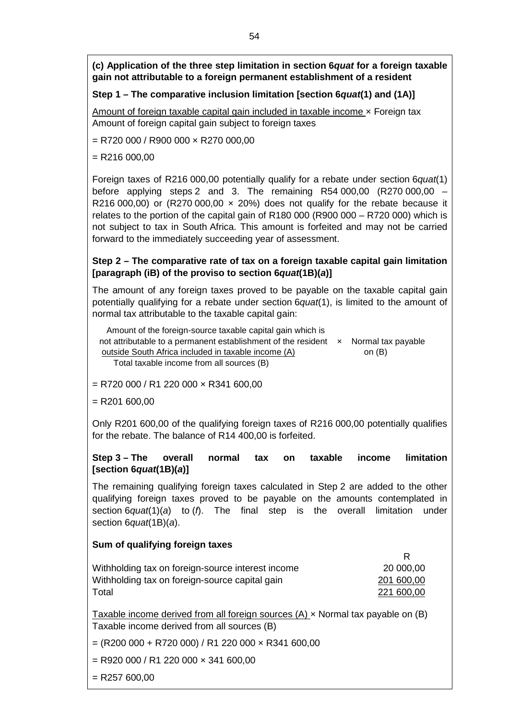**(c) Application of the three step limitation in section 6***quat* **for a foreign taxable gain not attributable to a foreign permanent establishment of a resident**

# **Step 1 – The comparative inclusion limitation [section 6***quat***(1) and (1A)]**

Amount of foreign taxable capital gain included in taxable income × Foreign tax Amount of foreign capital gain subject to foreign taxes

 $=$  R720 000 / R900 000  $\times$  R270 000,00

 $= R216 000,00$ 

Foreign taxes of R216 000,00 potentially qualify for a rebate under section 6*quat*(1) before applying steps 2 and 3. The remaining R54 000,00 (R270 000,00 – R216 000,00) or (R270 000,00  $\times$  20%) does not qualify for the rebate because it relates to the portion of the capital gain of R180 000 (R900 000 – R720 000) which is not subject to tax in South Africa. This amount is forfeited and may not be carried forward to the immediately succeeding year of assessment.

# **Step 2 – The comparative rate of tax on a foreign taxable capital gain limitation [paragraph (iB) of the proviso to section 6***quat***(1B)(***a***)]**

The amount of any foreign taxes proved to be payable on the taxable capital gain potentially qualifying for a rebate under section 6*quat*(1), is limited to the amount of normal tax attributable to the taxable capital gain:

 Amount of the foreign-source taxable capital gain which is not attributable to a permanent establishment of the resident  $\times$  Normal tax payable outside South Africa included in taxable income (A) on (B) Total taxable income from all sources (B)

 $=$  R720 000 / R1 220 000  $\times$  R341 600,00

 $=$  R201 600.00

Only R201 600,00 of the qualifying foreign taxes of R216 000,00 potentially qualifies for the rebate. The balance of R14 400,00 is forfeited.

# **Step 3 – The overall normal tax on taxable income limitation [section 6***quat***(1B)(***a***)]**

The remaining qualifying foreign taxes calculated in Step 2 are added to the other qualifying foreign taxes proved to be payable on the amounts contemplated in section 6*quat*(1)(*a*) to (*f*). The final step is the overall limitation under section 6*quat*(1B)(*a*).

R

# **Sum of qualifying foreign taxes**

| Withholding tax on foreign-source interest income | 20 000,00  |
|---------------------------------------------------|------------|
| Withholding tax on foreign-source capital gain    | 201 600,00 |
| Total                                             | 221 600,00 |

Taxable income derived from all foreign sources  $(A) \times$  Normal tax payable on  $(B)$ Taxable income derived from all sources (B)

 $=(R200000 + R720000) / R1220000 \times R34160000$ 

 $=$  R920 000 / R1 220 000  $\times$  341 600,00

 $=$  R257 600,00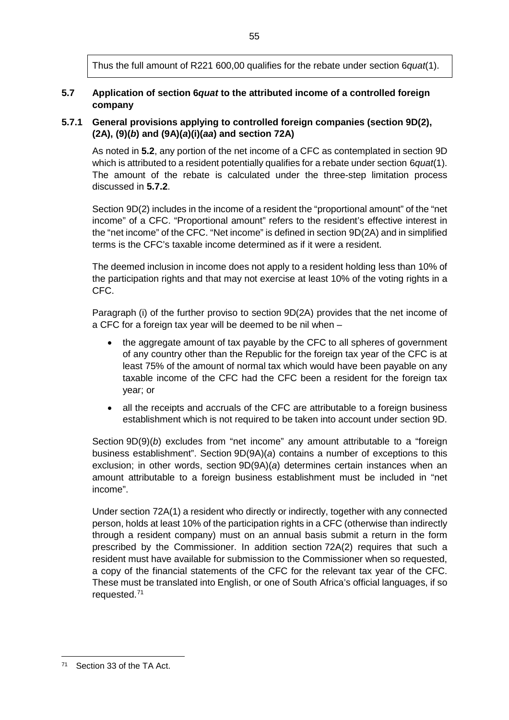Thus the full amount of R221 600,00 qualifies for the rebate under section 6*quat*(1).

# <span id="page-54-0"></span>**5.7 Application of section 6***quat* **to the attributed income of a controlled foreign company**

# **5.7.1 General provisions applying to controlled foreign companies (section 9D(2), (2A), (9)(***b***) and (9A)(***a***)(i)(***aa***) and section 72A)**

As noted in **[5.2](#page-9-0)**, any portion of the net income of a CFC as contemplated in section 9D which is attributed to a resident potentially qualifies for a rebate under section 6*quat*(1). The amount of the rebate is calculated under the three-step limitation process discussed in **[5.7.2](#page-57-0)**.

Section 9D(2) includes in the income of a resident the "proportional amount" of the "net income" of a CFC. "Proportional amount" refers to the resident's effective interest in the "net income" of the CFC. "Net income" is defined in section 9D(2A) and in simplified terms is the CFC's taxable income determined as if it were a resident.

The deemed inclusion in income does not apply to a resident holding less than 10% of the participation rights and that may not exercise at least 10% of the voting rights in a CFC.

Paragraph (i) of the further proviso to section 9D(2A) provides that the net income of a CFC for a foreign tax year will be deemed to be nil when –

- the aggregate amount of tax payable by the CFC to all spheres of government of any country other than the Republic for the foreign tax year of the CFC is at least 75% of the amount of normal tax which would have been payable on any taxable income of the CFC had the CFC been a resident for the foreign tax year; or
- all the receipts and accruals of the CFC are attributable to a foreign business establishment which is not required to be taken into account under section 9D.

Section 9D(9)(*b*) excludes from "net income" any amount attributable to a "foreign business establishment". Section 9D(9A)(*a*) contains a number of exceptions to this exclusion; in other words, section 9D(9A)(*a*) determines certain instances when an amount attributable to a foreign business establishment must be included in "net income".

Under section 72A(1) a resident who directly or indirectly, together with any connected person, holds at least 10% of the participation rights in a CFC (otherwise than indirectly through a resident company) must on an annual basis submit a return in the form prescribed by the Commissioner. In addition section 72A(2) requires that such a resident must have available for submission to the Commissioner when so requested, a copy of the financial statements of the CFC for the relevant tax year of the CFC. These must be translated into English, or one of South Africa's official languages, if so requested.[71](#page-55-0)

 <sup>71</sup> Section 33 of the TA Act.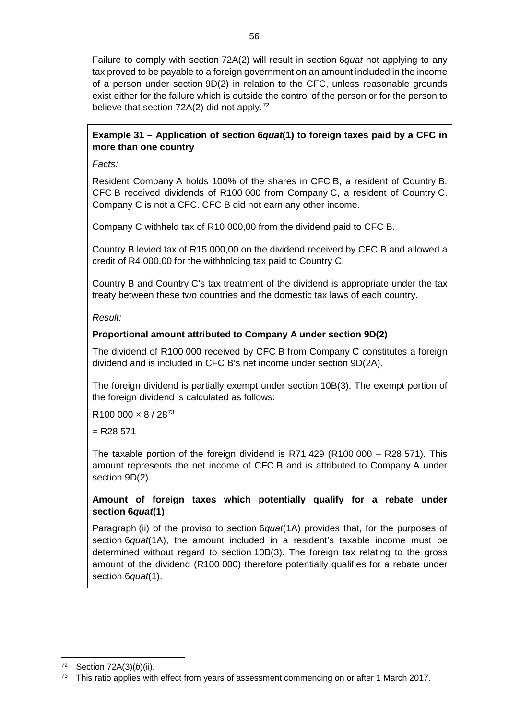Failure to comply with section 72A(2) will result in section 6*quat* not applying to any tax proved to be payable to a foreign government on an amount included in the income of a person under section 9D(2) in relation to the CFC, unless reasonable grounds exist either for the failure which is outside the control of the person or for the person to believe that section [72](#page-55-1)A(2) did not apply.<sup>72</sup>

# **Example 31 – Application of section 6***quat***(1) to foreign taxes paid by a CFC in more than one country**

*Facts:*

Resident Company A holds 100% of the shares in CFC B, a resident of Country B. CFC B received dividends of R100 000 from Company C, a resident of Country C. Company C is not a CFC. CFC B did not earn any other income.

Company C withheld tax of R10 000,00 from the dividend paid to CFC B.

Country B levied tax of R15 000,00 on the dividend received by CFC B and allowed a credit of R4 000,00 for the withholding tax paid to Country C.

Country B and Country C's tax treatment of the dividend is appropriate under the tax treaty between these two countries and the domestic tax laws of each country.

*Result:*

# **Proportional amount attributed to Company A under section 9D(2)**

The dividend of R100 000 received by CFC B from Company C constitutes a foreign dividend and is included in CFC B's net income under section 9D(2A).

The foreign dividend is partially exempt under section 10B(3). The exempt portion of the foreign dividend is calculated as follows:

R100 000  $\times$  8 / 28<sup>[73](#page-55-2)</sup>

 $= R28 571$ 

The taxable portion of the foreign dividend is R71 429 (R100 000 – R28 571). This amount represents the net income of CFC B and is attributed to Company A under section 9D(2).

# **Amount of foreign taxes which potentially qualify for a rebate under section 6***quat***(1)**

Paragraph (ii) of the proviso to section 6*quat*(1A) provides that, for the purposes of section 6*quat*(1A), the amount included in a resident's taxable income must be determined without regard to section 10B(3). The foreign tax relating to the gross amount of the dividend (R100 000) therefore potentially qualifies for a rebate under section 6*quat*(1).

<span id="page-55-1"></span><span id="page-55-0"></span> <sup>72</sup> Section 72A(3)(*b*)(ii).

<span id="page-55-2"></span><sup>&</sup>lt;sup>73</sup> This ratio applies with effect from years of assessment commencing on or after 1 March 2017.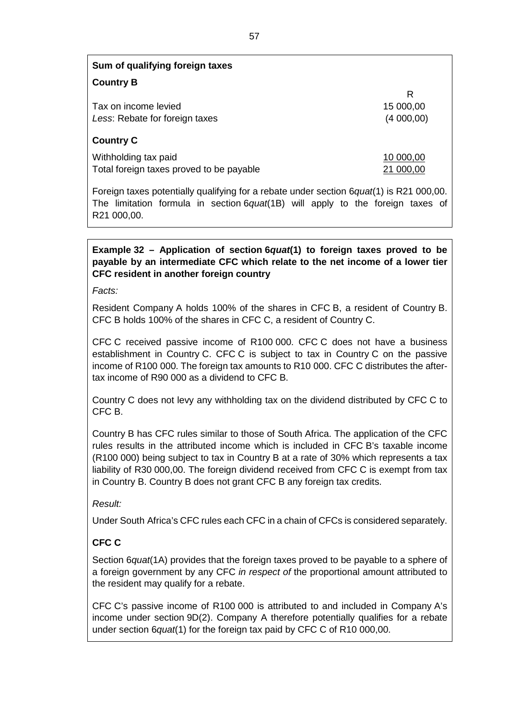| Sum of qualifying foreign taxes          |           |
|------------------------------------------|-----------|
| <b>Country B</b>                         |           |
|                                          | R         |
| Tax on income levied                     | 15 000,00 |
| Less: Rebate for foreign taxes           | (4000,00) |
| <b>Country C</b>                         |           |
| Withholding tax paid                     | 10 000,00 |
| Total foreign taxes proved to be payable | 21 000,00 |

Foreign taxes potentially qualifying for a rebate under section 6*quat*(1) is R21 000,00. The limitation formula in section 6*quat*(1B) will apply to the foreign taxes of R21 000,00.

### **Example 32 – Application of section 6***quat***(1) to foreign taxes proved to be payable by an intermediate CFC which relate to the net income of a lower tier CFC resident in another foreign country**

*Facts:*

Resident Company A holds 100% of the shares in CFC B, a resident of Country B. CFC B holds 100% of the shares in CFC C, a resident of Country C.

CFC C received passive income of R100 000. CFC C does not have a business establishment in Country C. CFC C is subject to tax in Country C on the passive income of R100 000. The foreign tax amounts to R10 000. CFC C distributes the aftertax income of R90 000 as a dividend to CFC B.

Country C does not levy any withholding tax on the dividend distributed by CFC C to CFC B.

Country B has CFC rules similar to those of South Africa. The application of the CFC rules results in the attributed income which is included in CFC B's taxable income (R100 000) being subject to tax in Country B at a rate of 30% which represents a tax liability of R30 000,00. The foreign dividend received from CFC C is exempt from tax in Country B. Country B does not grant CFC B any foreign tax credits.

*Result:*

Under South Africa's CFC rules each CFC in a chain of CFCs is considered separately.

# **CFC C**

Section 6*quat*(1A) provides that the foreign taxes proved to be payable to a sphere of a foreign government by any CFC *in respect of* the proportional amount attributed to the resident may qualify for a rebate.

CFC C's passive income of R100 000 is attributed to and included in Company A's income under section 9D(2). Company A therefore potentially qualifies for a rebate under section 6*quat*(1) for the foreign tax paid by CFC C of R10 000,00.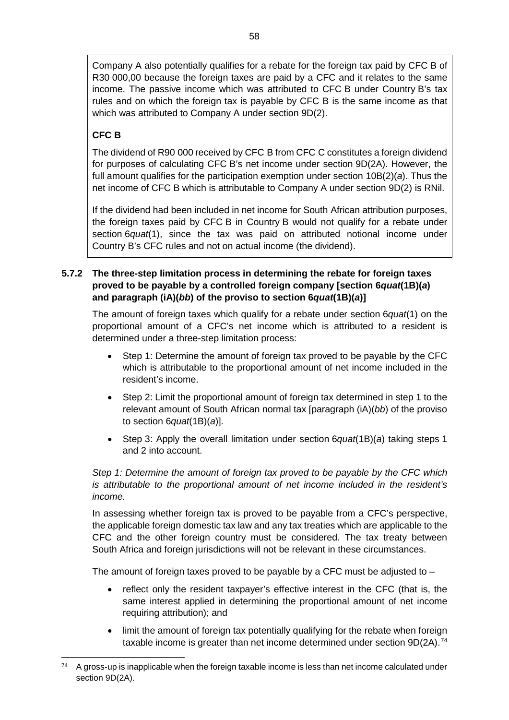Company A also potentially qualifies for a rebate for the foreign tax paid by CFC B of R30 000,00 because the foreign taxes are paid by a CFC and it relates to the same income. The passive income which was attributed to CFC B under Country B's tax rules and on which the foreign tax is payable by CFC B is the same income as that which was attributed to Company A under section 9D(2).

# **CFC B**

The dividend of R90 000 received by CFC B from CFC C constitutes a foreign dividend for purposes of calculating CFC B's net income under section 9D(2A). However, the full amount qualifies for the participation exemption under section 10B(2)(*a*). Thus the net income of CFC B which is attributable to Company A under section 9D(2) is RNil.

If the dividend had been included in net income for South African attribution purposes, the foreign taxes paid by CFC B in Country B would not qualify for a rebate under section 6*quat*(1), since the tax was paid on attributed notional income under Country B's CFC rules and not on actual income (the dividend).

# <span id="page-57-0"></span>**5.7.2 The three-step limitation process in determining the rebate for foreign taxes proved to be payable by a controlled foreign company [section 6***quat***(1B)(***a***) and paragraph (iA)(***bb***) of the proviso to section 6***quat***(1B)(***a***)]**

The amount of foreign taxes which qualify for a rebate under section 6*quat*(1) on the proportional amount of a CFC's net income which is attributed to a resident is determined under a three-step limitation process:

- Step 1: Determine the amount of foreign tax proved to be payable by the CFC which is attributable to the proportional amount of net income included in the resident's income.
- Step 2: Limit the proportional amount of foreign tax determined in step 1 to the relevant amount of South African normal tax [paragraph (iA)(*bb*) of the proviso to section 6*quat*(1B)(*a*)].
- Step 3: Apply the overall limitation under section 6*quat*(1B)(*a*) taking steps 1 and 2 into account.

*Step 1: Determine the amount of foreign tax proved to be payable by the CFC which is attributable to the proportional amount of net income included in the resident's income.*

In assessing whether foreign tax is proved to be payable from a CFC's perspective, the applicable foreign domestic tax law and any tax treaties which are applicable to the CFC and the other foreign country must be considered. The tax treaty between South Africa and foreign jurisdictions will not be relevant in these circumstances.

The amount of foreign taxes proved to be payable by a CFC must be adjusted to  $-$ 

- reflect only the resident taxpayer's effective interest in the CFC (that is, the same interest applied in determining the proportional amount of net income requiring attribution); and
- limit the amount of foreign tax potentially qualifying for the rebate when foreign taxable income is greater than net income determined under section 9D(2A).<sup>[74](#page-57-1)</sup>

<span id="page-57-1"></span> <sup>74</sup> A gross-up is inapplicable when the foreign taxable income is less than net income calculated under section 9D(2A).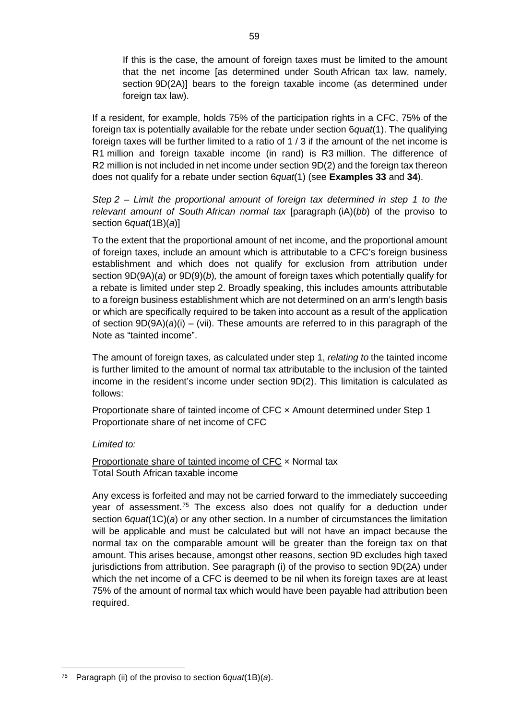If this is the case, the amount of foreign taxes must be limited to the amount that the net income [as determined under South African tax law, namely, section 9D(2A)] bears to the foreign taxable income (as determined under foreign tax law).

If a resident, for example, holds 75% of the participation rights in a CFC, 75% of the foreign tax is potentially available for the rebate under section 6*quat*(1). The qualifying foreign taxes will be further limited to a ratio of 1 / 3 if the amount of the net income is R1 million and foreign taxable income (in rand) is R3 million. The difference of R2 million is not included in net income under section 9D(2) and the foreign tax thereon does not qualify for a rebate under section 6*quat*(1) (see **Examples 33** and **34**).

*Step 2 – Limit the proportional amount of foreign tax determined in step 1 to the relevant amount of South African normal tax* [paragraph (iA)(*bb*) of the proviso to section 6*quat*(1B)(*a*)]

To the extent that the proportional amount of net income, and the proportional amount of foreign taxes, include an amount which is attributable to a CFC's foreign business establishment and which does not qualify for exclusion from attribution under section 9D(9A)(*a*) or 9D(9)(*b*)*,* the amount of foreign taxes which potentially qualify for a rebate is limited under step 2. Broadly speaking, this includes amounts attributable to a foreign business establishment which are not determined on an arm's length basis or which are specifically required to be taken into account as a result of the application of section  $9D(9A)(a)(i) - (vii)$ . These amounts are referred to in this paragraph of the Note as "tainted income".

The amount of foreign taxes, as calculated under step 1, *relating to* the tainted income is further limited to the amount of normal tax attributable to the inclusion of the tainted income in the resident's income under section 9D(2). This limitation is calculated as follows:

Proportionate share of tainted income of CFC x Amount determined under Step 1 Proportionate share of net income of CFC

*Limited to:*

Proportionate share of tainted income of CFC × Normal tax Total South African taxable income

Any excess is forfeited and may not be carried forward to the immediately succeeding year of assessment. [75](#page-58-0) The excess also does not qualify for a deduction under section 6*quat*(1C)(*a*) or any other section. In a number of circumstances the limitation will be applicable and must be calculated but will not have an impact because the normal tax on the comparable amount will be greater than the foreign tax on that amount. This arises because, amongst other reasons, section 9D excludes high taxed jurisdictions from attribution. See paragraph (i) of the proviso to section 9D(2A) under which the net income of a CFC is deemed to be nil when its foreign taxes are at least 75% of the amount of normal tax which would have been payable had attribution been required.

<span id="page-58-0"></span> <sup>75</sup> Paragraph (ii) of the proviso to section <sup>6</sup>*quat*(1B)(*a*).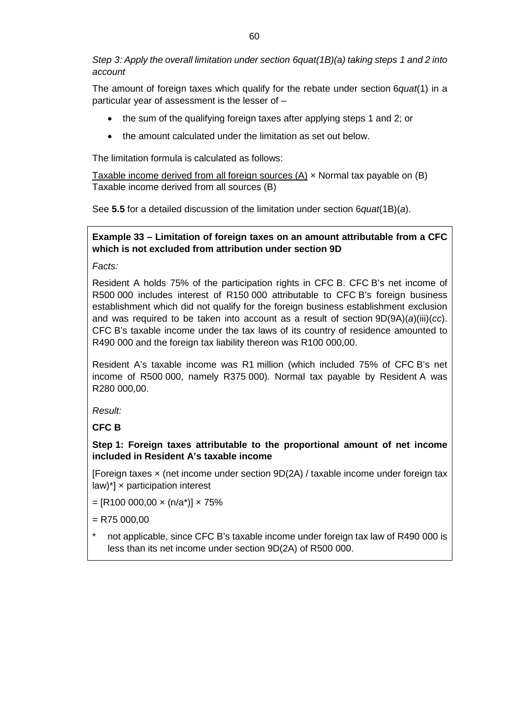The amount of foreign taxes which qualify for the rebate under section 6*quat*(1) in a particular year of assessment is the lesser of –

- the sum of the qualifying foreign taxes after applying steps 1 and 2; or
- the amount calculated under the limitation as set out below.

The limitation formula is calculated as follows:

Taxable income derived from all foreign sources  $(A) \times$  Normal tax payable on  $(B)$ Taxable income derived from all sources (B)

See **[5.5](#page-37-3)** for a detailed discussion of the limitation under section 6*quat*(1B)(*a*).

# **Example 33 – Limitation of foreign taxes on an amount attributable from a CFC which is not excluded from attribution under section 9D**

*Facts:*

Resident A holds 75% of the participation rights in CFC B. CFC B's net income of R500 000 includes interest of R150 000 attributable to CFC B's foreign business establishment which did not qualify for the foreign business establishment exclusion and was required to be taken into account as a result of section 9D(9A)(*a*)(iii)(*cc*). CFC B's taxable income under the tax laws of its country of residence amounted to R490 000 and the foreign tax liability thereon was R100 000,00.

Resident A's taxable income was R1 million (which included 75% of CFC B's net income of R500 000, namely R375 000). Normal tax payable by Resident A was R280 000,00.

*Result:*

**CFC B**

**Step 1: Foreign taxes attributable to the proportional amount of net income included in Resident A's taxable income**

[Foreign taxes  $\times$  (net income under section  $9D(2A)$  / taxable income under foreign tax  $law$ <sup>\*</sup>]  $\times$  participation interest

 $=$  [R100 000,00  $\times$  (n/a<sup>\*</sup>)]  $\times$  75%

 $=$  R75 000,00

not applicable, since CFC B's taxable income under foreign tax law of R490 000 is less than its net income under section 9D(2A) of R500 000.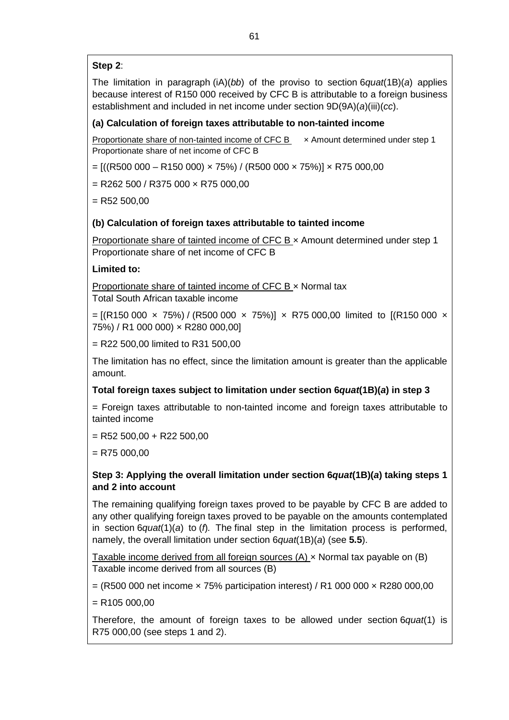# **Step 2**:

The limitation in paragraph (iA)(*bb*) of the proviso to section 6*quat*(1B)(*a*) applies because interest of R150 000 received by CFC B is attributable to a foreign business establishment and included in net income under section 9D(9A)(*a*)(iii)(*cc*).

# **(a) Calculation of foreign taxes attributable to non-tainted income**

Proportionate share of non-tainted income of CFC B × Amount determined under step 1 Proportionate share of net income of CFC B

 $=$  [((R500 000 – R150 000)  $\times$  75%) / (R500 000  $\times$  75%)]  $\times$  R75 000,00

 $=$  R262 500 / R375 000  $\times$  R75 000,00

 $=$  R52 500,00

# **(b) Calculation of foreign taxes attributable to tainted income**

Proportionate share of tainted income of CFC B × Amount determined under step 1 Proportionate share of net income of CFC B

# **Limited to:**

Proportionate share of tainted income of CFC B × Normal tax Total South African taxable income

 $= [(R150 000 \times 75\%) / (R500 000 \times 75\%)] \times R75 000.00$  limited to  $[(R150 000 \times$ 75%) / R1 000 000) × R280 000,00]

= R22 500,00 limited to R31 500,00

The limitation has no effect, since the limitation amount is greater than the applicable amount.

# **Total foreign taxes subject to limitation under section 6***quat***(1B)(***a***) in step 3**

= Foreign taxes attributable to non-tainted income and foreign taxes attributable to tainted income

 $=$  R52 500,00 + R22 500,00

 $=$  R75 000,00

# **Step 3: Applying the overall limitation under section 6***quat***(1B)(***a***) taking steps 1 and 2 into account**

The remaining qualifying foreign taxes proved to be payable by CFC B are added to any other qualifying foreign taxes proved to be payable on the amounts contemplated in section 6*quat*(1)(*a*) to (*f*)*.* The final step in the limitation process is performed, namely, the overall limitation under section 6*quat*(1B)(*a*) (see **[5.5](#page-37-3)**).

Taxable income derived from all foreign sources  $(A) \times$  Normal tax payable on  $(B)$ Taxable income derived from all sources (B)

 $=$  (R500 000 net income  $\times$  75% participation interest) / R1 000 000  $\times$  R280 000,00

 $= R105 000.00$ 

Therefore, the amount of foreign taxes to be allowed under section 6*quat*(1) is R75 000,00 (see steps 1 and 2).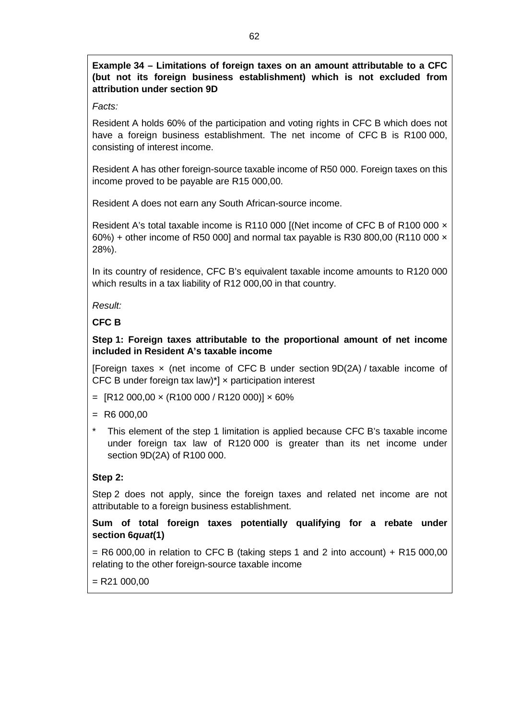# **Example 34 – Limitations of foreign taxes on an amount attributable to a CFC (but not its foreign business establishment) which is not excluded from attribution under section 9D**

*Facts:*

Resident A holds 60% of the participation and voting rights in CFC B which does not have a foreign business establishment. The net income of CFC B is R100 000, consisting of interest income.

Resident A has other foreign-source taxable income of R50 000. Foreign taxes on this income proved to be payable are R15 000,00.

Resident A does not earn any South African-source income.

Resident A's total taxable income is R110 000 [(Net income of CFC B of R100 000  $\times$ 60%) + other income of R50 000] and normal tax payable is R30 800,00 (R110 000  $\times$ 28%).

In its country of residence, CFC B's equivalent taxable income amounts to R120 000 which results in a tax liability of R12 000,00 in that country.

*Result:*

**CFC B**

### **Step 1: Foreign taxes attributable to the proportional amount of net income included in Resident A's taxable income**

[Foreign taxes × (net income of CFC B under section 9D(2A) / taxable income of CFC B under foreign tax law)\*] × participation interest

- $=$  [R12 000,00  $\times$  (R100 000 / R120 000)]  $\times$  60%
- $=$  R6 000,00
- This element of the step 1 limitation is applied because CFC B's taxable income under foreign tax law of R120 000 is greater than its net income under section 9D(2A) of R100 000.

# **Step 2:**

Step 2 does not apply, since the foreign taxes and related net income are not attributable to a foreign business establishment.

# **Sum of total foreign taxes potentially qualifying for a rebate under section 6***quat***(1)**

 $=$  R6 000,00 in relation to CFC B (taking steps 1 and 2 into account) + R15 000,00 relating to the other foreign-source taxable income

 $= R21 000,00$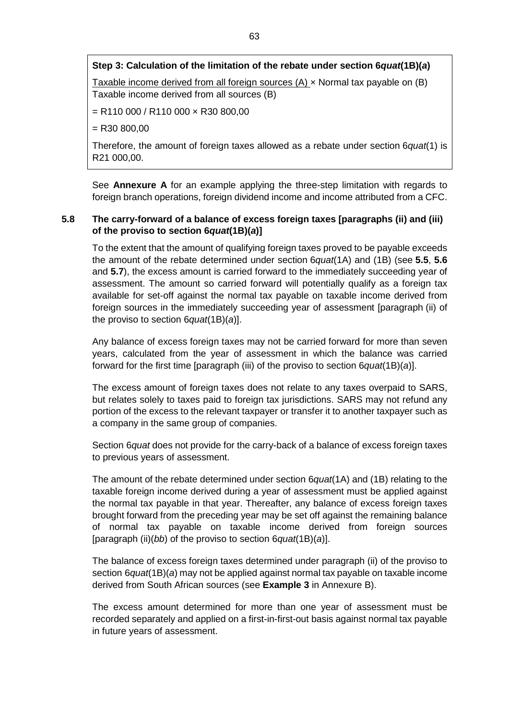# **Step 3: Calculation of the limitation of the rebate under section 6***quat***(1B)(***a***)**

Taxable income derived from all foreign sources  $(A) \times$  Normal tax payable on  $(B)$ Taxable income derived from all sources (B)

 $=$  R110 000 / R110 000  $\times$  R30 800,00

 $=$  R30 800,00

Therefore, the amount of foreign taxes allowed as a rebate under section 6*quat*(1) is R21 000,00.

See **[Annexure A](#page-88-0)** for an example applying the three-step limitation with regards to foreign branch operations, foreign dividend income and income attributed from a CFC.

### <span id="page-62-0"></span>**5.8 The carry-forward of a balance of excess foreign taxes [paragraphs (ii) and (iii) of the proviso to section 6***quat***(1B)(***a***)]**

To the extent that the amount of qualifying foreign taxes proved to be payable exceeds the amount of the rebate determined under section 6*quat*(1A) and (1B) (see **[5.5](#page-37-3)**, **[5.6](#page-47-6)** and **[5.7](#page-54-0)**), the excess amount is carried forward to the immediately succeeding year of assessment. The amount so carried forward will potentially qualify as a foreign tax available for set-off against the normal tax payable on taxable income derived from foreign sources in the immediately succeeding year of assessment [paragraph (ii) of the proviso to section 6*quat*(1B)(*a*)].

Any balance of excess foreign taxes may not be carried forward for more than seven years, calculated from the year of assessment in which the balance was carried forward for the first time [paragraph (iii) of the proviso to section 6*quat*(1B)(*a*)].

The excess amount of foreign taxes does not relate to any taxes overpaid to SARS, but relates solely to taxes paid to foreign tax jurisdictions. SARS may not refund any portion of the excess to the relevant taxpayer or transfer it to another taxpayer such as a company in the same group of companies.

Section 6*quat* does not provide for the carry-back of a balance of excess foreign taxes to previous years of assessment.

The amount of the rebate determined under section 6*quat*(1A) and (1B) relating to the taxable foreign income derived during a year of assessment must be applied against the normal tax payable in that year. Thereafter, any balance of excess foreign taxes brought forward from the preceding year may be set off against the remaining balance of normal tax payable on taxable income derived from foreign sources [paragraph (ii)(*bb*) of the proviso to section 6*quat*(1B)(*a*)].

The balance of excess foreign taxes determined under paragraph (ii) of the proviso to section 6*quat*(1B)(*a*) may not be applied against normal tax payable on taxable income derived from South African sources (see **Example 3** in [Annexure](#page-93-0) B).

The excess amount determined for more than one year of assessment must be recorded separately and applied on a first-in-first-out basis against normal tax payable in future years of assessment.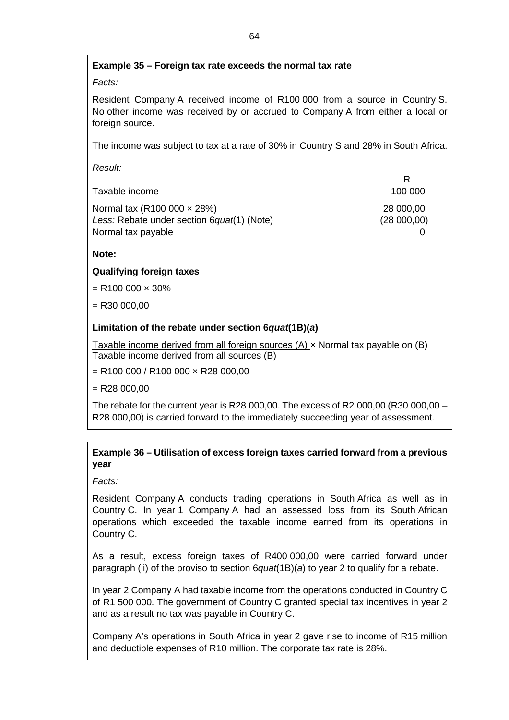# **Example 35 – Foreign tax rate exceeds the normal tax rate**

*Facts:*

Resident Company A received income of R100 000 from a source in Country S. No other income was received by or accrued to Company A from either a local or foreign source.

The income was subject to tax at a rate of 30% in Country S and 28% in South Africa.

 $\blacksquare$ 

| 100 000     |
|-------------|
| 28 000,00   |
| (28,000,00) |
|             |
|             |

**Note:**

# **Qualifying foreign taxes**

 $=$  R100 000  $\times$  30%

 $=$  R30 000,00

# **Limitation of the rebate under section 6***quat***(1B)(***a***)**

Taxable income derived from all foreign sources  $(A) \times$  Normal tax payable on  $(B)$ Taxable income derived from all sources (B)

 $=$  R100 000 / R100 000  $\times$  R28 000,00

 $=$  R28 000,00

The rebate for the current year is R28 000,00. The excess of R2 000,00 (R30 000,00  $-$ R28 000,00) is carried forward to the immediately succeeding year of assessment.

# **Example 36 – Utilisation of excess foreign taxes carried forward from a previous year**

*Facts:*

Resident Company A conducts trading operations in South Africa as well as in Country C. In year 1 Company A had an assessed loss from its South African operations which exceeded the taxable income earned from its operations in Country C.

As a result, excess foreign taxes of R400 000,00 were carried forward under paragraph (ii) of the proviso to section 6*quat*(1B)(*a*) to year 2 to qualify for a rebate.

In year 2 Company A had taxable income from the operations conducted in Country C of R1 500 000. The government of Country C granted special tax incentives in year 2 and as a result no tax was payable in Country C.

Company A's operations in South Africa in year 2 gave rise to income of R15 million and deductible expenses of R10 million. The corporate tax rate is 28%.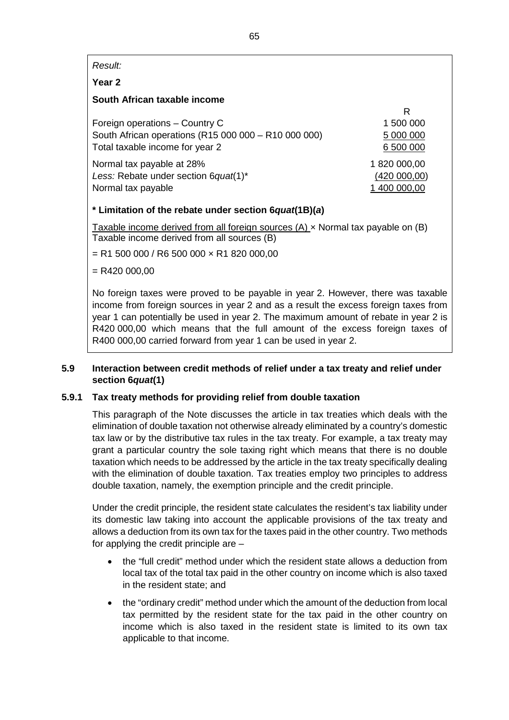*Result:* **Year 2**

# **South African taxable income**

| 1 500 000<br>5 000 000 |
|------------------------|
|                        |
|                        |
| 6 500 000              |
| 1820 000,00            |
| (420 000, 00)          |
| 1 400 000,00           |
|                        |

# **\* Limitation of the rebate under section 6***quat***(1B)(***a***)**

Taxable income derived from all foreign sources  $(A) \times$  Normal tax payable on  $(B)$ Taxable income derived from all sources (B)

 $=$  R1 500 000 / R6 500 000  $\times$  R1 820 000,00

 $= R420 000,00$ 

No foreign taxes were proved to be payable in year 2. However, there was taxable income from foreign sources in year 2 and as a result the excess foreign taxes from year 1 can potentially be used in year 2. The maximum amount of rebate in year 2 is R420 000,00 which means that the full amount of the excess foreign taxes of R400 000,00 carried forward from year 1 can be used in year 2.

### **5.9 Interaction between credit methods of relief under a tax treaty and relief under section 6***quat***(1)**

# **5.9.1 Tax treaty methods for providing relief from double taxation**

This paragraph of the Note discusses the article in tax treaties which deals with the elimination of double taxation not otherwise already eliminated by a country's domestic tax law or by the distributive tax rules in the tax treaty. For example, a tax treaty may grant a particular country the sole taxing right which means that there is no double taxation which needs to be addressed by the article in the tax treaty specifically dealing with the elimination of double taxation. Tax treaties employ two principles to address double taxation, namely, the exemption principle and the credit principle.

Under the credit principle, the resident state calculates the resident's tax liability under its domestic law taking into account the applicable provisions of the tax treaty and allows a deduction from its own tax for the taxes paid in the other country. Two methods for applying the credit principle are –

- the "full credit" method under which the resident state allows a deduction from local tax of the total tax paid in the other country on income which is also taxed in the resident state; and
- the "ordinary credit" method under which the amount of the deduction from local tax permitted by the resident state for the tax paid in the other country on income which is also taxed in the resident state is limited to its own tax applicable to that income.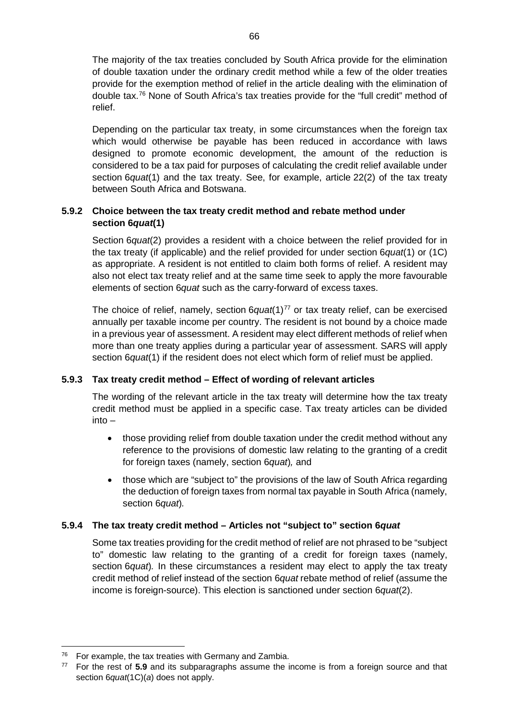The majority of the tax treaties concluded by South Africa provide for the elimination of double taxation under the ordinary credit method while a few of the older treaties provide for the exemption method of relief in the article dealing with the elimination of double tax. [76](#page-65-0) None of South Africa's tax treaties provide for the "full credit" method of relief.

Depending on the particular tax treaty, in some circumstances when the foreign tax which would otherwise be payable has been reduced in accordance with laws designed to promote economic development, the amount of the reduction is considered to be a tax paid for purposes of calculating the credit relief available under section 6*quat*(1) and the tax treaty. See, for example, article 22(2) of the tax treaty between South Africa and Botswana.

### **5.9.2 Choice between the tax treaty credit method and rebate method under section 6***quat***(1)**

Section 6*quat*(2) provides a resident with a choice between the relief provided for in the tax treaty (if applicable) and the relief provided for under section 6*quat*(1) or (1C) as appropriate. A resident is not entitled to claim both forms of relief. A resident may also not elect tax treaty relief and at the same time seek to apply the more favourable elements of section 6*quat* such as the carry-forward of excess taxes.

The choice of relief, namely, section 6*quat*(1)<sup>[77](#page-65-1)</sup> or tax treaty relief, can be exercised annually per taxable income per country. The resident is not bound by a choice made in a previous year of assessment. A resident may elect different methods of relief when more than one treaty applies during a particular year of assessment. SARS will apply section 6*quat*(1) if the resident does not elect which form of relief must be applied.

# **5.9.3 Tax treaty credit method – Effect of wording of relevant articles**

The wording of the relevant article in the tax treaty will determine how the tax treaty credit method must be applied in a specific case. Tax treaty articles can be divided  $into -$ 

- those providing relief from double taxation under the credit method without any reference to the provisions of domestic law relating to the granting of a credit for foreign taxes (namely, section 6*quat*)*,* and
- those which are "subject to" the provisions of the law of South Africa regarding the deduction of foreign taxes from normal tax payable in South Africa (namely, section 6*quat*)*.*

### <span id="page-65-2"></span>**5.9.4 The tax treaty credit method – Articles not "subject to" section 6***quat*

Some tax treaties providing for the credit method of relief are not phrased to be "subject to" domestic law relating to the granting of a credit for foreign taxes (namely, section 6*quat*)*.* In these circumstances a resident may elect to apply the tax treaty credit method of relief instead of the section 6*quat* rebate method of relief (assume the income is foreign-source). This election is sanctioned under section 6*quat*(2).

<span id="page-65-0"></span> $76$  For example, the tax treaties with Germany and Zambia.

<span id="page-65-1"></span><sup>77</sup> For the rest of **5.9** and its subparagraphs assume the income is from a foreign source and that section 6*quat*(1C)(*a*) does not apply.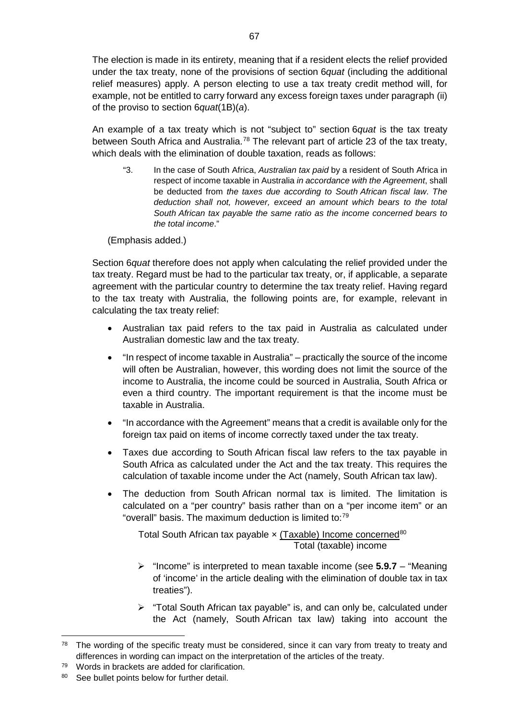The election is made in its entirety, meaning that if a resident elects the relief provided under the tax treaty, none of the provisions of section 6*quat* (including the additional relief measures) apply. A person electing to use a tax treaty credit method will, for example, not be entitled to carry forward any excess foreign taxes under paragraph (ii) of the proviso to section 6*quat*(1B)(*a*).

An example of a tax treaty which is not "subject to" section 6*quat* is the tax treaty between South Africa and Australia.<sup>[78](#page-66-0)</sup> The relevant part of article 23 of the tax treaty, which deals with the elimination of double taxation, reads as follows:

"3. In the case of South Africa, *Australian tax paid* by a resident of South Africa in respect of income taxable in Australia *in accordance with the Agreement*, shall be deducted from *the taxes due according to South African fiscal law*. *The deduction shall not, however, exceed an amount which bears to the total South African tax payable the same ratio as the income concerned bears to the total income*."

(Emphasis added.)

Section 6*quat* therefore does not apply when calculating the relief provided under the tax treaty. Regard must be had to the particular tax treaty, or, if applicable, a separate agreement with the particular country to determine the tax treaty relief. Having regard to the tax treaty with Australia, the following points are, for example, relevant in calculating the tax treaty relief:

- Australian tax paid refers to the tax paid in Australia as calculated under Australian domestic law and the tax treaty.
- "In respect of income taxable in Australia" practically the source of the income will often be Australian, however, this wording does not limit the source of the income to Australia, the income could be sourced in Australia, South Africa or even a third country. The important requirement is that the income must be taxable in Australia.
- "In accordance with the Agreement" means that a credit is available only for the foreign tax paid on items of income correctly taxed under the tax treaty.
- Taxes due according to South African fiscal law refers to the tax payable in South Africa as calculated under the Act and the tax treaty. This requires the calculation of taxable income under the Act (namely, South African tax law).
- The deduction from South African normal tax is limited. The limitation is calculated on a "per country" basis rather than on a "per income item" or an "overall" basis. The maximum deduction is limited to:[79](#page-66-1)

Total South African tax payable x (Taxable) Income concerned<sup>[80](#page-66-2)</sup> Total (taxable) income

- "Income" is interpreted to mean taxable income (see **[5.9.7](#page-72-0)** "Meaning of 'income' in the article dealing with the elimination of double tax in tax treaties").
- > "Total South African tax payable" is, and can only be, calculated under the Act (namely, South African tax law) taking into account the

<span id="page-66-0"></span><sup>&</sup>lt;sup>78</sup> The wording of the specific treaty must be considered, since it can vary from treaty to treaty and differences in wording can impact on the interpretation of the articles of the treaty.

<span id="page-66-1"></span> $79$  Words in brackets are added for clarification.

<span id="page-66-2"></span><sup>80</sup> See bullet points below for further detail.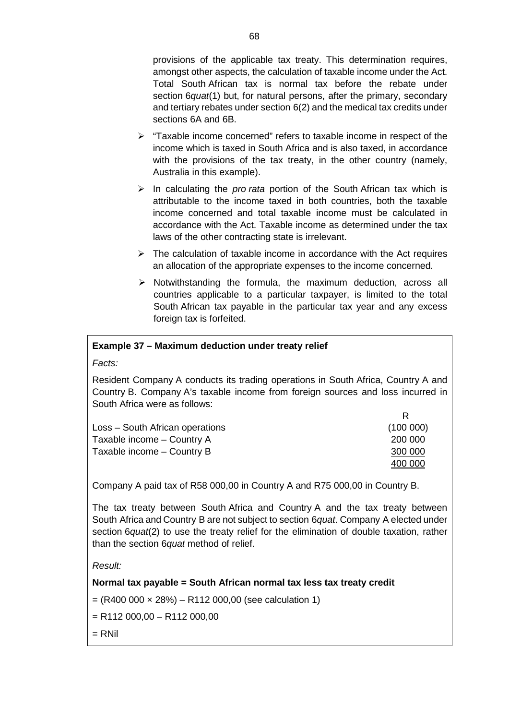provisions of the applicable tax treaty. This determination requires, amongst other aspects, the calculation of taxable income under the Act. Total South African tax is normal tax before the rebate under section 6*quat*(1) but, for natural persons, after the primary, secondary and tertiary rebates under section 6(2) and the medical tax credits under sections 6A and 6B.

- $\triangleright$  "Taxable income concerned" refers to taxable income in respect of the income which is taxed in South Africa and is also taxed, in accordance with the provisions of the tax treaty, in the other country (namely, Australia in this example).
- In calculating the *pro rata* portion of the South African tax which is attributable to the income taxed in both countries, both the taxable income concerned and total taxable income must be calculated in accordance with the Act. Taxable income as determined under the tax laws of the other contracting state is irrelevant.
- $\triangleright$  The calculation of taxable income in accordance with the Act requires an allocation of the appropriate expenses to the income concerned.
- $\triangleright$  Notwithstanding the formula, the maximum deduction, across all countries applicable to a particular taxpayer, is limited to the total South African tax payable in the particular tax year and any excess foreign tax is forfeited.

R

### **Example 37 – Maximum deduction under treaty relief**

*Facts:*

Resident Company A conducts its trading operations in South Africa, Country A and Country B. Company A's taxable income from foreign sources and loss incurred in South Africa were as follows:

| Loss – South African operations | (100000) |
|---------------------------------|----------|
| Taxable income - Country A      | 200 000  |
| Taxable income – Country B      | 300 000  |
|                                 | 400 000  |

Company A paid tax of R58 000,00 in Country A and R75 000,00 in Country B.

The tax treaty between South Africa and Country A and the tax treaty between South Africa and Country B are not subject to section 6*quat*. Company A elected under section 6*quat*(2) to use the treaty relief for the elimination of double taxation, rather than the section 6*quat* method of relief.

*Result:*

**Normal tax payable = South African normal tax less tax treaty credit**

 $= (R400 000 \times 28%) - R112 000,00$  (see calculation 1)

 $= R112 000,00 - R112 000,00$ 

 $= R$ Nil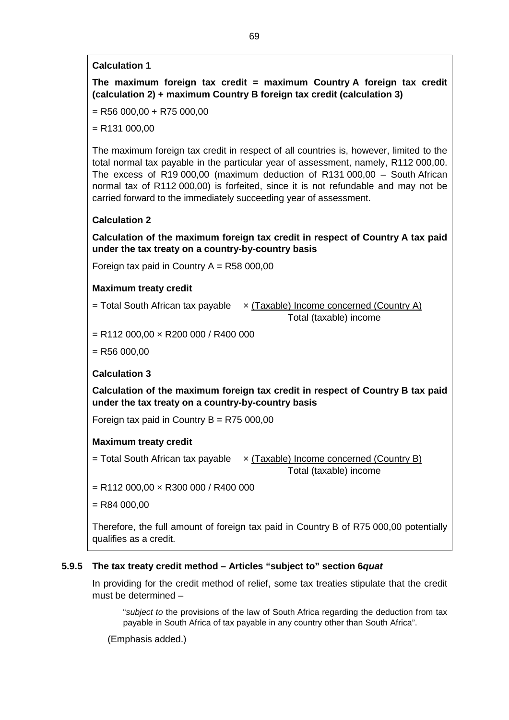#### **Calculation 1**

**The maximum foreign tax credit = maximum Country A foreign tax credit (calculation 2) + maximum Country B foreign tax credit (calculation 3)**

 $=$  R56 000,00 + R75 000,00

 $= R131 000,00$ 

The maximum foreign tax credit in respect of all countries is, however, limited to the total normal tax payable in the particular year of assessment, namely, R112 000,00. The excess of R19 000,00 (maximum deduction of R131 000,00 – South African normal tax of R112 000,00) is forfeited, since it is not refundable and may not be carried forward to the immediately succeeding year of assessment.

### **Calculation 2**

**Calculation of the maximum foreign tax credit in respect of Country A tax paid under the tax treaty on a country-by-country basis**

Foreign tax paid in Country  $A = R58000,00$ 

#### **Maximum treaty credit**

 $=$  Total South African tax payable  $\times$  (Taxable) Income concerned (Country A) Total (taxable) income

 $=$  R112 000,00  $\times$  R200 000 / R400 000

 $=$  R56 000.00

### **Calculation 3**

**Calculation of the maximum foreign tax credit in respect of Country B tax paid under the tax treaty on a country-by-country basis**

Foreign tax paid in Country  $B = R75000,00$ 

#### **Maximum treaty credit**

 $=$  Total South African tax payable  $\times$  (Taxable) Income concerned (Country B) Total (taxable) income

 $=$  R112 000,00  $\times$  R300 000 / R400 000

 $=$  R84 000.00

Therefore, the full amount of foreign tax paid in Country B of R75 000,00 potentially qualifies as a credit.

### **5.9.5 The tax treaty credit method – Articles "subject to" section 6***quat*

In providing for the credit method of relief, some tax treaties stipulate that the credit must be determined –

"*subject to* the provisions of the law of South Africa regarding the deduction from tax payable in South Africa of tax payable in any country other than South Africa".

(Emphasis added.)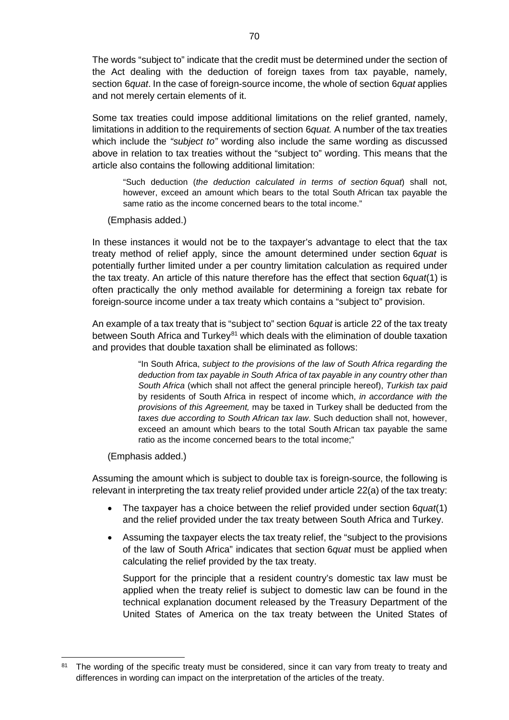The words "subject to" indicate that the credit must be determined under the section of the Act dealing with the deduction of foreign taxes from tax payable, namely, section 6*quat*. In the case of foreign-source income, the whole of section 6*quat* applies and not merely certain elements of it.

Some tax treaties could impose additional limitations on the relief granted, namely, limitations in addition to the requirements of section 6*quat.* A number of the tax treaties which include the *"subject to"* wording also include the same wording as discussed above in relation to tax treaties without the "subject to" wording. This means that the article also contains the following additional limitation:

"Such deduction (*the deduction calculated in terms of section 6quat*) shall not, however, exceed an amount which bears to the total South African tax payable the same ratio as the income concerned bears to the total income."

(Emphasis added.)

In these instances it would not be to the taxpayer's advantage to elect that the tax treaty method of relief apply, since the amount determined under section 6*quat* is potentially further limited under a per country limitation calculation as required under the tax treaty. An article of this nature therefore has the effect that section 6*quat*(1) is often practically the only method available for determining a foreign tax rebate for foreign-source income under a tax treaty which contains a "subject to" provision.

An example of a tax treaty that is "subject to" section 6*quat* is article 22 of the tax treaty between South Africa and Turkey<sup>81</sup> which deals with the elimination of double taxation and provides that double taxation shall be eliminated as follows:

> "In South Africa, *subject to the provisions of the law of South Africa regarding the deduction from tax payable in South Africa of tax payable in any country other than South Africa* (which shall not affect the general principle hereof), *Turkish tax paid* by residents of South Africa in respect of income which, *in accordance with the provisions of this Agreement,* may be taxed in Turkey shall be deducted from the *taxes due according to South African tax law*. Such deduction shall not, however, exceed an amount which bears to the total South African tax payable the same ratio as the income concerned bears to the total income;"

(Emphasis added.)

Assuming the amount which is subject to double tax is foreign-source, the following is relevant in interpreting the tax treaty relief provided under article 22(a) of the tax treaty:

- The taxpayer has a choice between the relief provided under section 6*quat*(1) and the relief provided under the tax treaty between South Africa and Turkey.
- Assuming the taxpayer elects the tax treaty relief, the "subject to the provisions of the law of South Africa" indicates that section 6*quat* must be applied when calculating the relief provided by the tax treaty.

Support for the principle that a resident country's domestic tax law must be applied when the treaty relief is subject to domestic law can be found in the technical explanation document released by the Treasury Department of the United States of America on the tax treaty between the United States of

<span id="page-69-0"></span><sup>&</sup>lt;sup>81</sup> The wording of the specific treaty must be considered, since it can vary from treaty to treaty and differences in wording can impact on the interpretation of the articles of the treaty.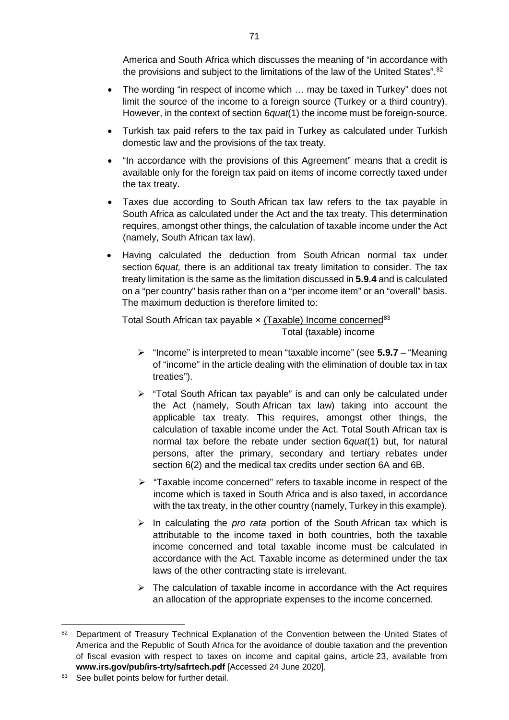America and South Africa which discusses the meaning of "in accordance with the provisions and subject to the limitations of the law of the United States".<sup>[82](#page-70-0)</sup>

- The wording "in respect of income which … may be taxed in Turkey" does not limit the source of the income to a foreign source (Turkey or a third country). However, in the context of section 6*quat*(1) the income must be foreign-source.
- Turkish tax paid refers to the tax paid in Turkey as calculated under Turkish domestic law and the provisions of the tax treaty.
- "In accordance with the provisions of this Agreement" means that a credit is available only for the foreign tax paid on items of income correctly taxed under the tax treaty.
- Taxes due according to South African tax law refers to the tax payable in South Africa as calculated under the Act and the tax treaty. This determination requires, amongst other things, the calculation of taxable income under the Act (namely, South African tax law).
- Having calculated the deduction from South African normal tax under section 6*quat,* there is an additional tax treaty limitation to consider. The tax treaty limitation is the same as the limitation discussed in **[5.9.4](#page-65-2)** and is calculated on a "per country" basis rather than on a "per income item" or an "overall" basis. The maximum deduction is therefore limited to:

Total South African tax payable x (Taxable) Income concerned<sup>[83](#page-70-1)</sup> Total (taxable) income

- "Income" is interpreted to mean "taxable income" (see **[5.9.7](#page-72-0)** "Meaning of "income" in the article dealing with the elimination of double tax in tax treaties").
- > "Total South African tax payable" is and can only be calculated under the Act (namely, South African tax law) taking into account the applicable tax treaty. This requires, amongst other things, the calculation of taxable income under the Act. Total South African tax is normal tax before the rebate under section 6*quat*(1) but, for natural persons, after the primary, secondary and tertiary rebates under section 6(2) and the medical tax credits under section 6A and 6B.
- $\triangleright$  "Taxable income concerned" refers to taxable income in respect of the income which is taxed in South Africa and is also taxed, in accordance with the tax treaty, in the other country (namely, Turkey in this example).
- In calculating the *pro rata* portion of the South African tax which is attributable to the income taxed in both countries, both the taxable income concerned and total taxable income must be calculated in accordance with the Act. Taxable income as determined under the tax laws of the other contracting state is irrelevant.
- $\triangleright$  The calculation of taxable income in accordance with the Act requires an allocation of the appropriate expenses to the income concerned.

<span id="page-70-1"></span>83 See bullet points below for further detail.

<span id="page-70-0"></span><sup>82</sup> Department of Treasury Technical Explanation of the Convention between the United States of America and the Republic of South Africa for the avoidance of double taxation and the prevention of fiscal evasion with respect to taxes on income and capital gains, article 23, available from **[www.irs.gov/pub/irs-trty/safrtech.pdf](http://www.irs.gov/pub/irs-trty/safrtech.pdf)** [Accessed 24 June 2020].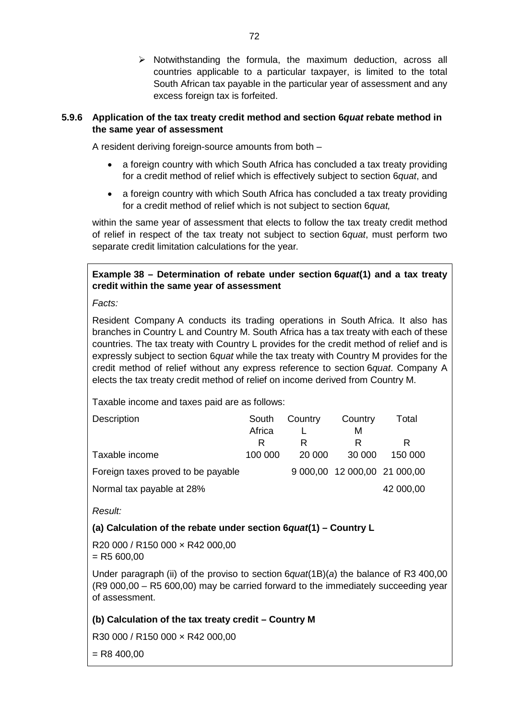$\triangleright$  Notwithstanding the formula, the maximum deduction, across all countries applicable to a particular taxpayer, is limited to the total South African tax payable in the particular year of assessment and any excess foreign tax is forfeited.

### **5.9.6 Application of the tax treaty credit method and section 6***quat* **rebate method in the same year of assessment**

A resident deriving foreign-source amounts from both –

- a foreign country with which South Africa has concluded a tax treaty providing for a credit method of relief which is effectively subject to section 6*quat*, and
- a foreign country with which South Africa has concluded a tax treaty providing for a credit method of relief which is not subject to section 6*quat,*

within the same year of assessment that elects to follow the tax treaty credit method of relief in respect of the tax treaty not subject to section 6*quat*, must perform two separate credit limitation calculations for the year*.*

# **Example 38 – Determination of rebate under section 6***quat***(1) and a tax treaty credit within the same year of assessment**

*Facts:*

Resident Company A conducts its trading operations in South Africa. It also has branches in Country L and Country M. South Africa has a tax treaty with each of these countries. The tax treaty with Country L provides for the credit method of relief and is expressly subject to section 6*quat* while the tax treaty with Country M provides for the credit method of relief without any express reference to section 6*quat*. Company A elects the tax treaty credit method of relief on income derived from Country M.

Taxable income and taxes paid are as follows:

| Description                        | South   | Country | Country                      | Total     |
|------------------------------------|---------|---------|------------------------------|-----------|
|                                    | Africa  |         | м                            |           |
|                                    | R       |         | R                            | R         |
| Taxable income                     | 100 000 | 20 000  | 30 000                       | 150 000   |
| Foreign taxes proved to be payable |         |         | 9 000,00 12 000,00 21 000,00 |           |
| Normal tax payable at 28%          |         |         |                              | 42 000,00 |

*Result:*

# **(a) Calculation of the rebate under section 6***quat***(1) – Country L**

R20 000 / R150 000 × R42 000,00  $=$  R5 600,00

Under paragraph (ii) of the proviso to section 6*quat*(1B)(*a*) the balance of R3 400,00 (R9 000,00 – R5 600,00) may be carried forward to the immediately succeeding year of assessment.

# **(b) Calculation of the tax treaty credit – Country M**

R30 000 / R150 000 × R42 000,00

 $=$  R8 400,00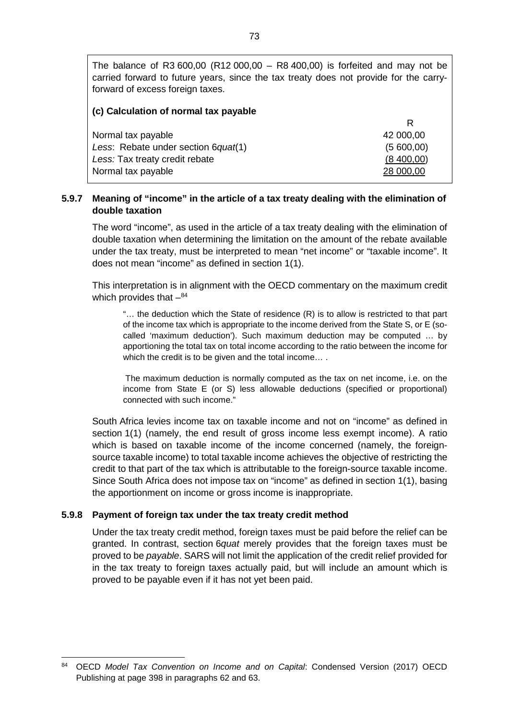The balance of R3 600,00 (R12 000,00 – R8 400,00) is forfeited and may not be carried forward to future years, since the tax treaty does not provide for the carryforward of excess foreign taxes.

### **(c) Calculation of normal tax payable**

| Normal tax payable                  | 42 000,00  |
|-------------------------------------|------------|
| Less: Rebate under section 6quat(1) | (5600,00)  |
| Less: Tax treaty credit rebate      | (8,400,00) |
| Normal tax payable                  | 28 000,00  |

### **5.9.7 Meaning of "income" in the article of a tax treaty dealing with the elimination of double taxation**

The word "income", as used in the article of a tax treaty dealing with the elimination of double taxation when determining the limitation on the amount of the rebate available under the tax treaty, must be interpreted to mean "net income" or "taxable income". It does not mean "income" as defined in section 1(1).

This interpretation is in alignment with the OECD commentary on the maximum credit which provides that  $-84$  $-84$ 

"… the deduction which the State of residence (R) is to allow is restricted to that part of the income tax which is appropriate to the income derived from the State S, or E (socalled 'maximum deduction'). Such maximum deduction may be computed … by apportioning the total tax on total income according to the ratio between the income for which the credit is to be given and the total income....

The maximum deduction is normally computed as the tax on net income, i.e. on the income from State E (or S) less allowable deductions (specified or proportional) connected with such income."

South Africa levies income tax on taxable income and not on "income" as defined in section 1(1) (namely, the end result of gross income less exempt income). A ratio which is based on taxable income of the income concerned (namely, the foreignsource taxable income) to total taxable income achieves the objective of restricting the credit to that part of the tax which is attributable to the foreign-source taxable income. Since South Africa does not impose tax on "income" as defined in section 1(1), basing the apportionment on income or gross income is inappropriate.

### **5.9.8 Payment of foreign tax under the tax treaty credit method**

Under the tax treaty credit method, foreign taxes must be paid before the relief can be granted. In contrast, section 6*quat* merely provides that the foreign taxes must be proved to be *payable*. SARS will not limit the application of the credit relief provided for in the tax treaty to foreign taxes actually paid, but will include an amount which is proved to be payable even if it has not yet been paid.

<span id="page-72-0"></span> <sup>84</sup> OECD *Model Tax Convention on Income and on Capital*: Condensed Version (2017) OECD Publishing at page 398 in paragraphs 62 and 63.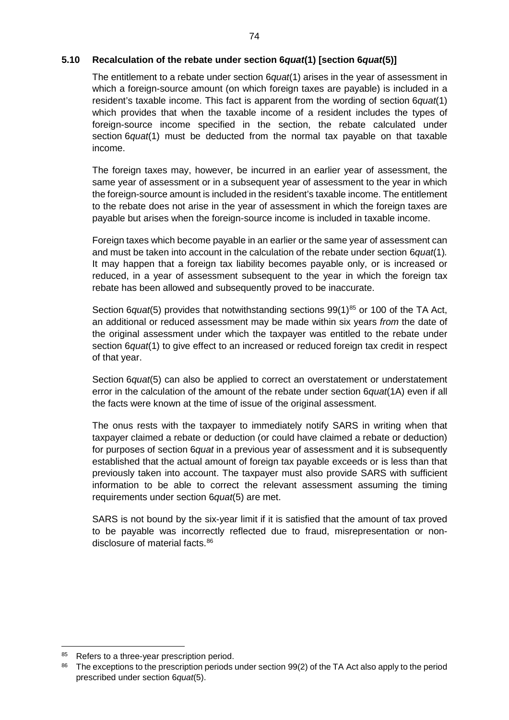### **5.10 Recalculation of the rebate under section 6***quat***(1) [section 6***quat***(5)]**

The entitlement to a rebate under section 6*quat*(1) arises in the year of assessment in which a foreign-source amount (on which foreign taxes are payable) is included in a resident's taxable income. This fact is apparent from the wording of section 6*quat*(1) which provides that when the taxable income of a resident includes the types of foreign-source income specified in the section, the rebate calculated under section 6*quat*(1) must be deducted from the normal tax payable on that taxable income.

The foreign taxes may, however, be incurred in an earlier year of assessment, the same year of assessment or in a subsequent year of assessment to the year in which the foreign-source amount is included in the resident's taxable income. The entitlement to the rebate does not arise in the year of assessment in which the foreign taxes are payable but arises when the foreign-source income is included in taxable income.

Foreign taxes which become payable in an earlier or the same year of assessment can and must be taken into account in the calculation of the rebate under section 6*quat*(1)*.*  It may happen that a foreign tax liability becomes payable only, or is increased or reduced, in a year of assessment subsequent to the year in which the foreign tax rebate has been allowed and subsequently proved to be inaccurate.

Section 6*quat*(5) provides that notwithstanding sections 99(1)<sup>[85](#page-73-0)</sup> or 100 of the TA Act, an additional or reduced assessment may be made within six years *from* the date of the original assessment under which the taxpayer was entitled to the rebate under section 6*quat*(1) to give effect to an increased or reduced foreign tax credit in respect of that year.

Section 6*quat*(5) can also be applied to correct an overstatement or understatement error in the calculation of the amount of the rebate under section 6*quat*(1A) even if all the facts were known at the time of issue of the original assessment.

The onus rests with the taxpayer to immediately notify SARS in writing when that taxpayer claimed a rebate or deduction (or could have claimed a rebate or deduction) for purposes of section 6*quat* in a previous year of assessment and it is subsequently established that the actual amount of foreign tax payable exceeds or is less than that previously taken into account. The taxpayer must also provide SARS with sufficient information to be able to correct the relevant assessment assuming the timing requirements under section 6*quat*(5) are met.

SARS is not bound by the six-year limit if it is satisfied that the amount of tax proved to be payable was incorrectly reflected due to fraud, misrepresentation or non-disclosure of material facts.<sup>[86](#page-73-1)</sup>

<span id="page-73-0"></span><sup>85</sup> Refers to a three-year prescription period.

<span id="page-73-1"></span><sup>86</sup> The exceptions to the prescription periods under section 99(2) of the TA Act also apply to the period prescribed under section 6*quat*(5).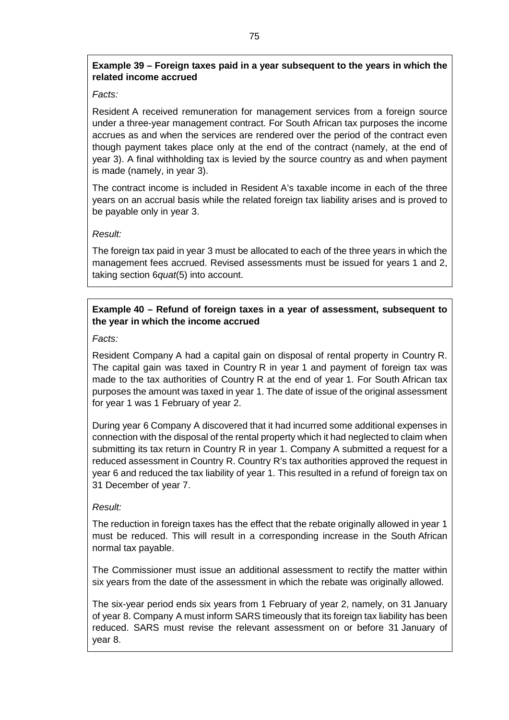# **Example 39 – Foreign taxes paid in a year subsequent to the years in which the related income accrued**

### *Facts:*

Resident A received remuneration for management services from a foreign source under a three-year management contract. For South African tax purposes the income accrues as and when the services are rendered over the period of the contract even though payment takes place only at the end of the contract (namely, at the end of year 3). A final withholding tax is levied by the source country as and when payment is made (namely, in year 3).

The contract income is included in Resident A's taxable income in each of the three years on an accrual basis while the related foreign tax liability arises and is proved to be payable only in year 3.

### *Result:*

The foreign tax paid in year 3 must be allocated to each of the three years in which the management fees accrued. Revised assessments must be issued for years 1 and 2, taking section 6*quat*(5) into account.

### **Example 40 – Refund of foreign taxes in a year of assessment, subsequent to the year in which the income accrued**

*Facts:*

Resident Company A had a capital gain on disposal of rental property in Country R. The capital gain was taxed in Country R in year 1 and payment of foreign tax was made to the tax authorities of Country R at the end of year 1. For South African tax purposes the amount was taxed in year 1. The date of issue of the original assessment for year 1 was 1 February of year 2.

During year 6 Company A discovered that it had incurred some additional expenses in connection with the disposal of the rental property which it had neglected to claim when submitting its tax return in Country R in year 1. Company A submitted a request for a reduced assessment in Country R. Country R's tax authorities approved the request in year 6 and reduced the tax liability of year 1. This resulted in a refund of foreign tax on 31 December of year 7.

### *Result:*

The reduction in foreign taxes has the effect that the rebate originally allowed in year 1 must be reduced. This will result in a corresponding increase in the South African normal tax payable.

The Commissioner must issue an additional assessment to rectify the matter within six years from the date of the assessment in which the rebate was originally allowed.

The six-year period ends six years from 1 February of year 2, namely, on 31 January of year 8. Company A must inform SARS timeously that its foreign tax liability has been reduced. SARS must revise the relevant assessment on or before 31 January of year 8.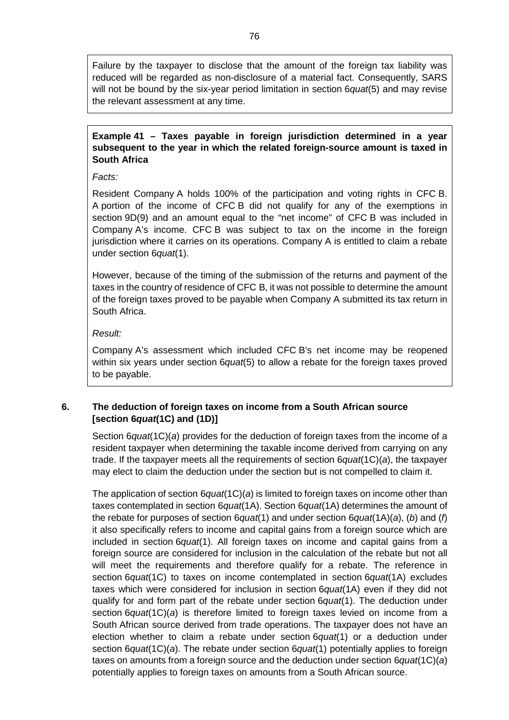Failure by the taxpayer to disclose that the amount of the foreign tax liability was reduced will be regarded as non-disclosure of a material fact. Consequently, SARS will not be bound by the six-year period limitation in section 6*quat*(5) and may revise the relevant assessment at any time.

### **Example 41 – Taxes payable in foreign jurisdiction determined in a year subsequent to the year in which the related foreign-source amount is taxed in South Africa**

*Facts:*

Resident Company A holds 100% of the participation and voting rights in CFC B. A portion of the income of CFC B did not qualify for any of the exemptions in section 9D(9) and an amount equal to the "net income" of CFC B was included in Company A's income. CFC B was subject to tax on the income in the foreign jurisdiction where it carries on its operations. Company A is entitled to claim a rebate under section 6*quat*(1).

However, because of the timing of the submission of the returns and payment of the taxes in the country of residence of CFC B, it was not possible to determine the amount of the foreign taxes proved to be payable when Company A submitted its tax return in South Africa.

*Result:*

Company A's assessment which included CFC B's net income may be reopened within six years under section 6*quat*(5) to allow a rebate for the foreign taxes proved to be payable.

# <span id="page-75-0"></span>**6. The deduction of foreign taxes on income from a South African source [section 6***quat***(1C) and (1D)]**

Section 6*quat*(1C)(*a*) provides for the deduction of foreign taxes from the income of a resident taxpayer when determining the taxable income derived from carrying on any trade. If the taxpayer meets all the requirements of section 6*quat*(1C)(*a*), the taxpayer may elect to claim the deduction under the section but is not compelled to claim it.

The application of section 6*quat*(1C)(*a*) is limited to foreign taxes on income other than taxes contemplated in section 6*quat*(1A). Section 6*quat*(1A) determines the amount of the rebate for purposes of section 6*quat*(1) and under section 6*quat*(1A)(*a*), (*b*) and (*f*) it also specifically refers to income and capital gains from a foreign source which are included in section 6*quat*(1). All foreign taxes on income and capital gains from a foreign source are considered for inclusion in the calculation of the rebate but not all will meet the requirements and therefore qualify for a rebate. The reference in section 6*quat*(1C) to taxes on income contemplated in section 6*quat*(1A) excludes taxes which were considered for inclusion in section 6*quat*(1A) even if they did not qualify for and form part of the rebate under section 6*quat*(1). The deduction under section 6*quat*(1C)(*a*) is therefore limited to foreign taxes levied on income from a South African source derived from trade operations. The taxpayer does not have an election whether to claim a rebate under section 6*quat*(1) or a deduction under section 6*quat*(1C)(*a*). The rebate under section 6*quat*(1) potentially applies to foreign taxes on amounts from a foreign source and the deduction under section 6*quat*(1C)(*a*) potentially applies to foreign taxes on amounts from a South African source.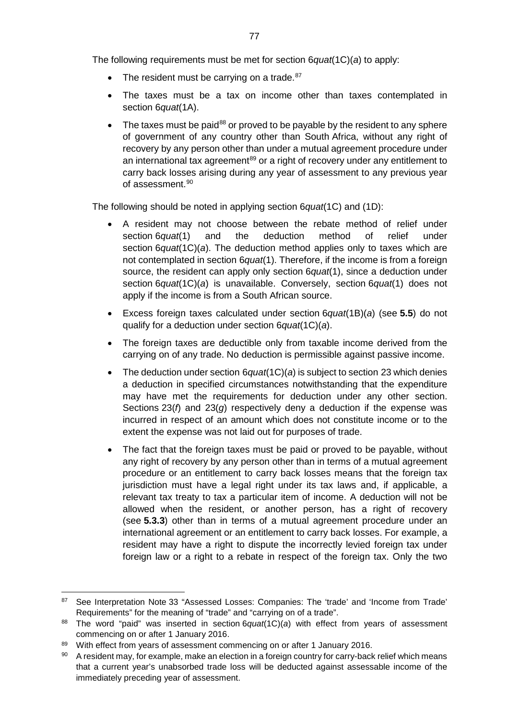The following requirements must be met for section 6*quat*(1C)(*a*) to apply:

- The resident must be carrying on a trade.<sup>[87](#page-76-0)</sup>
- The taxes must be a tax on income other than taxes contemplated in section 6*quat*(1A).
- The taxes must be paid  $88$  or proved to be payable by the resident to any sphere of government of any country other than South Africa, without any right of recovery by any person other than under a mutual agreement procedure under an international tax agreement<sup>[89](#page-76-2)</sup> or a right of recovery under any entitlement to carry back losses arising during any year of assessment to any previous year of assessment.[90](#page-76-3)

The following should be noted in applying section 6*quat*(1C) and (1D):

- A resident may not choose between the rebate method of relief under section 6*quat*(1) and the deduction method of relief under section 6*quat*(1C)(*a*). The deduction method applies only to taxes which are not contemplated in section 6*quat*(1). Therefore, if the income is from a foreign source, the resident can apply only section 6*quat*(1), since a deduction under section 6*quat*(1C)(*a*) is unavailable. Conversely, section 6*quat*(1) does not apply if the income is from a South African source.
- Excess foreign taxes calculated under section 6*quat*(1B)(*a*) (see **[5.5](#page-37-0)**) do not qualify for a deduction under section 6*quat*(1C)(*a*).
- The foreign taxes are deductible only from taxable income derived from the carrying on of any trade. No deduction is permissible against passive income.
- The deduction under section 6*quat*(1C)(*a*) is subject to section 23 which denies a deduction in specified circumstances notwithstanding that the expenditure may have met the requirements for deduction under any other section. Sections 23(*f*) and 23(*g*) respectively deny a deduction if the expense was incurred in respect of an amount which does not constitute income or to the extent the expense was not laid out for purposes of trade.
- The fact that the foreign taxes must be paid or proved to be payable, without any right of recovery by any person other than in terms of a mutual agreement procedure or an entitlement to carry back losses means that the foreign tax jurisdiction must have a legal right under its tax laws and, if applicable, a relevant tax treaty to tax a particular item of income. A deduction will not be allowed when the resident, or another person, has a right of recovery (see **[5.3.3](#page-33-0)**) other than in terms of a mutual agreement procedure under an international agreement or an entitlement to carry back losses. For example, a resident may have a right to dispute the incorrectly levied foreign tax under foreign law or a right to a rebate in respect of the foreign tax. Only the two

<span id="page-76-0"></span><sup>87</sup> See Interpretation Note 33 "Assessed Losses: Companies: The 'trade' and 'Income from Trade' Requirements" for the meaning of "trade" and "carrying on of a trade".

<span id="page-76-1"></span><sup>88</sup> The word "paid" was inserted in section 6*quat*(1C)(*a*) with effect from years of assessment commencing on or after 1 January 2016.

<span id="page-76-2"></span><sup>89</sup> With effect from years of assessment commencing on or after 1 January 2016.

<span id="page-76-3"></span><sup>90</sup> A resident may, for example, make an election in a foreign country for carry-back relief which means that a current year's unabsorbed trade loss will be deducted against assessable income of the immediately preceding year of assessment.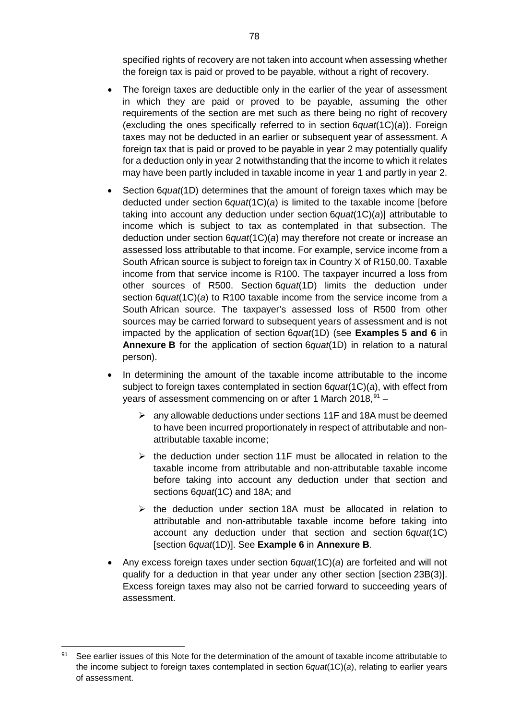specified rights of recovery are not taken into account when assessing whether the foreign tax is paid or proved to be payable, without a right of recovery.

- The foreign taxes are deductible only in the earlier of the year of assessment in which they are paid or proved to be payable, assuming the other requirements of the section are met such as there being no right of recovery (excluding the ones specifically referred to in section 6*quat*(1C)(*a*)). Foreign taxes may not be deducted in an earlier or subsequent year of assessment. A foreign tax that is paid or proved to be payable in year 2 may potentially qualify for a deduction only in year 2 notwithstanding that the income to which it relates may have been partly included in taxable income in year 1 and partly in year 2.
- Section 6*quat*(1D) determines that the amount of foreign taxes which may be deducted under section 6*quat*(1C)(*a*) is limited to the taxable income [before taking into account any deduction under section 6*quat*(1C)(*a*)] attributable to income which is subject to tax as contemplated in that subsection. The deduction under section 6*quat*(1C)(*a*) may therefore not create or increase an assessed loss attributable to that income. For example, service income from a South African source is subject to foreign tax in Country X of R150,00. Taxable income from that service income is R100. The taxpayer incurred a loss from other sources of R500. Section 6*quat*(1D) limits the deduction under section 6*quat*(1C)(*a*) to R100 taxable income from the service income from a South African source. The taxpayer's assessed loss of R500 from other sources may be carried forward to subsequent years of assessment and is not impacted by the application of section 6*quat*(1D) (see **Examples 5 and 6** in **Annexure B** for the application of section 6*quat*(1D) in relation to a natural person).
- In determining the amount of the taxable income attributable to the income subject to foreign taxes contemplated in section 6*quat*(1C)(*a*), with effect from years of assessment commencing on or after 1 March 2018,  $91 91-$ 
	- $\triangleright$  any allowable deductions under sections 11F and 18A must be deemed to have been incurred proportionately in respect of attributable and nonattributable taxable income;
	- $\triangleright$  the deduction under section 11F must be allocated in relation to the taxable income from attributable and non-attributable taxable income before taking into account any deduction under that section and sections 6*quat*(1C) and 18A; and
	- $\triangleright$  the deduction under section 18A must be allocated in relation to attributable and non-attributable taxable income before taking into account any deduction under that section and section 6*quat*(1C) [section 6*quat*(1D)]. See **Example 6** in **Annexure B**.
- Any excess foreign taxes under section 6*quat*(1C)(*a*) are forfeited and will not qualify for a deduction in that year under any other section [section 23B(3)]. Excess foreign taxes may also not be carried forward to succeeding years of assessment.

<span id="page-77-0"></span><sup>91</sup> See earlier issues of this Note for the determination of the amount of taxable income attributable to the income subject to foreign taxes contemplated in section 6*quat*(1C)(*a*), relating to earlier years of assessment.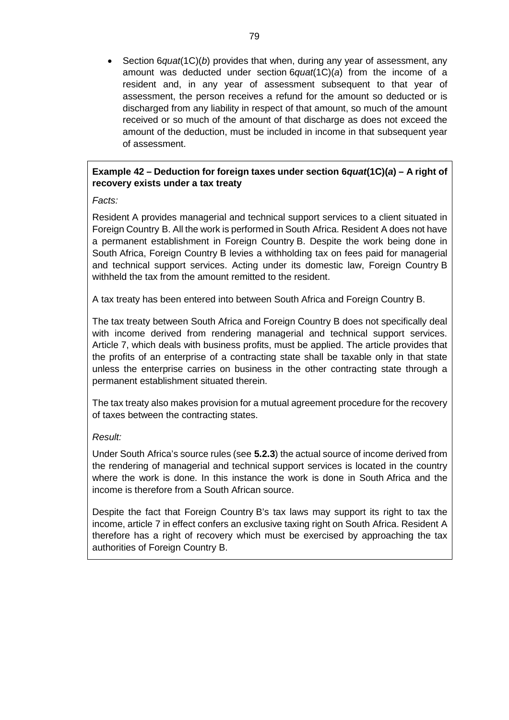• Section 6*quat*(1C)(*b*) provides that when, during any year of assessment, any amount was deducted under section 6*quat*(1C)(*a*) from the income of a resident and, in any year of assessment subsequent to that year of assessment, the person receives a refund for the amount so deducted or is discharged from any liability in respect of that amount, so much of the amount received or so much of the amount of that discharge as does not exceed the amount of the deduction, must be included in income in that subsequent year of assessment.

# **Example 42 – Deduction for foreign taxes under section 6***quat***(1C)(***a***) – A right of recovery exists under a tax treaty**

*Facts:*

Resident A provides managerial and technical support services to a client situated in Foreign Country B. All the work is performed in South Africa. Resident A does not have a permanent establishment in Foreign Country B. Despite the work being done in South Africa, Foreign Country B levies a withholding tax on fees paid for managerial and technical support services. Acting under its domestic law, Foreign Country B withheld the tax from the amount remitted to the resident.

A tax treaty has been entered into between South Africa and Foreign Country B.

The tax treaty between South Africa and Foreign Country B does not specifically deal with income derived from rendering managerial and technical support services. Article 7, which deals with business profits, must be applied. The article provides that the profits of an enterprise of a contracting state shall be taxable only in that state unless the enterprise carries on business in the other contracting state through a permanent establishment situated therein.

The tax treaty also makes provision for a mutual agreement procedure for the recovery of taxes between the contracting states.

### *Result:*

Under South Africa's source rules (see **[5.2.3](#page-17-0)**) the actual source of income derived from the rendering of managerial and technical support services is located in the country where the work is done. In this instance the work is done in South Africa and the income is therefore from a South African source.

Despite the fact that Foreign Country B's tax laws may support its right to tax the income, article 7 in effect confers an exclusive taxing right on South Africa. Resident A therefore has a right of recovery which must be exercised by approaching the tax authorities of Foreign Country B.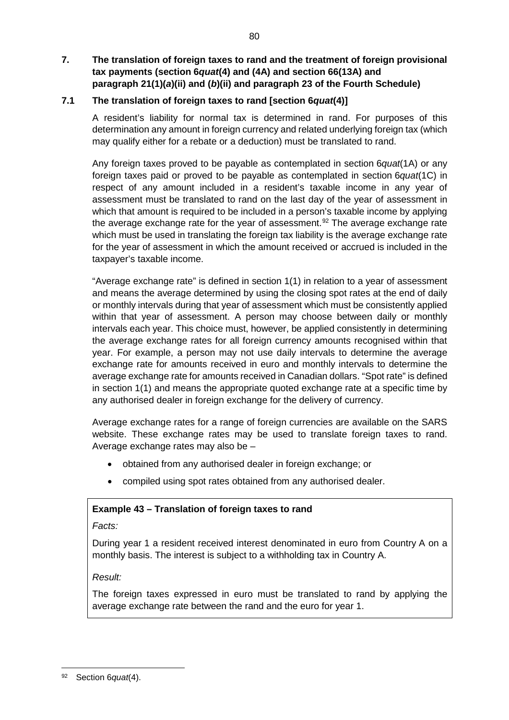**7. The translation of foreign taxes to rand and the treatment of foreign provisional tax payments (section 6***quat***(4) and (4A) and section 66(13A) and paragraph 21(1)(***a***)(ii) and (***b***)(ii) and paragraph 23 of the Fourth Schedule)**

# **7.1 The translation of foreign taxes to rand [section 6***quat***(4)]**

A resident's liability for normal tax is determined in rand. For purposes of this determination any amount in foreign currency and related underlying foreign tax (which may qualify either for a rebate or a deduction) must be translated to rand.

Any foreign taxes proved to be payable as contemplated in section 6*quat*(1A) or any foreign taxes paid or proved to be payable as contemplated in section 6*quat*(1C) in respect of any amount included in a resident's taxable income in any year of assessment must be translated to rand on the last day of the year of assessment in which that amount is required to be included in a person's taxable income by applying the average exchange rate for the year of assessment.<sup>[92](#page-79-0)</sup> The average exchange rate which must be used in translating the foreign tax liability is the average exchange rate for the year of assessment in which the amount received or accrued is included in the taxpayer's taxable income.

"Average exchange rate" is defined in section 1(1) in relation to a year of assessment and means the average determined by using the closing spot rates at the end of daily or monthly intervals during that year of assessment which must be consistently applied within that year of assessment. A person may choose between daily or monthly intervals each year. This choice must, however, be applied consistently in determining the average exchange rates for all foreign currency amounts recognised within that year. For example, a person may not use daily intervals to determine the average exchange rate for amounts received in euro and monthly intervals to determine the average exchange rate for amounts received in Canadian dollars. "Spot rate" is defined in section 1(1) and means the appropriate quoted exchange rate at a specific time by any authorised dealer in foreign exchange for the delivery of currency.

Average exchange rates for a range of foreign currencies are available on the SARS website. These exchange rates may be used to translate foreign taxes to rand. Average exchange rates may also be –

- obtained from any authorised dealer in foreign exchange; or
- compiled using spot rates obtained from any authorised dealer.

# **Example 43 – Translation of foreign taxes to rand**

*Facts:*

During year 1 a resident received interest denominated in euro from Country A on a monthly basis. The interest is subject to a withholding tax in Country A.

# *Result:*

The foreign taxes expressed in euro must be translated to rand by applying the average exchange rate between the rand and the euro for year 1.

<span id="page-79-0"></span> <sup>92</sup> Section <sup>6</sup>*quat*(4).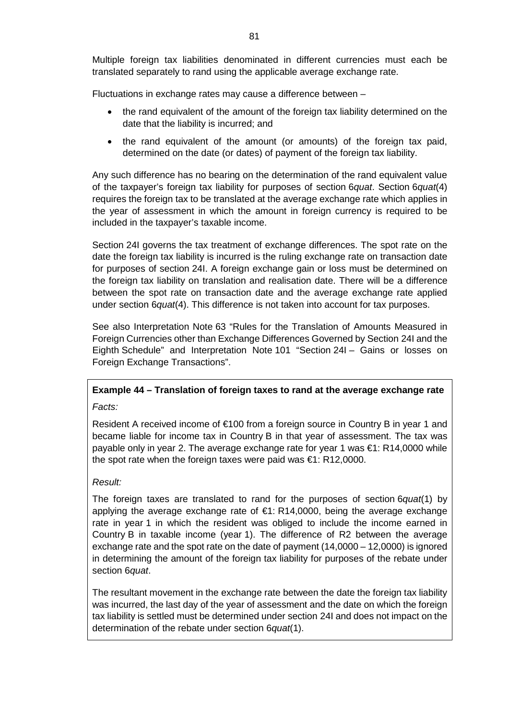Multiple foreign tax liabilities denominated in different currencies must each be translated separately to rand using the applicable average exchange rate.

Fluctuations in exchange rates may cause a difference between –

- the rand equivalent of the amount of the foreign tax liability determined on the date that the liability is incurred; and
- the rand equivalent of the amount (or amounts) of the foreign tax paid, determined on the date (or dates) of payment of the foreign tax liability.

Any such difference has no bearing on the determination of the rand equivalent value of the taxpayer's foreign tax liability for purposes of section 6*quat*. Section 6*quat*(4) requires the foreign tax to be translated at the average exchange rate which applies in the year of assessment in which the amount in foreign currency is required to be included in the taxpayer's taxable income.

Section 24I governs the tax treatment of exchange differences. The spot rate on the date the foreign tax liability is incurred is the ruling exchange rate on transaction date for purposes of section 24I. A foreign exchange gain or loss must be determined on the foreign tax liability on translation and realisation date. There will be a difference between the spot rate on transaction date and the average exchange rate applied under section 6*quat*(4). This difference is not taken into account for tax purposes.

See also Interpretation Note 63 "Rules for the Translation of Amounts Measured in Foreign Currencies other than Exchange Differences Governed by Section 24I and the Eighth Schedule" and Interpretation Note 101 "Section 24I – Gains or losses on Foreign Exchange Transactions".

# **Example 44 – Translation of foreign taxes to rand at the average exchange rate**

*Facts:*

Resident A received income of €100 from a foreign source in Country B in year 1 and became liable for income tax in Country B in that year of assessment. The tax was payable only in year 2. The average exchange rate for year 1 was €1: R14,0000 while the spot rate when the foreign taxes were paid was €1: R12,0000.

### *Result:*

The foreign taxes are translated to rand for the purposes of section 6*quat*(1) by applying the average exchange rate of €1: R14,0000, being the average exchange rate in year 1 in which the resident was obliged to include the income earned in Country B in taxable income (year 1). The difference of R2 between the average exchange rate and the spot rate on the date of payment (14,0000 – 12,0000) is ignored in determining the amount of the foreign tax liability for purposes of the rebate under section 6*quat*.

The resultant movement in the exchange rate between the date the foreign tax liability was incurred, the last day of the year of assessment and the date on which the foreign tax liability is settled must be determined under section 24I and does not impact on the determination of the rebate under section 6*quat*(1).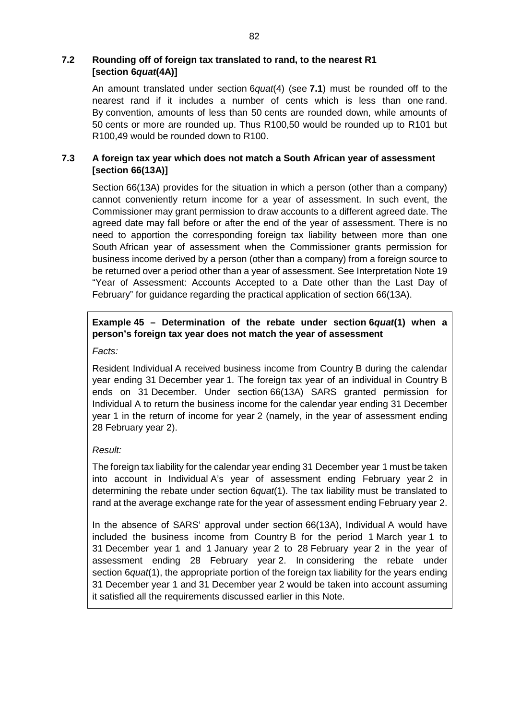# **7.2 Rounding off of foreign tax translated to rand, to the nearest R1 [section 6***quat***(4A)]**

An amount translated under section 6*quat*(4) (see **[7.1](#page-82-0)**) must be rounded off to the nearest rand if it includes a number of cents which is less than one rand. By convention, amounts of less than 50 cents are rounded down, while amounts of 50 cents or more are rounded up. Thus R100,50 would be rounded up to R101 but R100,49 would be rounded down to R100.

# **7.3 A foreign tax year which does not match a South African year of assessment [section 66(13A)]**

Section 66(13A) provides for the situation in which a person (other than a company) cannot conveniently return income for a year of assessment. In such event, the Commissioner may grant permission to draw accounts to a different agreed date. The agreed date may fall before or after the end of the year of assessment. There is no need to apportion the corresponding foreign tax liability between more than one South African year of assessment when the Commissioner grants permission for business income derived by a person (other than a company) from a foreign source to be returned over a period other than a year of assessment. See Interpretation Note 19 "Year of Assessment: Accounts Accepted to a Date other than the Last Day of February" for guidance regarding the practical application of section 66(13A).

# **Example 45 – Determination of the rebate under section 6***quat***(1) when a person's foreign tax year does not match the year of assessment**

*Facts:*

Resident Individual A received business income from Country B during the calendar year ending 31 December year 1. The foreign tax year of an individual in Country B ends on 31 December. Under section 66(13A) SARS granted permission for Individual A to return the business income for the calendar year ending 31 December year 1 in the return of income for year 2 (namely, in the year of assessment ending 28 February year 2).

# *Result:*

The foreign tax liability for the calendar year ending 31 December year 1 must be taken into account in Individual A's year of assessment ending February year 2 in determining the rebate under section 6*quat*(1). The tax liability must be translated to rand at the average exchange rate for the year of assessment ending February year 2.

In the absence of SARS' approval under section 66(13A), Individual A would have included the business income from Country B for the period 1 March year 1 to 31 December year 1 and 1 January year 2 to 28 February year 2 in the year of assessment ending 28 February year 2. In considering the rebate under section 6*quat*(1), the appropriate portion of the foreign tax liability for the years ending 31 December year 1 and 31 December year 2 would be taken into account assuming it satisfied all the requirements discussed earlier in this Note.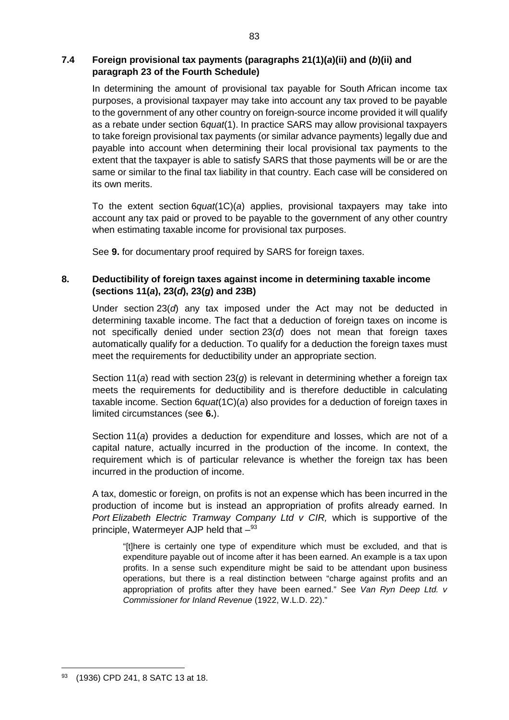### **7.4 Foreign provisional tax payments (paragraphs 21(1)(***a***)(ii) and (***b***)(ii) and paragraph 23 of the Fourth Schedule)**

In determining the amount of provisional tax payable for South African income tax purposes, a provisional taxpayer may take into account any tax proved to be payable to the government of any other country on foreign-source income provided it will qualify as a rebate under section 6*quat*(1). In practice SARS may allow provisional taxpayers to take foreign provisional tax payments (or similar advance payments) legally due and payable into account when determining their local provisional tax payments to the extent that the taxpayer is able to satisfy SARS that those payments will be or are the same or similar to the final tax liability in that country. Each case will be considered on its own merits.

To the extent section 6*quat*(1C)(*a*) applies, provisional taxpayers may take into account any tax paid or proved to be payable to the government of any other country when estimating taxable income for provisional tax purposes.

See **[9.](#page-84-0)** for documentary proof required by SARS for foreign taxes.

### <span id="page-82-0"></span>**8. Deductibility of foreign taxes against income in determining taxable income (sections 11(***a***), 23(***d***), 23(***g***) and 23B)**

Under section 23(*d*) any tax imposed under the Act may not be deducted in determining taxable income. The fact that a deduction of foreign taxes on income is not specifically denied under section 23(*d*) does not mean that foreign taxes automatically qualify for a deduction. To qualify for a deduction the foreign taxes must meet the requirements for deductibility under an appropriate section.

Section 11(*a*) read with section 23(*g*) is relevant in determining whether a foreign tax meets the requirements for deductibility and is therefore deductible in calculating taxable income. Section 6*quat*(1C)(*a*) also provides for a deduction of foreign taxes in limited circumstances (see **[6.](#page-75-0)**).

Section 11(*a*) provides a deduction for expenditure and losses, which are not of a capital nature, actually incurred in the production of the income. In context, the requirement which is of particular relevance is whether the foreign tax has been incurred in the production of income.

A tax, domestic or foreign, on profits is not an expense which has been incurred in the production of income but is instead an appropriation of profits already earned. In *Port Elizabeth Electric Tramway Company Ltd v CIR,* which is supportive of the principle, Watermeyer AJP held that –[93](#page-82-1)

"[t]here is certainly one type of expenditure which must be excluded, and that is expenditure payable out of income after it has been earned. An example is a tax upon profits. In a sense such expenditure might be said to be attendant upon business operations, but there is a real distinction between "charge against profits and an appropriation of profits after they have been earned." See *Van Ryn Deep Ltd. v Commissioner for Inland Revenue* (1922, W.L.D. 22)."

<span id="page-82-1"></span><sup>93 (1936)</sup> CPD 241, 8 SATC 13 at 18.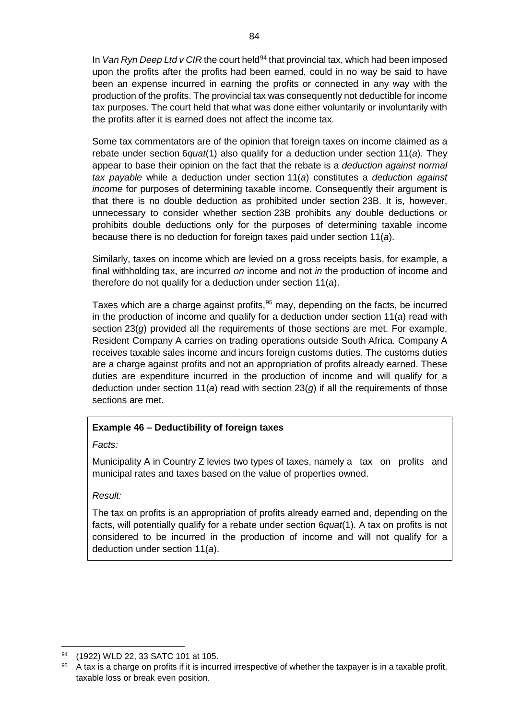In *Van Ryn Deep Ltd v CIR* the court held<sup>[94](#page-83-0)</sup> that provincial tax, which had been imposed upon the profits after the profits had been earned, could in no way be said to have been an expense incurred in earning the profits or connected in any way with the production of the profits. The provincial tax was consequently not deductible for income tax purposes. The court held that what was done either voluntarily or involuntarily with the profits after it is earned does not affect the income tax.

84

Some tax commentators are of the opinion that foreign taxes on income claimed as a rebate under section 6*quat*(1) also qualify for a deduction under section 11(*a*). They appear to base their opinion on the fact that the rebate is a *deduction against normal tax payable* while a deduction under section 11(*a*) constitutes a *deduction against income* for purposes of determining taxable income. Consequently their argument is that there is no double deduction as prohibited under section 23B. It is, however, unnecessary to consider whether section 23B prohibits any double deductions or prohibits double deductions only for the purposes of determining taxable income because there is no deduction for foreign taxes paid under section 11(*a*).

Similarly, taxes on income which are levied on a gross receipts basis, for example, a final withholding tax, are incurred *on* income and not *in* the production of income and therefore do not qualify for a deduction under section 11(*a*).

Taxes which are a charge against profits,  $95$  may, depending on the facts, be incurred in the production of income and qualify for a deduction under section 11(*a*) read with section 23(*g*) provided all the requirements of those sections are met. For example, Resident Company A carries on trading operations outside South Africa. Company A receives taxable sales income and incurs foreign customs duties. The customs duties are a charge against profits and not an appropriation of profits already earned. These duties are expenditure incurred in the production of income and will qualify for a deduction under section 11(*a*) read with section 23(*g*) if all the requirements of those sections are met.

### **Example 46 – Deductibility of foreign taxes**

*Facts:*

Municipality A in Country Z levies two types of taxes, namely a tax on profits and municipal rates and taxes based on the value of properties owned.

### *Result:*

The tax on profits is an appropriation of profits already earned and, depending on the facts, will potentially qualify for a rebate under section 6*quat*(1)*.* A tax on profits is not considered to be incurred in the production of income and will not qualify for a deduction under section 11(*a*).

<span id="page-83-0"></span><sup>94 (1922)</sup> WLD 22, 33 SATC 101 at 105.

<span id="page-83-1"></span><sup>95</sup> A tax is a charge on profits if it is incurred irrespective of whether the taxpayer is in a taxable profit, taxable loss or break even position.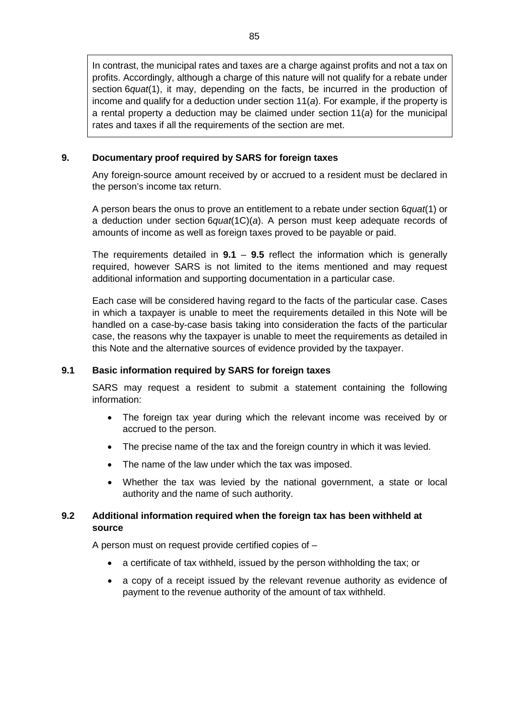In contrast, the municipal rates and taxes are a charge against profits and not a tax on profits. Accordingly, although a charge of this nature will not qualify for a rebate under section 6*quat*(1), it may, depending on the facts, be incurred in the production of income and qualify for a deduction under section 11(*a*). For example, if the property is a rental property a deduction may be claimed under section 11(*a*) for the municipal rates and taxes if all the requirements of the section are met.

### <span id="page-84-0"></span>**9. Documentary proof required by SARS for foreign taxes**

Any foreign-source amount received by or accrued to a resident must be declared in the person's income tax return.

A person bears the onus to prove an entitlement to a rebate under section 6*quat*(1) or a deduction under section 6*quat*(1C)(*a*). A person must keep adequate records of amounts of income as well as foreign taxes proved to be payable or paid.

The requirements detailed in **[9.1](#page-84-1)** – **[9.5](#page-85-0)** reflect the information which is generally required, however SARS is not limited to the items mentioned and may request additional information and supporting documentation in a particular case.

Each case will be considered having regard to the facts of the particular case. Cases in which a taxpayer is unable to meet the requirements detailed in this Note will be handled on a case-by-case basis taking into consideration the facts of the particular case, the reasons why the taxpayer is unable to meet the requirements as detailed in this Note and the alternative sources of evidence provided by the taxpayer.

### <span id="page-84-1"></span>**9.1 Basic information required by SARS for foreign taxes**

SARS may request a resident to submit a statement containing the following information:

- The foreign tax year during which the relevant income was received by or accrued to the person.
- The precise name of the tax and the foreign country in which it was levied.
- The name of the law under which the tax was imposed.
- Whether the tax was levied by the national government, a state or local authority and the name of such authority.

### **9.2 Additional information required when the foreign tax has been withheld at source**

A person must on request provide certified copies of –

- a certificate of tax withheld, issued by the person withholding the tax; or
- a copy of a receipt issued by the relevant revenue authority as evidence of payment to the revenue authority of the amount of tax withheld.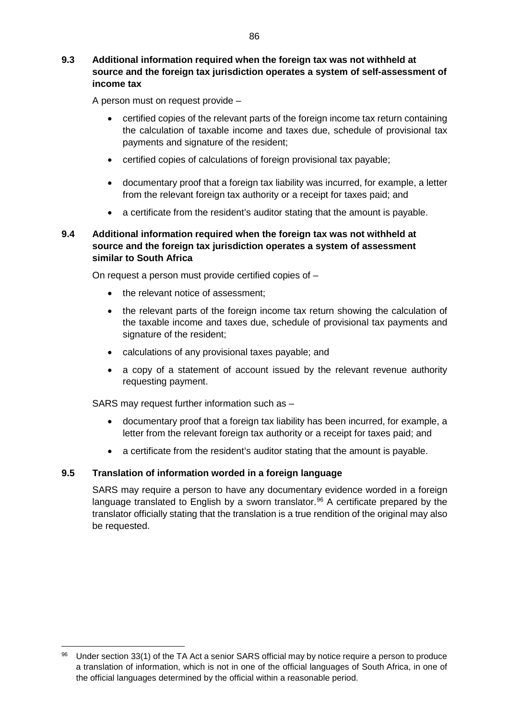### **9.3 Additional information required when the foreign tax was not withheld at source and the foreign tax jurisdiction operates a system of self-assessment of income tax**

A person must on request provide –

- certified copies of the relevant parts of the foreign income tax return containing the calculation of taxable income and taxes due, schedule of provisional tax payments and signature of the resident;
- certified copies of calculations of foreign provisional tax payable;
- documentary proof that a foreign tax liability was incurred, for example, a letter from the relevant foreign tax authority or a receipt for taxes paid; and
- a certificate from the resident's auditor stating that the amount is payable.

### **9.4 Additional information required when the foreign tax was not withheld at source and the foreign tax jurisdiction operates a system of assessment similar to South Africa**

On request a person must provide certified copies of –

- the relevant notice of assessment;
- the relevant parts of the foreign income tax return showing the calculation of the taxable income and taxes due, schedule of provisional tax payments and signature of the resident;
- calculations of any provisional taxes payable; and
- a copy of a statement of account issued by the relevant revenue authority requesting payment.

SARS may request further information such as –

- documentary proof that a foreign tax liability has been incurred, for example, a letter from the relevant foreign tax authority or a receipt for taxes paid; and
- a certificate from the resident's auditor stating that the amount is payable.

# <span id="page-85-0"></span>**9.5 Translation of information worded in a foreign language**

SARS may require a person to have any documentary evidence worded in a foreign language translated to English by a sworn translator.<sup>[96](#page-85-1)</sup> A certificate prepared by the translator officially stating that the translation is a true rendition of the original may also be requested.

<span id="page-85-1"></span><sup>96</sup> Under section 33(1) of the TA Act a senior SARS official may by notice require a person to produce a translation of information, which is not in one of the official languages of South Africa, in one of the official languages determined by the official within a reasonable period.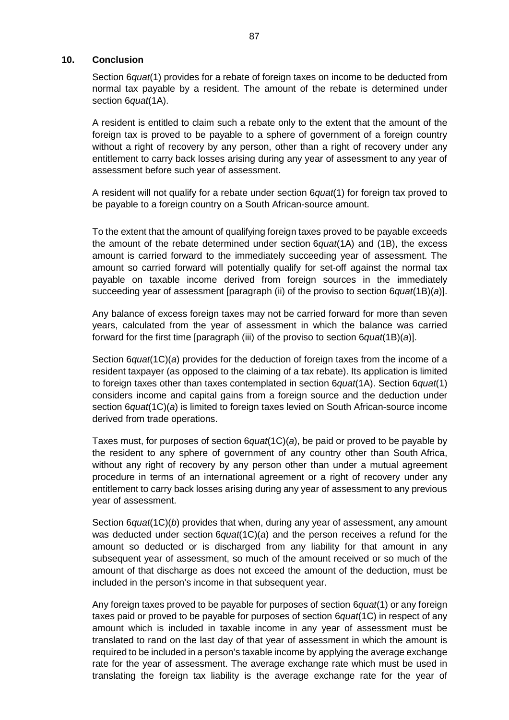### **10. Conclusion**

Section 6*quat*(1) provides for a rebate of foreign taxes on income to be deducted from normal tax payable by a resident. The amount of the rebate is determined under section 6*quat*(1A).

A resident is entitled to claim such a rebate only to the extent that the amount of the foreign tax is proved to be payable to a sphere of government of a foreign country without a right of recovery by any person, other than a right of recovery under any entitlement to carry back losses arising during any year of assessment to any year of assessment before such year of assessment.

A resident will not qualify for a rebate under section 6*quat*(1) for foreign tax proved to be payable to a foreign country on a South African-source amount.

To the extent that the amount of qualifying foreign taxes proved to be payable exceeds the amount of the rebate determined under section 6*quat*(1A) and (1B), the excess amount is carried forward to the immediately succeeding year of assessment. The amount so carried forward will potentially qualify for set-off against the normal tax payable on taxable income derived from foreign sources in the immediately succeeding year of assessment [paragraph (ii) of the proviso to section 6*quat*(1B)(*a*)].

Any balance of excess foreign taxes may not be carried forward for more than seven years, calculated from the year of assessment in which the balance was carried forward for the first time [paragraph (iii) of the proviso to section 6*quat*(1B)(*a*)].

Section 6*quat*(1C)(*a*) provides for the deduction of foreign taxes from the income of a resident taxpayer (as opposed to the claiming of a tax rebate). Its application is limited to foreign taxes other than taxes contemplated in section 6*quat*(1A). Section 6*quat*(1) considers income and capital gains from a foreign source and the deduction under section 6*quat*(1C)(*a*) is limited to foreign taxes levied on South African-source income derived from trade operations.

Taxes must, for purposes of section 6*quat*(1C)(*a*), be paid or proved to be payable by the resident to any sphere of government of any country other than South Africa, without any right of recovery by any person other than under a mutual agreement procedure in terms of an international agreement or a right of recovery under any entitlement to carry back losses arising during any year of assessment to any previous year of assessment.

Section 6*quat*(1C)(*b*) provides that when, during any year of assessment, any amount was deducted under section 6*quat*(1C)(*a*) and the person receives a refund for the amount so deducted or is discharged from any liability for that amount in any subsequent year of assessment, so much of the amount received or so much of the amount of that discharge as does not exceed the amount of the deduction, must be included in the person's income in that subsequent year.

Any foreign taxes proved to be payable for purposes of section 6*quat*(1) or any foreign taxes paid or proved to be payable for purposes of section 6*quat*(1C) in respect of any amount which is included in taxable income in any year of assessment must be translated to rand on the last day of that year of assessment in which the amount is required to be included in a person's taxable income by applying the average exchange rate for the year of assessment. The average exchange rate which must be used in translating the foreign tax liability is the average exchange rate for the year of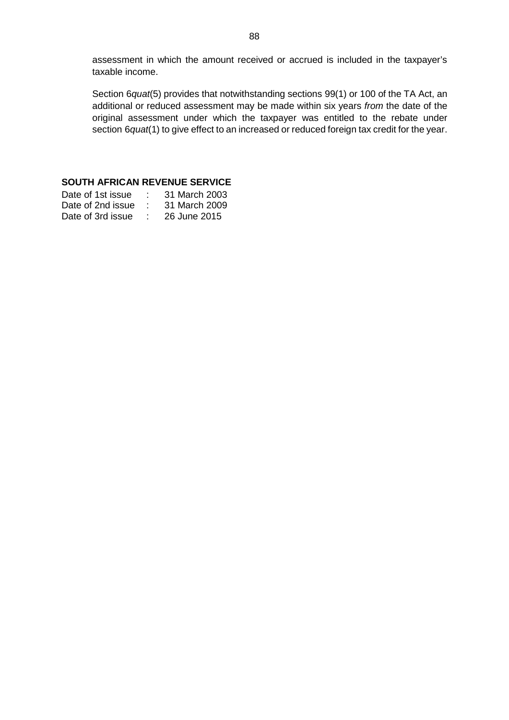assessment in which the amount received or accrued is included in the taxpayer's taxable income.

Section 6*quat*(5) provides that notwithstanding sections 99(1) or 100 of the TA Act, an additional or reduced assessment may be made within six years *from* the date of the original assessment under which the taxpayer was entitled to the rebate under section 6*quat*(1) to give effect to an increased or reduced foreign tax credit for the year.

### **SOUTH AFRICAN REVENUE SERVICE**

| Date of 1st issue | 31 March 2003 |
|-------------------|---------------|
| Date of 2nd issue | 31 March 2009 |
| Date of 3rd issue | 26 June 2015  |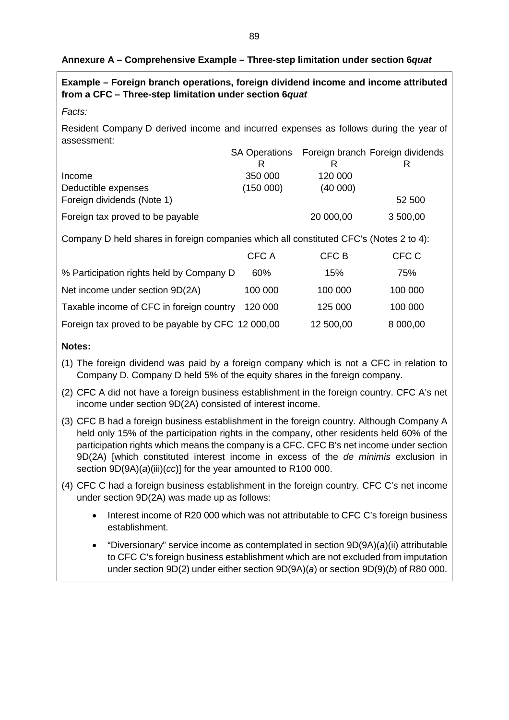| Example – Foreign branch operations, foreign dividend income and income attributed<br>from a CFC - Three-step limitation under section 6quat |                           |                  |                                        |
|----------------------------------------------------------------------------------------------------------------------------------------------|---------------------------|------------------|----------------------------------------|
| Facts:                                                                                                                                       |                           |                  |                                        |
| Resident Company D derived income and incurred expenses as follows during the year of<br>assessment:                                         |                           |                  |                                        |
|                                                                                                                                              | <b>SA Operations</b><br>R | R                | Foreign branch Foreign dividends<br>R. |
| Income                                                                                                                                       | 350 000                   | 120 000          |                                        |
| Deductible expenses                                                                                                                          | (150000)                  | (40000)          |                                        |
| Foreign dividends (Note 1)                                                                                                                   |                           |                  | 52 500                                 |
| Foreign tax proved to be payable                                                                                                             |                           | 20 000,00        | 3 500,00                               |
| Company D held shares in foreign companies which all constituted CFC's (Notes 2 to 4):                                                       |                           |                  |                                        |
|                                                                                                                                              | CFC A                     | CFC <sub>B</sub> | CFC C                                  |
| % Participation rights held by Company D                                                                                                     | 60%                       | 15%              | 75%                                    |
| Net income under section 9D(2A)                                                                                                              | 100 000                   | 100 000          | 100 000                                |
| Taxable income of CFC in foreign country                                                                                                     | 120 000                   | 125 000          | 100 000                                |
| Foreign tax proved to be payable by CFC 12 000,00                                                                                            |                           | 12 500,00        | 8 000,00                               |
| Notes:                                                                                                                                       |                           |                  |                                        |
| $(1)$ The foreign dividend was paid by a foreign company which is not a CFC in relation to                                                   |                           |                  |                                        |

# **Annexure A – Comprehensive Example – Three-step limitation under section 6***quat*

- $(1)$  The foreign dividend was paid by a foreign company which is not a CFC in relation Company D. Company D held 5% of the equity shares in the foreign company.
- (2) CFC A did not have a foreign business establishment in the foreign country. CFC A's net income under section 9D(2A) consisted of interest income.
- (3) CFC B had a foreign business establishment in the foreign country. Although Company A held only 15% of the participation rights in the company, other residents held 60% of the participation rights which means the company is a CFC. CFC B's net income under section 9D(2A) [which constituted interest income in excess of the *de minimis* exclusion in section  $9D(9A)(a)(iii)(cc)$ ] for the year amounted to R100 000.
- (4) CFC C had a foreign business establishment in the foreign country. CFC C's net income under section 9D(2A) was made up as follows:
	- Interest income of R20 000 which was not attributable to CFC C's foreign business establishment.
	- "Diversionary" service income as contemplated in section 9D(9A)(*a*)(ii) attributable to CFC C's foreign business establishment which are not excluded from imputation under section 9D(2) under either section 9D(9A)(*a*) or section 9D(9)(*b*) of R80 000.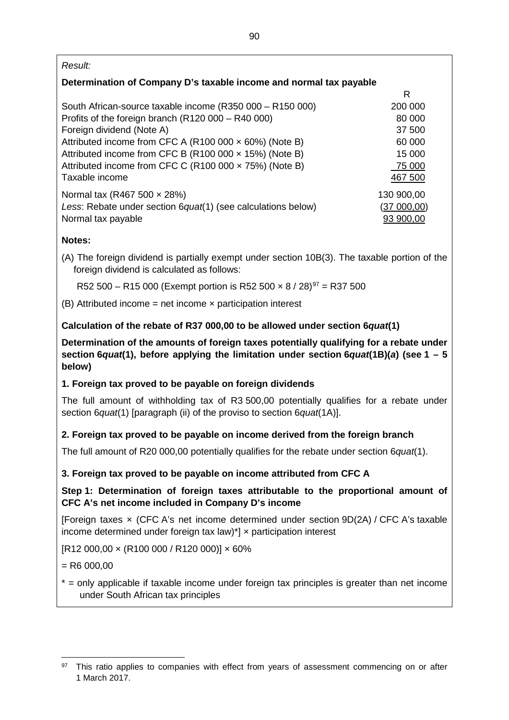### *Result:*

| Determination of Company D's taxable income and normal tax payable |            |
|--------------------------------------------------------------------|------------|
|                                                                    | R          |
| South African-source taxable income (R350 000 - R150 000)          | 200 000    |
| Profits of the foreign branch (R120 000 - R40 000)                 | 80 000     |
| Foreign dividend (Note A)                                          | 37 500     |
| Attributed income from CFC A (R100 000 $\times$ 60%) (Note B)      | 60 000     |
| Attributed income from CFC B (R100 000 x 15%) (Note B)             | 15 000     |
| Attributed income from CFC C (R100 000 x 75%) (Note B)             | 75 000     |
| Taxable income                                                     | 467 500    |
| Normal tax (R467 500 x 28%)                                        | 130 900,00 |
| Less: Rebate under section 6quat(1) (see calculations below)       | (37000,00) |
| Normal tax payable                                                 | 93 900,00  |

# **Notes:**

(A) The foreign dividend is partially exempt under section 10B(3). The taxable portion of the foreign dividend is calculated as follows:

R52 500 – R15 000 (Exempt portion is R52 500  $\times$  8 / 28)<sup>[97](#page-89-0)</sup> = R37 500

(B) Attributed income = net income  $\times$  participation interest

# **Calculation of the rebate of R37 000,00 to be allowed under section 6***quat***(1)**

**Determination of the amounts of foreign taxes potentially qualifying for a rebate under section 6***quat***(1), before applying the limitation under section 6***quat***(1B)(***a***) (see 1 – 5 below)**

# **1. Foreign tax proved to be payable on foreign dividends**

The full amount of withholding tax of R3 500,00 potentially qualifies for a rebate under section 6*quat*(1) [paragraph (ii) of the proviso to section 6*quat*(1A)].

# **2. Foreign tax proved to be payable on income derived from the foreign branch**

The full amount of R20 000,00 potentially qualifies for the rebate under section 6*quat*(1).

# **3. Foreign tax proved to be payable on income attributed from CFC A**

# **Step 1: Determination of foreign taxes attributable to the proportional amount of CFC A's net income included in Company D's income**

[Foreign taxes  $\times$  (CFC A's net income determined under section 9D(2A) / CFC A's taxable income determined under foreign tax  $|aw\rangle^*$   $\times$  participation interest

[R12 000,00 × (R100 000 / R120 000)] × 60%

# $=$  R6 000,00

 $*$  = only applicable if taxable income under foreign tax principles is greater than net income under South African tax principles

<span id="page-89-0"></span><sup>97</sup> This ratio applies to companies with effect from years of assessment commencing on or after 1 March 2017.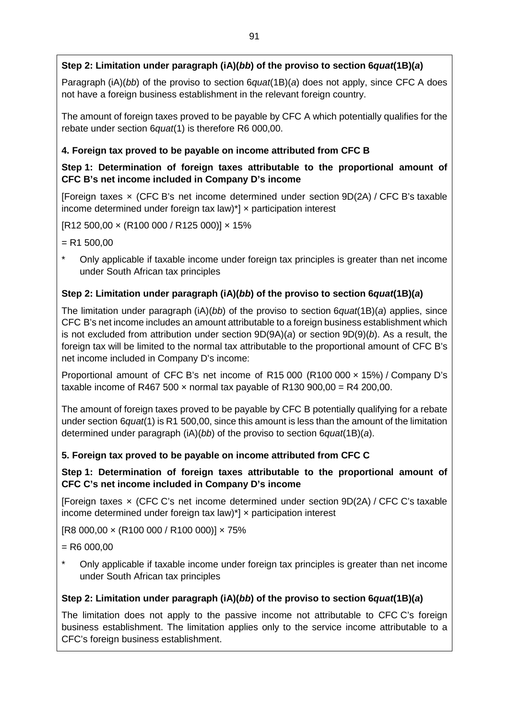# **Step 2: Limitation under paragraph (iA)(***bb***) of the proviso to section 6***quat***(1B)(***a***)**

Paragraph (iA)(*bb*) of the proviso to section 6*quat*(1B)(*a*) does not apply, since CFC A does not have a foreign business establishment in the relevant foreign country.

The amount of foreign taxes proved to be payable by CFC A which potentially qualifies for the rebate under section 6*quat*(1) is therefore R6 000,00.

# **4. Foreign tax proved to be payable on income attributed from CFC B**

# **Step 1: Determination of foreign taxes attributable to the proportional amount of CFC B's net income included in Company D's income**

[Foreign taxes × (CFC B's net income determined under section 9D(2A) / CFC B's taxable income determined under foreign tax  $law$ <sup>\*</sup>]  $\times$  participation interest

[R12 500,00 × (R100 000 / R125 000)] × 15%

 $= R1 500.00$ 

Only applicable if taxable income under foreign tax principles is greater than net income under South African tax principles

# **Step 2: Limitation under paragraph (iA)(***bb***) of the proviso to section 6***quat***(1B)(***a***)**

The limitation under paragraph (iA)(*bb*) of the proviso to section 6*quat*(1B)(*a*) applies, since CFC B's net income includes an amount attributable to a foreign business establishment which is not excluded from attribution under section 9D(9A)(*a*) or section 9D(9)(*b*). As a result, the foreign tax will be limited to the normal tax attributable to the proportional amount of CFC B's net income included in Company D's income:

Proportional amount of CFC B's net income of R15 000 (R100 000 × 15%) / Company D's taxable income of R467 500  $\times$  normal tax payable of R130 900,00 = R4 200,00.

The amount of foreign taxes proved to be payable by CFC B potentially qualifying for a rebate under section 6*quat*(1) is R1 500,00, since this amount is less than the amount of the limitation determined under paragraph (iA)(*bb*) of the proviso to section 6*quat*(1B)(*a*).

# **5. Foreign tax proved to be payable on income attributed from CFC C**

### **Step 1: Determination of foreign taxes attributable to the proportional amount of CFC C's net income included in Company D's income**

[Foreign taxes × (CFC C's net income determined under section 9D(2A) / CFC C's taxable income determined under foreign tax law)\*] x participation interest

[R8 000,00 × (R100 000 / R100 000)] × 75%

 $=$  R6 000,00

Only applicable if taxable income under foreign tax principles is greater than net income under South African tax principles

# **Step 2: Limitation under paragraph (iA)(***bb***) of the proviso to section 6***quat***(1B)(***a***)**

The limitation does not apply to the passive income not attributable to CFC C's foreign business establishment. The limitation applies only to the service income attributable to a CFC's foreign business establishment.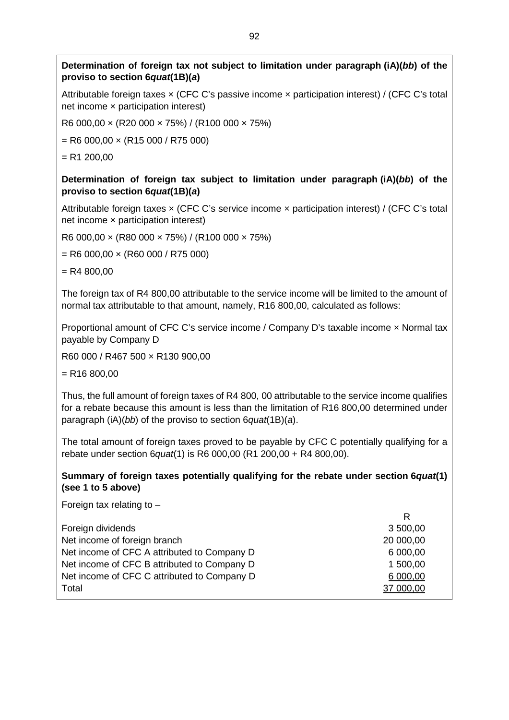# **Determination of foreign tax not subject to limitation under paragraph (iA)(***bb***) of the proviso to section 6***quat***(1B)(***a***)**

Attributable foreign taxes x (CFC C's passive income x participation interest) / (CFC C's total net income × participation interest)

R6 000,00 × (R20 000 × 75%) / (R100 000 × 75%)

 $=$  R6 000,00  $\times$  (R15 000 / R75 000)

 $= R1 200,00$ 

### **Determination of foreign tax subject to limitation under paragraph (iA)(***bb***) of the proviso to section 6***quat***(1B)(***a***)**

Attributable foreign taxes × (CFC C's service income × participation interest) / (CFC C's total net income × participation interest)

R6 000,00 × (R80 000 × 75%) / (R100 000 × 75%)

 $=$  R6 000,00  $\times$  (R60 000 / R75 000)

 $= R4 800.00$ 

The foreign tax of R4 800,00 attributable to the service income will be limited to the amount of normal tax attributable to that amount, namely, R16 800,00, calculated as follows:

Proportional amount of CFC C's service income / Company D's taxable income × Normal tax payable by Company D

R60 000 / R467 500 × R130 900,00

 $=$  R<sub>16</sub> 800.00

Thus, the full amount of foreign taxes of R4 800, 00 attributable to the service income qualifies for a rebate because this amount is less than the limitation of R16 800,00 determined under paragraph (iA)(*bb*) of the proviso to section 6*quat*(1B)(*a*).

The total amount of foreign taxes proved to be payable by CFC C potentially qualifying for a rebate under section 6*quat*(1) is R6 000,00 (R1 200,00 + R4 800,00).

**Summary of foreign taxes potentially qualifying for the rebate under section 6***quat***(1) (see 1 to 5 above)**

|  | Foreign tax relating to $-$ |
|--|-----------------------------|
|--|-----------------------------|

|                                             | R         |
|---------------------------------------------|-----------|
| Foreign dividends                           | 3 500,00  |
| Net income of foreign branch                | 20 000,00 |
| Net income of CFC A attributed to Company D | 6 000,00  |
| Net income of CFC B attributed to Company D | 1 500,00  |
| Net income of CFC C attributed to Company D | 6 000,00  |
| Total                                       | 37 000,00 |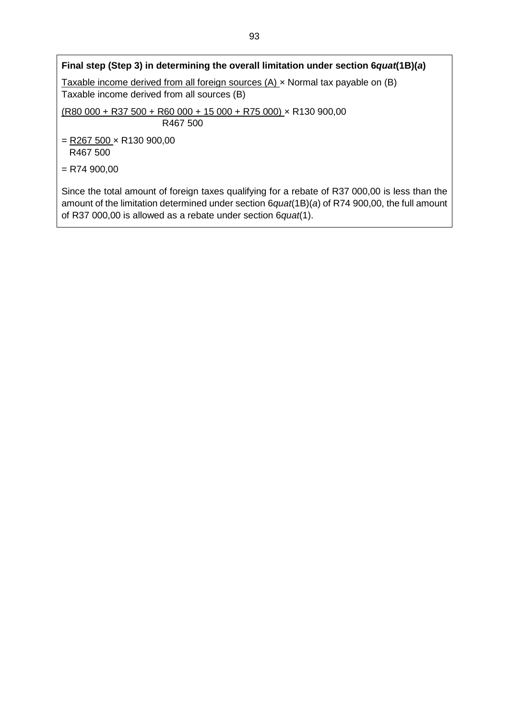### **Final step (Step 3) in determining the overall limitation under section 6***quat***(1B)(***a***)**

Taxable income derived from all foreign sources  $(A) \times$  Normal tax payable on  $(B)$ Taxable income derived from all sources (B)

(R80 000 + R37 500 + R60 000 + 15 000 + R75 000) × R130 900,00

R467 500

 $=$  R267 500  $\times$  R130 900,00 R467 500

 $= R74 900,00$ 

Since the total amount of foreign taxes qualifying for a rebate of R37 000,00 is less than the amount of the limitation determined under section 6*quat*(1B)(*a*) of R74 900,00, the full amount of R37 000,00 is allowed as a rebate under section 6*quat*(1).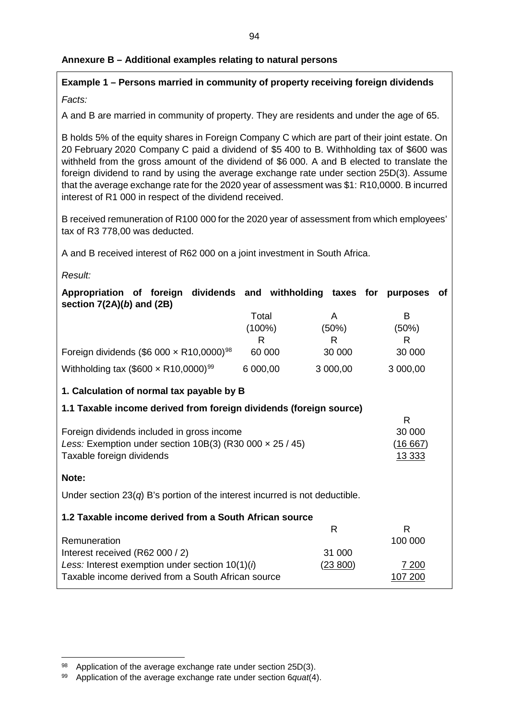# **Annexure B – Additional examples relating to natural persons**

# **Example 1 – Persons married in community of property receiving foreign dividends** *Facts:*

A and B are married in community of property. They are residents and under the age of 65.

B holds 5% of the equity shares in Foreign Company C which are part of their joint estate. On 20 February 2020 Company C paid a dividend of \$5 400 to B. Withholding tax of \$600 was withheld from the gross amount of the dividend of \$6 000. A and B elected to translate the foreign dividend to rand by using the average exchange rate under section 25D(3). Assume that the average exchange rate for the 2020 year of assessment was \$1: R10,0000. B incurred interest of R1 000 in respect of the dividend received.

B received remuneration of R100 000 for the 2020 year of assessment from which employees' tax of R3 778,00 was deducted.

A and B received interest of R62 000 on a joint investment in South Africa.

*Result:*

| Appropriation of foreign dividends and withholding taxes for<br>section $7(2A)(b)$ and $(2B)$ |           |                 | purposes<br>οf  |  |
|-----------------------------------------------------------------------------------------------|-----------|-----------------|-----------------|--|
|                                                                                               | Total     | A               | B               |  |
|                                                                                               | $(100\%)$ | (50%)           | (50%)           |  |
|                                                                                               | R         | R               | R               |  |
| Foreign dividends (\$6 000 $\times$ R10,0000) <sup>98</sup>                                   | 60 000    | 30 000          | 30 000          |  |
| Withholding tax (\$600 $\times$ R10,0000) <sup>99</sup>                                       | 6 000,00  | 3 000,00        | 3 000,00        |  |
| 1. Calculation of normal tax payable by B                                                     |           |                 |                 |  |
| 1.1 Taxable income derived from foreign dividends (foreign source)                            |           |                 |                 |  |
|                                                                                               |           |                 | R               |  |
| Foreign dividends included in gross income                                                    |           |                 | 30 000          |  |
| Less: Exemption under section 10B(3) (R30 000 $\times$ 25 / 45)                               |           |                 | <u>(16 667)</u> |  |
| Taxable foreign dividends                                                                     |           |                 | <u>13 333</u>   |  |
| Note:                                                                                         |           |                 |                 |  |
| Under section $23(q)$ B's portion of the interest incurred is not deductible.                 |           |                 |                 |  |
| 1.2 Taxable income derived from a South African source                                        |           |                 |                 |  |
|                                                                                               |           | R               | R               |  |
| Remuneration                                                                                  |           |                 | 100 000         |  |
| Interest received (R62 000 / 2)                                                               |           | 31 000          |                 |  |
| Less: Interest exemption under section $10(1)(i)$                                             |           | <u>(23 800)</u> | 7 200           |  |
| Taxable income derived from a South African source                                            |           |                 | <u>107 200</u>  |  |

<span id="page-93-0"></span><sup>98</sup> Application of the average exchange rate under section 25D(3).

<span id="page-93-1"></span><sup>99</sup> Application of the average exchange rate under section 6*quat*(4).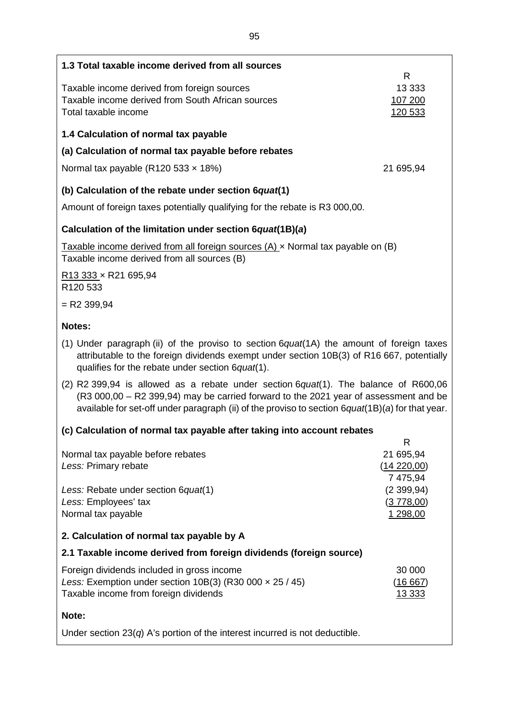| 1.3 Total taxable income derived from all sources                                                                                                                                                                                                                                          | $\mathsf{R}$                   |
|--------------------------------------------------------------------------------------------------------------------------------------------------------------------------------------------------------------------------------------------------------------------------------------------|--------------------------------|
| Taxable income derived from foreign sources<br>Taxable income derived from South African sources<br>Total taxable income                                                                                                                                                                   | 13 3 3 3<br>107 200<br>120 533 |
| 1.4 Calculation of normal tax payable                                                                                                                                                                                                                                                      |                                |
| (a) Calculation of normal tax payable before rebates                                                                                                                                                                                                                                       |                                |
| Normal tax payable (R120 533 $\times$ 18%)                                                                                                                                                                                                                                                 | 21 695,94                      |
| (b) Calculation of the rebate under section 6quat(1)                                                                                                                                                                                                                                       |                                |
| Amount of foreign taxes potentially qualifying for the rebate is R3 000,00.                                                                                                                                                                                                                |                                |
| Calculation of the limitation under section 6quat(1B)(a)                                                                                                                                                                                                                                   |                                |
| Taxable income derived from all foreign sources $(A) \times$ Normal tax payable on $(B)$<br>Taxable income derived from all sources (B)                                                                                                                                                    |                                |
| $R13333 \times R21695,94$<br>R <sub>120</sub> 533                                                                                                                                                                                                                                          |                                |
| $=$ R2 399,94                                                                                                                                                                                                                                                                              |                                |
| Notes:                                                                                                                                                                                                                                                                                     |                                |
| (1) Under paragraph (ii) of the proviso to section 6quat(1A) the amount of foreign taxes<br>attributable to the foreign dividends exempt under section 10B(3) of R16 667, potentially<br>qualifies for the rebate under section 6quat(1).                                                  |                                |
| (2) R2 399,94 is allowed as a rebate under section $6$ <i>quat</i> (1). The balance of R600,06<br>(R3 000,00 - R2 399,94) may be carried forward to the 2021 year of assessment and be<br>available for set-off under paragraph (ii) of the proviso to section 6quat(1B)(a) for that year. |                                |
| (c) Calculation of normal tax payable after taking into account rebates                                                                                                                                                                                                                    |                                |
|                                                                                                                                                                                                                                                                                            | R                              |
| Normal tax payable before rebates<br>Less: Primary rebate                                                                                                                                                                                                                                  | 21 695,94<br>(14220,00)        |
|                                                                                                                                                                                                                                                                                            | 7 475,94                       |
| Less: Rebate under section 6quat(1)                                                                                                                                                                                                                                                        | (2399, 94)                     |
| Less: Employees' tax<br>Normal tax payable                                                                                                                                                                                                                                                 | (3778,00)<br>1 298,00          |
| 2. Calculation of normal tax payable by A                                                                                                                                                                                                                                                  |                                |
| 2.1 Taxable income derived from foreign dividends (foreign source)                                                                                                                                                                                                                         |                                |
| Foreign dividends included in gross income                                                                                                                                                                                                                                                 | 30 000                         |
| Less: Exemption under section 10B(3) (R30 000 $\times$ 25 / 45)<br>Taxable income from foreign dividends                                                                                                                                                                                   | <u>(16 667)</u><br>13 333      |
| Note:                                                                                                                                                                                                                                                                                      |                                |
| Under section $23(q)$ A's portion of the interest incurred is not deductible.                                                                                                                                                                                                              |                                |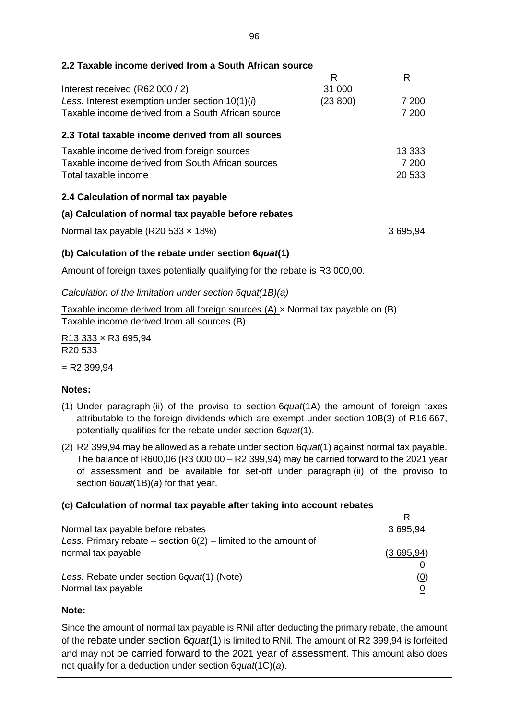| 2.2 Taxable income derived from a South African source                                                                                                                                                                                                                                                            |                        |                                    |
|-------------------------------------------------------------------------------------------------------------------------------------------------------------------------------------------------------------------------------------------------------------------------------------------------------------------|------------------------|------------------------------------|
| Interest received (R62 000 / 2)<br>Less: Interest exemption under section $10(1)(i)$<br>Taxable income derived from a South African source                                                                                                                                                                        | R<br>31 000<br>(23800) | R<br><u>7 200</u><br><u>7 200</u>  |
| 2.3 Total taxable income derived from all sources                                                                                                                                                                                                                                                                 |                        |                                    |
| Taxable income derived from foreign sources<br>Taxable income derived from South African sources<br>Total taxable income                                                                                                                                                                                          |                        | 13 3 3 3<br><u>7 200</u><br>20 533 |
| 2.4 Calculation of normal tax payable                                                                                                                                                                                                                                                                             |                        |                                    |
| (a) Calculation of normal tax payable before rebates                                                                                                                                                                                                                                                              |                        |                                    |
| Normal tax payable (R20 533 $\times$ 18%)                                                                                                                                                                                                                                                                         |                        | 3 695,94                           |
| (b) Calculation of the rebate under section 6quat(1)                                                                                                                                                                                                                                                              |                        |                                    |
| Amount of foreign taxes potentially qualifying for the rebate is R3 000,00.                                                                                                                                                                                                                                       |                        |                                    |
| Calculation of the limitation under section 6quat(1B)(a)                                                                                                                                                                                                                                                          |                        |                                    |
| Taxable income derived from all foreign sources (A) x Normal tax payable on (B)<br>Taxable income derived from all sources (B)                                                                                                                                                                                    |                        |                                    |
| $R13333 \times R3695,94$<br>R <sub>20</sub> 533                                                                                                                                                                                                                                                                   |                        |                                    |
| $=$ R2 399,94                                                                                                                                                                                                                                                                                                     |                        |                                    |
| Notes:                                                                                                                                                                                                                                                                                                            |                        |                                    |
| (1) Under paragraph (ii) of the proviso to section 6quat(1A) the amount of foreign taxes<br>attributable to the foreign dividends which are exempt under section 10B(3) of R16 667,<br>potentially qualifies for the rebate under section 6quat(1).                                                               |                        |                                    |
| (2) R2 399,94 may be allowed as a rebate under section 6quat(1) against normal tax payable.<br>The balance of R600,06 (R3 000,00 - R2 399,94) may be carried forward to the 2021 year<br>of assessment and be available for set-off under paragraph (ii) of the proviso to<br>section 6quat(1B)(a) for that year. |                        |                                    |
| (c) Calculation of normal tax payable after taking into account rebates                                                                                                                                                                                                                                           |                        |                                    |
| Normal tax payable before rebates                                                                                                                                                                                                                                                                                 |                        | R<br>3 695,94                      |
| Less: Primary rebate $-$ section $6(2)$ $-$ limited to the amount of                                                                                                                                                                                                                                              |                        |                                    |
| normal tax payable                                                                                                                                                                                                                                                                                                |                        | <u>(3 695,94)</u>                  |
| Less: Rebate under section 6quat(1) (Note)                                                                                                                                                                                                                                                                        |                        | 0<br><u>(0)</u>                    |
| Normal tax payable                                                                                                                                                                                                                                                                                                |                        | $\underline{0}$                    |
| Note:                                                                                                                                                                                                                                                                                                             |                        |                                    |

Since the amount of normal tax payable is RNil after deducting the primary rebate, the amount of the rebate under section 6*quat*(1) is limited to RNil. The amount of R2 399,94 is forfeited and may not be carried forward to the 2021 year of assessment. This amount also does not qualify for a deduction under section 6*quat*(1C)(*a*).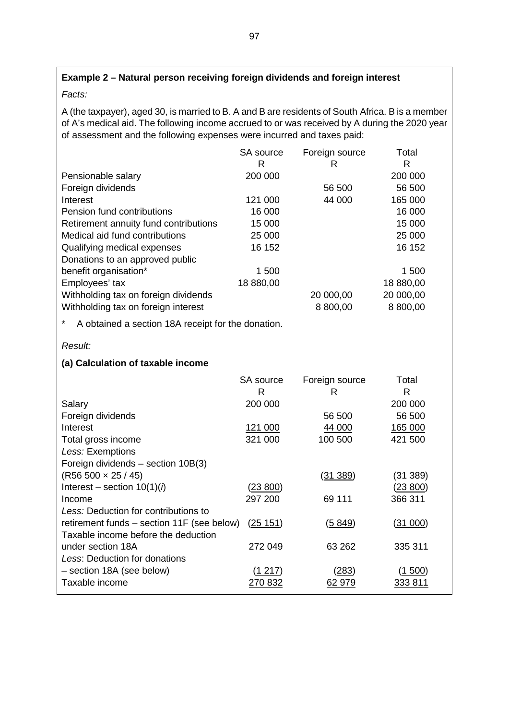# **Example 2 – Natural person receiving foreign dividends and foreign interest**

*Facts:*

A (the taxpayer), aged 30, is married to B. A and B are residents of South Africa. B is a member of A's medical aid. The following income accrued to or was received by A during the 2020 year of assessment and the following expenses were incurred and taxes paid:

|                                                         | <b>SA source</b> | Foreign source | Total        |
|---------------------------------------------------------|------------------|----------------|--------------|
|                                                         | R                | R              | R            |
| Pensionable salary                                      | 200 000          |                | 200 000      |
| Foreign dividends                                       |                  | 56 500         | 56 500       |
| Interest                                                | 121 000          | 44 000         | 165 000      |
| Pension fund contributions                              | 16 000           |                | 16 000       |
| Retirement annuity fund contributions                   | 15 000           |                | 15 000       |
| Medical aid fund contributions                          | 25 000           |                | 25 000       |
| Qualifying medical expenses                             | 16 152           |                | 16 152       |
| Donations to an approved public                         |                  |                |              |
| benefit organisation*                                   | 1 500            |                | 1 500        |
| Employees' tax                                          | 18 880,00        |                | 18 880,00    |
| Withholding tax on foreign dividends                    |                  | 20 000,00      | 20 000,00    |
| Withholding tax on foreign interest                     |                  | 8 800,00       | 8 800,00     |
| *<br>A obtained a section 18A receipt for the donation. |                  |                |              |
| Result:                                                 |                  |                |              |
| (a) Calculation of taxable income                       |                  |                |              |
|                                                         | <b>SA</b> source | Foreign source | Total        |
|                                                         | $\mathsf{R}$     | R              | $\mathsf{R}$ |
| Salary                                                  | 200 000          |                | 200 000      |
| Foreign dividends                                       |                  | 56 500         | 56 500       |
| Interest                                                | 121 000          | 44 000         | 165 000      |
| Total gross income                                      | 321 000          | 100 500        | 421 500      |
| Less: Exemptions                                        |                  |                |              |
| Foreign dividends - section 10B(3)                      |                  |                |              |
| $(R56 500 \times 25 / 45)$                              |                  | (31389)        | (31 389)     |
| Interest – section $10(1)(i)$                           | (23, 800)        |                | (23 800)     |
| Income                                                  | 297 200          | 69 111         | 366 311      |
| Less: Deduction for contributions to                    |                  |                |              |

retirement funds – section 11F (see below)  $(25 151)$   $(5 849)$   $(31 000)$ 

under section 18A 272 049 63 262 335 311

– section 18A (see below) (1 217) (283) (1 500) Taxable income 270 832 62 979 333 811

Taxable income before the deduction

*Less*: Deduction for donations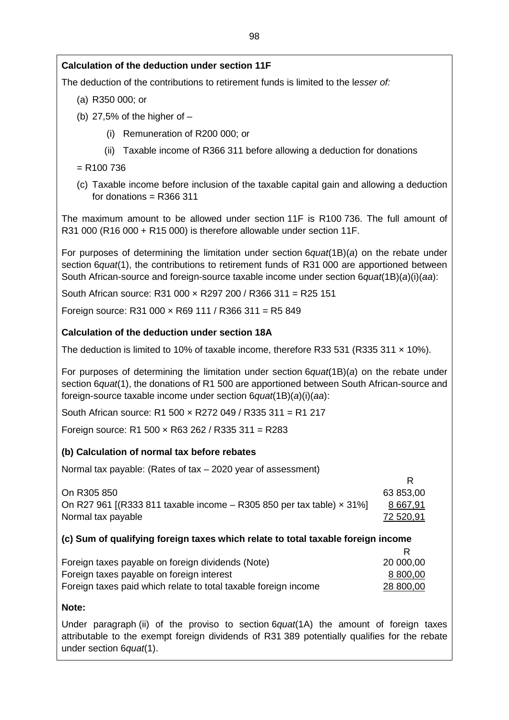# **Calculation of the deduction under section 11F**

The deduction of the contributions to retirement funds is limited to the l*esser of:*

- (a) R350 000; or
- (b) 27,5% of the higher of  $-$ 
	- (i) Remuneration of R200 000; or
	- (ii) Taxable income of R366 311 before allowing a deduction for donations

 $= R100736$ 

(c) Taxable income before inclusion of the taxable capital gain and allowing a deduction for donations  $=$  R366 311

The maximum amount to be allowed under section 11F is R100 736. The full amount of R31 000 (R16 000 + R15 000) is therefore allowable under section 11F.

For purposes of determining the limitation under section 6*quat*(1B)(*a*) on the rebate under section 6*quat*(1), the contributions to retirement funds of R31 000 are apportioned between South African-source and foreign-source taxable income under section 6*quat*(1B)(*a*)(i)(*aa*):

South African source: R31 000 × R297 200 / R366 311 = R25 151

Foreign source: R31 000 × R69 111 / R366 311 = R5 849

# **Calculation of the deduction under section 18A**

The deduction is limited to 10% of taxable income, therefore R33 531 (R335 311  $\times$  10%).

For purposes of determining the limitation under section 6*quat*(1B)(*a*) on the rebate under section 6*quat*(1), the donations of R1 500 are apportioned between South African-source and foreign-source taxable income under section 6*quat*(1B)(*a*)(i)(*aa*):

South African source: R1 500 × R272 049 / R335 311 = R1 217

Foreign source: R1 500 × R63 262 / R335 311 = R283

# **(b) Calculation of normal tax before rebates**

Normal tax payable: (Rates of tax – 2020 year of assessment)

|                                                                              | -         |
|------------------------------------------------------------------------------|-----------|
| On R305 850                                                                  | 63 853,00 |
| On R27 961 [(R333 811 taxable income – R305 850 per tax table) $\times$ 31%] | 8 667,91  |
| Normal tax payable                                                           | 72 520,91 |

R

# **(c) Sum of qualifying foreign taxes which relate to total taxable foreign income**

| Foreign taxes payable on foreign dividends (Note)               | 20 000,00 |
|-----------------------------------------------------------------|-----------|
| Foreign taxes payable on foreign interest                       | 8 800,00  |
| Foreign taxes paid which relate to total taxable foreign income | 28 800,00 |

# **Note:**

Under paragraph (ii) of the proviso to section 6*quat*(1A) the amount of foreign taxes attributable to the exempt foreign dividends of R31 389 potentially qualifies for the rebate under section 6*quat*(1).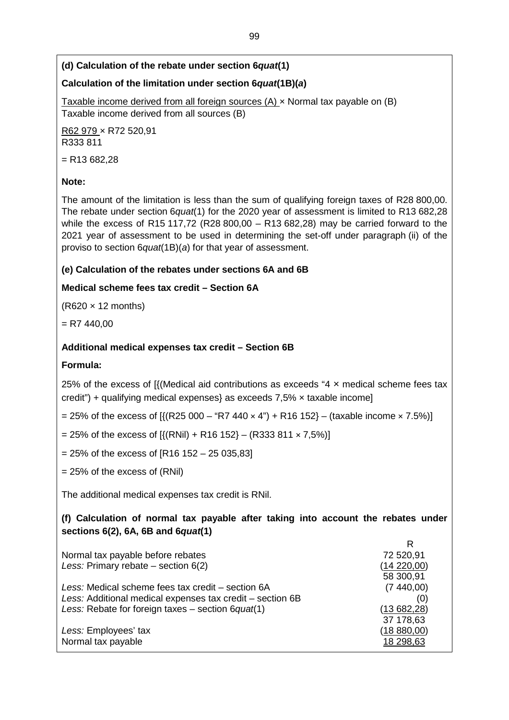# **(d) Calculation of the rebate under section 6***quat***(1)**

# **Calculation of the limitation under section 6***quat***(1B)(***a***)**

Taxable income derived from all foreign sources  $(A) \times$  Normal tax payable on  $(B)$ Taxable income derived from all sources (B)

R62 979 × R72 520,91 R333 811

 $= R13682.28$ 

# **Note:**

The amount of the limitation is less than the sum of qualifying foreign taxes of R28 800,00. The rebate under section 6*quat*(1) for the 2020 year of assessment is limited to R13 682,28 while the excess of R15 117,72 (R28 800,00 – R13 682,28) may be carried forward to the 2021 year of assessment to be used in determining the set-off under paragraph (ii) of the proviso to section 6*quat*(1B)(*a*) for that year of assessment.

### **(e) Calculation of the rebates under sections 6A and 6B**

# **Medical scheme fees tax credit – Section 6A**

(R620 × 12 months)

 $=$  R7 440.00

### **Additional medical expenses tax credit – Section 6B**

### **Formula:**

25% of the excess of  $\frac{1}{2}$  (Medical aid contributions as exceeds "4  $\times$  medical scheme fees tax credit") + qualifying medical expenses} as exceeds 7,5% × taxable income]

= 25% of the excess of  $[{(R25 000 - "R7 440 \times 4") + R16 152} - (taxable income \times 7.5%)}]$ 

- $= 25\%$  of the excess of  $\frac{1}{2}$  (RNil) + R16 152} (R333 811 × 7,5%)]
- $= 25\%$  of the excess of [R16 152 25 035,83]
- = 25% of the excess of (RNil)

The additional medical expenses tax credit is RNil.

# **(f) Calculation of normal tax payable after taking into account the rebates under sections 6(2), 6A, 6B and 6***quat***(1)**

|                                                           | R          |
|-----------------------------------------------------------|------------|
| Normal tax payable before rebates                         | 72 520,91  |
| Less: Primary rebate $-$ section 6(2)                     | (14220,00) |
|                                                           | 58 300,91  |
| Less: Medical scheme fees tax credit – section 6A         | (7440,00)  |
| Less: Additional medical expenses tax credit – section 6B | (0)        |
| Less: Rebate for foreign taxes - section 6quat(1)         | (13682,28) |
|                                                           | 37 178,63  |
| Less: Employees' tax                                      | (18880,00) |
| Normal tax payable                                        | 18 298,63  |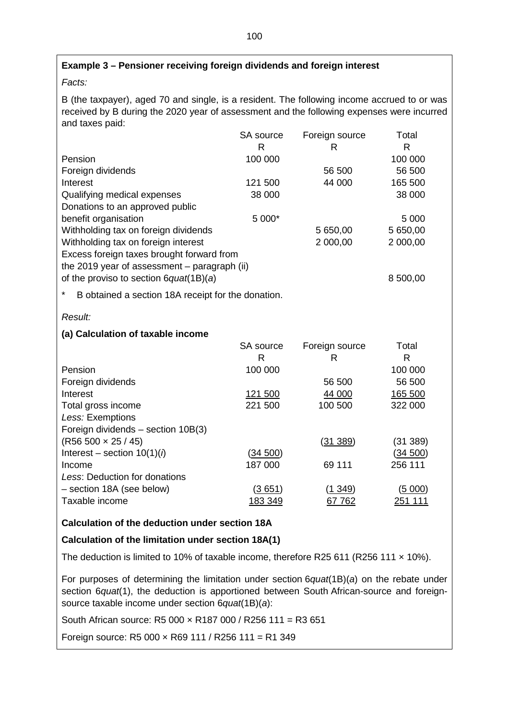# **Example 3 – Pensioner receiving foreign dividends and foreign interest**

*Facts:*

B (the taxpayer), aged 70 and single, is a resident. The following income accrued to or was received by B during the 2020 year of assessment and the following expenses were incurred and taxes paid:

|                                                                | <b>SA</b> source | Foreign source | Total    |
|----------------------------------------------------------------|------------------|----------------|----------|
|                                                                | R                | R              | R        |
| Pension                                                        | 100 000          |                | 100 000  |
| Foreign dividends                                              |                  | 56 500         | 56 500   |
| Interest                                                       | 121 500          | 44 000         | 165 500  |
| Qualifying medical expenses                                    | 38 000           |                | 38 000   |
| Donations to an approved public                                |                  |                |          |
| benefit organisation                                           | 5 000*           |                | 5 0 0 0  |
| Withholding tax on foreign dividends                           |                  | 5 650,00       | 5 650,00 |
| Withholding tax on foreign interest                            |                  | 2 000,00       | 2 000,00 |
| Excess foreign taxes brought forward from                      |                  |                |          |
| the 2019 year of assessment - paragraph (ii)                   |                  |                |          |
| of the proviso to section 6quat(1B)(a)                         |                  |                | 8 500,00 |
| $^\star$<br>B obtained a section 18A receipt for the donation. |                  |                |          |
| Result:                                                        |                  |                |          |
| (a) Calculation of taxable income                              |                  |                |          |
|                                                                | <b>SA</b> source | Foreign source | Total    |
|                                                                | R                | R              | R        |
| Pension                                                        | 100 000          |                | 100 000  |
| Foreign dividends                                              |                  | 56 500         | 56 500   |
| Interest                                                       | 121 500          | 44 000         | 165 500  |
| Total gross income                                             | 221 500          | 100 500        | 322 000  |
| Less: Exemptions                                               |                  |                |          |
| Foreign dividends - section 10B(3)                             |                  |                |          |
| $(R56 500 \times 25 / 45)$                                     |                  | (31389)        | (31 389) |
| Interest – section $10(1)(i)$                                  | (34 500)         |                | (34500)  |
| Income                                                         | 187 000          | 69 111         | 256 111  |
| Less: Deduction for donations                                  |                  |                |          |
| - section 18A (see below)                                      | (3651)           | (1349)         | (5000)   |
| Taxable income                                                 | 183 349          | 67 762         | 251 111  |

### **Calculation of the deduction under section 18A**

# **Calculation of the limitation under section 18A(1)**

The deduction is limited to 10% of taxable income, therefore R25 611 (R256 111  $\times$  10%).

For purposes of determining the limitation under section 6*quat*(1B)(*a*) on the rebate under section 6*quat*(1), the deduction is apportioned between South African-source and foreignsource taxable income under section 6*quat*(1B)(*a*):

South African source: R5 000 × R187 000 / R256 111 = R3 651

Foreign source: R5 000 × R69 111 / R256 111 = R1 349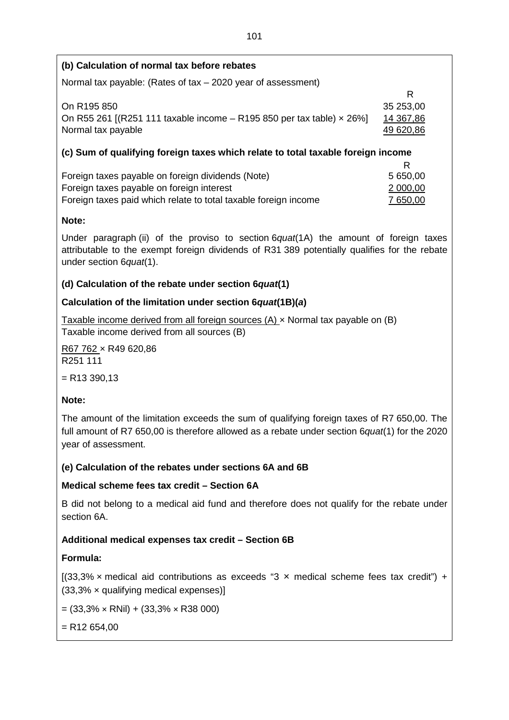| R                                                                                |  |  |  |
|----------------------------------------------------------------------------------|--|--|--|
| 35 253,00                                                                        |  |  |  |
| 14 367,86                                                                        |  |  |  |
| 49 620,86                                                                        |  |  |  |
| (c) Sum of qualifying foreign taxes which relate to total taxable foreign income |  |  |  |
| R                                                                                |  |  |  |
| 5 650,00                                                                         |  |  |  |
| 2 000,00                                                                         |  |  |  |
|                                                                                  |  |  |  |

# **Note:**

Under paragraph (ii) of the proviso to section 6*quat*(1A) the amount of foreign taxes attributable to the exempt foreign dividends of R31 389 potentially qualifies for the rebate under section 6*quat*(1).

Foreign taxes paid which relate to total taxable foreign income 7 650,00

### **(d) Calculation of the rebate under section 6***quat***(1)**

### **Calculation of the limitation under section 6***quat***(1B)(***a***)**

Taxable income derived from all foreign sources  $(A) \times$  Normal tax payable on  $(B)$ Taxable income derived from all sources (B)

R67 762 × R49 620,86 R251 111

 $= R13 390, 13$ 

### **Note:**

The amount of the limitation exceeds the sum of qualifying foreign taxes of R7 650,00. The full amount of R7 650,00 is therefore allowed as a rebate under section 6*quat*(1) for the 2020 year of assessment.

### **(e) Calculation of the rebates under sections 6A and 6B**

### **Medical scheme fees tax credit – Section 6A**

B did not belong to a medical aid fund and therefore does not qualify for the rebate under section 6A.

### **Additional medical expenses tax credit – Section 6B**

# **Formula:**

 $[(33,3% \times \text{ medical aid contributions as exceeds "3 x medical scheme fees tax credit") +$ (33,3% × qualifying medical expenses)]

 $= (33,3\% \times RNil) + (33,3\% \times R38\ 000)$ 

 $= R12 654,00$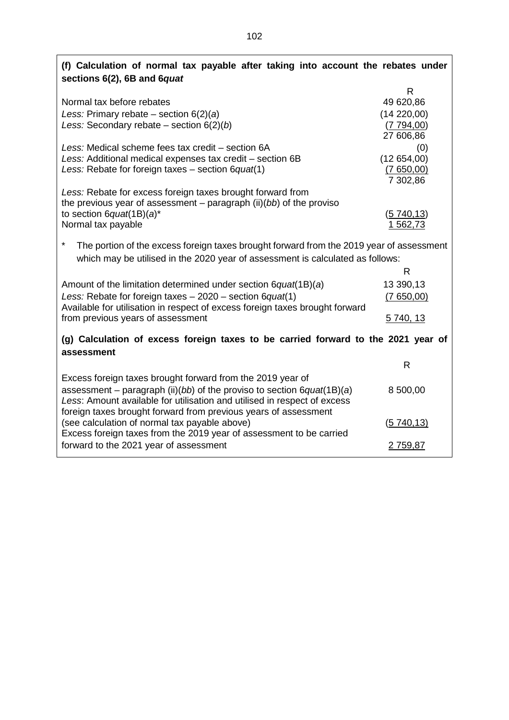| (f) Calculation of normal tax payable after taking into account the rebates under<br>sections 6(2), 6B and 6quat                                                           |            |
|----------------------------------------------------------------------------------------------------------------------------------------------------------------------------|------------|
|                                                                                                                                                                            | R          |
| Normal tax before rebates                                                                                                                                                  | 49 620,86  |
| Less: Primary rebate – section $6(2)(a)$                                                                                                                                   | (14220,00) |
| Less: Secondary rebate – section $6(2)(b)$                                                                                                                                 | (7794,00)  |
|                                                                                                                                                                            | 27 606,86  |
| Less: Medical scheme fees tax credit - section 6A                                                                                                                          | (0)        |
| Less: Additional medical expenses tax credit - section 6B                                                                                                                  | (12654,00) |
| Less: Rebate for foreign taxes - section 6quat(1)                                                                                                                          | (7650,00)  |
|                                                                                                                                                                            | 7 302,86   |
| Less: Rebate for excess foreign taxes brought forward from                                                                                                                 |            |
| the previous year of assessment – paragraph $(ii)(bb)$ of the proviso                                                                                                      |            |
| to section $6$ quat(1B)(a)*                                                                                                                                                | (5740, 13) |
| Normal tax payable                                                                                                                                                         | 1 562,73   |
| The portion of the excess foreign taxes brought forward from the 2019 year of assessment<br>which may be utilised in the 2020 year of assessment is calculated as follows: |            |
|                                                                                                                                                                            | R          |
| Amount of the limitation determined under section 6quat(1B)(a)                                                                                                             | 13 390,13  |
| Less: Rebate for foreign taxes $-2020$ – section 6quat(1)                                                                                                                  | (7650,00)  |
| Available for utilisation in respect of excess foreign taxes brought forward                                                                                               |            |
| from previous years of assessment                                                                                                                                          | 5 740, 13  |
| (g) Calculation of excess foreign taxes to be carried forward to the 2021 year of<br>assessment                                                                            |            |
|                                                                                                                                                                            | R          |
| Excess foreign taxes brought forward from the 2019 year of                                                                                                                 |            |
| assessment – paragraph (ii)(bb) of the proviso to section $6$ quat(1B)(a)                                                                                                  | 8 500,00   |
| Less: Amount available for utilisation and utilised in respect of excess                                                                                                   |            |
| foreign taxes brought forward from previous years of assessment                                                                                                            |            |
| (see calculation of normal tax payable above)                                                                                                                              | (5740, 13) |
| Excess foreign taxes from the 2019 year of assessment to be carried                                                                                                        |            |
| forward to the 2021 year of assessment                                                                                                                                     | 2 759,87   |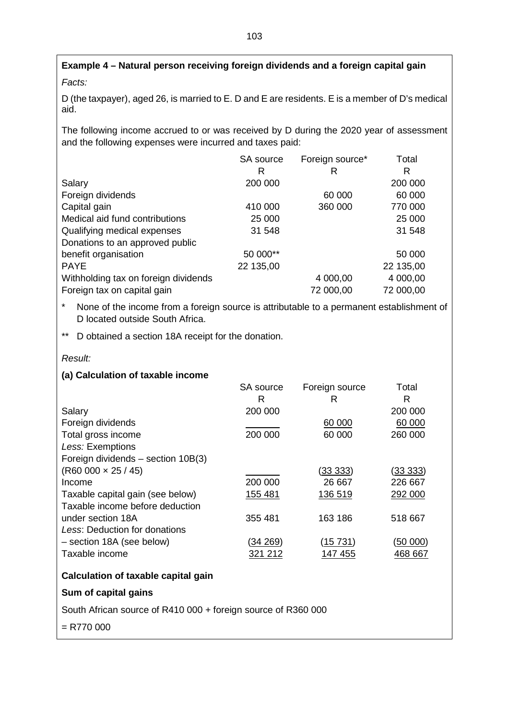# **Example 4 – Natural person receiving foreign dividends and a foreign capital gain**

*Facts:*

D (the taxpayer), aged 26, is married to E. D and E are residents. E is a member of D's medical aid.

The following income accrued to or was received by D during the 2020 year of assessment and the following expenses were incurred and taxes paid:

|                                      | <b>SA source</b> | Foreign source* | Total     |
|--------------------------------------|------------------|-----------------|-----------|
|                                      | R                | R               | R         |
| Salary                               | 200 000          |                 | 200 000   |
| Foreign dividends                    |                  | 60 000          | 60 000    |
| Capital gain                         | 410 000          | 360 000         | 770 000   |
| Medical aid fund contributions       | 25 000           |                 | 25 000    |
| Qualifying medical expenses          | 31 548           |                 | 31 548    |
| Donations to an approved public      |                  |                 |           |
| benefit organisation                 | 50 000**         |                 | 50 000    |
| <b>PAYE</b>                          | 22 135,00        |                 | 22 135,00 |
| Withholding tax on foreign dividends |                  | 4 000,00        | 4 000,00  |
| Foreign tax on capital gain          |                  | 72 000,00       | 72 000,00 |

\* None of the income from a foreign source is attributable to a permanent establishment of D located outside South Africa.

\*\* D obtained a section 18A receipt for the donation.

*Result:*

### **(a) Calculation of taxable income**

|                                    | <b>SA</b> source | Foreign source  | Total    |
|------------------------------------|------------------|-----------------|----------|
|                                    | R                | R               | R        |
| Salary                             | 200 000          |                 | 200 000  |
| Foreign dividends                  |                  | 60 000          | 60 000   |
| Total gross income                 | 200 000          | 60 000          | 260 000  |
| Less: Exemptions                   |                  |                 |          |
| Foreign dividends - section 10B(3) |                  |                 |          |
| $(R60\,000 \times 25 / 45)$        |                  | <u>(33 333)</u> | (33 333) |
| Income                             | 200 000          | 26 667          | 226 667  |
| Taxable capital gain (see below)   | 155 481          | 136 519         | 292 000  |
| Taxable income before deduction    |                  |                 |          |
| under section 18A                  | 355 481          | 163 186         | 518 667  |
| Less: Deduction for donations      |                  |                 |          |
| - section 18A (see below)          | <u>(34 269)</u>  | <u>(15 731)</u> | (50 000) |
| Taxable income                     | 321 212          | 147 455         | 468 667  |

# **Calculation of taxable capital gain**

# **Sum of capital gains**

South African source of R410 000 + foreign source of R360 000

 $= R770,000$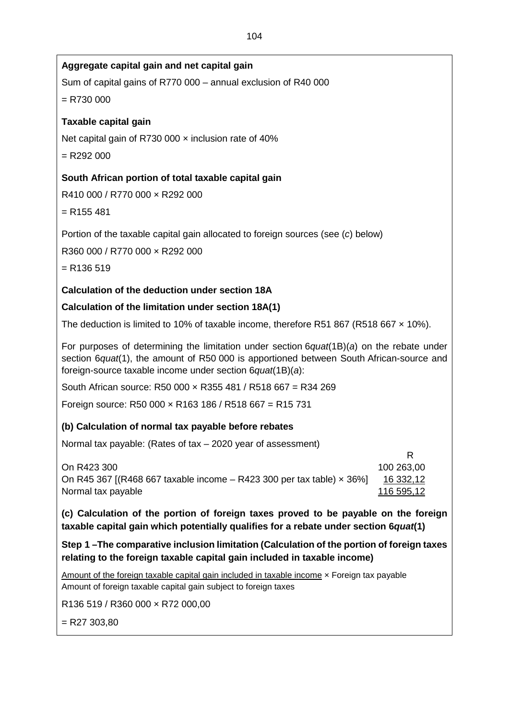# **Aggregate capital gain and net capital gain**

Sum of capital gains of R770 000 – annual exclusion of R40 000

 $= R730,000$ 

# **Taxable capital gain**

Net capital gain of R730 000  $\times$  inclusion rate of 40%

 $= R292 000$ 

# **South African portion of total taxable capital gain**

R410 000 / R770 000 × R292 000

 $=$  R<sub>155</sub> 481

Portion of the taxable capital gain allocated to foreign sources (see (*c*) below)

R360 000 / R770 000 × R292 000

 $= R136519$ 

# **Calculation of the deduction under section 18A**

# **Calculation of the limitation under section 18A(1)**

The deduction is limited to 10% of taxable income, therefore R51 867 (R518 667  $\times$  10%).

For purposes of determining the limitation under section 6*quat*(1B)(*a*) on the rebate under section 6*quat*(1), the amount of R50 000 is apportioned between South African-source and foreign-source taxable income under section 6*quat*(1B)(*a*):

South African source: R50 000 × R355 481 / R518 667 = R34 269

Foreign source: R50 000 × R163 186 / R518 667 = R15 731

# **(b) Calculation of normal tax payable before rebates**

Normal tax payable: (Rates of tax – 2020 year of assessment)

R On R423 300 263,000 263,000 263,000 263,000 263,000 263,000 263,000 263,000 263,000 263,000 263,000 263,000 26 On R45 367 [(R468 667 taxable income – R423 300 per tax table) x 36%] 16 332,12 Normal tax payable **116 595,12** 

**(c) Calculation of the portion of foreign taxes proved to be payable on the foreign taxable capital gain which potentially qualifies for a rebate under section 6***quat***(1)**

**Step 1 –The comparative inclusion limitation (Calculation of the portion of foreign taxes relating to the foreign taxable capital gain included in taxable income)**

Amount of the foreign taxable capital gain included in taxable income x Foreign tax payable Amount of foreign taxable capital gain subject to foreign taxes

R136 519 / R360 000 × R72 000,00

 $=$  R27 303,80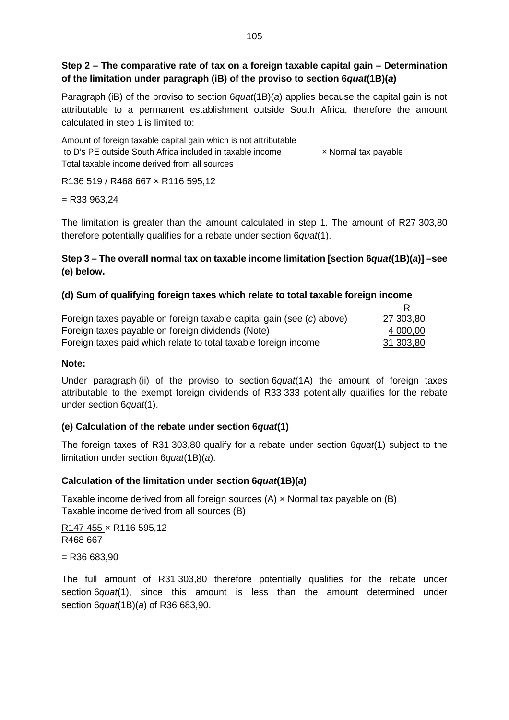**Step 2 – The comparative rate of tax on a foreign taxable capital gain – Determination of the limitation under paragraph (iB) of the proviso to section 6***quat***(1B)(***a***)**

Paragraph (iB) of the proviso to section 6*quat*(1B)(*a*) applies because the capital gain is not attributable to a permanent establishment outside South Africa, therefore the amount calculated in step 1 is limited to:

Amount of foreign taxable capital gain which is not attributable to D's PE outside South Africa included in taxable income x Normal tax payable Total taxable income derived from all sources

R136 519 / R468 667 × R116 595,12

 $=$  R33 963.24

The limitation is greater than the amount calculated in step 1. The amount of R27 303,80 therefore potentially qualifies for a rebate under section 6*quat*(1).

**Step 3 – The overall normal tax on taxable income limitation [section 6***quat***(1B)(***a***)] –see (e) below.**

# **(d) Sum of qualifying foreign taxes which relate to total taxable foreign income**

| Foreign taxes payable on foreign taxable capital gain (see (c) above) | 27 303,80 |
|-----------------------------------------------------------------------|-----------|
| Foreign taxes payable on foreign dividends (Note)                     | 4 000,00  |
| Foreign taxes paid which relate to total taxable foreign income       | 31 303,80 |

### **Note:**

Under paragraph (ii) of the proviso to section 6*quat*(1A) the amount of foreign taxes attributable to the exempt foreign dividends of R33 333 potentially qualifies for the rebate under section 6*quat*(1).

# **(e) Calculation of the rebate under section 6***quat***(1)**

The foreign taxes of R31 303,80 qualify for a rebate under section 6*quat*(1) subject to the limitation under section 6*quat*(1B)(*a*).

# **Calculation of the limitation under section 6***quat***(1B)(***a***)**

Taxable income derived from all foreign sources  $(A) \times$  Normal tax payable on  $(B)$ Taxable income derived from all sources (B)

R147 455 × R116 595,12 R468 667

 $=$  R36 683,90

The full amount of R31 303,80 therefore potentially qualifies for the rebate under section 6*quat*(1), since this amount is less than the amount determined under section 6*quat*(1B)(*a*) of R36 683,90.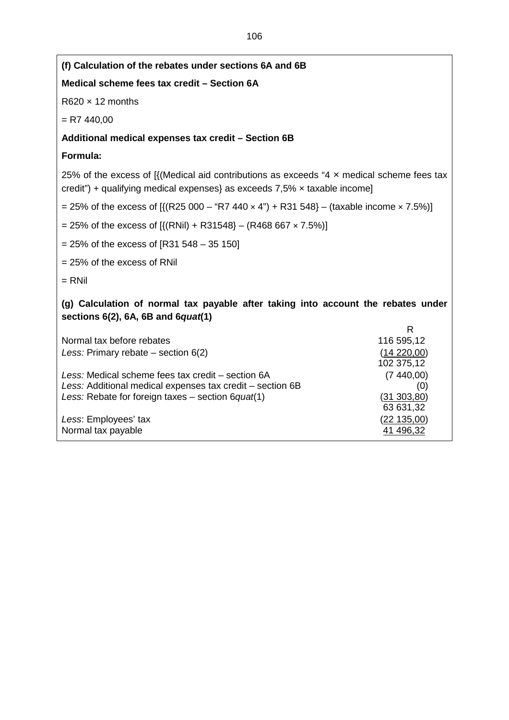| (f) Calculation of the rebates under sections 6A and 6B                                                                                                                              |                          |  |  |
|--------------------------------------------------------------------------------------------------------------------------------------------------------------------------------------|--------------------------|--|--|
| Medical scheme fees tax credit - Section 6A                                                                                                                                          |                          |  |  |
| $R620 \times 12$ months                                                                                                                                                              |                          |  |  |
| $= R7440,00$                                                                                                                                                                         |                          |  |  |
| Additional medical expenses tax credit - Section 6B                                                                                                                                  |                          |  |  |
| Formula:                                                                                                                                                                             |                          |  |  |
| 25% of the excess of [{(Medical aid contributions as exceeds "4 $\times$ medical scheme fees tax<br>credit") + qualifying medical expenses} as exceeds $7,5% \times$ taxable income] |                          |  |  |
| = 25% of the excess of $\{(R25 000 - "R7 440 \times 4") + R31 548\} - (taxable income \times 7.5%)$                                                                                  |                          |  |  |
| = 25% of the excess of $[{(RNii) + R31548} - (R468 667 \times 7.5\%)]$                                                                                                               |                          |  |  |
| $= 25\%$ of the excess of [R31 548 - 35 150]                                                                                                                                         |                          |  |  |
| $= 25\%$ of the excess of RNil                                                                                                                                                       |                          |  |  |
| $= RNil$                                                                                                                                                                             |                          |  |  |
| (g) Calculation of normal tax payable after taking into account the rebates under<br>sections $6(2)$ , 6A, 6B and $6$ quat(1)                                                        |                          |  |  |
|                                                                                                                                                                                      | R                        |  |  |
| Normal tax before rebates                                                                                                                                                            | 116 595,12               |  |  |
| Less: Primary rebate $-$ section 6(2)                                                                                                                                                | (14220,00)<br>102 375,12 |  |  |
| Less: Medical scheme fees tax credit - section 6A                                                                                                                                    | (7440,00)                |  |  |
| Less: Additional medical expenses tax credit - section 6B                                                                                                                            | (0)                      |  |  |
| Less: Rebate for foreign taxes – section $6$ quat(1)                                                                                                                                 | (31 303,80)<br>63 631,32 |  |  |
| Less: Employees' tax                                                                                                                                                                 | (22 135,00)              |  |  |
| Normal tax payable                                                                                                                                                                   | 41 496,32                |  |  |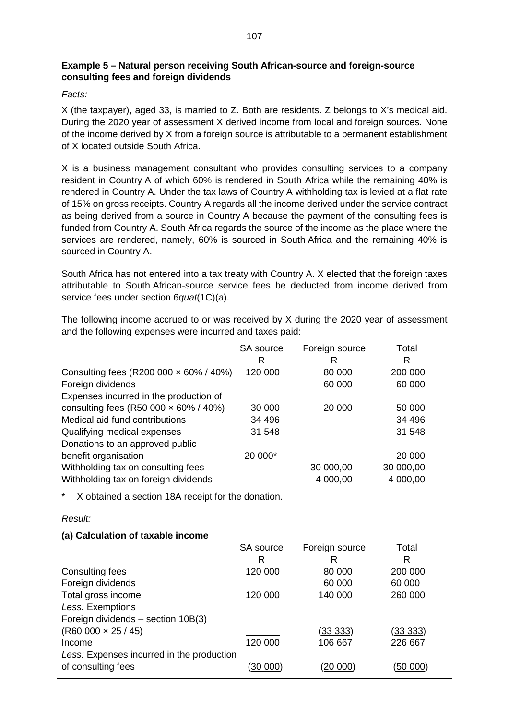# **Example 5 – Natural person receiving South African-source and foreign-source consulting fees and foreign dividends**

### *Facts:*

X (the taxpayer), aged 33, is married to Z. Both are residents. Z belongs to X's medical aid. During the 2020 year of assessment X derived income from local and foreign sources. None of the income derived by X from a foreign source is attributable to a permanent establishment of X located outside South Africa.

X is a business management consultant who provides consulting services to a company resident in Country A of which 60% is rendered in South Africa while the remaining 40% is rendered in Country A. Under the tax laws of Country A withholding tax is levied at a flat rate of 15% on gross receipts. Country A regards all the income derived under the service contract as being derived from a source in Country A because the payment of the consulting fees is funded from Country A. South Africa regards the source of the income as the place where the services are rendered, namely, 60% is sourced in South Africa and the remaining 40% is sourced in Country A.

South Africa has not entered into a tax treaty with Country A. X elected that the foreign taxes attributable to South African-source service fees be deducted from income derived from service fees under section 6*quat*(1C)(*a*).

The following income accrued to or was received by X during the 2020 year of assessment and the following expenses were incurred and taxes paid:

|                                                                | <b>SA source</b> | Foreign source | Total     |
|----------------------------------------------------------------|------------------|----------------|-----------|
|                                                                | R                | R              | R         |
| Consulting fees (R200 000 $\times$ 60% / 40%)                  | 120 000          | 80 000         | 200 000   |
| Foreign dividends                                              |                  | 60 000         | 60 000    |
| Expenses incurred in the production of                         |                  |                |           |
| consulting fees (R50 000 x 60% / 40%)                          | 30 000           | 20 000         | 50 000    |
| Medical aid fund contributions                                 | 34 496           |                | 34 496    |
| Qualifying medical expenses                                    | 31 548           |                | 31 548    |
| Donations to an approved public                                |                  |                |           |
| benefit organisation                                           | 20 000*          |                | 20 000    |
| Withholding tax on consulting fees                             |                  | 30 000,00      | 30 000,00 |
| Withholding tax on foreign dividends                           |                  | 4 000,00       | 4 000,00  |
| $^\star$<br>X obtained a section 18A receipt for the donation. |                  |                |           |
| Result:                                                        |                  |                |           |
| (a) Calculation of taxable income                              |                  |                |           |
|                                                                | <b>SA source</b> | Foreign source | Total     |
|                                                                | R                | R              | R         |
| <b>Consulting fees</b>                                         | 120 000          | 80 000         | 200 000   |
| Foreign dividends                                              |                  | 60 000         | 60 000    |
| Total gross income                                             | 120 000          | 140 000        | 260 000   |
| Less: Exemptions                                               |                  |                |           |
| Foreign dividends - section 10B(3)                             |                  |                |           |
| $(R60\,000 \times 25 / 45)$                                    |                  | (3333)         | (3333)    |
| Income                                                         | 120 000          | 106 667        | 226 667   |
| Less: Expenses incurred in the production                      |                  |                |           |
| of consulting fees                                             | (30000)          | (20 000)       | (50000)   |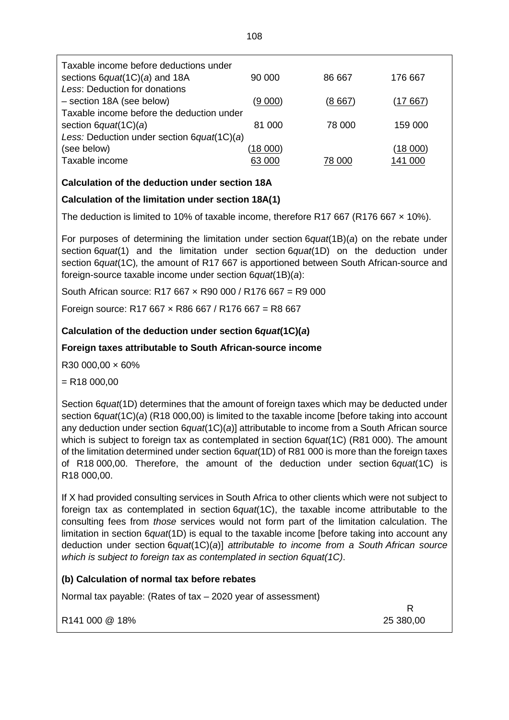| Taxable income before deductions under     |         |         |          |
|--------------------------------------------|---------|---------|----------|
| sections 6quat(1C)(a) and 18A              | 90 000  | 86 667  | 176 667  |
| Less: Deduction for donations              |         |         |          |
| - section 18A (see below)                  | (9 000) | (8 667) | 17 667)  |
| Taxable income before the deduction under  |         |         |          |
| section $6$ quat $(1C)(a)$                 | 81 000  | 78 000  | 159 000  |
| Less: Deduction under section 6quat(1C)(a) |         |         |          |
| (see below)                                | (18000) |         | (18 000) |
| Taxable income                             | 63 000  | 78 OOG  | 141 000  |

# **Calculation of the deduction under section 18A**

# **Calculation of the limitation under section 18A(1)**

The deduction is limited to 10% of taxable income, therefore R17 667 (R176 667  $\times$  10%).

For purposes of determining the limitation under section 6*quat*(1B)(*a*) on the rebate under section 6*quat*(1) and the limitation under section 6*quat*(1D) on the deduction under section 6*quat*(1C)*,* the amount of R17 667 is apportioned between South African-source and foreign-source taxable income under section 6*quat*(1B)(*a*):

South African source: R17 667 × R90 000 / R176 667 = R9 000

Foreign source: R17 667 × R86 667 / R176 667 = R8 667

# **Calculation of the deduction under section 6***quat***(1C)(***a***)**

### **Foreign taxes attributable to South African-source income**

R30 000,00 × 60%

 $= R18 000,00$ 

Section 6*quat*(1D) determines that the amount of foreign taxes which may be deducted under section 6*quat*(1C)(*a*) (R18 000,00) is limited to the taxable income [before taking into account any deduction under section 6*quat*(1C)(*a*)] attributable to income from a South African source which is subject to foreign tax as contemplated in section 6*quat*(1C) (R81 000). The amount of the limitation determined under section 6*quat*(1D) of R81 000 is more than the foreign taxes of R18 000,00. Therefore, the amount of the deduction under section 6*quat*(1C) is R18 000,00.

If X had provided consulting services in South Africa to other clients which were not subject to foreign tax as contemplated in section 6*quat*(1C), the taxable income attributable to the consulting fees from *those* services would not form part of the limitation calculation. The limitation in section 6*quat*(1D) is equal to the taxable income [before taking into account any deduction under section 6*quat*(1C)(*a*)] *attributable to income from a South African source which is subject to foreign tax as contemplated in section 6quat(1C)*.

# **(b) Calculation of normal tax before rebates**

Normal tax payable: (Rates of tax – 2020 year of assessment)

R141 000 @ 18% 25 380,00

R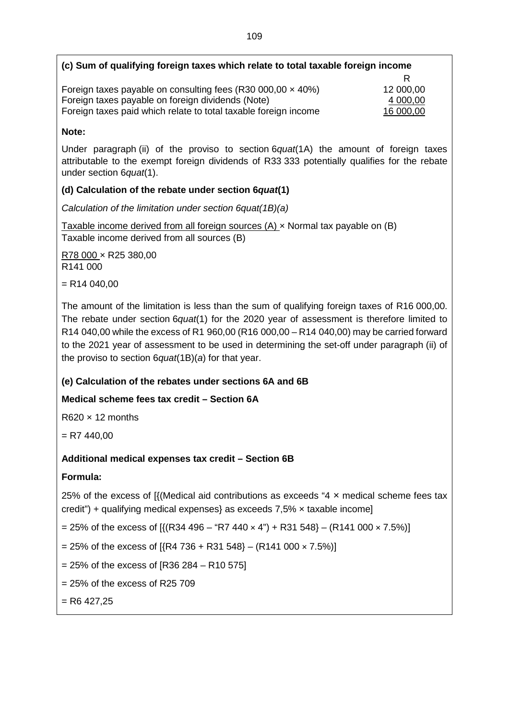| (c) Sum of qualifying foreign taxes which relate to total taxable foreign income |           |  |  |  |
|----------------------------------------------------------------------------------|-----------|--|--|--|
|                                                                                  |           |  |  |  |
| Foreign taxes payable on consulting fees (R30 000,00 $\times$ 40%)               | 12 000,00 |  |  |  |
| Foreign taxes payable on foreign dividends (Note)                                | 4 000,00  |  |  |  |
| Foreign taxes paid which relate to total taxable foreign income                  | 16 000,00 |  |  |  |

# **Note:**

Under paragraph (ii) of the proviso to section 6*quat*(1A) the amount of foreign taxes attributable to the exempt foreign dividends of R33 333 potentially qualifies for the rebate under section 6*quat*(1).

# **(d) Calculation of the rebate under section 6***quat***(1)**

*Calculation of the limitation under section 6quat(1B)(a)*

Taxable income derived from all foreign sources  $(A) \times$  Normal tax payable on  $(B)$ Taxable income derived from all sources (B)

R78 000 × R25 380,00 R141 000

 $= R14 040,00$ 

The amount of the limitation is less than the sum of qualifying foreign taxes of R16 000,00. The rebate under section 6*quat*(1) for the 2020 year of assessment is therefore limited to R14 040,00 while the excess of R1 960,00 (R16 000,00 – R14 040,00) may be carried forward to the 2021 year of assessment to be used in determining the set-off under paragraph (ii) of the proviso to section 6*quat*(1B)(*a*) for that year.

### **(e) Calculation of the rebates under sections 6A and 6B**

### **Medical scheme fees tax credit – Section 6A**

 $R620 \times 12$  months

 $= R7 440.00$ 

### **Additional medical expenses tax credit – Section 6B**

### **Formula:**

25% of the excess of [{(Medical aid contributions as exceeds "4  $\times$  medical scheme fees tax credit") + qualifying medical expenses} as exceeds 7,5% × taxable income]

 $= 25\%$  of the excess of  $[ {(R34 496 - "R7 440 \times 4") + R31 548} - (R141 000 \times 7.5%) }$ 

 $= 25\%$  of the excess of  $[\{R4 736 + R31 548\} - (R141 000 \times 7.5\%)]$ 

 $= 25%$  of the excess of [R36 284 – R10 575]

- $= 25\%$  of the excess of R25 709
- $=$  R6 427,25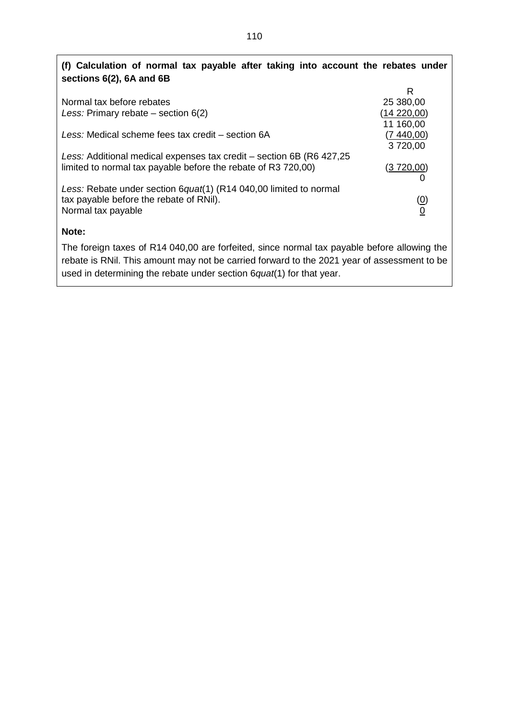| (f) Calculation of normal tax payable after taking into account the rebates under |
|-----------------------------------------------------------------------------------|
| R                                                                                 |
| 25 380,00                                                                         |
| (14 220,00)                                                                       |
| 11 160,00                                                                         |
| <u>(7 440,00)</u>                                                                 |
| 3720,00                                                                           |
|                                                                                   |
| (3 720,00)                                                                        |
|                                                                                   |
|                                                                                   |
| $\overline{(0)}$                                                                  |
| $\overline{0}$                                                                    |
|                                                                                   |
|                                                                                   |

The foreign taxes of R14 040,00 are forfeited, since normal tax payable before allowing the rebate is RNil. This amount may not be carried forward to the 2021 year of assessment to be used in determining the rebate under section 6*quat*(1) for that year.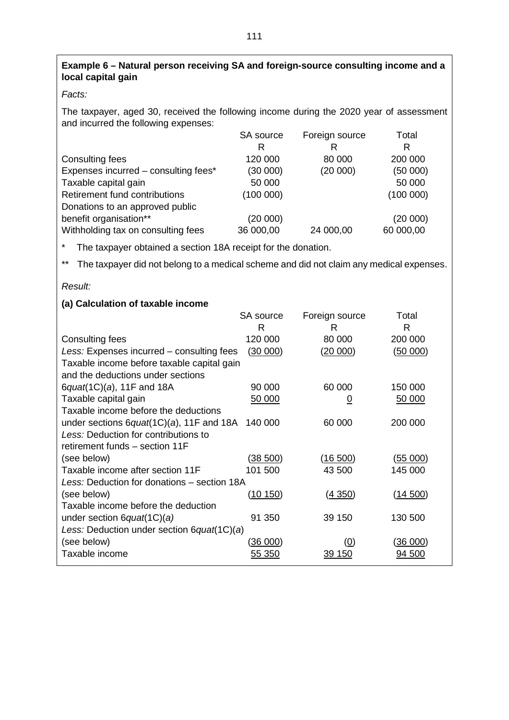# **Example 6 – Natural person receiving SA and foreign-source consulting income and a local capital gain**

### *Facts:*

The taxpayer, aged 30, received the following income during the 2020 year of assessment and incurred the following expenses:

|                                      | SA source | Foreign source | Total     |
|--------------------------------------|-----------|----------------|-----------|
|                                      | R         | R              | R         |
| Consulting fees                      | 120 000   | 80 000         | 200 000   |
| Expenses incurred – consulting fees* | (30000)   | (20 000)       | (50 000)  |
| Taxable capital gain                 | 50 000    |                | 50 000    |
| Retirement fund contributions        | (100000)  |                | (100000)  |
| Donations to an approved public      |           |                |           |
| benefit organisation**               | (20 000)  |                | (20 000)  |
| Withholding tax on consulting fees   | 36 000,00 | 24 000,00      | 60 000,00 |

\* The taxpayer obtained a section 18A receipt for the donation.

\*\* The taxpayer did not belong to a medical scheme and did not claim any medical expenses.

### *Result:*

### **(a) Calculation of taxable income**

|                                             | SA source       | Foreign source  | Total           |
|---------------------------------------------|-----------------|-----------------|-----------------|
|                                             | R               | R               | R               |
| Consulting fees                             | 120 000         | 80 000          | 200 000         |
| Less: Expenses incurred – consulting fees   | (30 000)        | (20 000)        | (50000)         |
| Taxable income before taxable capital gain  |                 |                 |                 |
| and the deductions under sections           |                 |                 |                 |
| $6$ quat(1C)(a), 11F and 18A                | 90 000          | 60 000          | 150 000         |
| Taxable capital gain                        | 50 000          | <u>0</u>        | 50 000          |
| Taxable income before the deductions        |                 |                 |                 |
| under sections 6quat(1C)(a), 11F and 18A    | 140 000         | 60 000          | 200 000         |
| Less: Deduction for contributions to        |                 |                 |                 |
| retirement funds - section 11F              |                 |                 |                 |
| (see below)                                 | <u>(38 500)</u> | <u>(16 500)</u> | <u>(55 000)</u> |
| Taxable income after section 11F            | 101 500         | 43 500          | 145 000         |
| Less: Deduction for donations - section 18A |                 |                 |                 |
| (see below)                                 | (10_150)        | <u>(4 350)</u>  | (14500)         |
| Taxable income before the deduction         |                 |                 |                 |
| under section $6$ quat(1C)(a)               | 91 350          | 39 150          | 130 500         |
| Less: Deduction under section 6quat(1C)(a)  |                 |                 |                 |
| (see below)                                 | (36 000)        | <u>(0)</u>      | (36 000)        |
| Taxable income                              | 55 350          | <u>39 150</u>   | 94 500          |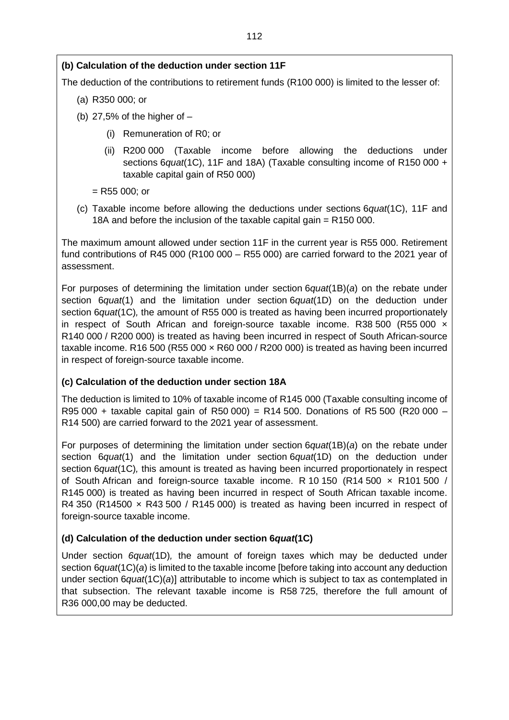# **(b) Calculation of the deduction under section 11F**

The deduction of the contributions to retirement funds (R100 000) is limited to the lesser of:

- (a) R350 000; or
- (b) 27,5% of the higher of  $-$ 
	- (i) Remuneration of R0; or
	- (ii) R200 000 (Taxable income before allowing the deductions under sections 6*quat*(1C), 11F and 18A) (Taxable consulting income of R150 000 + taxable capital gain of R50 000)
	- = R55 000; or
- (c) Taxable income before allowing the deductions under sections 6*quat*(1C), 11F and 18A and before the inclusion of the taxable capital gain = R150 000.

The maximum amount allowed under section 11F in the current year is R55 000. Retirement fund contributions of R45 000 (R100 000 – R55 000) are carried forward to the 2021 year of assessment.

For purposes of determining the limitation under section 6*quat*(1B)(*a*) on the rebate under section 6*quat*(1) and the limitation under section 6*quat*(1D) on the deduction under section 6*quat*(1C)*,* the amount of R55 000 is treated as having been incurred proportionately in respect of South African and foreign-source taxable income. R38 500 (R55 000  $\times$ R140 000 / R200 000) is treated as having been incurred in respect of South African-source taxable income. R16 500 (R55 000 × R60 000 / R200 000) is treated as having been incurred in respect of foreign-source taxable income.

# **(c) Calculation of the deduction under section 18A**

The deduction is limited to 10% of taxable income of R145 000 (Taxable consulting income of R95 000 + taxable capital gain of R50 000) = R14 500. Donations of R5 500 (R20 000 – R14 500) are carried forward to the 2021 year of assessment.

For purposes of determining the limitation under section 6*quat*(1B)(*a*) on the rebate under section 6*quat*(1) and the limitation under section 6*quat*(1D) on the deduction under section 6*quat*(1C)*,* this amount is treated as having been incurred proportionately in respect of South African and foreign-source taxable income. R 10 150 (R14 500 × R101 500 / R145 000) is treated as having been incurred in respect of South African taxable income. R4 350 (R14500  $\times$  R43 500 / R145 000) is treated as having been incurred in respect of foreign-source taxable income.

# **(d) Calculation of the deduction under section 6***quat***(1C)**

Under section *6quat*(1D)*,* the amount of foreign taxes which may be deducted under section 6*quat*(1C)(*a*) is limited to the taxable income [before taking into account any deduction under section 6*quat*(1C)(*a*)] attributable to income which is subject to tax as contemplated in that subsection. The relevant taxable income is R58 725, therefore the full amount of R36 000,00 may be deducted.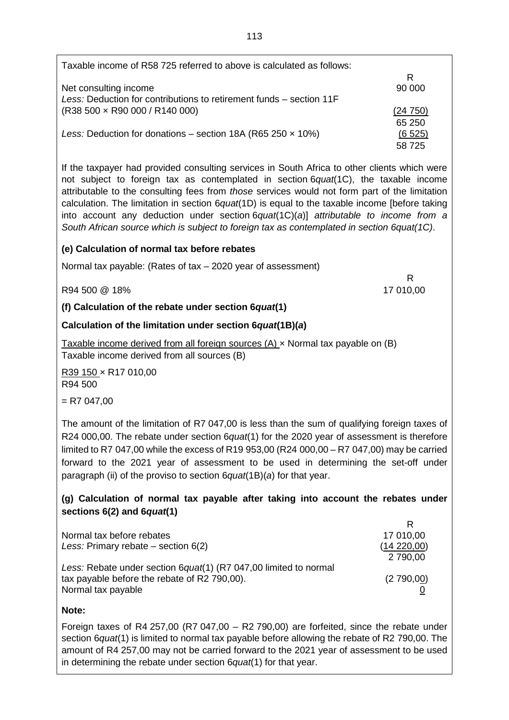| Taxable income of R58 725 referred to above is calculated as follows: |         |
|-----------------------------------------------------------------------|---------|
|                                                                       | R       |
| Net consulting income                                                 | 90 000  |
| Less: Deduction for contributions to retirement funds – section 11F   |         |
| (R38 500 x R90 000 / R140 000)                                        | (24750) |
|                                                                       | 65 250  |
| Less: Deduction for donations – section 18A (R65 250 $\times$ 10%)    | (6525)  |
|                                                                       | 58 725  |

If the taxpayer had provided consulting services in South Africa to other clients which were not subject to foreign tax as contemplated in section 6*quat*(1C), the taxable income attributable to the consulting fees from *those* services would not form part of the limitation calculation. The limitation in section 6*quat*(1D) is equal to the taxable income [before taking into account any deduction under section 6*quat*(1C)(*a*)] *attributable to income from a South African source which is subject to foreign tax as contemplated in section 6quat(1C)*.

R

# **(e) Calculation of normal tax before rebates**

Normal tax payable: (Rates of tax – 2020 year of assessment)

R94 500 @ 18% 17 010,00

**(f) Calculation of the rebate under section 6***quat***(1)**

# **Calculation of the limitation under section 6***quat***(1B)(***a***)**

Taxable income derived from all foreign sources  $(A) \times$  Normal tax payable on  $(B)$ Taxable income derived from all sources (B)

R39 150 × R17 010,00 R94 500

 $=$  R7 047.00

The amount of the limitation of R7 047,00 is less than the sum of qualifying foreign taxes of R24 000,00. The rebate under section 6*quat*(1) for the 2020 year of assessment is therefore limited to R7 047,00 while the excess of R19 953,00 (R24 000,00 – R7 047,00) may be carried forward to the 2021 year of assessment to be used in determining the set-off under paragraph (ii) of the proviso to section 6*quat*(1B)(*a*) for that year.

# **(g) Calculation of normal tax payable after taking into account the rebates under sections 6(2) and 6***quat***(1)**

| Normal tax before rebates                                        | 17 010,00  |
|------------------------------------------------------------------|------------|
| Less: Primary rebate – section $6(2)$                            | (14220,00) |
|                                                                  | 2 790,00   |
| Less: Rebate under section 6quat(1) (R7 047,00 limited to normal |            |
| tax payable before the rebate of R2 790,00).                     | (2790,00)  |
| Normal tax payable                                               |            |

### **Note:**

Foreign taxes of R4 257,00 (R7 047,00 – R2 790,00) are forfeited, since the rebate under section 6*quat*(1) is limited to normal tax payable before allowing the rebate of R2 790,00. The amount of R4 257,00 may not be carried forward to the 2021 year of assessment to be used in determining the rebate under section 6*quat*(1) for that year.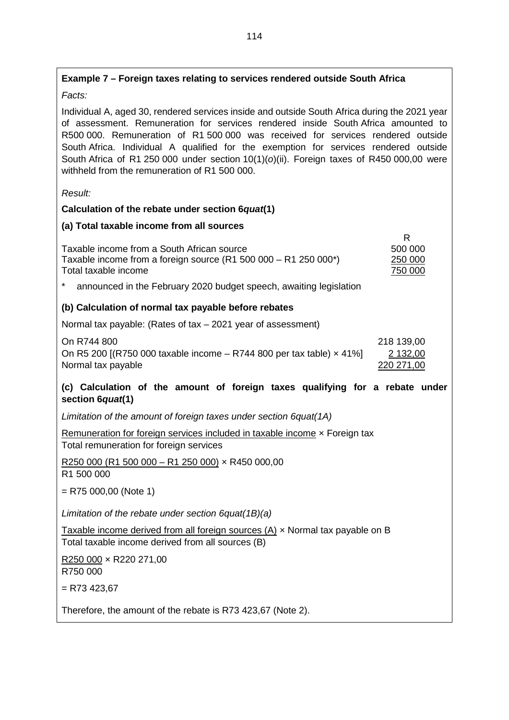# **Example 7 – Foreign taxes relating to services rendered outside South Africa**

*Facts:*

Individual A, aged 30, rendered services inside and outside South Africa during the 2021 year of assessment. Remuneration for services rendered inside South Africa amounted to R500 000. Remuneration of R1 500 000 was received for services rendered outside South Africa. Individual A qualified for the exemption for services rendered outside South Africa of R1 250 000 under section 10(1)(*o*)(ii). Foreign taxes of R450 000,00 were withheld from the remuneration of R1 500 000.

*Result:*

# **Calculation of the rebate under section 6***quat***(1)**

# **(a) Total taxable income from all sources**

| Taxable income from a South African source                         | 500 000 |
|--------------------------------------------------------------------|---------|
| Taxable income from a foreign source $(R1 500 000 - R1 250 000^*)$ | 250 000 |
| Total taxable income                                               | 750 000 |

announced in the February 2020 budget speech, awaiting legislation

# **(b) Calculation of normal tax payable before rebates**

Normal tax payable: (Rates of tax – 2021 year of assessment)

| On R744 800                                                                 | 218 139,00 |
|-----------------------------------------------------------------------------|------------|
| On R5 200 [(R750 000 taxable income – R744 800 per tax table) $\times$ 41%] | 2 132,00   |
| Normal tax payable                                                          | 220 271,00 |

# **(c) Calculation of the amount of foreign taxes qualifying for a rebate under section 6***quat***(1)**

*Limitation of the amount of foreign taxes under section 6quat(1A)*

Remuneration for foreign services included in taxable income x Foreign tax Total remuneration for foreign services

R250 000 (R1 500 000 – R1 250 000) × R450 000,00

R1 500 000

= R75 000,00 (Note 1)

*Limitation of the rebate under section 6quat(1B)(a)*

Taxable income derived from all foreign sources (A) x Normal tax payable on B Total taxable income derived from all sources (B)

R250 000 × R220 271,00 R750 000

 $= R73 423.67$ 

Therefore, the amount of the rebate is R73 423,67 (Note 2).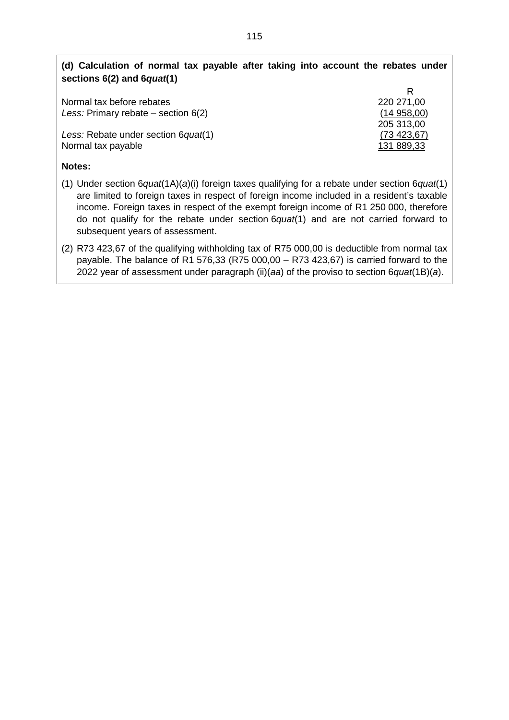| (d) Calculation of normal tax payable after taking into account the rebates under |  |  |  |  |  |  |
|-----------------------------------------------------------------------------------|--|--|--|--|--|--|
| sections $6(2)$ and $6$ <i>quat</i> (1)                                           |  |  |  |  |  |  |

| Normal tax before rebates             | 220 271,00    |
|---------------------------------------|---------------|
| Less: Primary rebate $-$ section 6(2) | (14958,00)    |
|                                       | 205 313,00    |
| Less: Rebate under section 6quat(1)   | (73, 423, 67) |
| Normal tax payable                    | 131 889,33    |

# **Notes:**

- (1) Under section 6*quat*(1A)(*a*)(i) foreign taxes qualifying for a rebate under section 6*quat*(1) are limited to foreign taxes in respect of foreign income included in a resident's taxable income. Foreign taxes in respect of the exempt foreign income of R1 250 000, therefore do not qualify for the rebate under section 6*quat*(1) and are not carried forward to subsequent years of assessment.
- (2) R73 423,67 of the qualifying withholding tax of R75 000,00 is deductible from normal tax payable. The balance of R1 576,33 (R75 000,00 – R73 423,67) is carried forward to the 2022 year of assessment under paragraph (ii)(*aa*) of the proviso to section 6*quat*(1B)(*a*).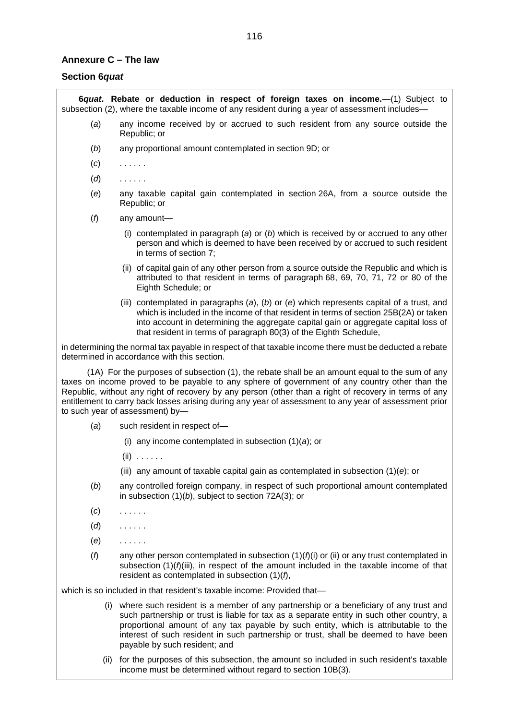# **Annexure C – The law**

# **Section 6***quat*

 $\mathbf{r}$ 

|     | 6quat. Rebate or deduction in respect of foreign taxes on income.-(1) Subject to<br>subsection (2), where the taxable income of any resident during a year of assessment includes—                                                                                                                                                                                                                                                                     |
|-----|--------------------------------------------------------------------------------------------------------------------------------------------------------------------------------------------------------------------------------------------------------------------------------------------------------------------------------------------------------------------------------------------------------------------------------------------------------|
| (a) | any income received by or accrued to such resident from any source outside the<br>Republic; or                                                                                                                                                                                                                                                                                                                                                         |
| (b) | any proportional amount contemplated in section 9D; or                                                                                                                                                                                                                                                                                                                                                                                                 |
| (c) | .                                                                                                                                                                                                                                                                                                                                                                                                                                                      |
| (d) | .                                                                                                                                                                                                                                                                                                                                                                                                                                                      |
| (e) | any taxable capital gain contemplated in section 26A, from a source outside the<br>Republic; or                                                                                                                                                                                                                                                                                                                                                        |
| (f) | any amount-                                                                                                                                                                                                                                                                                                                                                                                                                                            |
|     | (i) contemplated in paragraph (a) or (b) which is received by or accrued to any other<br>person and which is deemed to have been received by or accrued to such resident<br>in terms of section 7;                                                                                                                                                                                                                                                     |
|     | (ii) of capital gain of any other person from a source outside the Republic and which is<br>attributed to that resident in terms of paragraph 68, 69, 70, 71, 72 or 80 of the<br>Eighth Schedule; or                                                                                                                                                                                                                                                   |
|     | (iii) contemplated in paragraphs $(a)$ , $(b)$ or $(e)$ which represents capital of a trust, and<br>which is included in the income of that resident in terms of section 25B(2A) or taken<br>into account in determining the aggregate capital gain or aggregate capital loss of<br>that resident in terms of paragraph 80(3) of the Eighth Schedule,                                                                                                  |
|     | in determining the normal tax payable in respect of that taxable income there must be deducted a rebate<br>determined in accordance with this section.                                                                                                                                                                                                                                                                                                 |
|     | (1A) For the purposes of subsection (1), the rebate shall be an amount equal to the sum of any<br>taxes on income proved to be payable to any sphere of government of any country other than the<br>Republic, without any right of recovery by any person (other than a right of recovery in terms of any<br>entitlement to carry back losses arising during any year of assessment to any year of assessment prior<br>to such year of assessment) by- |
| (a) | such resident in respect of-                                                                                                                                                                                                                                                                                                                                                                                                                           |
|     | (i) any income contemplated in subsection $(1)(a)$ ; or                                                                                                                                                                                                                                                                                                                                                                                                |
|     | $(ii)$                                                                                                                                                                                                                                                                                                                                                                                                                                                 |
|     | (iii) any amount of taxable capital gain as contemplated in subsection $(1)(e)$ ; or                                                                                                                                                                                                                                                                                                                                                                   |
| (b) | any controlled foreign company, in respect of such proportional amount contemplated<br>in subsection $(1)(b)$ , subject to section 72A $(3)$ ; or                                                                                                                                                                                                                                                                                                      |
| (c) | .                                                                                                                                                                                                                                                                                                                                                                                                                                                      |
| (d) | .                                                                                                                                                                                                                                                                                                                                                                                                                                                      |
| (e) | المتحدث والمناور                                                                                                                                                                                                                                                                                                                                                                                                                                       |
| (f) | any other person contemplated in subsection $(1)(f)(i)$ or (ii) or any trust contemplated in<br>subsection $(1)(f)(iii)$ , in respect of the amount included in the taxable income of that<br>resident as contemplated in subsection $(1)(f)$ ,                                                                                                                                                                                                        |
|     | which is so included in that resident's taxable income: Provided that-                                                                                                                                                                                                                                                                                                                                                                                 |
|     | (i) where such resident is a member of any partnership or a beneficiary of any trust and<br>such partnership or trust is liable for tax as a separate entity in such other country, a<br>proportional amount of any tax payable by such entity, which is attributable to the<br>interest of such resident in such partnership or trust, shall be deemed to have been<br>payable by such resident; and                                                  |
|     | (ii) for the purposes of this subsection, the amount so included in such resident's taxable<br>income must be determined without regard to section 10B(3).                                                                                                                                                                                                                                                                                             |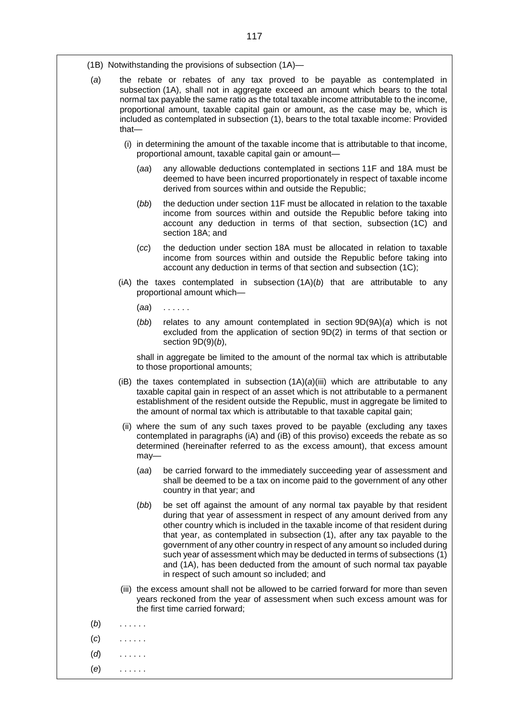- (1B) Notwithstanding the provisions of subsection (1A)— (*a*) the rebate or rebates of any tax proved to be payable as contemplated in subsection (1A), shall not in aggregate exceed an amount which bears to the total normal tax payable the same ratio as the total taxable income attributable to the income, proportional amount, taxable capital gain or amount, as the case may be, which is included as contemplated in subsection (1), bears to the total taxable income: Provided that— (i) in determining the amount of the taxable income that is attributable to that income, proportional amount, taxable capital gain or amount— (*aa*) any allowable deductions contemplated in sections 11F and 18A must be deemed to have been incurred proportionately in respect of taxable income derived from sources within and outside the Republic; (*bb*) the deduction under section 11F must be allocated in relation to the taxable income from sources within and outside the Republic before taking into account any deduction in terms of that section, subsection (1C) and section 18A; and (*cc*) the deduction under section 18A must be allocated in relation to taxable income from sources within and outside the Republic before taking into account any deduction in terms of that section and subsection (1C); (iA) the taxes contemplated in subsection (1A)(*b*) that are attributable to any proportional amount which— (*aa*) . . . . . . (*bb*) relates to any amount contemplated in section 9D(9A)(*a*) which is not excluded from the application of section 9D(2) in terms of that section or section 9D(9)(*b*), shall in aggregate be limited to the amount of the normal tax which is attributable to those proportional amounts; (iB) the taxes contemplated in subsection  $(1A)(a)(iii)$  which are attributable to any taxable capital gain in respect of an asset which is not attributable to a permanent establishment of the resident outside the Republic, must in aggregate be limited to the amount of normal tax which is attributable to that taxable capital gain; (ii) where the sum of any such taxes proved to be payable (excluding any taxes contemplated in paragraphs (iA) and (iB) of this proviso) exceeds the rebate as so determined (hereinafter referred to as the excess amount), that excess amount may— (*aa*) be carried forward to the immediately succeeding year of assessment and shall be deemed to be a tax on income paid to the government of any other country in that year; and (*bb*) be set off against the amount of any normal tax payable by that resident during that year of assessment in respect of any amount derived from any other country which is included in the taxable income of that resident during that year, as contemplated in subsection (1), after any tax payable to the government of any other country in respect of any amount so included during such year of assessment which may be deducted in terms of subsections (1) and (1A), has been deducted from the amount of such normal tax payable in respect of such amount so included; and (iii) the excess amount shall not be allowed to be carried forward for more than seven years reckoned from the year of assessment when such excess amount was for the first time carried forward; (*b*) . . . . . . (*c*) . . . . . . (*d*) . . . . . .
	- (*e*) . . . . . .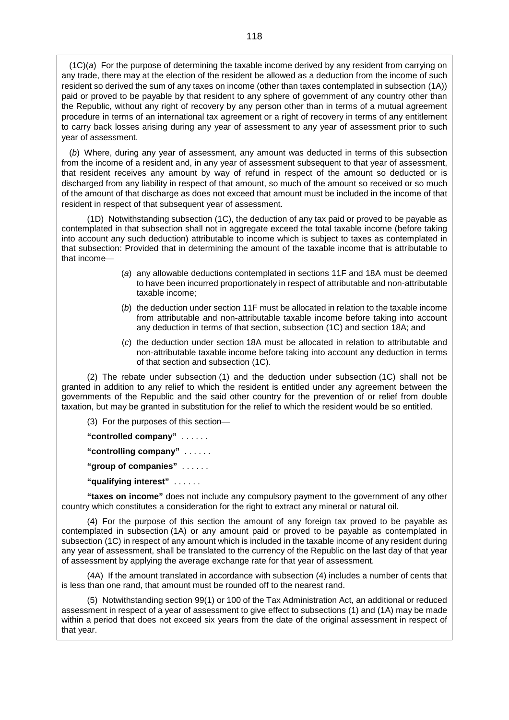(1C)(*a*) For the purpose of determining the taxable income derived by any resident from carrying on any trade, there may at the election of the resident be allowed as a deduction from the income of such resident so derived the sum of any taxes on income (other than taxes contemplated in subsection (1A)) paid or proved to be payable by that resident to any sphere of government of any country other than the Republic, without any right of recovery by any person other than in terms of a mutual agreement procedure in terms of an international tax agreement or a right of recovery in terms of any entitlement to carry back losses arising during any year of assessment to any year of assessment prior to such year of assessment.

(*b*) Where, during any year of assessment, any amount was deducted in terms of this subsection from the income of a resident and, in any year of assessment subsequent to that year of assessment, that resident receives any amount by way of refund in respect of the amount so deducted or is discharged from any liability in respect of that amount, so much of the amount so received or so much of the amount of that discharge as does not exceed that amount must be included in the income of that resident in respect of that subsequent year of assessment.

(1D) Notwithstanding subsection (1C), the deduction of any tax paid or proved to be payable as contemplated in that subsection shall not in aggregate exceed the total taxable income (before taking into account any such deduction) attributable to income which is subject to taxes as contemplated in that subsection: Provided that in determining the amount of the taxable income that is attributable to that income—

- (*a*) any allowable deductions contemplated in sections 11F and 18A must be deemed to have been incurred proportionately in respect of attributable and non-attributable taxable income;
- (*b*) the deduction under section 11F must be allocated in relation to the taxable income from attributable and non-attributable taxable income before taking into account any deduction in terms of that section, subsection (1C) and section 18A; and
- (*c*) the deduction under section 18A must be allocated in relation to attributable and non-attributable taxable income before taking into account any deduction in terms of that section and subsection (1C).

(2) The rebate under subsection (1) and the deduction under subsection (1C) shall not be granted in addition to any relief to which the resident is entitled under any agreement between the governments of the Republic and the said other country for the prevention of or relief from double taxation, but may be granted in substitution for the relief to which the resident would be so entitled.

(3) For the purposes of this section—

**"controlled company"** . . . . . .

**"controlling company"** . . . . . .

**"group of companies"** . . . . . .

**"qualifying interest"** . . . . . .

**"taxes on income"** does not include any compulsory payment to the government of any other country which constitutes a consideration for the right to extract any mineral or natural oil.

(4) For the purpose of this section the amount of any foreign tax proved to be payable as contemplated in subsection (1A) or any amount paid or proved to be payable as contemplated in subsection (1C) in respect of any amount which is included in the taxable income of any resident during any year of assessment, shall be translated to the currency of the Republic on the last day of that year of assessment by applying the average exchange rate for that year of assessment.

(4A) If the amount translated in accordance with subsection (4) includes a number of cents that is less than one rand, that amount must be rounded off to the nearest rand.

(5) Notwithstanding section 99(1) or 100 of the Tax Administration Act, an additional or reduced assessment in respect of a year of assessment to give effect to subsections (1) and (1A) may be made within a period that does not exceed six years from the date of the original assessment in respect of that year.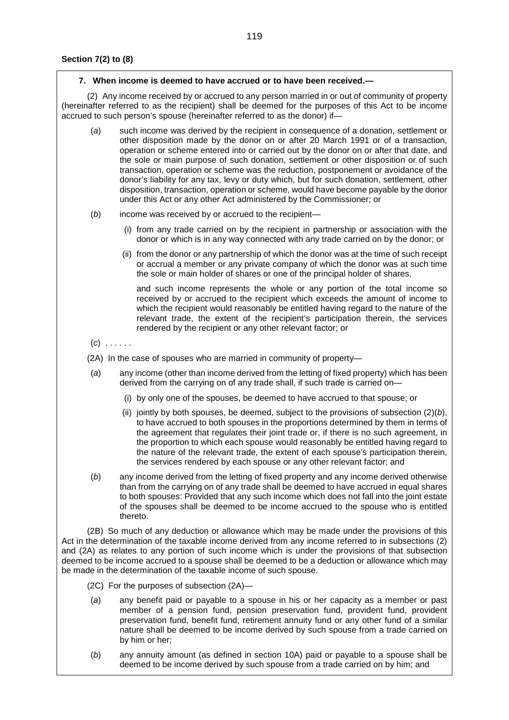#### **7. When income is deemed to have accrued or to have been received.—**

(2) Any income received by or accrued to any person married in or out of community of property (hereinafter referred to as the recipient) shall be deemed for the purposes of this Act to be income accrued to such person's spouse (hereinafter referred to as the donor) if—

- (*a*) such income was derived by the recipient in consequence of a donation, settlement or other disposition made by the donor on or after 20 March 1991 or of a transaction, operation or scheme entered into or carried out by the donor on or after that date, and the sole or main purpose of such donation, settlement or other disposition or of such transaction, operation or scheme was the reduction, postponement or avoidance of the donor's liability for any tax, levy or duty which, but for such donation, settlement, other disposition, transaction, operation or scheme, would have become payable by the donor under this Act or any other Act administered by the Commissioner; or
- (b) income was received by or accrued to the recipient-
	- (i) from any trade carried on by the recipient in partnership or association with the donor or which is in any way connected with any trade carried on by the donor; or
	- (ii) from the donor or any partnership of which the donor was at the time of such receipt or accrual a member or any private company of which the donor was at such time the sole or main holder of shares or one of the principal holder of shares,

and such income represents the whole or any portion of the total income so received by or accrued to the recipient which exceeds the amount of income to which the recipient would reasonably be entitled having regard to the nature of the relevant trade, the extent of the recipient's participation therein, the services rendered by the recipient or any other relevant factor; or

(*c*) . . . . . .

(2A) In the case of spouses who are married in community of property—

- (*a*) any income (other than income derived from the letting of fixed property) which has been derived from the carrying on of any trade shall, if such trade is carried on—
	- (i) by only one of the spouses, be deemed to have accrued to that spouse; or
	- (ii) jointly by both spouses, be deemed, subject to the provisions of subsection (2)(*b*), to have accrued to both spouses in the proportions determined by them in terms of the agreement that regulates their joint trade or, if there is no such agreement, in the proportion to which each spouse would reasonably be entitled having regard to the nature of the relevant trade, the extent of each spouse's participation therein, the services rendered by each spouse or any other relevant factor; and
- (*b*) any income derived from the letting of fixed property and any income derived otherwise than from the carrying on of any trade shall be deemed to have accrued in equal shares to both spouses: Provided that any such income which does not fall into the joint estate of the spouses shall be deemed to be income accrued to the spouse who is entitled thereto.

(2B) So much of any deduction or allowance which may be made under the provisions of this Act in the determination of the taxable income derived from any income referred to in subsections (2) and (2A) as relates to any portion of such income which is under the provisions of that subsection deemed to be income accrued to a spouse shall be deemed to be a deduction or allowance which may be made in the determination of the taxable income of such spouse.

- (2C) For the purposes of subsection (2A)—
- (*a*) any benefit paid or payable to a spouse in his or her capacity as a member or past member of a pension fund, pension preservation fund, provident fund, provident preservation fund, benefit fund, retirement annuity fund or any other fund of a similar nature shall be deemed to be income derived by such spouse from a trade carried on by him or her;
- (*b*) any annuity amount (as defined in section 10A) paid or payable to a spouse shall be deemed to be income derived by such spouse from a trade carried on by him; and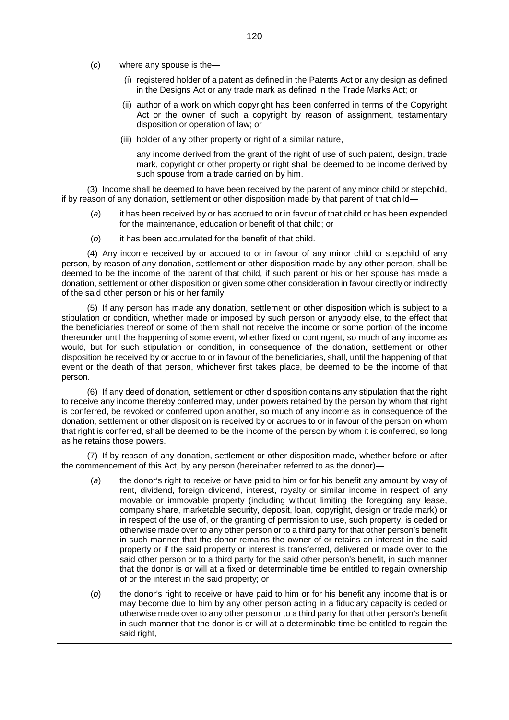- (*c*) where any spouse is the—
	- (i) registered holder of a patent as defined in the Patents Act or any design as defined in the Designs Act or any trade mark as defined in the Trade Marks Act; or
	- (ii) author of a work on which copyright has been conferred in terms of the Copyright Act or the owner of such a copyright by reason of assignment, testamentary disposition or operation of law; or
	- (iii) holder of any other property or right of a similar nature,

any income derived from the grant of the right of use of such patent, design, trade mark, copyright or other property or right shall be deemed to be income derived by such spouse from a trade carried on by him.

(3) Income shall be deemed to have been received by the parent of any minor child or stepchild, if by reason of any donation, settlement or other disposition made by that parent of that child—

- (*a*) it has been received by or has accrued to or in favour of that child or has been expended for the maintenance, education or benefit of that child; or
- (*b*) it has been accumulated for the benefit of that child.

(4) Any income received by or accrued to or in favour of any minor child or stepchild of any person, by reason of any donation, settlement or other disposition made by any other person, shall be deemed to be the income of the parent of that child, if such parent or his or her spouse has made a donation, settlement or other disposition or given some other consideration in favour directly or indirectly of the said other person or his or her family.

(5) If any person has made any donation, settlement or other disposition which is subject to a stipulation or condition, whether made or imposed by such person or anybody else, to the effect that the beneficiaries thereof or some of them shall not receive the income or some portion of the income thereunder until the happening of some event, whether fixed or contingent, so much of any income as would, but for such stipulation or condition, in consequence of the donation, settlement or other disposition be received by or accrue to or in favour of the beneficiaries, shall, until the happening of that event or the death of that person, whichever first takes place, be deemed to be the income of that person.

(6) If any deed of donation, settlement or other disposition contains any stipulation that the right to receive any income thereby conferred may, under powers retained by the person by whom that right is conferred, be revoked or conferred upon another, so much of any income as in consequence of the donation, settlement or other disposition is received by or accrues to or in favour of the person on whom that right is conferred, shall be deemed to be the income of the person by whom it is conferred, so long as he retains those powers.

(7) If by reason of any donation, settlement or other disposition made, whether before or after the commencement of this Act, by any person (hereinafter referred to as the donor)—

- (*a*) the donor's right to receive or have paid to him or for his benefit any amount by way of rent, dividend, foreign dividend, interest, royalty or similar income in respect of any movable or immovable property (including without limiting the foregoing any lease, company share, marketable security, deposit, loan, copyright, design or trade mark) or in respect of the use of, or the granting of permission to use, such property, is ceded or otherwise made over to any other person or to a third party for that other person's benefit in such manner that the donor remains the owner of or retains an interest in the said property or if the said property or interest is transferred, delivered or made over to the said other person or to a third party for the said other person's benefit, in such manner that the donor is or will at a fixed or determinable time be entitled to regain ownership of or the interest in the said property; or
- (*b*) the donor's right to receive or have paid to him or for his benefit any income that is or may become due to him by any other person acting in a fiduciary capacity is ceded or otherwise made over to any other person or to a third party for that other person's benefit in such manner that the donor is or will at a determinable time be entitled to regain the said right.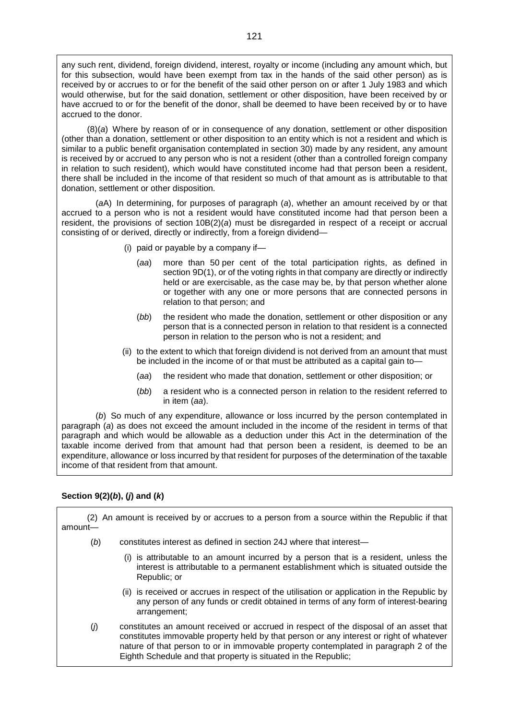any such rent, dividend, foreign dividend, interest, royalty or income (including any amount which, but for this subsection, would have been exempt from tax in the hands of the said other person) as is received by or accrues to or for the benefit of the said other person on or after 1 July 1983 and which would otherwise, but for the said donation, settlement or other disposition, have been received by or have accrued to or for the benefit of the donor, shall be deemed to have been received by or to have accrued to the donor.

(8)(*a*) Where by reason of or in consequence of any donation, settlement or other disposition (other than a donation, settlement or other disposition to an entity which is not a resident and which is similar to a public benefit organisation contemplated in section 30) made by any resident, any amount is received by or accrued to any person who is not a resident (other than a controlled foreign company in relation to such resident), which would have constituted income had that person been a resident, there shall be included in the income of that resident so much of that amount as is attributable to that donation, settlement or other disposition.

(*a*A) In determining, for purposes of paragraph (*a*), whether an amount received by or that accrued to a person who is not a resident would have constituted income had that person been a resident, the provisions of section 10B(2)(*a*) must be disregarded in respect of a receipt or accrual consisting of or derived, directly or indirectly, from a foreign dividend—

- (i) paid or payable by a company if—
	- (*aa*) more than 50 per cent of the total participation rights, as defined in section 9D(1), or of the voting rights in that company are directly or indirectly held or are exercisable, as the case may be, by that person whether alone or together with any one or more persons that are connected persons in relation to that person; and
	- (*bb*) the resident who made the donation, settlement or other disposition or any person that is a connected person in relation to that resident is a connected person in relation to the person who is not a resident; and
- (ii) to the extent to which that foreign dividend is not derived from an amount that must be included in the income of or that must be attributed as a capital gain to—
	- (*aa*) the resident who made that donation, settlement or other disposition; or
	- (*bb*) a resident who is a connected person in relation to the resident referred to in item (*aa*).

(*b*) So much of any expenditure, allowance or loss incurred by the person contemplated in paragraph (*a*) as does not exceed the amount included in the income of the resident in terms of that paragraph and which would be allowable as a deduction under this Act in the determination of the taxable income derived from that amount had that person been a resident, is deemed to be an expenditure, allowance or loss incurred by that resident for purposes of the determination of the taxable income of that resident from that amount.

### **Section 9(2)(***b***), (***j***) and (***k***)**

(2) An amount is received by or accrues to a person from a source within the Republic if that amount—

- (*b*) constitutes interest as defined in section 24J where that interest—
	- (i) is attributable to an amount incurred by a person that is a resident, unless the interest is attributable to a permanent establishment which is situated outside the Republic; or
	- (ii) is received or accrues in respect of the utilisation or application in the Republic by any person of any funds or credit obtained in terms of any form of interest-bearing arrangement;
- (*j*) constitutes an amount received or accrued in respect of the disposal of an asset that constitutes immovable property held by that person or any interest or right of whatever nature of that person to or in immovable property contemplated in paragraph 2 of the Eighth Schedule and that property is situated in the Republic;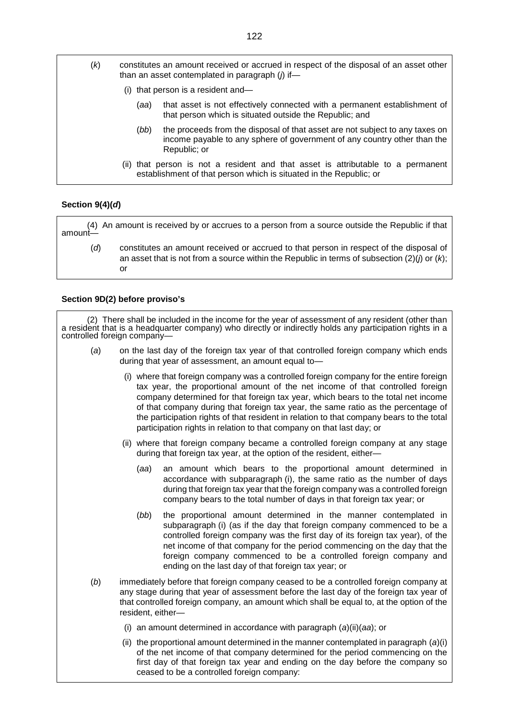(*k*) constitutes an amount received or accrued in respect of the disposal of an asset other than an asset contemplated in paragraph (*j*) if— (i) that person is a resident and— (*aa*) that asset is not effectively connected with a permanent establishment of that person which is situated outside the Republic; and (*bb*) the proceeds from the disposal of that asset are not subject to any taxes on income payable to any sphere of government of any country other than the Republic; or (ii) that person is not a resident and that asset is attributable to a permanent establishment of that person which is situated in the Republic; or

### **Section 9(4)(***d***)**

| amount- | (4) An amount is received by or accrues to a person from a source outside the Republic if that                                                                                                    |
|---------|---------------------------------------------------------------------------------------------------------------------------------------------------------------------------------------------------|
| (d)     | constitutes an amount received or accrued to that person in respect of the disposal of<br>an asset that is not from a source within the Republic in terms of subsection $(2)(i)$ or $(k)$ ;<br>or |

#### **Section 9D(2) before proviso's**

| (2) There shall be included in the income for the year of assessment of any resident (other than<br>a resident that is a headquarter company) who directly or indirectly holds any participation rights in a<br>controlled foreign company- |                                                                                                                                                                                                                                                                                                                                                                                                                                                                                                                         |
|---------------------------------------------------------------------------------------------------------------------------------------------------------------------------------------------------------------------------------------------|-------------------------------------------------------------------------------------------------------------------------------------------------------------------------------------------------------------------------------------------------------------------------------------------------------------------------------------------------------------------------------------------------------------------------------------------------------------------------------------------------------------------------|
| (a)                                                                                                                                                                                                                                         | on the last day of the foreign tax year of that controlled foreign company which ends<br>during that year of assessment, an amount equal to-                                                                                                                                                                                                                                                                                                                                                                            |
|                                                                                                                                                                                                                                             | (i) where that foreign company was a controlled foreign company for the entire foreign<br>tax year, the proportional amount of the net income of that controlled foreign<br>company determined for that foreign tax year, which bears to the total net income<br>of that company during that foreign tax year, the same ratio as the percentage of<br>the participation rights of that resident in relation to that company bears to the total<br>participation rights in relation to that company on that last day; or |
|                                                                                                                                                                                                                                             | (ii) where that foreign company became a controlled foreign company at any stage<br>during that foreign tax year, at the option of the resident, either-                                                                                                                                                                                                                                                                                                                                                                |
|                                                                                                                                                                                                                                             | an amount which bears to the proportional amount determined in<br>(aa)<br>accordance with subparagraph (i), the same ratio as the number of days<br>during that foreign tax year that the foreign company was a controlled foreign<br>company bears to the total number of days in that foreign tax year; or                                                                                                                                                                                                            |
|                                                                                                                                                                                                                                             | the proportional amount determined in the manner contemplated in<br>(bb)<br>subparagraph (i) (as if the day that foreign company commenced to be a<br>controlled foreign company was the first day of its foreign tax year), of the<br>net income of that company for the period commencing on the day that the<br>foreign company commenced to be a controlled foreign company and<br>ending on the last day of that foreign tax year; or                                                                              |
| (b)                                                                                                                                                                                                                                         | immediately before that foreign company ceased to be a controlled foreign company at<br>any stage during that year of assessment before the last day of the foreign tax year of<br>that controlled foreign company, an amount which shall be equal to, at the option of the<br>resident, either-                                                                                                                                                                                                                        |
|                                                                                                                                                                                                                                             | (i) an amount determined in accordance with paragraph $(a)(ii)(aa)$ ; or                                                                                                                                                                                                                                                                                                                                                                                                                                                |
|                                                                                                                                                                                                                                             | (ii) the proportional amount determined in the manner contemplated in paragraph $(a)(i)$<br>of the net income of that company determined for the period commencing on the<br>first day of that foreign tax year and ending on the day before the company so<br>ceased to be a controlled foreign company:                                                                                                                                                                                                               |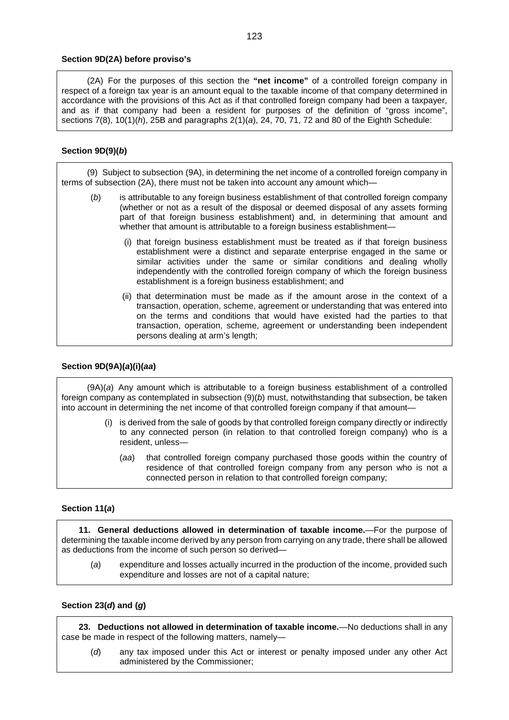#### **Section 9D(2A) before proviso's**

(2A) For the purposes of this section the **"net income"** of a controlled foreign company in respect of a foreign tax year is an amount equal to the taxable income of that company determined in accordance with the provisions of this Act as if that controlled foreign company had been a taxpayer, and as if that company had been a resident for purposes of the definition of "gross income", sections 7(8), 10(1)(*h*), 25B and paragraphs 2(1)(*a*), 24, 70, 71, 72 and 80 of the Eighth Schedule:

### **Section 9D(9)(***b***)**

(9) Subject to subsection (9A), in determining the net income of a controlled foreign company in terms of subsection (2A), there must not be taken into account any amount which—

- (*b*) is attributable to any foreign business establishment of that controlled foreign company (whether or not as a result of the disposal or deemed disposal of any assets forming part of that foreign business establishment) and, in determining that amount and whether that amount is attributable to a foreign business establishment—
	- (i) that foreign business establishment must be treated as if that foreign business establishment were a distinct and separate enterprise engaged in the same or similar activities under the same or similar conditions and dealing wholly independently with the controlled foreign company of which the foreign business establishment is a foreign business establishment; and
	- (ii) that determination must be made as if the amount arose in the context of a transaction, operation, scheme, agreement or understanding that was entered into on the terms and conditions that would have existed had the parties to that transaction, operation, scheme, agreement or understanding been independent persons dealing at arm's length;

#### **Section 9D(9A)(***a***)(i)(***aa***)**

(9A)(*a*) Any amount which is attributable to a foreign business establishment of a controlled foreign company as contemplated in subsection (9)(*b*) must, notwithstanding that subsection, be taken into account in determining the net income of that controlled foreign company if that amount—

- (i) is derived from the sale of goods by that controlled foreign company directly or indirectly to any connected person (in relation to that controlled foreign company) who is a resident, unless—
	- (*aa*) that controlled foreign company purchased those goods within the country of residence of that controlled foreign company from any person who is not a connected person in relation to that controlled foreign company;

#### **Section 11(***a***)**

**11. General deductions allowed in determination of taxable income.**—For the purpose of determining the taxable income derived by any person from carrying on any trade, there shall be allowed as deductions from the income of such person so derived—

(*a*) expenditure and losses actually incurred in the production of the income, provided such expenditure and losses are not of a capital nature;

#### **Section 23(***d***) and (***g***)**

**23. Deductions not allowed in determination of taxable income.**—No deductions shall in any case be made in respect of the following matters, namely—

(*d*) any tax imposed under this Act or interest or penalty imposed under any other Act administered by the Commissioner;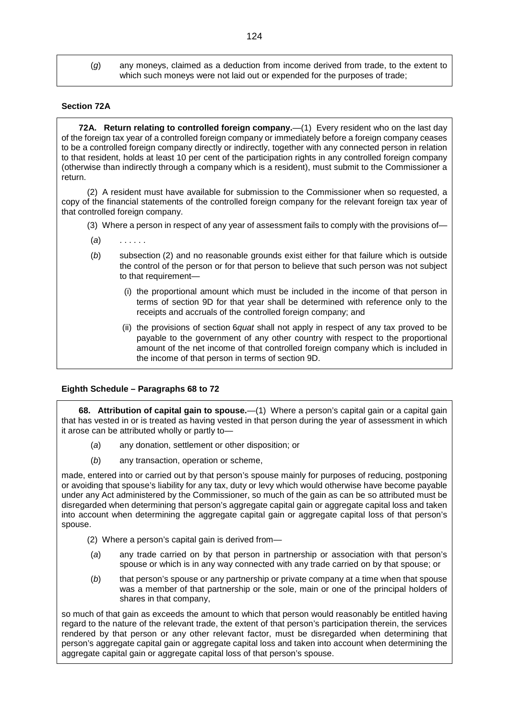(*g*) any moneys, claimed as a deduction from income derived from trade, to the extent to which such moneys were not laid out or expended for the purposes of trade;

#### **Section 72A**

**72A. Return relating to controlled foreign company.**—(1)Every resident who on the last day of the foreign tax year of a controlled foreign company or immediately before a foreign company ceases to be a controlled foreign company directly or indirectly, together with any connected person in relation to that resident, holds at least 10 per cent of the participation rights in any controlled foreign company (otherwise than indirectly through a company which is a resident), must submit to the Commissioner a return.

(2) A resident must have available for submission to the Commissioner when so requested, a copy of the financial statements of the controlled foreign company for the relevant foreign tax year of that controlled foreign company.

(3) Where a person in respect of any year of assessment fails to comply with the provisions of—

- $(a)$
- (*b*) subsection (2) and no reasonable grounds exist either for that failure which is outside the control of the person or for that person to believe that such person was not subject to that requirement—
	- (i) the proportional amount which must be included in the income of that person in terms of section 9D for that year shall be determined with reference only to the receipts and accruals of the controlled foreign company; and
	- (ii) the provisions of section 6*quat* shall not apply in respect of any tax proved to be payable to the government of any other country with respect to the proportional amount of the net income of that controlled foreign company which is included in the income of that person in terms of section 9D.

#### **Eighth Schedule – Paragraphs 68 to 72**

**68. Attribution of capital gain to spouse.**—(1) Where a person's capital gain or a capital gain that has vested in or is treated as having vested in that person during the year of assessment in which it arose can be attributed wholly or partly to—

- (*a*) any donation, settlement or other disposition; or
- (*b*) any transaction, operation or scheme,

made, entered into or carried out by that person's spouse mainly for purposes of reducing, postponing or avoiding that spouse's liability for any tax, duty or levy which would otherwise have become payable under any Act administered by the Commissioner, so much of the gain as can be so attributed must be disregarded when determining that person's aggregate capital gain or aggregate capital loss and taken into account when determining the aggregate capital gain or aggregate capital loss of that person's spouse.

- (2) Where a person's capital gain is derived from—
- (*a*) any trade carried on by that person in partnership or association with that person's spouse or which is in any way connected with any trade carried on by that spouse; or
- (*b*) that person's spouse or any partnership or private company at a time when that spouse was a member of that partnership or the sole, main or one of the principal holders of shares in that company,

so much of that gain as exceeds the amount to which that person would reasonably be entitled having regard to the nature of the relevant trade, the extent of that person's participation therein, the services rendered by that person or any other relevant factor, must be disregarded when determining that person's aggregate capital gain or aggregate capital loss and taken into account when determining the aggregate capital gain or aggregate capital loss of that person's spouse.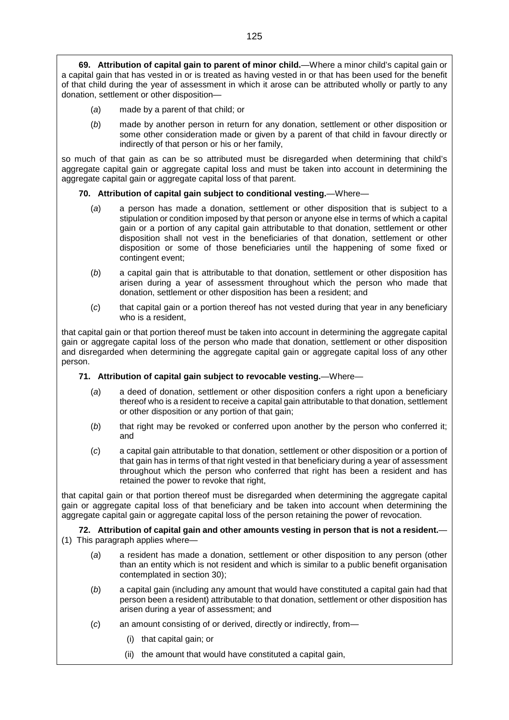**69. Attribution of capital gain to parent of minor child.**—Where a minor child's capital gain or a capital gain that has vested in or is treated as having vested in or that has been used for the benefit of that child during the year of assessment in which it arose can be attributed wholly or partly to any donation, settlement or other disposition—

- (*a*) made by a parent of that child; or
- (*b*) made by another person in return for any donation, settlement or other disposition or some other consideration made or given by a parent of that child in favour directly or indirectly of that person or his or her family,

so much of that gain as can be so attributed must be disregarded when determining that child's aggregate capital gain or aggregate capital loss and must be taken into account in determining the aggregate capital gain or aggregate capital loss of that parent.

#### **70. Attribution of capital gain subject to conditional vesting.**—Where—

- (*a*) a person has made a donation, settlement or other disposition that is subject to a stipulation or condition imposed by that person or anyone else in terms of which a capital gain or a portion of any capital gain attributable to that donation, settlement or other disposition shall not vest in the beneficiaries of that donation, settlement or other disposition or some of those beneficiaries until the happening of some fixed or contingent event;
- (*b*) a capital gain that is attributable to that donation, settlement or other disposition has arisen during a year of assessment throughout which the person who made that donation, settlement or other disposition has been a resident; and
- (*c*) that capital gain or a portion thereof has not vested during that year in any beneficiary who is a resident,

that capital gain or that portion thereof must be taken into account in determining the aggregate capital gain or aggregate capital loss of the person who made that donation, settlement or other disposition and disregarded when determining the aggregate capital gain or aggregate capital loss of any other person.

#### **71. Attribution of capital gain subject to revocable vesting.**—Where—

- (*a*) a deed of donation, settlement or other disposition confers a right upon a beneficiary thereof who is a resident to receive a capital gain attributable to that donation, settlement or other disposition or any portion of that gain;
- (*b*) that right may be revoked or conferred upon another by the person who conferred it; and
- (*c*) a capital gain attributable to that donation, settlement or other disposition or a portion of that gain has in terms of that right vested in that beneficiary during a year of assessment throughout which the person who conferred that right has been a resident and has retained the power to revoke that right,

that capital gain or that portion thereof must be disregarded when determining the aggregate capital gain or aggregate capital loss of that beneficiary and be taken into account when determining the aggregate capital gain or aggregate capital loss of the person retaining the power of revocation.

#### **72. Attribution of capital gain and other amounts vesting in person that is not a resident.**— (1) This paragraph applies where—

- (*a*) a resident has made a donation, settlement or other disposition to any person (other than an entity which is not resident and which is similar to a public benefit organisation contemplated in section 30);
- (*b*) a capital gain (including any amount that would have constituted a capital gain had that person been a resident) attributable to that donation, settlement or other disposition has arisen during a year of assessment; and
- (*c*) an amount consisting of or derived, directly or indirectly, from—
	- (i) that capital gain; or
	- (ii) the amount that would have constituted a capital gain,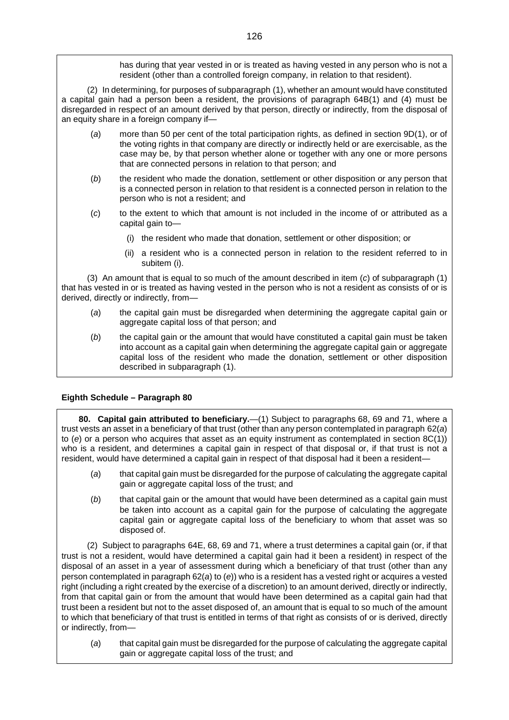has during that year vested in or is treated as having vested in any person who is not a resident (other than a controlled foreign company, in relation to that resident).

(2) In determining, for purposes of subparagraph (1), whether an amount would have constituted a capital gain had a person been a resident, the provisions of paragraph 64B(1) and (4) must be disregarded in respect of an amount derived by that person, directly or indirectly, from the disposal of an equity share in a foreign company if—

- (*a*) more than 50 per cent of the total participation rights, as defined in section 9D(1), or of the voting rights in that company are directly or indirectly held or are exercisable, as the case may be, by that person whether alone or together with any one or more persons that are connected persons in relation to that person; and
- (*b*) the resident who made the donation, settlement or other disposition or any person that is a connected person in relation to that resident is a connected person in relation to the person who is not a resident; and
- (*c*) to the extent to which that amount is not included in the income of or attributed as a capital gain to—
	- (i) the resident who made that donation, settlement or other disposition; or
	- (ii) a resident who is a connected person in relation to the resident referred to in subitem (i).

(3) An amount that is equal to so much of the amount described in item (*c*) of subparagraph (1) that has vested in or is treated as having vested in the person who is not a resident as consists of or is derived, directly or indirectly, from—

- (*a*) the capital gain must be disregarded when determining the aggregate capital gain or aggregate capital loss of that person; and
- (*b*) the capital gain or the amount that would have constituted a capital gain must be taken into account as a capital gain when determining the aggregate capital gain or aggregate capital loss of the resident who made the donation, settlement or other disposition described in subparagraph (1).

### **Eighth Schedule – Paragraph 80**

**80. Capital gain attributed to beneficiary.**—(1) Subject to paragraphs 68, 69 and 71, where a trust vests an asset in a beneficiary of that trust (other than any person contemplated in paragraph 62(*a*) to (*e*) or a person who acquires that asset as an equity instrument as contemplated in section 8C(1)) who is a resident, and determines a capital gain in respect of that disposal or, if that trust is not a resident, would have determined a capital gain in respect of that disposal had it been a resident—

- (*a*) that capital gain must be disregarded for the purpose of calculating the aggregate capital gain or aggregate capital loss of the trust; and
- (*b*) that capital gain or the amount that would have been determined as a capital gain must be taken into account as a capital gain for the purpose of calculating the aggregate capital gain or aggregate capital loss of the beneficiary to whom that asset was so disposed of.

(2) Subject to paragraphs 64E, 68, 69 and 71, where a trust determines a capital gain (or, if that trust is not a resident, would have determined a capital gain had it been a resident) in respect of the disposal of an asset in a year of assessment during which a beneficiary of that trust (other than any person contemplated in paragraph 62(*a*) to (*e*)) who is a resident has a vested right or acquires a vested right (including a right created by the exercise of a discretion) to an amount derived, directly or indirectly, from that capital gain or from the amount that would have been determined as a capital gain had that trust been a resident but not to the asset disposed of, an amount that is equal to so much of the amount to which that beneficiary of that trust is entitled in terms of that right as consists of or is derived, directly or indirectly, from—

(*a*) that capital gain must be disregarded for the purpose of calculating the aggregate capital gain or aggregate capital loss of the trust; and